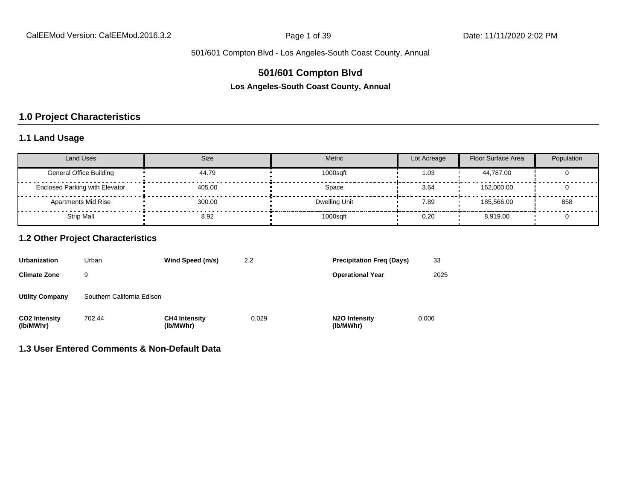## **501/601 Compton Blvd**

**Los Angeles-South Coast County, Annual**

## **1.0 Project Characteristics**

#### **1.1 Land Usage**

| <b>Land Uses</b>                      | Size   | Metric        | Lot Acreage | Floor Surface Area | Population |
|---------------------------------------|--------|---------------|-------------|--------------------|------------|
| <b>General Office Building</b>        | 44.79  | 1000sqft      | 1.03        | 44.787.00          |            |
| <b>Enclosed Parking with Elevator</b> | 405.00 | Space         | 3.64        | 162.000.00         |            |
| <b>Apartments Mid Rise</b>            | 300.00 | Dwelling Unit | 7.89        | 185.566.00         | 858        |
| Strip Mall                            | 8.92   | 1000sqft      | 0.20        | 8.919.00           |            |

#### **1.2 Other Project Characteristics**

| <b>Urbanization</b>               | Urban                      | Wind Speed (m/s)                  | 2.2   | <b>Precipitation Freg (Days)</b>        | 33    |
|-----------------------------------|----------------------------|-----------------------------------|-------|-----------------------------------------|-------|
| <b>Climate Zone</b>               | 9                          |                                   |       | <b>Operational Year</b>                 | 2025  |
| <b>Utility Company</b>            | Southern California Edison |                                   |       |                                         |       |
| <b>CO2 Intensity</b><br>(lb/MWhr) | 702.44                     | <b>CH4 Intensity</b><br>(lb/MWhr) | 0.029 | N <sub>2</sub> O Intensity<br>(lb/MWhr) | 0.006 |

### **1.3 User Entered Comments & Non-Default Data**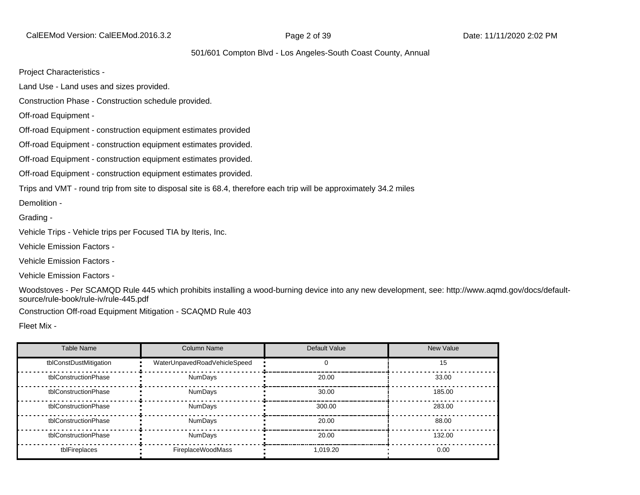CalEEMod Version: CalEEMod.2016.3.2 **Page 2 of 39 Date: 11/11/2020 2:02 PM** 

#### 501/601 Compton Blvd - Los Angeles-South Coast County, Annual

Project Characteristics -

Land Use - Land uses and sizes provided.

Construction Phase - Construction schedule provided.

Off-road Equipment -

Off-road Equipment - construction equipment estimates provided

Off-road Equipment - construction equipment estimates provided.

Off-road Equipment - construction equipment estimates provided.

Off-road Equipment - construction equipment estimates provided.

Trips and VMT - round trip from site to disposal site is 68.4, therefore each trip will be approximately 34.2 miles

Demolition -

Grading -

Vehicle Trips - Vehicle trips per Focused TIA by Iteris, Inc.

Vehicle Emission Factors -

Vehicle Emission Factors -

Vehicle Emission Factors -

Woodstoves - Per SCAMQD Rule 445 which prohibits installing a wood-burning device into any new development, see: http://www.aqmd.gov/docs/defaultsource/rule-book/rule-iv/rule-445.pdf

Construction Off-road Equipment Mitigation - SCAQMD Rule 403

Fleet Mix -

| Table Name             | Column Name                  | Default Value | New Value |
|------------------------|------------------------------|---------------|-----------|
| tblConstDustMitigation | WaterUnpavedRoadVehicleSpeed |               | 15        |
| tblConstructionPhase   | <b>NumDays</b>               | 20.00         | 33.00     |
| tblConstructionPhase   | NumDays                      | 30.00         | 185.00    |
| tblConstructionPhase   | <b>NumDays</b>               | 300.00        | 283.00    |
| tblConstructionPhase   | <b>NumDays</b>               | 20.00         | 88.00     |
| tblConstructionPhase   | <b>NumDays</b>               | 20.00         | 132.00    |
| tblFireplaces          | FireplaceWoodMass            | 1.019.20      | 0.00      |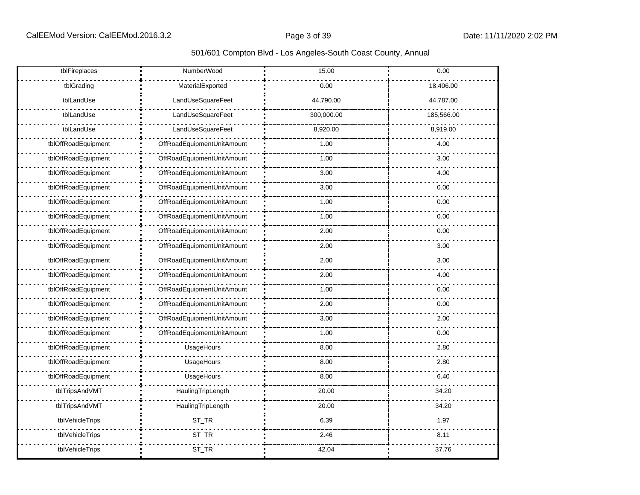| tblFireplaces       | NumberWood                 | 15.00      | 0.00       |
|---------------------|----------------------------|------------|------------|
| tblGrading          | MaterialExported           | 0.00       | 18,406.00  |
| tblLandUse          | LandUseSquareFeet          | 44,790.00  | 44,787.00  |
| tblLandUse          | LandUseSquareFeet          | 300,000.00 | 185,566.00 |
| tblLandUse          | LandUseSquareFeet          | 8,920.00   | 8,919.00   |
| tblOffRoadEquipment | OffRoadEquipmentUnitAmount | 1.00       | 4.00       |
| tblOffRoadEquipment | OffRoadEquipmentUnitAmount | 1.00       | 3.00       |
| tblOffRoadEquipment | OffRoadEquipmentUnitAmount | 3.00       | 4.00       |
| tblOffRoadEquipment | OffRoadEquipmentUnitAmount | 3.00       | 0.00       |
| tblOffRoadEquipment | OffRoadEquipmentUnitAmount | 1.00       | 0.00       |
| tblOffRoadEquipment | OffRoadEquipmentUnitAmount | 1.00       | 0.00       |
| tblOffRoadEquipment | OffRoadEquipmentUnitAmount | 2.00       | 0.00       |
| tblOffRoadEquipment | OffRoadEquipmentUnitAmount | 2.00       | 3.00       |
| tblOffRoadEquipment | OffRoadEquipmentUnitAmount | 2.00       | 3.00       |
| tblOffRoadEquipment | OffRoadEquipmentUnitAmount | 2.00       | 4.00       |
| tblOffRoadEquipment | OffRoadEquipmentUnitAmount | 1.00       | 0.00       |
| tblOffRoadEquipment | OffRoadEquipmentUnitAmount | 2.00       | 0.00       |
| tblOffRoadEquipment | OffRoadEquipmentUnitAmount | 3.00       | 2.00       |
| tblOffRoadEquipment | OffRoadEquipmentUnitAmount | 1.00       | 0.00       |
| tblOffRoadEquipment | UsageHours                 | 8.00       | 2.80       |
| tblOffRoadEquipment | UsageHours                 | 8.00       | 2.80       |
| tblOffRoadEquipment | UsageHours                 | 8.00       | 6.40       |
| tblTripsAndVMT      | HaulingTripLength          | 20.00      | 34.20      |
| tblTripsAndVMT      | HaulingTripLength          | 20.00      | 34.20      |
| tblVehicleTrips     | ST_TR                      | 6.39       | 1.97       |
| tblVehicleTrips     | ST_TR                      | 2.46       | 8.11       |
| tblVehicleTrips     | ST_TR                      | 42.04      | 37.76      |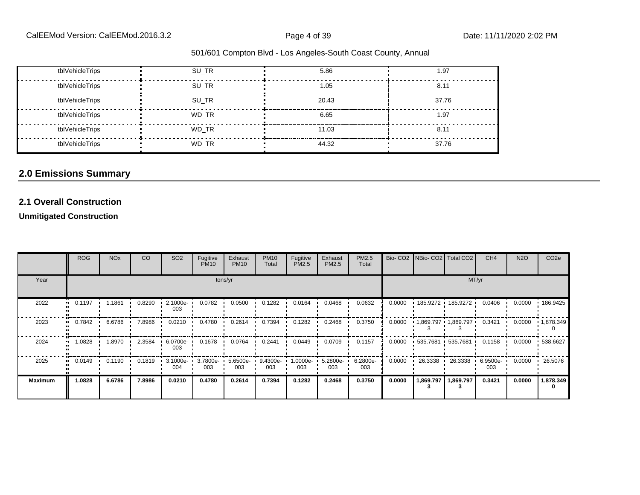| tblVehicleTrips | SU TR | 5.86  | 1.97  |
|-----------------|-------|-------|-------|
| tblVehicleTrips | SU TR | 1.05  | 8.11  |
| tblVehicleTrips | SU TR | 20.43 | 37.76 |
| tblVehicleTrips | WD TR | 6.65  | 1.97  |
| tblVehicleTrips | WD TR | 11.03 | 8.11  |
| tblVehicleTrips | WD TR | 44.32 | 37.76 |

# **2.0 Emissions Summary**

## **2.1 Overall Construction**

#### **Unmitigated Construction**

|                | ROG    | <b>NO<sub>x</sub></b> | <b>CO</b> | SO <sub>2</sub>    | Fugitive<br><b>PM10</b> | Exhaust<br><b>PM10</b> | <b>PM10</b><br>Total | Fugitive<br>PM2.5 | Exhaust<br><b>PM2.5</b> | PM2.5<br>Total  |        | Bio- CO2 NBio- CO2 Total CO2 |                       | CH <sub>4</sub>        | <b>N2O</b> | CO <sub>2e</sub> |
|----------------|--------|-----------------------|-----------|--------------------|-------------------------|------------------------|----------------------|-------------------|-------------------------|-----------------|--------|------------------------------|-----------------------|------------------------|------------|------------------|
| Year           |        |                       |           |                    |                         | tons/yr                |                      |                   |                         |                 |        |                              |                       | MT/yr                  |            |                  |
| 2022           | 0.1197 | 1.1861                | 0.8290    | 2.1000e-<br>003    | 0.0782                  | 0.0500                 | 0.1282               | 0.0164            | 0.0468                  | 0.0632          | 0.0000 | $185.9272$ 185.9272          |                       | 0.0406                 | 0.0000     | $+186.9425$      |
| 2023           | 0.7842 | 6.6786                | 7.8986    | 0.0210             | 0.4780                  | 0.2614                 | 0.7394               | 0.1282            | 0.2468                  | 0.3750          | 0.0000 | $1,869.797$ $1,869.797$      |                       | 0.3421                 | 0.0000     | 1,878.349        |
| 2024           | 1.0828 | .8970                 | 2.3584    | 6.0700e-<br>003    | 0.1678                  | 0.0764                 | 0.2441               | 0.0449            | 0.0709                  | 0.1157          | 0.0000 | 535.7681 535.7681            |                       | 0.1158<br>$\mathbf{L}$ | 0.0000     | $-538.6627$      |
| 2025           | 0.0149 | 0.1190                | 0.1819    | $.3.1000e-$<br>004 | $3.7800e -$<br>003      | 5.6500e-<br>003        | 9.4300e-<br>003      | 1.0000e-<br>003   | $5.2800e -$<br>003      | 6.2800e-<br>003 | 0.0000 | 26.3338<br>$\blacksquare$    | 26.3338               | 6.9500e-<br>003        | 0.0000     | 26.5076          |
| <b>Maximum</b> | 1.0828 | 6.6786                | 7.8986    | 0.0210             | 0.4780                  | 0.2614                 | 0.7394               | 0.1282            | 0.2468                  | 0.3750          | 0.0000 |                              | 1,869.797   1,869.797 | 0.3421                 | 0.0000     | 1,878.349        |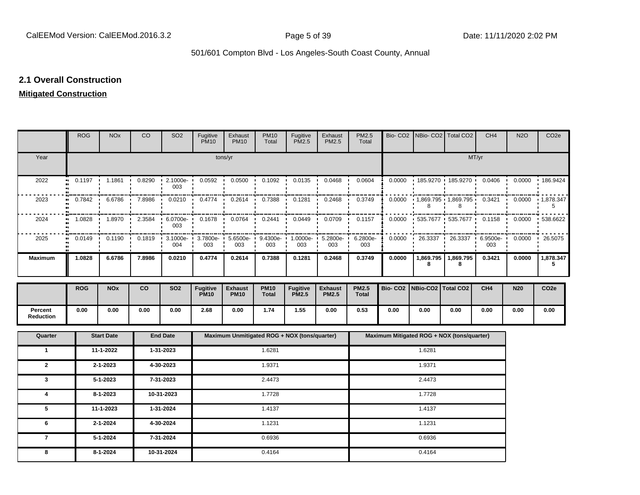### **2.1 Overall Construction**

# **Mitigated Construction**

|                      | <b>ROG</b>                              | <b>NO<sub>x</sub></b>  | CO     | SO <sub>2</sub> | Fugitive<br><b>PM10</b>        | Exhaust<br><b>PM10</b>                       | <b>PM10</b><br>Total        | Fugitive<br><b>PM2.5</b>        | Exhaust<br>PM2.5               | PM2.5<br>Total               |                |                    | Bio- CO2   NBio- CO2   Total CO2           | CH <sub>4</sub> | <b>N2O</b> | CO <sub>2e</sub> |
|----------------------|-----------------------------------------|------------------------|--------|-----------------|--------------------------------|----------------------------------------------|-----------------------------|---------------------------------|--------------------------------|------------------------------|----------------|--------------------|--------------------------------------------|-----------------|------------|------------------|
| Year                 |                                         |                        |        |                 |                                | tons/yr                                      |                             |                                 |                                |                              |                |                    |                                            | MT/yr           |            |                  |
| 2022                 | 0.1197                                  | 1.1861                 | 0.8290 | 2.1000e-<br>003 | 0.0592                         | 0.0500                                       | 0.1092                      | 0.0135                          | 0.0468                         | 0.0604                       | 0.0000         | 185.9270           | 185.9270                                   | 0.0406          | 0.0000     | 186.9424         |
| 2023                 | 0.7842                                  | 6.6786                 | 7.8986 | 0.0210          | 0.4774                         | 0.2614                                       | 0.7388                      | 0.1281                          | 0.2468                         | 0.3749                       | 0.0000         | 8                  | 1,869.795 1,869.795<br>8                   | 0.3421          | 0.0000     | 1,878.347<br>5   |
| 2024                 | 1.0828                                  | 1.8970                 | 2.3584 | 6.0700e-<br>003 | 0.1678                         | 0.0764                                       | 0.2441                      | 0.0449                          | 0.0709                         | 0.1157                       | 0.0000         | 535.7677           | 535.7677                                   | 0.1158          | 0.0000     | 538.6622         |
| 2025                 | 0.0149<br>$\bullet$<br>$\bullet\bullet$ | 0.1190                 | 0.1819 | 3.1000e-<br>004 | 3.7800e-<br>003                | $5.6500e - 1$<br>$\cdot$<br>003              | 9.4300e-<br>003             | 1.0000e-<br>003                 | 5.2800e-<br>003                | 6.2800e-<br>$\cdot$<br>003   | 0.0000         | 26.3337            | 26.3337                                    | 6.9500e-<br>003 | 0.0000     | 26.5075          |
| <b>Maximum</b>       | 1.0828                                  | 6.6786                 | 7.8986 | 0.0210          | 0.4774                         | 0.2614                                       | 0.7388                      | 0.1281                          | 0.2468                         | 0.3749                       | 0.0000         | 1,869.795<br>8     | 1,869.795<br>8                             | 0.3421          | 0.0000     | 1,878.347<br>5   |
|                      | <b>ROG</b>                              | <b>NOx</b>             | co     | <b>SO2</b>      | <b>Fugitive</b><br><b>PM10</b> | <b>Exhaust</b><br><b>PM10</b>                | <b>PM10</b><br><b>Total</b> | <b>Fugitive</b><br><b>PM2.5</b> | <b>Exhaust</b><br><b>PM2.5</b> | <b>PM2.5</b><br><b>Total</b> | <b>Bio-CO2</b> | NBio-CO2 Total CO2 |                                            | CH <sub>4</sub> | <b>N20</b> | CO <sub>2e</sub> |
| Percent<br>Reduction | 0.00                                    | 0.00                   | 0.00   | 0.00            | 2.68                           | 0.00                                         | 1.74                        | 1.55                            | 0.00                           | 0.53                         | 0.00           | 0.00               | 0.00                                       | 0.00            | 0.00       | 0.00             |
| Quarter              |                                         | <b>Start Date</b>      |        | <b>End Date</b> |                                | Maximum Unmitigated ROG + NOX (tons/quarter) |                             |                                 |                                |                              |                |                    | Maximum Mitigated ROG + NOX (tons/quarter) |                 |            |                  |
| $\mathbf{1}$         |                                         | 11-1-2022              |        | 1-31-2023       |                                |                                              | 1.6281                      |                                 |                                |                              |                | 1.6281             |                                            |                 |            |                  |
| $\mathbf{2}$         |                                         | 2-1-2023               |        | 4-30-2023       |                                |                                              | 1.9371                      |                                 |                                |                              |                | 1.9371             |                                            |                 |            |                  |
| 3                    |                                         | $5 - 1 - 2023$         |        | 7-31-2023       |                                |                                              | 2.4473                      |                                 |                                |                              |                | 2.4473             |                                            |                 |            |                  |
| 4                    |                                         | $8 - 1 - 2023$         |        | 10-31-2023      | 1.7728                         |                                              |                             |                                 |                                | 1.7728                       |                |                    |                                            |                 |            |                  |
| 5                    |                                         | 11-1-2023              |        | 1-31-2024       |                                | 1.4137                                       |                             |                                 |                                | 1.4137                       |                |                    |                                            |                 |            |                  |
| 6                    |                                         | $2 - 1 - 2024$         |        | 4-30-2024       |                                |                                              | 1.1231                      |                                 |                                |                              |                | 1.1231             |                                            |                 |            |                  |
| $\overline{7}$       |                                         | $5 - 1 - 2024$         |        | 7-31-2024       | 0.6936<br>0.6936               |                                              |                             |                                 |                                |                              |                |                    |                                            |                 |            |                  |
| 8                    |                                         | 8-1-2024<br>10-31-2024 |        |                 |                                | 0.4164                                       |                             |                                 |                                | 0.4164                       |                |                    |                                            |                 |            |                  |
|                      |                                         |                        |        |                 |                                |                                              |                             |                                 |                                |                              |                |                    |                                            |                 |            |                  |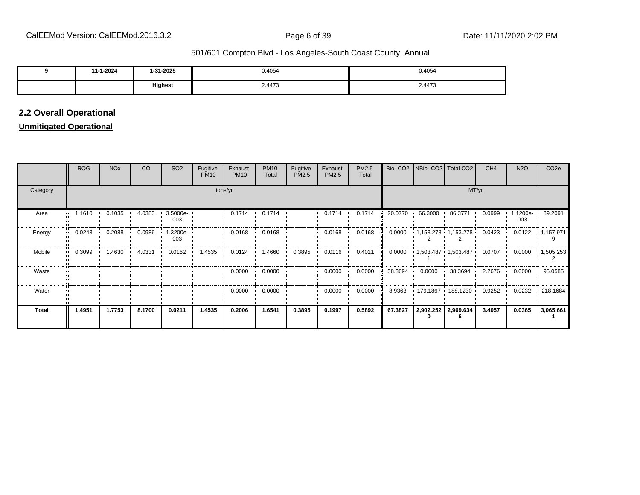| 11-1-2024 | l-31-2025 | 0.4054 | 0.4054 |
|-----------|-----------|--------|--------|
|           | Highest   | 2.4473 | 2.4473 |

### **2.2 Overall Operational**

### **Unmitigated Operational**

|              | <b>ROG</b> | <b>NO<sub>x</sub></b> | CO.    | SO <sub>2</sub> | Fugitive<br><b>PM10</b> | Exhaust<br><b>PM10</b> | <b>PM10</b><br>Total | Fugitive<br>PM2.5 | Exhaust<br>PM2.5 | PM2.5<br>Total |         |                   | Bio- CO2   NBio- CO2   Total CO2          | CH <sub>4</sub>  | <b>N2O</b>              | CO <sub>2</sub> e |
|--------------|------------|-----------------------|--------|-----------------|-------------------------|------------------------|----------------------|-------------------|------------------|----------------|---------|-------------------|-------------------------------------------|------------------|-------------------------|-------------------|
| Category     |            |                       |        |                 | tons/yr                 |                        | MT/yr                |                   |                  |                |         |                   |                                           |                  |                         |                   |
| Area         | 1.1610<br> | $0.1035 -$            | 4.0383 | 3.5000e-<br>003 |                         | 0.1714<br>$\mathbf{r}$ | 0.1714               |                   | 0.1714           | 0.1714         |         | 20.0770 66.3000 ' | 86.3771 .                                 | 0.0999           | 1.1200e- 89.2091<br>003 |                   |
| Energy       | 0.0243     | 0.2088                | 0.0986 | 1.3200e-<br>003 |                         | 0.0168                 | 0.0168               |                   | 0.0168           | 0.0168         | 0.0000  |                   | $1,153.278$ $1,153.278$                   | 0.0423           | 0.0122                  | $-1,157.971$      |
| Mobile       | 0.3099     | 1.4630                | 4.0331 | 0.0162          | 1.4535                  | 0.0124                 | 1.4660               | 0.3895            | 0.0116           | 0.4011         |         |                   | $0.0000$ $1,503.487$ $1,503.487$ $0.0707$ |                  | 0.0000                  | 1,505.253         |
| Waste        |            |                       |        |                 |                         | 0.0000                 | 0.0000               |                   | 0.0000           | 0.0000         | 38.3694 | 0.0000            | 38.3694                                   | $2.2676$ $\cdot$ | 0.0000                  | 95.0585           |
| Water        |            |                       |        |                 |                         | 0.0000                 | 0.0000               |                   | 0.0000           | 0.0000         | 8.9363  |                   | • 179.1867 • 188.1230 •                   | 0.9252           | 0.0232                  | .218.1684         |
| <b>Total</b> | 1.4951     | 1.7753                | 8.1700 | 0.0211          | 1.4535                  | 0.2006                 | 1.6541               | 0.3895            | 0.1997           | 0.5892         | 67.3827 |                   | 2,902.252 2,969.634                       | 3.4057           | 0.0365                  | 3,065.661         |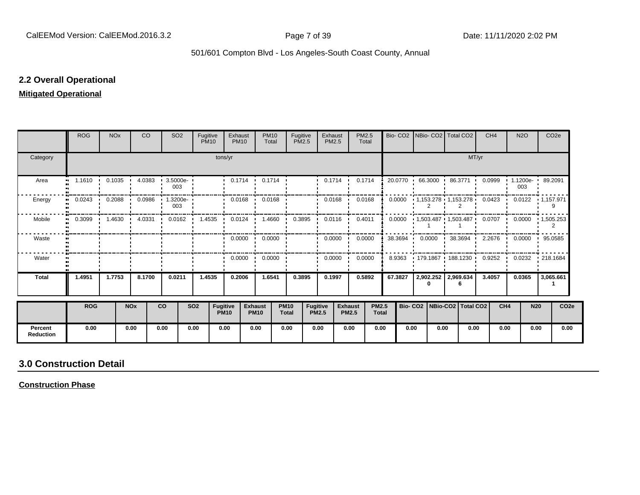#### **2.2 Overall Operational**

#### **Mitigated Operational**

|                             | <b>ROG</b>                 | <b>NO<sub>x</sub></b> |                       | <b>CO</b> | <b>SO2</b>             | Fugitive<br><b>PM10</b> |                         | Exhaust<br><b>PM10</b> | <b>PM10</b><br>Total          |                             | Fugitive<br><b>PM2.5</b>        | Exhaust<br>PM2.5        | PM2.5<br>Total                 |                              | Bio-CO <sub>2</sub> | INBio- CO2   Total CO2            |      |         | CH <sub>4</sub> |                 | <b>N2O</b> | CO <sub>2e</sub>                                      |
|-----------------------------|----------------------------|-----------------------|-----------------------|-----------|------------------------|-------------------------|-------------------------|------------------------|-------------------------------|-----------------------------|---------------------------------|-------------------------|--------------------------------|------------------------------|---------------------|-----------------------------------|------|---------|-----------------|-----------------|------------|-------------------------------------------------------|
| Category                    |                            |                       |                       |           |                        |                         | tons/yr                 |                        |                               |                             |                                 |                         |                                |                              |                     |                                   |      | MT/yr   |                 |                 |            |                                                       |
| Area                        | 1.1610<br>$\bullet\bullet$ | 0.1035                |                       | 4.0383    | $3.5000e-$<br>003      |                         |                         | $0.1714$ $\cdot$       | 0.1714                        |                             |                                 | $0.1714$ $\blacksquare$ | 0.1714                         |                              |                     | 20.0770 66.3000 '                 |      | 86.3771 | 0.0999          |                 | 003        | 1.1200e- 89.2091                                      |
| Energy                      | 0.0243                     | 0.2088                |                       | 0.0986    | 1.3200e-<br>003        |                         |                         | 0.0168                 | 0.0168                        |                             |                                 | 0.0168                  | 0.0168                         |                              | 0.0000              | $1.153.278$ $1.153.278$           |      |         | 0.0423          |                 |            | $0.0122 + 1.157.971$                                  |
| Mobile                      | $0.3099$ 1.4630            |                       |                       |           | 4.0331  0.0162  1.4535 |                         |                         |                        | $0.0124$ 1.4660 0.3895        |                             | $\mathbf{r}$                    | $0.0116$ $\cdot$        | 0.4011                         |                              | 0.0000              |                                   |      |         |                 |                 |            | $1,503.487$ $1,503.487$ $0.0707$ $0.0000$ $1,505.253$ |
| Waste                       |                            |                       |                       |           |                        |                         |                         |                        | $0.0000 \cdot 0.0000$         |                             |                                 | $0.0000$ $\blacksquare$ | 0.0000                         |                              | 38.3694             | $0.0000$ $38.3694$ $\blacksquare$ |      |         |                 |                 |            | 2.2676 0.0000 95.0585                                 |
| Water                       |                            |                       |                       |           |                        |                         |                         | 0.0000                 | 0.0000<br>$\cdot$             |                             |                                 | 0.0000                  | 0.0000                         |                              | 8.9363              | 179.1867 188.1230                 |      |         | 0.9252          |                 |            | $0.0232$ $\cdot$ 218.1684                             |
| <b>Total</b>                | 1.4951                     | 1.7753                |                       | 8.1700    | 0.0211                 | 1.4535                  |                         | 0.2006                 | 1.6541                        |                             | 0.3895                          | 0.1997                  | 0.5892                         |                              | 67.3827             | 2,902.252   2,969.634             |      |         | 3.4057          |                 | 0.0365     | 3,065.661                                             |
|                             | <b>ROG</b>                 |                       | <b>NO<sub>x</sub></b> |           | <b>CO</b>              | <b>SO2</b>              | Fugitive<br><b>PM10</b> |                        | <b>Exhaust</b><br><b>PM10</b> | <b>PM10</b><br><b>Total</b> | <b>Fugitive</b><br><b>PM2.5</b> |                         | <b>Exhaust</b><br><b>PM2.5</b> | <b>PM2.5</b><br><b>Total</b> |                     | Bio- CO2   NBio-CO2   Total CO2   |      |         |                 | CH <sub>4</sub> | <b>N20</b> | CO <sub>2e</sub>                                      |
| Percent<br><b>Reduction</b> | 0.00                       |                       | 0.00                  |           | 0.00                   | 0.00                    | 0.00                    |                        | 0.00                          | 0.00                        | 0.00                            |                         | 0.00                           | 0.00                         | 0.00                |                                   | 0.00 | 0.00    |                 | 0.00            | 0.00       | 0.00                                                  |

# **3.0 Construction Detail**

**Construction Phase**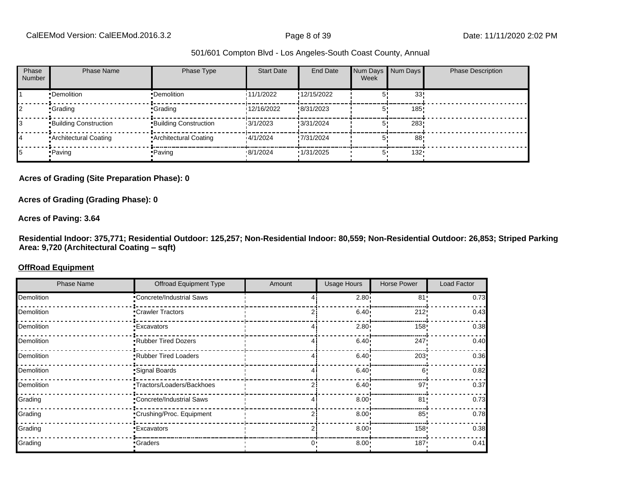| Phase<br>Number | <b>Phase Name</b>            | Phase Type                   | <b>Start Date</b> | End Date    | Num Days Num Days<br>Week |         | <b>Phase Description</b> |
|-----------------|------------------------------|------------------------------|-------------------|-------------|---------------------------|---------|--------------------------|
|                 | •Demolition                  | •Demolition                  | 11/1/2022         | !12/15/2022 |                           | 33!     |                          |
|                 | •Grading                     | •Grading                     | 12/16/2022        | !8/31/2023  |                           | 185!    |                          |
|                 | <b>Building Construction</b> | <b>Building Construction</b> | 13/1/2023         | !3/31/2024  |                           | 283.    |                          |
| 14              | • Architectural Coating      | • Architectural Coating      | 14/1/2024         | !7/31/2024  |                           | 88      |                          |
|                 | • Paving                     | •Paving                      | .8/1/2024         | 1/31/2025   | 5'                        | $132 -$ |                          |

#### **Acres of Grading (Site Preparation Phase): 0**

#### **Acres of Grading (Grading Phase): 0**

#### **Acres of Paving: 3.64**

**Residential Indoor: 375,771; Residential Outdoor: 125,257; Non-Residential Indoor: 80,559; Non-Residential Outdoor: 26,853; Striped Parking**  Area: 9,720 (Architectural Coating - sqft)

#### **OffRoad Equipment**

| <b>Phase Name</b> | <b>Offroad Equipment Type</b> | Amount | <b>Usage Hours</b> | <b>Horse Power</b> | Load Factor |
|-------------------|-------------------------------|--------|--------------------|--------------------|-------------|
| Demolition        | •Concrete/Industrial Saws     |        | 2.80               | 81'                | 0.73        |
| Demolition        | •Crawler Tractors             |        | 6.40               | 212'               | 0.43        |
| Demolition        | • Excavators                  |        | $2.80 \cdot$       | 158!               | 0.38        |
| Demolition        | .Rubber Tired Dozers          |        | 6.40               | 247!               | 0.40        |
| Demolition        | .Rubber Tired Loaders         |        | 6.40               | 203                | 0.36        |
| Demolition        | Signal Boards                 |        | $6.40 -$           | 6'                 | 0.82        |
| Demolition        | ·Tractors/Loaders/Backhoes    |        | $6.40 \cdot$       | 97'                | 0.37        |
| Grading           | •Concrete/Industrial Saws     |        | 8.00               | 81                 | 0.73        |
| Grading           | •Crushing/Proc. Equipment     |        | $8.00 \cdot$       | 85'                | 0.78        |
| Grading           | •Excavators                   |        | 8.00               | 158!               | 0.38        |
| Grading           | •Graders                      |        | 8.00               | 187                | 0.41        |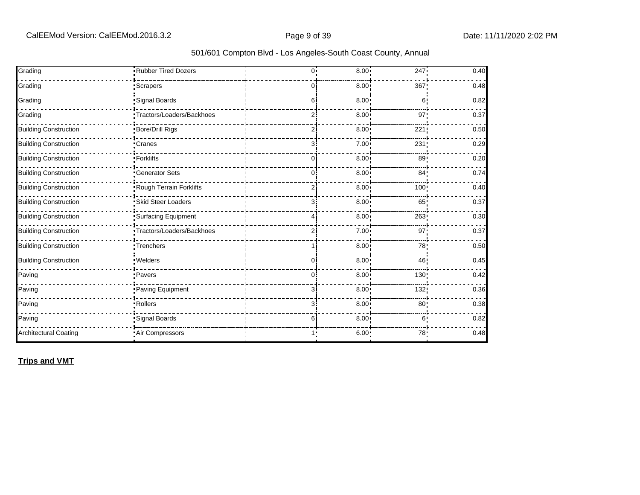| Grading                      | Rubber Tired Dozers        | $^{0}$         | 8.00              | 247             | 0.40 |
|------------------------------|----------------------------|----------------|-------------------|-----------------|------|
|                              |                            |                |                   |                 |      |
| Grading                      | <i>Scrapers</i>            | 0              | 8.00              | 367             | 0.48 |
| Grading                      | Signal Boards              | 6              | 8.00 <sub>1</sub> | 6:              | 0.82 |
| Grading                      | •Tractors/Loaders/Backhoes | 2              | 8.00              | 97 <sub>1</sub> | 0.37 |
| <b>Building Construction</b> | Bore/Drill Rigs            | 2              | 8.00 <sup>1</sup> | 221             | 0.50 |
| <b>Building Construction</b> | •Cranes                    | 3              | 7.00 <sub>1</sub> | 231             | 0.29 |
| <b>Building Construction</b> | ·Forklifts                 | $\Omega$       | 8.00              | 89              | 0.20 |
| <b>Building Construction</b> | <b>Cenerator Sets</b>      | 0              | 8.00              | 84:             | 0.74 |
| <b>Building Construction</b> | Rough Terrain Forklifts    | $\overline{2}$ | 8.00 <sub>1</sub> | 100             | 0.40 |
| <b>Building Construction</b> | Skid Steer Loaders         | 3              | 8.00 <sup>1</sup> | 65!             | 0.37 |
| <b>Building Construction</b> | Surfacing Equipment        | 4              | 8.00 <sub>1</sub> | 263             | 0.30 |
| <b>Building Construction</b> | Tractors/Loaders/Backhoes  | 2              | 7.00              | 97'             | 0.37 |
| <b>Building Construction</b> | Trenchers                  |                | 8.00              | 78              | 0.50 |
| <b>Building Construction</b> | .Welders                   | 0              | 8.00 <sup>1</sup> | 46              | 0.45 |
| Paving                       | • Pavers                   | 0              | 8.00              | 130             | 0.42 |
| Paving                       | Paving Equipment           | 3              | 8.00              | 132!            | 0.36 |
| Paving                       | Rollers                    | 3              | 8.00 <sub>1</sub> | 80;             | 0.38 |
| Paving                       | Signal Boards              | 6              | 8.00 <sub>1</sub> | 6!              | 0.82 |
| <b>Architectural Coating</b> | Air Compressors            |                | 6.00 <sub>1</sub> | 78:             | 0.48 |

**Trips and VMT**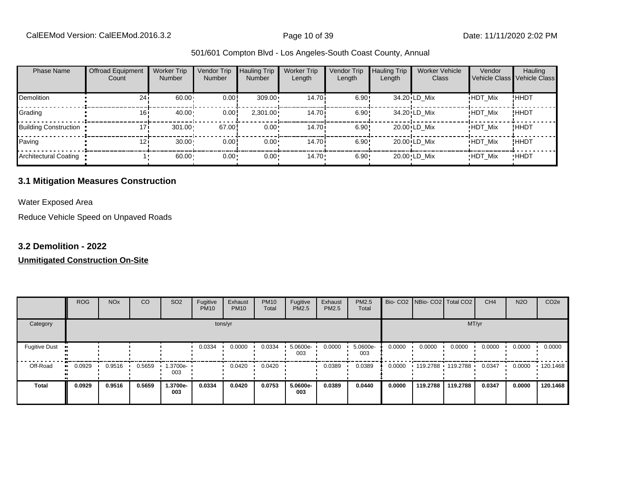CalEEMod Version: CalEEMod.2016.3.2 **Page 10 of 39** Page 10 of 39 Date: 11/11/2020 2:02 PM

#### 501/601 Compton Blvd - Los Angeles-South Coast County, Annual

| <b>Phase Name</b>            | <b>Offroad Equipment</b><br>Count | <b>Worker Trip</b><br><b>Number</b> | Vendor Trip<br><b>Number</b> | <b>Hauling Trip</b><br><b>Number</b> | <b>Worker Trip</b><br>Length | Vendor Trip<br>Length | <b>Hauling Trip</b><br>Length | <b>Worker Vehicle</b><br>Class | Vendor         | Hauling<br>Vehicle Class Vehicle Class |
|------------------------------|-----------------------------------|-------------------------------------|------------------------------|--------------------------------------|------------------------------|-----------------------|-------------------------------|--------------------------------|----------------|----------------------------------------|
| Demolition                   | 24i                               | 60.00                               | 0.00                         | $309.00 \cdot$                       | 14.70i                       | 6.90!                 |                               | 34.20 LD Mix                   | <b>HDT Mix</b> | !ННDТ                                  |
| Grading                      | 16i                               | 40.00                               | 0.00                         | $2,301.00 \cdot$                     | 14.70 <sup>i</sup>           | 6.90!                 |                               | 34.20 LD Mix                   | <b>HDT Mix</b> | ! ННDТ                                 |
| <b>Building Construction</b> | 171                               | 301.00                              | 67.00                        | $0.00 \cdot$                         | 14.70 <sup>i</sup>           | 6.90!                 |                               | 20.00 LD Mix                   | <b>HDT_Mix</b> | ! ННDТ                                 |
| Paving                       | 121                               | 30.00                               | 0.00                         | $0.00 \cdot$                         | 14.70 <sup>i</sup>           | 6.90!                 |                               | 20.00 LD Mix                   | <b>HDT Mix</b> | !HHDT                                  |
| Architectural Coating        |                                   | 60.00                               | $0.00 -$                     | $0.00 \cdot$                         | $14.70 \cdot$                | 6.90                  |                               | 20.00 LD Mix                   | <b>HDT Mix</b> | <b>HHDT</b>                            |

#### **3.1 Mitigation Measures Construction**

Water Exposed Area

Reduce Vehicle Speed on Unpaved Roads

#### **3.2 Demolition - 2022**

|                      | <b>ROG</b> | <b>NO<sub>x</sub></b> | CO     | SO <sub>2</sub> | Fugitive<br><b>PM10</b> | Exhaust<br><b>PM10</b> | <b>PM10</b><br>Total | Fugitive<br>PM2.5 | Exhaust<br>PM2.5 | PM2.5<br>Total  |        | Bio- CO2   NBio- CO2   Total CO2 |                   | CH <sub>4</sub> | <b>N2O</b> | CO <sub>2e</sub> |
|----------------------|------------|-----------------------|--------|-----------------|-------------------------|------------------------|----------------------|-------------------|------------------|-----------------|--------|----------------------------------|-------------------|-----------------|------------|------------------|
| Category             |            |                       |        |                 |                         | tons/yr                |                      |                   |                  |                 |        |                                  |                   | MT/yr           |            |                  |
| <b>Fugitive Dust</b> |            |                       |        |                 | 0.0334                  | 0.0000                 | 0.0334               | 5.0600e-<br>003   | 0.0000           | 5.0600e-<br>003 | 0.0000 | 0.0000                           | 0.0000            | 0.0000          | 0.0000     | 0.0000           |
| Off-Road             | 0.0929     | 0.9516                | 0.5659 | 1.3700e-<br>003 |                         | 0.0420                 | 0.0420               |                   | 0.0389           | 0.0389          | 0.0000 |                                  | 119.2788 119.2788 | 0.0347          | 0.0000     | 120.1468         |
| <b>Total</b>         | 0.0929     | 0.9516                | 0.5659 | 1.3700e-<br>003 | 0.0334                  | 0.0420                 | 0.0753               | 5.0600e-<br>003   | 0.0389           | 0.0440          | 0.0000 | 119,2788                         | 119.2788          | 0.0347          | 0.0000     | 120.1468         |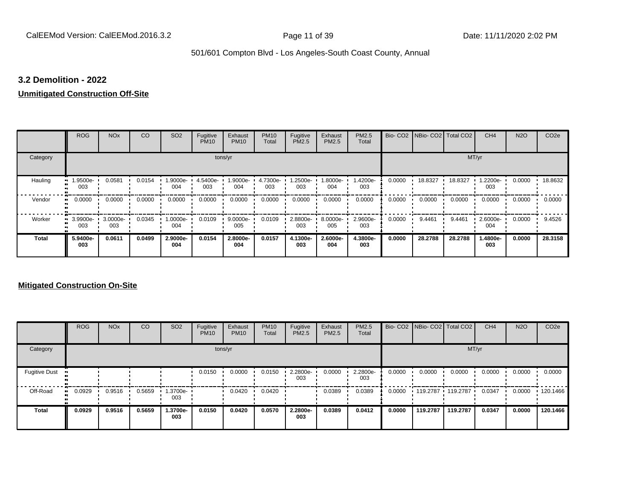#### **3.2 Demolition - 2022**

#### **Unmitigated Construction Off-Site**

|              | <b>ROG</b>      | <b>NO<sub>x</sub></b> | CO     | SO <sub>2</sub> | Fugitive<br><b>PM10</b> | Exhaust<br><b>PM10</b> | <b>PM10</b><br>Total | Fugitive<br><b>PM2.5</b> | Exhaust<br><b>PM2.5</b> | <b>PM2.5</b><br>Total |        | Bio- CO2   NBio- CO2   Total CO2 |         | CH <sub>4</sub> | <b>N2O</b> | CO <sub>2e</sub> |
|--------------|-----------------|-----------------------|--------|-----------------|-------------------------|------------------------|----------------------|--------------------------|-------------------------|-----------------------|--------|----------------------------------|---------|-----------------|------------|------------------|
| Category     |                 |                       |        |                 |                         | tons/yr                |                      |                          |                         |                       |        |                                  | MT/yr   |                 |            |                  |
| Hauling      | -9500e.<br>003  | 0.0581                | 0.0154 | .9000e-<br>004  | 4.5400e-<br>003         | 1.9000e-<br>004        | 4.7300e-<br>003      | .2500e-<br>003           | -8000e.<br>004          | 1.4200e-<br>003       | 0.0000 | 18.8327                          | 18.8327 | .2200e-<br>003  | 0.0000     | 18.8632          |
| Vendor       | 0.0000<br>œ     | 0.0000                | 0.0000 | 0.0000          | 0.0000                  | 0.0000                 | 0.0000               | 0.0000                   | 0.0000                  | 0.0000                | 0.0000 | 0.0000                           | 0.0000  | 0.0000          | 0.0000     | 0.0000           |
| Worker       | 3.9900e-<br>003 | 3.0000e-<br>003       | 0.0345 | -.0000e<br>004  | 0.0109                  | $9.0000e -$<br>005     | 0.0109               | 2.8800e-<br>003          | 8.0000e-<br>005         | 2.9600e-<br>003       | 0.0000 | 9.4461                           | 9.4461  | 2.6000e-<br>004 | 0.0000     | 9.4526           |
| <b>Total</b> | 5.9400e-<br>003 | 0.0611                | 0.0499 | 2.9000e-<br>004 | 0.0154                  | 2.8000e-<br>004        | 0.0157               | 4.1300e-<br>003          | 2.6000e-<br>004         | 4.3800e-<br>003       | 0.0000 | 28.2788                          | 28.2788 | 1.4800e-<br>003 | 0.0000     | 28.3158          |

|                      | <b>ROG</b> | <b>NO<sub>x</sub></b> | CO     | SO <sub>2</sub> | Fugitive<br><b>PM10</b> | Exhaust<br><b>PM10</b> | <b>PM10</b><br>Total | Fugitive<br>PM2.5 | Exhaust<br><b>PM2.5</b> | PM2.5<br>Total  |        |          | Bio- CO2   NBio- CO2   Total CO2 | CH <sub>4</sub> | <b>N2O</b> | CO <sub>2e</sub> |
|----------------------|------------|-----------------------|--------|-----------------|-------------------------|------------------------|----------------------|-------------------|-------------------------|-----------------|--------|----------|----------------------------------|-----------------|------------|------------------|
| Category             |            |                       |        |                 |                         | tons/yr                |                      |                   |                         |                 |        |          | MT/yr                            |                 |            |                  |
| <b>Fugitive Dust</b> |            |                       |        |                 | 0.0150                  | 0.0000                 | 0.0150               | 2.2800e-<br>003   | 0.0000                  | 2.2800e-<br>003 | 0.0000 | 0.0000   | 0.0000                           | 0.0000          | 0.0000     | 0.0000           |
| Off-Road             | 0.0929     | 0.9516                | 0.5659 | 1.3700e-<br>003 |                         | 0.0420                 | 0.0420               |                   | 0.0389                  | 0.0389          | 0.0000 | 119.2787 | 119.2787                         | 0.0347          | 0.0000     | $\cdot$ 120.1466 |
| <b>Total</b>         | 0.0929     | 0.9516                | 0.5659 | 1.3700e-<br>003 | 0.0150                  | 0.0420                 | 0.0570               | 2.2800e-<br>003   | 0.0389                  | 0.0412          | 0.0000 | 119,2787 | 119,2787                         | 0.0347          | 0.0000     | 120.1466         |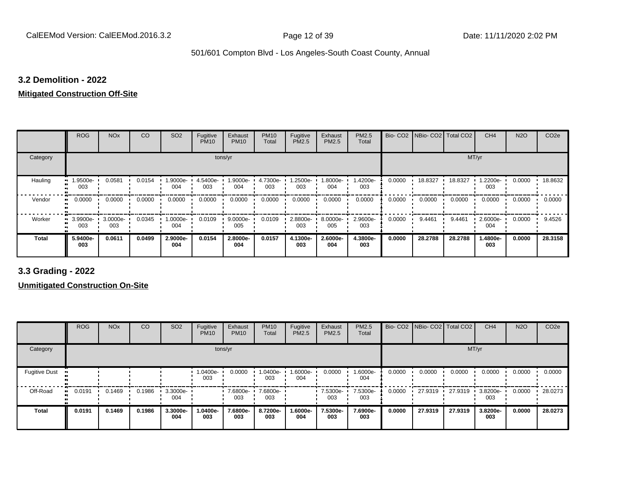#### **3.2 Demolition - 2022**

# **Mitigated Construction Off-Site**

|                           | <b>ROG</b>      | <b>NO<sub>x</sub></b> | CO     | SO <sub>2</sub> | Fugitive<br><b>PM10</b> | Exhaust<br><b>PM10</b> | <b>PM10</b><br>Total | Fugitive<br><b>PM2.5</b> | Exhaust<br>PM2.5 | PM2.5<br>Total  |        | Bio- CO2   NBio- CO2   Total CO2 |         | CH <sub>4</sub> | <b>N2O</b> | CO <sub>2e</sub> |
|---------------------------|-----------------|-----------------------|--------|-----------------|-------------------------|------------------------|----------------------|--------------------------|------------------|-----------------|--------|----------------------------------|---------|-----------------|------------|------------------|
| Category                  |                 |                       |        |                 | tons/yr                 |                        |                      |                          |                  |                 |        |                                  | MT/yr   |                 |            |                  |
| Hauling<br>$\blacksquare$ | 1.9500e-<br>003 | 0.0581                | 0.0154 | 1.9000e-<br>004 | 4.5400e-<br>003         | 1.9000e-<br>004        | 4.7300e-<br>003      | -2500e.<br>003           | .8000e-<br>004   | 1.4200e-<br>003 | 0.0000 | 18.8327                          | 18.8327 | -2200e-<br>003  | 0.0000     | 18.8632          |
| Vendor<br>$\bullet$       | 0.0000          | 0.0000                | 0.0000 | 0.0000          | 0.0000                  | 0.0000                 | 0.0000               | 0.0000                   | 0.0000           | 0.0000          | 0.0000 | 0.0000                           | 0.0000  | 0.0000          | 0.0000     | 0.0000           |
| Worker<br>$\bullet$       | 3.9900e-<br>003 | 3.0000e-<br>003       | 0.0345 | 1.0000e-<br>004 | 0.0109                  | 9.0000e-<br>005        | 0.0109               | 2.8800e-<br>003          | 8.0000e-<br>005  | 2.9600e-<br>003 | 0.0000 | 9.4461                           | 9.4461  | 2.6000e-<br>004 | 0.0000     | 9.4526           |
| <b>Total</b>              | 5.9400e-<br>003 | 0.0611                | 0.0499 | 2.9000e-<br>004 | 0.0154                  | 2.8000e-<br>004        | 0.0157               | 4.1300e-<br>003          | 2.6000e-<br>004  | 4.3800e-<br>003 | 0.0000 | 28.2788                          | 28.2788 | 1.4800e-<br>003 | 0.0000     | 28.3158          |

**3.3 Grading - 2022**

|                      | <b>ROG</b> | <b>NO<sub>x</sub></b> | CO     | SO <sub>2</sub>    | Fugitive<br><b>PM10</b> | Exhaust<br><b>PM10</b> | <b>PM10</b><br>Total | Fugitive<br>PM2.5 | Exhaust<br><b>PM2.5</b> | PM2.5<br>Total  |        | Bio- CO2   NBio- CO2   Total CO2 |         | CH <sub>4</sub> | <b>N2O</b> | CO <sub>2e</sub> |
|----------------------|------------|-----------------------|--------|--------------------|-------------------------|------------------------|----------------------|-------------------|-------------------------|-----------------|--------|----------------------------------|---------|-----------------|------------|------------------|
| Category             |            |                       |        |                    |                         | tons/yr                |                      |                   |                         |                 |        |                                  | MT/yr   |                 |            |                  |
| <b>Fugitive Dust</b> |            |                       |        |                    | 1.0400e-<br>003         | 0.0000                 | 1.0400e-<br>003      | 1.6000e-<br>004   | 0.0000                  | 1.6000e-<br>004 | 0.0000 | 0.0000                           | 0.0000  | 0.0000          | 0.0000     | 0.0000           |
| Off-Road             | 0.0191     | 0.1469                | 0.1986 | $3.3000e -$<br>004 |                         | 7.6800e-<br>003        | 7.6800e-<br>003      |                   | 7.5300e-<br>003         | 7.5300e-<br>003 | 0.0000 | 27.9319                          | 27.9319 | 3.8200e-<br>003 | 0.0000     | 28.0273          |
| <b>Total</b>         | 0.0191     | 0.1469                | 0.1986 | 3.3000e-<br>004    | 1.0400e-<br>003         | 7.6800e-<br>003        | 8.7200e-<br>003      | 1.6000e-<br>004   | 7.5300e-<br>003         | 7.6900e-<br>003 | 0.0000 | 27.9319                          | 27.9319 | 3.8200e-<br>003 | 0.0000     | 28.0273          |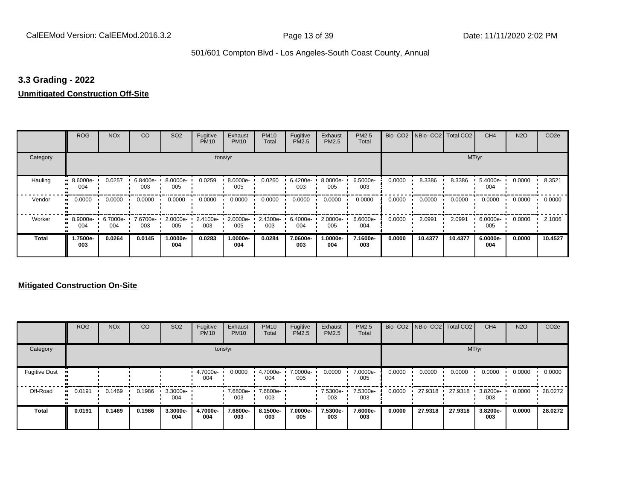#### **3.3 Grading - 2022**

### **Unmitigated Construction Off-Site**

|              | <b>ROG</b>          | <b>NO<sub>x</sub></b> | CO              | SO <sub>2</sub> | Fugitive<br><b>PM10</b> | Exhaust<br><b>PM10</b> | <b>PM10</b><br>Total | Fugitive<br><b>PM2.5</b> | Exhaust<br>PM2.5 | <b>PM2.5</b><br>Total |        | Bio- CO2   NBio- CO2   Total CO2 |         | CH <sub>4</sub> | <b>N2O</b> | CO <sub>2e</sub> |
|--------------|---------------------|-----------------------|-----------------|-----------------|-------------------------|------------------------|----------------------|--------------------------|------------------|-----------------------|--------|----------------------------------|---------|-----------------|------------|------------------|
| Category     |                     |                       |                 |                 | tons/yr                 |                        |                      |                          |                  |                       |        |                                  |         | MT/yr           |            |                  |
| Hauling      | 8.6000e-<br>004     | 0.0257                | 6.8400e-<br>003 | 8.0000e-<br>005 | 0.0259                  | 8.0000e-<br>005        | 0.0260               | 6.4200e-<br>003          | 8.0000e-<br>005  | 6.5000e-<br>003       | 0.0000 | 8.3386                           | 8.3386  | 5.4000e-<br>004 | 0.0000     | 8.3521           |
| Vendor       | 0.0000<br>$\bullet$ | 0.0000                | 0.0000          | 0.0000          | 0.0000                  | 0.0000                 | 0.0000               | 0.0000                   | 0.0000           | 0.0000                | 0.0000 | 0.0000                           | 0.0000  | 0.0000          | 0.0000     | 0.0000           |
| Worker       | $-8.9000e-$<br>004  | 6.7000e-<br>004       | 7.6700e-<br>003 | 2.0000e-<br>005 | 2.4100e-<br>003         | 2.0000e-<br>005        | 2.4300e-<br>003      | 6.4000e-<br>004          | 2.0000e-<br>005  | 6.6000e-<br>004       | 0.0000 | 2.0991                           | 2.0991  | 6.0000e-<br>005 | 0.0000     | 2.1006           |
| <b>Total</b> | 1.7500e-<br>003     | 0.0264                | 0.0145          | 1.0000e-<br>004 | 0.0283                  | 1.0000e-<br>004        | 0.0284               | 7.0600e-<br>003          | -.0000e<br>004   | 7.1600e-<br>003       | 0.0000 | 10.4377                          | 10.4377 | 6.0000e-<br>004 | 0.0000     | 10.4527          |

|                      | <b>ROG</b>   | <b>NO<sub>x</sub></b> | CO     | SO <sub>2</sub> | Fugitive<br><b>PM10</b> | Exhaust<br><b>PM10</b> | <b>PM10</b><br>Total | Fugitive<br><b>PM2.5</b> | Exhaust<br><b>PM2.5</b> | PM2.5<br>Total  |        | Bio- CO2   NBio- CO2   Total CO2 |         | CH <sub>4</sub> | <b>N2O</b> | CO <sub>2e</sub> |
|----------------------|--------------|-----------------------|--------|-----------------|-------------------------|------------------------|----------------------|--------------------------|-------------------------|-----------------|--------|----------------------------------|---------|-----------------|------------|------------------|
| Category             |              |                       |        |                 |                         | tons/yr                |                      |                          |                         |                 |        |                                  | MT/yr   |                 |            |                  |
| <b>Fugitive Dust</b> |              |                       |        |                 | 4.7000e-<br>004         | 0.0000                 | 4.7000e-<br>004      | 7.0000e-<br>005          | 0.0000                  | 7.0000e-<br>005 | 0.0000 | 0.0000                           | 0.0000  | 0.0000          | 0.0000     | 0.0000           |
| Off-Road             | 0.0191<br>ш. | 0.1469                | 0.1986 | 3.3000e-<br>004 |                         | 7.6800e-<br>003        | 7.6800e-<br>003      |                          | 7.5300e-<br>003         | 7.5300e-<br>003 | 0.0000 | 27.9318                          | 27.9318 | 3.8200e-<br>003 | 0.0000     | 28.0272          |
| Total                | 0.0191       | 0.1469                | 0.1986 | 3.3000e-<br>004 | 4.7000e-<br>004         | 7.6800e-<br>003        | 8.1500e-<br>003      | 7.0000e-<br>005          | 7.5300e-<br>003         | 7.6000e-<br>003 | 0.0000 | 27.9318                          | 27.9318 | 3.8200e-<br>003 | 0.0000     | 28.0272          |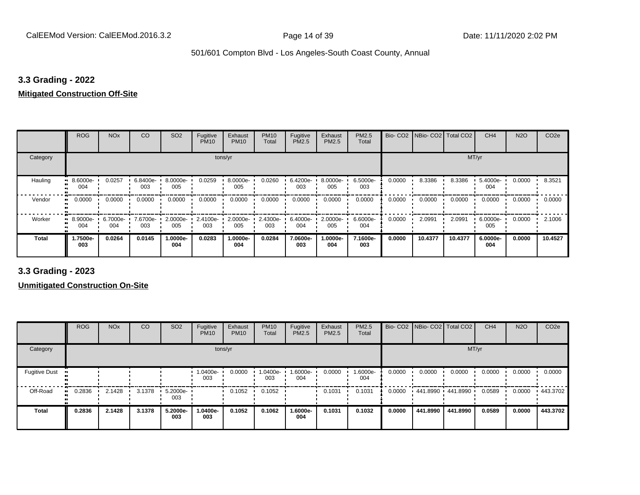#### **3.3 Grading - 2022**

#### **Mitigated Construction Off-Site**

|                           | <b>ROG</b>      | <b>NO<sub>x</sub></b> | CO              | SO <sub>2</sub> | Fugitive<br><b>PM10</b>      | Exhaust<br><b>PM10</b> | <b>PM10</b><br>Total | Fugitive<br>PM2.5 | Exhaust<br>PM2.5   | PM2.5<br>Total  |        | Bio- CO2   NBio- CO2   Total CO2 |         | CH <sub>4</sub> | <b>N2O</b> | CO <sub>2e</sub> |
|---------------------------|-----------------|-----------------------|-----------------|-----------------|------------------------------|------------------------|----------------------|-------------------|--------------------|-----------------|--------|----------------------------------|---------|-----------------|------------|------------------|
| Category                  |                 |                       |                 |                 | tons/yr                      |                        |                      |                   |                    |                 |        |                                  | MT/yr   |                 |            |                  |
| Hauling<br>$\blacksquare$ | 8.6000e-<br>004 | 0.0257                | 6.8400e-<br>003 | 8.0000e-<br>005 | 0.0259                       | 8.0000e-<br>005        | 0.0260               | 6.4200e-<br>003   | 8.0000e-<br>005    | 6.5000e-<br>003 | 0.0000 | 8.3386                           | 8.3386  | 5.4000e-<br>004 | 0.0000     | 8.3521           |
| Vendor<br>$\blacksquare$  | 0.0000          | 0.0000                | 0.0000          | 0.0000          | 0.0000                       | 0.0000                 | 0.0000               | 0.0000            | 0.0000             | 0.0000          | 0.0000 | 0.0000                           | 0.0000  | 0.0000          | 0.0000     | 0.0000           |
| Worker                    | 8.9000e-<br>004 | 6.7000e-<br>004       | 7.6700e-<br>003 | 005             | 2.0000e- 1 2.4100e- 1<br>003 | 2.0000e-<br>005        | $2.4300e -$<br>003   | 6.4000e-<br>004   | $2.0000e -$<br>005 | 6.6000e-<br>004 | 0.0000 | 2.0991                           | 2.0991  | 6.0000e-<br>005 | 0.0000     | 2.1006           |
| <b>Total</b>              | -.7500e<br>003  | 0.0264                | 0.0145          | 1.0000e-<br>004 | 0.0283                       | 1.0000e-<br>004        | 0.0284               | 7.0600e-<br>003   | .0000e-<br>004     | 7.1600e-<br>003 | 0.0000 | 10.4377                          | 10.4377 | 6.0000e-<br>004 | 0.0000     | 10.4527          |

**3.3 Grading - 2023**

|                      | <b>ROG</b> | <b>NO<sub>x</sub></b> | CO     | SO <sub>2</sub>    | Fugitive<br><b>PM10</b> | Exhaust<br><b>PM10</b> | <b>PM10</b><br>Total | Fugitive<br><b>PM2.5</b> | Exhaust<br><b>PM2.5</b> | PM2.5<br>Total  |        |          | Bio- CO2   NBio- CO2   Total CO2 | CH <sub>4</sub> | <b>N2O</b> | CO <sub>2e</sub> |
|----------------------|------------|-----------------------|--------|--------------------|-------------------------|------------------------|----------------------|--------------------------|-------------------------|-----------------|--------|----------|----------------------------------|-----------------|------------|------------------|
| Category             |            |                       |        |                    |                         | tons/yr                |                      |                          |                         |                 |        |          | MT/yr                            |                 |            |                  |
| <b>Fugitive Dust</b> |            |                       |        |                    | 1.0400e-<br>003         | 0.0000                 | 1.0400e-<br>003      | -.6000e<br>004           | 0.0000                  | 1.6000e-<br>004 | 0.0000 | 0.0000   | 0.0000                           | 0.0000          | 0.0000     | 0.0000           |
| Off-Road             | 0.2836     | 2.1428                | 3.1378 | $5.2000e -$<br>003 |                         | 0.1052                 | 0.1052               |                          | 0.1031                  | 0.1031          | 0.0000 |          | 441.8990 441.8990                | 0.0589          | 0.0000     | $+443.3702$      |
| <b>Total</b>         | 0.2836     | 2.1428                | 3.1378 | 5.2000e-<br>003    | 1.0400e-<br>003         | 0.1052                 | 0.1062               | 1.6000e-<br>004          | 0.1031                  | 0.1032          | 0.0000 | 441.8990 | 441.8990                         | 0.0589          | 0.0000     | 443.3702         |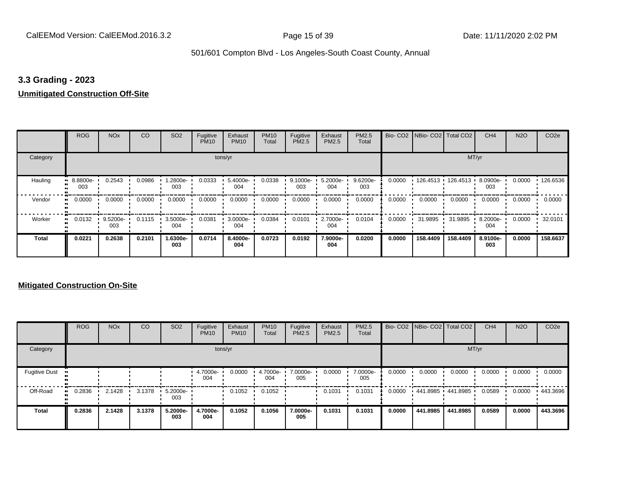#### **3.3 Grading - 2023**

### **Unmitigated Construction Off-Site**

|              | <b>ROG</b>          | <b>NO<sub>x</sub></b> | CO     | SO <sub>2</sub> | Fugitive<br><b>PM10</b> | Exhaust<br><b>PM10</b> | <b>PM10</b><br>Total | Fugitive<br>PM2.5 | Exhaust<br>PM2.5 | PM2.5<br>Total  | Bio-CO <sub>2</sub> | NBio- CO2   Total CO2 |          | CH <sub>4</sub> | <b>N2O</b> | CO <sub>2e</sub> |
|--------------|---------------------|-----------------------|--------|-----------------|-------------------------|------------------------|----------------------|-------------------|------------------|-----------------|---------------------|-----------------------|----------|-----------------|------------|------------------|
| Category     |                     |                       |        |                 |                         | tons/yr                |                      |                   |                  |                 |                     |                       | MT/yr    |                 |            |                  |
| Hauling      | 8.8800e-<br>003     | 0.2543                | 0.0986 | 1.2800e-<br>003 | 0.0333                  | 5.4000e-<br>004        | 0.0338               | 9.1000e-<br>003   | 5.2000e-<br>004  | 9.6200e-<br>003 | 0.0000              | 126.4513              | 126.4513 | 8.0900e-<br>003 | 0.0000     | 126.6536         |
| Vendor       | 0.0000<br>$\bullet$ | 0.0000                | 0.0000 | 0.0000          | 0.0000                  | 0.0000                 | 0.0000               | 0.0000            | 0.0000           | 0.0000          | 0.0000              | 0.0000                | 0.0000   | 0.0000          | 0.0000     | 0.0000           |
| Worker       | 0.0132<br>$\bullet$ | 9.5200e-<br>003       | 0.1115 | 3.5000e-<br>004 | 0.0381                  | 3.0000e-<br>004        | 0.0384               | 0.0101            | 2.7000e-<br>004  | 0.0104          | 0.0000              | 31.9895               | 31.9895  | 8.2000e-<br>004 | 0.0000     | 32.0101          |
| <b>Total</b> | 0.0221              | 0.2638                | 0.2101 | 1.6300e-<br>003 | 0.0714                  | 8.4000e-<br>004        | 0.0723               | 0.0192            | 7.9000e-<br>004  | 0.0200          | 0.0000              | 158,4409              | 158,4409 | 8.9100e-<br>003 | 0.0000     | 158.6637         |

|                      | <b>ROG</b> | <b>NO<sub>x</sub></b> | CO     | SO <sub>2</sub> | Fugitive<br><b>PM10</b> | Exhaust<br><b>PM10</b> | <b>PM10</b><br>Total | Fugitive<br><b>PM2.5</b> | Exhaust<br>PM2.5 | <b>PM2.5</b><br>Total |        |          | Bio- CO2   NBio- CO2   Total CO2 | CH <sub>4</sub> | <b>N2O</b> | CO <sub>2e</sub> |
|----------------------|------------|-----------------------|--------|-----------------|-------------------------|------------------------|----------------------|--------------------------|------------------|-----------------------|--------|----------|----------------------------------|-----------------|------------|------------------|
| Category             |            |                       |        |                 |                         | tons/yr                |                      |                          |                  |                       |        |          | MT/yr                            |                 |            |                  |
| <b>Fugitive Dust</b> |            |                       |        |                 | 4.7000e-<br>004         | 0.0000                 | 4.7000e-<br>004      | 7.0000e-<br>005          | 0.0000           | 7.0000e-<br>005       | 0.0000 | 0.0000   | 0.0000                           | 0.0000          | 0.0000     | 0.0000           |
| Off-Road             | 0.2836     | 2.1428                | 3.1378 | 5.2000e-<br>003 |                         | 0.1052                 | 0.1052               |                          | 0.1031           | 0.1031                | 0.0000 |          | 441.8985 441.8985                | 0.0589          | 0.0000     | ▪ 443.3696       |
| <b>Total</b>         | 0.2836     | 2.1428                | 3.1378 | 5.2000e-<br>003 | 4.7000e-<br>004         | 0.1052                 | 0.1056               | 7.0000e-<br>005          | 0.1031           | 0.1031                | 0.0000 | 441.8985 | 441.8985                         | 0.0589          | 0.0000     | 443.3696         |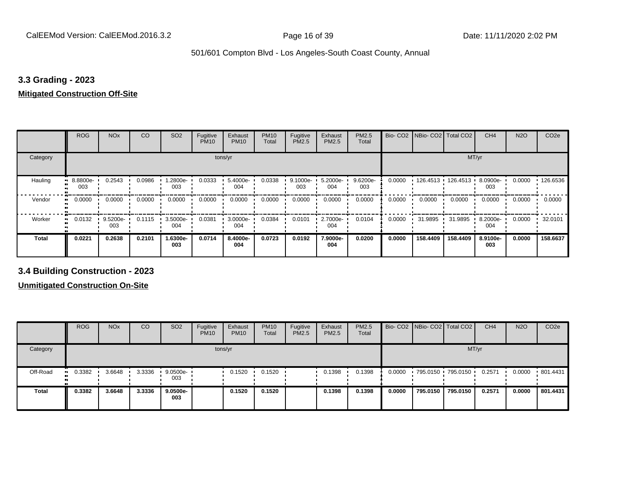#### **3.3 Grading - 2023**

#### **Mitigated Construction Off-Site**

|                     | <b>ROG</b>      | <b>NO<sub>x</sub></b> | CO     | SO <sub>2</sub> | Fugitive<br><b>PM10</b> | Exhaust<br><b>PM10</b> | <b>PM10</b><br>Total | Fugitive<br>PM2.5 | Exhaust<br>PM2.5 | PM2.5<br>Total  | Bio-CO <sub>2</sub> | NBio- CO2   Total CO2 |          | CH <sub>4</sub> | <b>N2O</b> | CO <sub>2e</sub> |
|---------------------|-----------------|-----------------------|--------|-----------------|-------------------------|------------------------|----------------------|-------------------|------------------|-----------------|---------------------|-----------------------|----------|-----------------|------------|------------------|
| Category            |                 |                       |        |                 |                         | tons/yr                |                      |                   |                  |                 |                     |                       | MT/yr    |                 |            |                  |
| Hauling             | 8.8800e-<br>003 | 0.2543                | 0.0986 | .2800e-<br>003  | 0.0333                  | 5.4000e-<br>004        | 0.0338               | 9.1000e-<br>003   | 5.2000e-<br>004  | 9.6200e-<br>003 | 0.0000              | 126.4513              | 126.4513 | 8.0900e-<br>003 | 0.0000     | 126.6536         |
| Vendor<br>$\bullet$ | 0.0000          | 0.0000                | 0.0000 | 0.0000          | 0.0000                  | 0.0000                 | 0.0000               | 0.0000            | 0.0000           | 0.0000          | 0.0000              | 0.0000                | 0.0000   | 0.0000          | 0.0000     | 0.0000           |
| Worker              | 0.0132          | 9.5200e-<br>003       | 0.1115 | 3.5000e-<br>004 | 0.0381                  | 3.0000e-<br>004        | 0.0384               | 0.0101            | 2.7000e-<br>004  | 0.0104          | 0.0000              | 31.9895               | 31.9895  | 8.2000e-<br>004 | 0.0000     | 32.0101          |
| <b>Total</b>        | 0.0221          | 0.2638                | 0.2101 | 1.6300e-<br>003 | 0.0714                  | 8.4000e-<br>004        | 0.0723               | 0.0192            | 7.9000e-<br>004  | 0.0200          | 0.0000              | 158,4409              | 158,4409 | 8.9100e-<br>003 | 0.0000     | 158.6637         |

**3.4 Building Construction - 2023**

|              | <b>ROG</b>          | <b>NO<sub>x</sub></b> | CO     | SO <sub>2</sub>    | Fugitive<br><b>PM10</b> | Exhaust<br><b>PM10</b> | <b>PM10</b><br>Total | Fugitive<br><b>PM2.5</b> | Exhaust<br>PM2.5 | <b>PM2.5</b><br>Total |        |          | Bio- CO2 NBio- CO2 Total CO2 | CH <sub>4</sub> | <b>N2O</b> | CO <sub>2e</sub> |
|--------------|---------------------|-----------------------|--------|--------------------|-------------------------|------------------------|----------------------|--------------------------|------------------|-----------------------|--------|----------|------------------------------|-----------------|------------|------------------|
| Category     |                     |                       |        |                    |                         | tons/yr                |                      |                          |                  |                       |        |          | MT/yr                        |                 |            |                  |
| Off-Road     | 0.3382<br>$\bullet$ | 3.6648                | 3.3336 | $9.0500e -$<br>003 |                         | 0.1520                 | 0.1520               |                          | 0.1398           | 0.1398                | 0.0000 |          | 795.0150 795.0150            | 0.2571          | 0.0000     | 801.4431         |
| <b>Total</b> | 0.3382              | 3.6648                | 3.3336 | 9.0500e-<br>003    |                         | 0.1520                 | 0.1520               |                          | 0.1398           | 0.1398                | 0.0000 | 795.0150 | 795.0150                     | 0.2571          | 0.0000     | 801.4431         |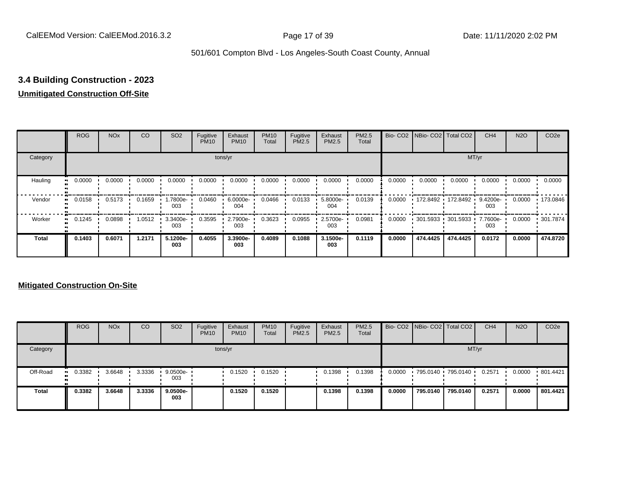# **3.4 Building Construction - 2023**

### **Unmitigated Construction Off-Site**

|                        | <b>ROG</b> | <b>NO<sub>x</sub></b> | CO     | SO <sub>2</sub> | Fugitive<br><b>PM10</b> | Exhaust<br><b>PM10</b> | <b>PM10</b><br>Total | Fugitive<br><b>PM2.5</b> | Exhaust<br>PM2.5 | PM2.5<br>Total |        | Bio- CO2   NBio- CO2   Total CO2 |          | CH <sub>4</sub> | <b>N2O</b> | CO <sub>2e</sub> |
|------------------------|------------|-----------------------|--------|-----------------|-------------------------|------------------------|----------------------|--------------------------|------------------|----------------|--------|----------------------------------|----------|-----------------|------------|------------------|
| Category               |            |                       |        |                 |                         | tons/yr                |                      |                          |                  |                |        |                                  | MT/yr    |                 |            |                  |
| Hauling<br>œ           | 0.0000     | 0.0000                | 0.0000 | 0.0000          | 0.0000                  | 0.0000                 | 0.0000               | 0.0000                   | 0.0000           | 0.0000         | 0.0000 | 0.0000                           | 0.0000   | 0.0000          | 0.0000     | 0.0000           |
| Vendor<br>œ            | 0.0158     | 0.5173                | 0.1659 | .7800e-<br>003  | 0.0460                  | 6.0000e-<br>004        | 0.0466               | 0.0133                   | 5.8000e-<br>004  | 0.0139         | 0.0000 | 172.8492 172.8492                |          | 9.4200e-<br>003 | 0.0000     | .173.0846        |
| Worker<br>$\mathbf{u}$ | 0.1245     | 0.0898                | 1.0512 | 3.3400e-<br>003 | 0.3595                  | 2.7900e-<br>003        | 0.3623               | 0.0955                   | 2.5700e-<br>003  | 0.0981         | 0.0000 | 301.5933 301.5933                |          | 7.7600e-<br>003 | 0.0000     | ▪ 301.7874       |
| <b>Total</b>           | 0.1403     | 0.6071                | 1.2171 | 5.1200e-<br>003 | 0.4055                  | 3.3900e-<br>003        | 0.4089               | 0.1088                   | 3.1500e-<br>003  | 0.1119         | 0.0000 | 474.4425                         | 474.4425 | 0.0172          | 0.0000     | 474.8720         |

|              | <b>ROG</b>    | <b>NO<sub>x</sub></b> | CO     | SO <sub>2</sub>    | Fugitive<br><b>PM10</b> | Exhaust<br><b>PM10</b> | <b>PM10</b><br><b>Total</b> | Fugitive<br><b>PM2.5</b> | Exhaust<br><b>PM2.5</b> | <b>PM2.5</b><br>Total |        |          | Bio- CO2 NBio- CO2 Total CO2 | CH <sub>4</sub> | <b>N2O</b> | CO <sub>2e</sub> |
|--------------|---------------|-----------------------|--------|--------------------|-------------------------|------------------------|-----------------------------|--------------------------|-------------------------|-----------------------|--------|----------|------------------------------|-----------------|------------|------------------|
| Category     |               |                       |        |                    |                         | tons/yr                |                             |                          |                         |                       |        |          | MT/yr                        |                 |            |                  |
| Off-Road     | 0.3382<br>. . | 3.6648                | 3.3336 | $9.0500e -$<br>003 |                         | 0.1520                 | 0.1520                      |                          | 0.1398                  | 0.1398                | 0.0000 |          | 795.0140 795.0140            | 0.2571          | 0.0000     | .801.4421        |
| <b>Total</b> | 0.3382        | 3.6648                | 3.3336 | 9.0500e-<br>003    |                         | 0.1520                 | 0.1520                      |                          | 0.1398                  | 0.1398                | 0.0000 | 795.0140 | 795.0140                     | 0.2571          | 0.0000     | 801.4421         |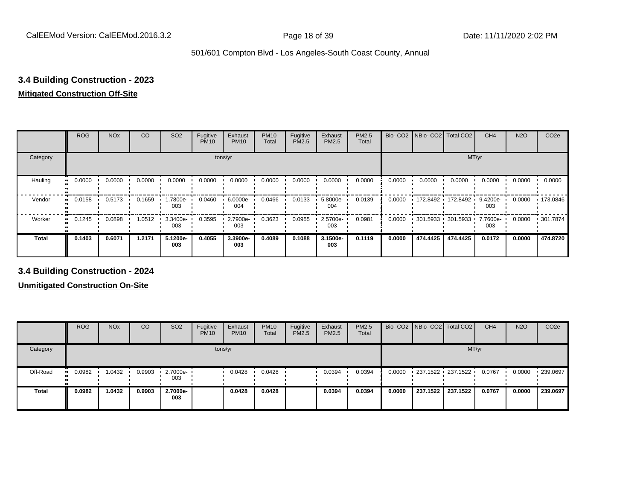## **3.4 Building Construction - 2023**

### **Mitigated Construction Off-Site**

|                           | <b>ROG</b>                 | <b>NO<sub>x</sub></b> | CO     | SO <sub>2</sub> | Fugitive<br><b>PM10</b> | Exhaust<br><b>PM10</b> | <b>PM10</b><br>Total | Fugitive<br>PM2.5 | Exhaust<br>PM2.5 | PM2.5<br>Total | Bio-CO <sub>2</sub> | NBio- CO2   Total CO2 |          | CH <sub>4</sub> | <b>N2O</b> | CO <sub>2e</sub> |
|---------------------------|----------------------------|-----------------------|--------|-----------------|-------------------------|------------------------|----------------------|-------------------|------------------|----------------|---------------------|-----------------------|----------|-----------------|------------|------------------|
| Category                  |                            |                       |        |                 |                         | tons/yr                |                      |                   |                  |                |                     |                       | MT/yr    |                 |            |                  |
| Hauling<br>$\blacksquare$ | 0.0000                     | 0.0000                | 0.0000 | 0.0000          | 0.0000                  | 0.0000                 | 0.0000               | 0.0000            | 0.0000           | 0.0000         | 0.0000              | 0.0000                | 0.0000   | 0.0000          | 0.0000     | 0.0000           |
| Vendor                    | 0.0158<br>$\bullet\bullet$ | 0.5173                | 0.1659 | 1.7800e-<br>003 | 0.0460                  | 6.0000e-<br>004        | 0.0466               | 0.0133            | 5.8000e-<br>004  | 0.0139         | 0.0000              | 172.8492              | 172.8492 | 9.4200e-<br>003 | 0.0000     | $+173.0846$      |
| Worker<br>$\bullet$       | 0.1245                     | 0.0898                | 1.0512 | 3.3400e-<br>003 | 0.3595                  | 2.7900e-<br>003        | 0.3623               | 0.0955            | 2.5700e-<br>003  | 0.0981         | 0.0000              | 301.5933 301.5933     |          | 7.7600e-<br>003 | 0.0000     | .301.7874        |
| <b>Total</b>              | 0.1403                     | 0.6071                | 1.2171 | 5.1200e-<br>003 | 0.4055                  | 3.3900e-<br>003        | 0.4089               | 0.1088            | 3.1500e-<br>003  | 0.1119         | 0.0000              | 474.4425              | 474.4425 | 0.0172          | 0.0000     | 474.8720         |

**3.4 Building Construction - 2024**

|              | <b>ROG</b>          | <b>NO<sub>x</sub></b> | CO     | SO <sub>2</sub>         | Fugitive<br><b>PM10</b> | Exhaust<br><b>PM10</b> | <b>PM10</b><br>Total | Fugitive<br><b>PM2.5</b> | Exhaust<br>PM2.5 | <b>PM2.5</b><br>Total |        |          | Bio- CO2 NBio- CO2 Total CO2 | CH <sub>4</sub> | <b>N2O</b> | CO <sub>2e</sub> |
|--------------|---------------------|-----------------------|--------|-------------------------|-------------------------|------------------------|----------------------|--------------------------|------------------|-----------------------|--------|----------|------------------------------|-----------------|------------|------------------|
| Category     |                     |                       |        |                         |                         | tons/yr                |                      |                          |                  |                       |        |          |                              | MT/yr           |            |                  |
| Off-Road     | 0.0982<br>$\bullet$ | 1.0432                | 0.9903 | $\cdot$ 2.7000e-<br>003 |                         | 0.0428                 | 0.0428               |                          | 0.0394           | 0.0394                | 0.0000 |          | 237.1522 237.1522            | 0.0767          | 0.0000     | 239.0697         |
| <b>Total</b> | 0.0982              | 1.0432                | 0.9903 | 2.7000e-<br>003         |                         | 0.0428                 | 0.0428               |                          | 0.0394           | 0.0394                | 0.0000 | 237.1522 | 237.1522                     | 0.0767          | 0.0000     | 239.0697         |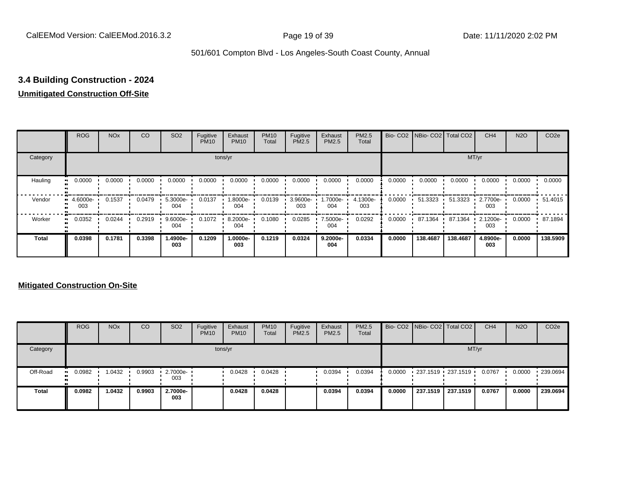## **3.4 Building Construction - 2024**

### **Unmitigated Construction Off-Site**

|                     | <b>ROG</b>      | <b>NO<sub>x</sub></b> | CO     | SO <sub>2</sub> | Fugitive<br><b>PM10</b> | Exhaust<br><b>PM10</b> | <b>PM10</b><br>Total | Fugitive<br><b>PM2.5</b> | Exhaust<br>PM2.5 | <b>PM2.5</b><br>Total |        | Bio- CO2   NBio- CO2   Total CO2 |          | CH <sub>4</sub> | <b>N2O</b> | CO <sub>2e</sub> |
|---------------------|-----------------|-----------------------|--------|-----------------|-------------------------|------------------------|----------------------|--------------------------|------------------|-----------------------|--------|----------------------------------|----------|-----------------|------------|------------------|
| Category            |                 |                       |        |                 |                         | tons/yr                |                      |                          |                  |                       |        |                                  |          | MT/yr           |            |                  |
| Hauling             | 0.0000<br>œ     | 0.0000                | 0.0000 | 0.0000          | 0.0000                  | 0.0000                 | 0.0000               | 0.0000                   | 0.0000           | 0.0000                | 0.0000 | 0.0000                           | 0.0000   | 0.0000          | 0.0000     | 0.0000           |
| Vendor              | 4.6000e-<br>003 | 0.1537                | 0.0479 | 5.3000e-<br>004 | 0.0137                  | --8000e.<br>004        | 0.0139               | 3.9600e-<br>003          | -.7000e<br>004   | 4.1300e-<br>003       | 0.0000 | 51.3323                          | 51.3323  | 2.7700e-<br>003 | 0.0000     | 51.4015          |
| Worker<br>$\bullet$ | 0.0352          | 0.0244                | 0.2919 | 9.6000e-<br>004 | 0.1072                  | 8.2000e-<br>004        | 0.1080               | 0.0285                   | 7.5000e-<br>004  | 0.0292                | 0.0000 | 87.1364                          | 87.1364  | 2.1200e-<br>003 | 0.0000     | 87.1894          |
| <b>Total</b>        | 0.0398          | 0.1781                | 0.3398 | 1.4900e-<br>003 | 0.1209                  | 1.0000e-<br>003        | 0.1219               | 0.0324                   | 9.2000e-<br>004  | 0.0334                | 0.0000 | 138,4687                         | 138.4687 | 4.8900e-<br>003 | 0.0000     | 138.5909         |

|              | <b>ROG</b>    | <b>NO<sub>x</sub></b> | CO     | SO <sub>2</sub>                 | Fugitive<br><b>PM10</b> | Exhaust<br><b>PM10</b> | <b>PM10</b><br><b>Total</b> | Fugitive<br><b>PM2.5</b> | Exhaust<br><b>PM2.5</b> | <b>PM2.5</b><br>Total |        |          | Bio- CO2 NBio- CO2 Total CO2 | CH <sub>4</sub> | <b>N2O</b> | CO <sub>2e</sub> |
|--------------|---------------|-----------------------|--------|---------------------------------|-------------------------|------------------------|-----------------------------|--------------------------|-------------------------|-----------------------|--------|----------|------------------------------|-----------------|------------|------------------|
| Category     |               |                       |        |                                 |                         | tons/yr                |                             |                          |                         |                       |        |          |                              | MT/yr           |            |                  |
| Off-Road     | 0.0982<br>. . | 1.0432                | 0.9903 | $\cdot$ 2.7000e- $\cdot$<br>003 |                         | 0.0428                 | 0.0428                      |                          | 0.0394                  | 0.0394                | 0.0000 |          | 237.1519 237.1519            | 0.0767          | 0.0000     | .239.0694        |
| <b>Total</b> | 0.0982        | 1.0432                | 0.9903 | 2.7000e-<br>003                 |                         | 0.0428                 | 0.0428                      |                          | 0.0394                  | 0.0394                | 0.0000 | 237.1519 | 237.1519                     | 0.0767          | 0.0000     | 239.0694         |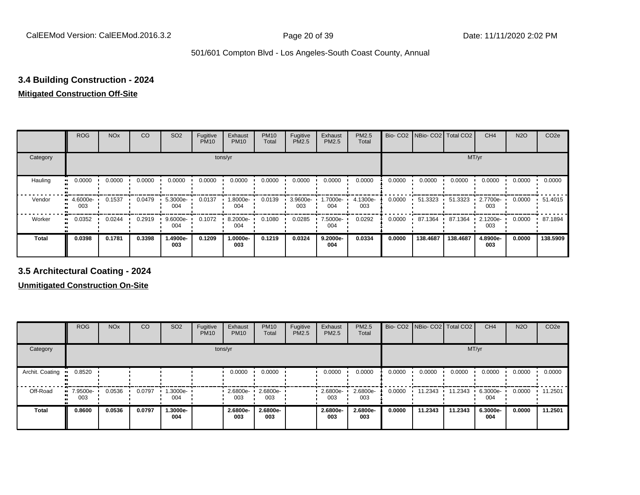### **3.4 Building Construction - 2024**

### **Mitigated Construction Off-Site**

|                           | <b>ROG</b>         | <b>NO<sub>x</sub></b> | CO     | SO <sub>2</sub> | Fugitive<br><b>PM10</b> | Exhaust<br><b>PM10</b> | <b>PM10</b><br>Total | Fugitive<br>PM2.5 | Exhaust<br>PM2.5 | PM2.5<br><b>Total</b> |        | Bio- CO2   NBio- CO2   Total CO2 |          | CH <sub>4</sub> | <b>N2O</b> | CO <sub>2e</sub> |
|---------------------------|--------------------|-----------------------|--------|-----------------|-------------------------|------------------------|----------------------|-------------------|------------------|-----------------------|--------|----------------------------------|----------|-----------------|------------|------------------|
| Category                  |                    |                       |        |                 |                         | tons/yr                |                      |                   |                  |                       |        |                                  | MT/yr    |                 |            |                  |
| Hauling<br>$\blacksquare$ | 0.0000             | 0.0000                | 0.0000 | 0.0000          | 0.0000                  | 0.0000                 | 0.0000               | 0.0000            | 0.0000           | 0.0000                | 0.0000 | 0.0000                           | 0.0000   | 0.0000          | 0.0000     | 0.0000           |
| Vendor                    | $-4.6000e-$<br>003 | 0.1537                | 0.0479 | 5.3000e-<br>004 | 0.0137                  | 1.8000e-<br>004        | 0.0139               | 3.9600e-<br>003   | .7000e-<br>004   | 4.1300e-<br>003       | 0.0000 | 51.3323                          | 51.3323  | 2.7700e-<br>003 | 0.0000     | 51.4015          |
| Worker<br>$\bullet$       | 0.0352             | 0.0244                | 0.2919 | 9.6000e-<br>004 | 0.1072                  | 8.2000e-<br>004        | 0.1080               | 0.0285            | 7.5000e-<br>004  | 0.0292                | 0.0000 | 87.1364                          | 87.1364  | 2.1200e-<br>003 | 0.0000     | 87.1894          |
| <b>Total</b>              | 0.0398             | 0.1781                | 0.3398 | 1.4900e-<br>003 | 0.1209                  | 1.0000e-<br>003        | 0.1219               | 0.0324            | 9.2000e-<br>004  | 0.0334                | 0.0000 | 138,4687                         | 138.4687 | 4.8900e-<br>003 | 0.0000     | 138.5909         |

**3.5 Architectural Coating - 2024**

|                 | <b>ROG</b>         | <b>NO<sub>x</sub></b> | CO     | SO <sub>2</sub> | Fugitive<br><b>PM10</b> | Exhaust<br><b>PM10</b> | <b>PM10</b><br>Total | Fugitive<br><b>PM2.5</b> | Exhaust<br><b>PM2.5</b> | <b>PM2.5</b><br>Total |        | Bio- CO2   NBio- CO2   Total CO2 |         | CH <sub>4</sub> | <b>N2O</b> | CO <sub>2e</sub> |
|-----------------|--------------------|-----------------------|--------|-----------------|-------------------------|------------------------|----------------------|--------------------------|-------------------------|-----------------------|--------|----------------------------------|---------|-----------------|------------|------------------|
| Category        |                    |                       |        |                 |                         | tons/yr                |                      |                          |                         |                       |        |                                  | MT/yr   |                 |            |                  |
| Archit. Coating | 0.8520             |                       |        |                 |                         | 0.0000                 | 0.0000               |                          | 0.0000                  | 0.0000                | 0.0000 | 0.0000                           | 0.0000  | 0.0000          | 0.0000     | 0.0000           |
| Off-Road        | $-7.9500e-$<br>003 | 0.0536                | 0.0797 | 1.3000e-<br>004 |                         | 2.6800e-<br>003        | 2.6800e-<br>003      |                          | 2.6800e-<br>003         | 2.6800e-<br>003       | 0.0000 | 11.2343                          | 11.2343 | 6.3000e-<br>004 | 0.0000     | 11.2501          |
| <b>Total</b>    | 0.8600             | 0.0536                | 0.0797 | 1.3000e-<br>004 |                         | 2.6800e-<br>003        | 2.6800e-<br>003      |                          | 2.6800e-<br>003         | 2.6800e-<br>003       | 0.0000 | 11.2343                          | 11.2343 | 6.3000e-<br>004 | 0.0000     | 11.2501          |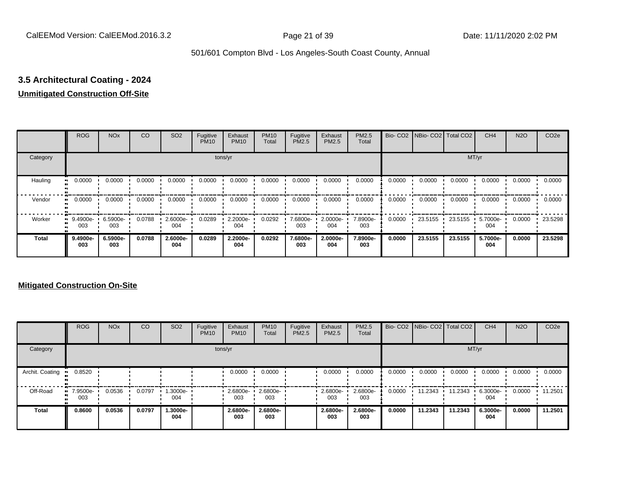# **3.5 Architectural Coating - 2024**

#### **Unmitigated Construction Off-Site**

|              | <b>ROG</b>          | <b>NO<sub>x</sub></b> | CO     | SO <sub>2</sub> | Fugitive<br><b>PM10</b> | Exhaust<br><b>PM10</b> | <b>PM10</b><br>Total | Fugitive<br><b>PM2.5</b> | Exhaust<br>PM2.5 | <b>PM2.5</b><br>Total |        | Bio- CO2   NBio- CO2   Total CO2 |         | CH <sub>4</sub> | <b>N2O</b> | CO <sub>2e</sub> |
|--------------|---------------------|-----------------------|--------|-----------------|-------------------------|------------------------|----------------------|--------------------------|------------------|-----------------------|--------|----------------------------------|---------|-----------------|------------|------------------|
| Category     |                     |                       |        |                 |                         | tons/yr                |                      |                          |                  |                       |        |                                  | MT/yr   |                 |            |                  |
| Hauling      | 0.0000<br>œ         | 0.0000                | 0.0000 | 0.0000          | 0.0000                  | 0.0000                 | 0.0000               | 0.0000                   | 0.0000           | 0.0000                | 0.0000 | 0.0000                           | 0.0000  | 0.0000          | 0.0000     | 0.0000           |
| Vendor       | 0.0000<br>$\bullet$ | 0.0000                | 0.0000 | 0.0000          | 0.0000                  | 0.0000                 | 0.0000               | 0.0000                   | 0.0000           | 0.0000                | 0.0000 | 0.0000                           | 0.0000  | 0.0000          | 0.0000     | 0.0000           |
| Worker       | $9.4900e-$<br>003   | 6.5900e-<br>003       | 0.0788 | 2.6000e-<br>004 | 0.0289                  | 2.2000e-<br>004        | 0.0292               | 7.6800e-<br>003          | 2.0000e-<br>004  | 7.8900e-<br>003       | 0.0000 | 23.5155                          | 23.5155 | 5.7000e-<br>004 | 0.0000     | 23.5298          |
| <b>Total</b> | 9.4900e-<br>003     | 6.5900e-<br>003       | 0.0788 | 2.6000e-<br>004 | 0.0289                  | 2.2000e-<br>004        | 0.0292               | 7.6800e-<br>003          | 2.0000e-<br>004  | 7.8900e-<br>003       | 0.0000 | 23.5155                          | 23.5155 | 5.7000e-<br>004 | 0.0000     | 23.5298          |

|                 | <b>ROG</b>                     | <b>NO<sub>x</sub></b> | CO     | SO <sub>2</sub> | Fugitive<br><b>PM10</b> | Exhaust<br><b>PM10</b> | <b>PM10</b><br>Total | Fugitive<br><b>PM2.5</b> | Exhaust<br><b>PM2.5</b> | PM2.5<br>Total  |        | Bio- CO2 NBio- CO2 Total CO2 |         | CH <sub>4</sub> | <b>N2O</b> | CO <sub>2e</sub> |
|-----------------|--------------------------------|-----------------------|--------|-----------------|-------------------------|------------------------|----------------------|--------------------------|-------------------------|-----------------|--------|------------------------------|---------|-----------------|------------|------------------|
| Category        |                                |                       |        |                 |                         | tons/yr                |                      |                          |                         |                 |        |                              |         | MT/yr           |            |                  |
| Archit. Coating | 0.8520                         |                       |        |                 |                         | 0.0000                 | 0.0000               |                          | 0.0000                  | 0.0000          | 0.0000 | 0.0000                       | 0.0000  | 0.0000          | 0.0000     | 0.0000           |
| Off-Road        | $\blacksquare$ 7.9500e-<br>003 | 0.0536                | 0.0797 | --3000e.<br>004 |                         | 2.6800e-<br>003        | 2.6800e-<br>003      |                          | $.6800e-$<br>003        | 2.6800e-<br>003 | 0.0000 | 11.2343                      | 11.2343 | 6.3000e-<br>004 | 0.0000     | 11.2501          |
| Total           | 0.8600                         | 0.0536                | 0.0797 | 1.3000e-<br>004 |                         | 2.6800e-<br>003        | 2.6800e-<br>003      |                          | 2.6800e-<br>003         | 2.6800e-<br>003 | 0.0000 | 11.2343                      | 11.2343 | 6.3000e-<br>004 | 0.0000     | 11.2501          |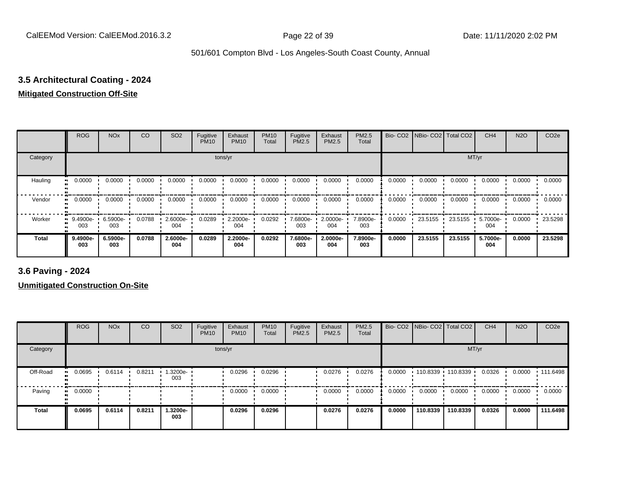# **3.5 Architectural Coating - 2024**

### **Mitigated Construction Off-Site**

|              | <b>ROG</b>               | <b>NO<sub>x</sub></b> | CO     | SO <sub>2</sub> | Fugitive<br><b>PM10</b> | Exhaust<br><b>PM10</b> | <b>PM10</b><br>Total | Fugitive<br>PM2.5 | Exhaust<br>PM2.5 | <b>PM2.5</b><br>Total |        | Bio- CO2   NBio- CO2   Total CO2 |         | CH <sub>4</sub>   | N <sub>2</sub> O | CO <sub>2e</sub> |
|--------------|--------------------------|-----------------------|--------|-----------------|-------------------------|------------------------|----------------------|-------------------|------------------|-----------------------|--------|----------------------------------|---------|-------------------|------------------|------------------|
| Category     |                          |                       |        |                 |                         | tons/yr                |                      |                   |                  |                       |        |                                  | MT/yr   |                   |                  |                  |
| Hauling      | 0.0000<br>$\blacksquare$ | 0.0000                | 0.0000 | 0.0000          | 0.0000                  | 0.0000                 | 0.0000               | 0.0000            | 0.0000           | 0.0000                | 0.0000 | 0.0000                           | 0.0000  | 0.0000            | 0.0000           | 0.0000           |
| Vendor       | 0.0000                   | 0.0000                | 0.0000 | 0.0000          | 0.0000                  | 0.0000                 | 0.0000               | 0.0000            | 0.0000           | 0.0000                | 0.0000 | 0.0000                           | 0.0000  | 0.0000            | 0.0000           | 0.0000           |
| Worker       | 9.4900e-<br>ш<br>003     | 6.5900e-<br>003       | 0.0788 | 2.6000e-<br>004 | 0.0289                  | 2.2000e-<br>004        | 0.0292               | 7.6800e-<br>003   | 2.0000e-<br>004  | 7.8900e-<br>003       | 0.0000 | 23.5155                          | 23.5155 | $5.7000e-$<br>004 | 0.0000           | 23.5298          |
| <b>Total</b> | 9.4900e-<br>003          | 6.5900e-<br>003       | 0.0788 | 2.6000e-<br>004 | 0.0289                  | 2.2000e-<br>004        | 0.0292               | 7.6800e-<br>003   | 2.0000e-<br>004  | 7.8900e-<br>003       | 0.0000 | 23.5155                          | 23.5155 | 5.7000e-<br>004   | 0.0000           | 23.5298          |

**3.6 Paving - 2024**

|          | <b>ROG</b>          | <b>NO<sub>x</sub></b> | CO     | SO <sub>2</sub> | Fugitive<br><b>PM10</b> | Exhaust<br><b>PM10</b> | <b>PM10</b><br>Total | Fugitive<br><b>PM2.5</b> | Exhaust<br>PM2.5 | <b>PM2.5</b><br>Total |        |          | Bio- CO2   NBio- CO2   Total CO2 | CH <sub>4</sub> | <b>N2O</b> | CO <sub>2e</sub> |
|----------|---------------------|-----------------------|--------|-----------------|-------------------------|------------------------|----------------------|--------------------------|------------------|-----------------------|--------|----------|----------------------------------|-----------------|------------|------------------|
| Category |                     |                       |        |                 | tons/yr                 |                        |                      |                          |                  |                       |        |          | MT/yr                            |                 |            |                  |
| Off-Road | 0.0695              | 0.6114                | 0.8211 | 1.3200e-<br>003 |                         | 0.0296                 | 0.0296               |                          | 0.0276           | 0.0276                | 0.0000 |          | 110.8339 110.8339                | 0.0326          | 0.0000     | 111.6498         |
| Paving   | 0.0000<br>$\bullet$ |                       |        |                 |                         | 0.0000                 | 0.0000               |                          | 0.0000           | 0.0000                | 0.0000 | 0.0000   | 0.0000                           | 0.0000          | 0.0000     | 0.0000           |
| Total    | 0.0695              | 0.6114                | 0.8211 | 1.3200e-<br>003 |                         | 0.0296                 | 0.0296               |                          | 0.0276           | 0.0276                | 0.0000 | 110.8339 | 110.8339                         | 0.0326          | 0.0000     | 111.6498         |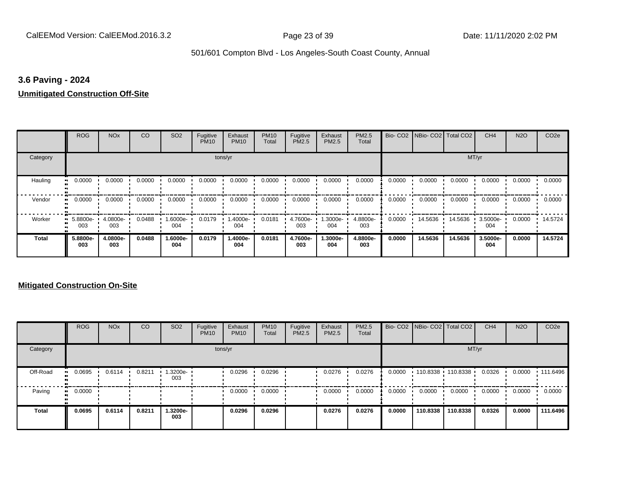#### **3.6 Paving - 2024**

#### **Unmitigated Construction Off-Site**

|              | <b>ROG</b>                   | <b>NO<sub>x</sub></b> | CO     | SO <sub>2</sub> | Fugitive<br><b>PM10</b> | Exhaust<br><b>PM10</b> | <b>PM10</b><br>Total | Fugitive<br><b>PM2.5</b> | Exhaust<br>PM2.5 | PM2.5<br>Total  |        | Bio- CO2   NBio- CO2   Total CO2 |         | CH <sub>4</sub> | <b>N2O</b> | CO <sub>2e</sub> |
|--------------|------------------------------|-----------------------|--------|-----------------|-------------------------|------------------------|----------------------|--------------------------|------------------|-----------------|--------|----------------------------------|---------|-----------------|------------|------------------|
| Category     |                              |                       |        |                 |                         | tons/yr                |                      |                          |                  |                 |        |                                  | MT/yr   |                 |            |                  |
| Hauling      | 0.0000<br>œ                  | 0.0000                | 0.0000 | 0.0000          | 0.0000                  | 0.0000                 | 0.0000               | 0.0000                   | 0.0000           | 0.0000          | 0.0000 | 0.0000                           | 0.0000  | 0.0000          | 0.0000     | 0.0000           |
| Vendor       | 0.0000<br>$\bullet$          | 0.0000                | 0.0000 | 0.0000          | 0.0000                  | 0.0000                 | 0.0000               | 0.0000                   | 0.0000           | 0.0000          | 0.0000 | 0.0000                           | 0.0000  | 0.0000          | 0.0000     | 0.0000           |
| Worker       | 5.8800e-<br>$\bullet$<br>003 | 4.0800e-<br>003       | 0.0488 | -6000e.<br>004  | 0.0179                  | 1.4000e-<br>004        | 0.0181               | 4.7600e-<br>003          | 1.3000e-<br>004  | 4.8800e-<br>003 | 0.0000 | 14.5636                          | 14.5636 | 3.5000e-<br>004 | 0.0000     | 14.5724          |
| <b>Total</b> | 5.8800e-<br>003              | 4.0800e-<br>003       | 0.0488 | 1.6000e-<br>004 | 0.0179                  | 1.4000e-<br>004        | 0.0181               | 4.7600e-<br>003          | -.3000e<br>004   | 4.8800e-<br>003 | 0.0000 | 14.5636                          | 14.5636 | 3.5000e-<br>004 | 0.0000     | 14.5724          |

|          | <b>ROG</b> | <b>NO<sub>x</sub></b> | CO     | SO <sub>2</sub> | Fugitive<br><b>PM10</b> | Exhaust<br><b>PM10</b> | <b>PM10</b><br>Total | Fugitive<br><b>PM2.5</b> | Exhaust<br><b>PM2.5</b> | PM2.5<br>Total |        |          | Bio- CO2   NBio- CO2   Total CO2 | CH <sub>4</sub> | <b>N2O</b> | CO <sub>2e</sub> |
|----------|------------|-----------------------|--------|-----------------|-------------------------|------------------------|----------------------|--------------------------|-------------------------|----------------|--------|----------|----------------------------------|-----------------|------------|------------------|
| Category |            |                       |        |                 |                         | tons/yr                |                      |                          |                         |                |        |          | MT/yr                            |                 |            |                  |
| Off-Road | 0.0695     | 0.6114                | 0.8211 | .3200e-<br>003  |                         | 0.0296                 | 0.0296               |                          | 0.0276                  | 0.0276         | 0.0000 | 110.8338 | 110.8338                         | 0.0326          | 0.0000     | $+111.6496$      |
| Paving   | 0.0000     |                       |        |                 |                         | 0.0000                 | 0.0000               |                          | 0.0000                  | 0.0000         | 0.0000 | 0.0000   | 0.0000                           | 0.0000          | 0.0000     | 0.0000           |
| Total    | 0.0695     | 0.6114                | 0.8211 | 1.3200e-<br>003 |                         | 0.0296                 | 0.0296               |                          | 0.0276                  | 0.0276         | 0.0000 | 110.8338 | 110.8338                         | 0.0326          | 0.0000     | 111.6496         |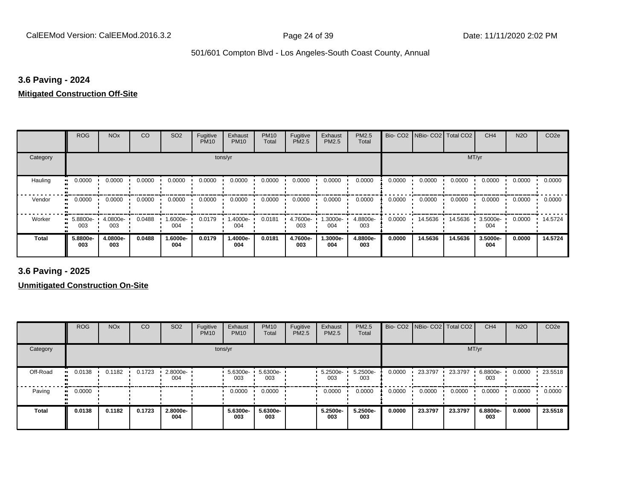#### **3.6 Paving - 2024**

#### **Mitigated Construction Off-Site**

|                     | <b>ROG</b>      | <b>NO<sub>x</sub></b> | CO     | SO <sub>2</sub> | Fugitive<br><b>PM10</b> | Exhaust<br><b>PM10</b> | <b>PM10</b><br>Total | Fugitive<br>PM2.5 | Exhaust<br>PM2.5 | PM2.5<br>Total  |        | Bio- CO2   NBio- CO2   Total CO2 |         | CH <sub>4</sub> | <b>N2O</b> | CO <sub>2e</sub> |
|---------------------|-----------------|-----------------------|--------|-----------------|-------------------------|------------------------|----------------------|-------------------|------------------|-----------------|--------|----------------------------------|---------|-----------------|------------|------------------|
| Category            |                 |                       |        |                 | tons/yr                 |                        |                      |                   |                  |                 |        |                                  | MT/yr   |                 |            |                  |
| Hauling<br>. .      | 0.0000          | 0.0000                | 0.0000 | 0.0000          | 0.0000                  | 0.0000                 | 0.0000               | 0.0000            | 0.0000           | 0.0000          | 0.0000 | 0.0000                           | 0.0000  | 0.0000          | 0.0000     | 0.0000           |
| Vendor<br>$\bullet$ | 0.0000          | 0.0000                | 0.0000 | 0.0000          | 0.0000                  | 0.0000                 | 0.0000               | 0.0000            | 0.0000           | 0.0000          | 0.0000 | 0.0000                           | 0.0000  | 0.0000          | 0.0000     | 0.0000           |
| Worker<br>$\bullet$ | 5.8800e-<br>003 | 4.0800e-<br>003       | 0.0488 | 1.6000e-<br>004 | 0.0179                  | 1.4000e-<br>004        | 0.0181               | 4.7600e-<br>003   | .3000e-<br>004   | 4.8800e-<br>003 | 0.0000 | 14.5636                          | 14.5636 | 3.5000e-<br>004 | 0.0000     | 14.5724          |
| <b>Total</b>        | 5.8800e-<br>003 | 4.0800e-<br>003       | 0.0488 | 1.6000e-<br>004 | 0.0179                  | 1.4000e-<br>004        | 0.0181               | 4.7600e-<br>003   | -.3000e<br>004   | 4.8800e-<br>003 | 0.0000 | 14.5636                          | 14.5636 | 3.5000e-<br>004 | 0.0000     | 14.5724          |

**3.6 Paving - 2025**

|              | <b>ROG</b>          | <b>NO<sub>x</sub></b> | CO     | SO <sub>2</sub> | Fugitive<br><b>PM10</b> | Exhaust<br><b>PM10</b> | <b>PM10</b><br>Total | Fugitive<br>PM2.5 | Exhaust<br><b>PM2.5</b> | PM2.5<br>Total  |        | Bio- CO2   NBio- CO2   Total CO2 |         | CH <sub>4</sub> | <b>N2O</b> | CO <sub>2e</sub> |
|--------------|---------------------|-----------------------|--------|-----------------|-------------------------|------------------------|----------------------|-------------------|-------------------------|-----------------|--------|----------------------------------|---------|-----------------|------------|------------------|
| Category     |                     |                       |        |                 |                         | tons/yr                |                      |                   |                         |                 |        |                                  | MT/yr   |                 |            |                  |
| Off-Road     | 0.0138              | 0.1182                | 0.1723 | 2.8000e-<br>004 |                         | $5.6300e-$<br>003      | 5.6300e-<br>003      |                   | 5.2500e-<br>003         | 5.2500e-<br>003 | 0.0000 | 23.3797                          | 23.3797 | 6.8800e-<br>003 | 0.0000     | 23.5518          |
| Paving       | 0.0000<br>$\bullet$ |                       |        |                 |                         | 0.0000                 | 0.0000               |                   | 0.0000                  | 0.0000          | 0.0000 | 0.0000                           | 0.0000  | 0.0000          | 0.0000     | 0.0000           |
| <b>Total</b> | 0.0138              | 0.1182                | 0.1723 | 2.8000e-<br>004 |                         | 5.6300e-<br>003        | 5.6300e-<br>003      |                   | 5.2500e-<br>003         | 5.2500e-<br>003 | 0.0000 | 23.3797                          | 23.3797 | 6.8800e-<br>003 | 0.0000     | 23.5518          |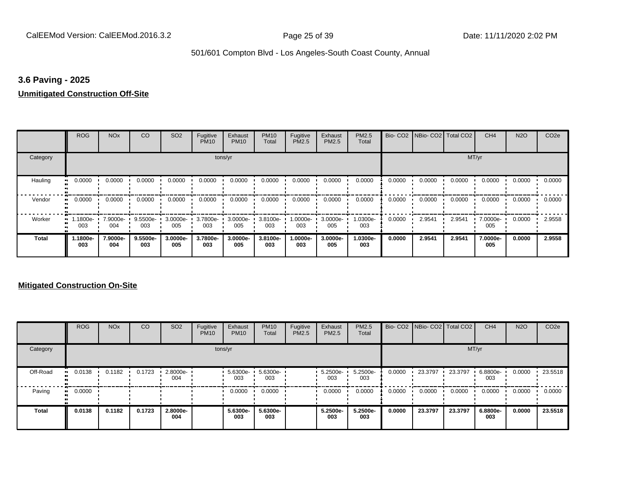#### **3.6 Paving - 2025**

#### **Unmitigated Construction Off-Site**

|               | <b>ROG</b>                   | <b>NO<sub>x</sub></b> | CO              | SO <sub>2</sub> | Fugitive<br><b>PM10</b> | Exhaust<br><b>PM10</b> | <b>PM10</b><br>Total | Fugitive<br><b>PM2.5</b> | Exhaust<br>PM2.5 | <b>PM2.5</b><br>Total |        | Bio- CO2   NBio- CO2   Total CO2 |        | CH <sub>4</sub> | <b>N2O</b> | CO <sub>2e</sub> |
|---------------|------------------------------|-----------------------|-----------------|-----------------|-------------------------|------------------------|----------------------|--------------------------|------------------|-----------------------|--------|----------------------------------|--------|-----------------|------------|------------------|
| Category      |                              |                       |                 |                 | tons/yr                 |                        |                      |                          |                  |                       |        |                                  | MT/yr  |                 |            |                  |
| Hauling<br>81 | 0.0000                       | 0.0000                | 0.0000          | 0.0000          | 0.0000                  | 0.0000                 | 0.0000               | 0.0000                   | 0.0000           | 0.0000                | 0.0000 | 0.0000                           | 0.0000 | 0.0000          | 0.0000     | 0.0000           |
| Vendor        | 0.0000<br>$\bullet$          | 0.0000                | 0.0000          | 0.0000          | 0.0000                  | 0.0000                 | 0.0000               | 0.0000                   | 0.0000           | 0.0000                | 0.0000 | 0.0000                           | 0.0000 | 0.0000          | 0.0000     | 0.0000           |
| Worker        | 1.1800e-<br>$\bullet$<br>003 | 7.9000e-<br>004       | 9.5500e-<br>003 | 3.0000e-<br>005 | 3.7800e-<br>003         | 3.0000e-<br>005        | 3.8100e-<br>003      | 1.0000e-<br>003          | 3.0000e-<br>005  | 1.0300e-<br>003       | 0.0000 | 2.9541                           | 2.9541 | 7.0000e-<br>005 | 0.0000     | 2.9558           |
| <b>Total</b>  | -1800e.<br>003               | 7.9000e-<br>004       | 9.5500e-<br>003 | 3.0000e-<br>005 | 3.7800e-<br>003         | 3.0000e-<br>005        | 3.8100e-<br>003      | 1.0000e-<br>003          | 3.0000e-<br>005  | 1.0300e-<br>003       | 0.0000 | 2.9541                           | 2.9541 | 7.0000e-<br>005 | 0.0000     | 2.9558           |

|              | <b>ROG</b>   | <b>NO<sub>x</sub></b> | CO     | SO <sub>2</sub> | Fugitive<br><b>PM10</b> | Exhaust<br><b>PM10</b> | <b>PM10</b><br>Total | Fugitive<br><b>PM2.5</b> | Exhaust<br><b>PM2.5</b> | PM2.5<br>Total  |        | Bio- CO2 NBio- CO2 Total CO2 |         | CH <sub>4</sub> | <b>N2O</b> | CO <sub>2e</sub> |
|--------------|--------------|-----------------------|--------|-----------------|-------------------------|------------------------|----------------------|--------------------------|-------------------------|-----------------|--------|------------------------------|---------|-----------------|------------|------------------|
| Category     |              |                       |        |                 |                         | tons/yr                |                      |                          |                         |                 |        |                              | MT/yr   |                 |            |                  |
| Off-Road     | 0.0138       | 0.1182                | 0.1723 | 2.8000e-<br>004 |                         | $5.6300e -$<br>003     | 5.6300e<br>003       |                          | 5.2500e-<br>003         | 5.2500e-<br>003 | 0.0000 | 23.3797                      | 23.3797 | 6.8800e-<br>003 | 0.0000     | 23.5518          |
| Paving       | 0.0000<br>ш. |                       |        |                 |                         | 0.0000                 | 0.0000               |                          | 0.0000                  | 0.0000          | 0.0000 | 0.0000                       | 0.0000  | 0.0000          | 0.0000     | 0.0000           |
| <b>Total</b> | 0.0138       | 0.1182                | 0.1723 | 2.8000e-<br>004 |                         | 5.6300e-<br>003        | 5.6300e-<br>003      |                          | 5.2500e-<br>003         | 5.2500e-<br>003 | 0.0000 | 23.3797                      | 23.3797 | 6.8800e-<br>003 | 0.0000     | 23,5518          |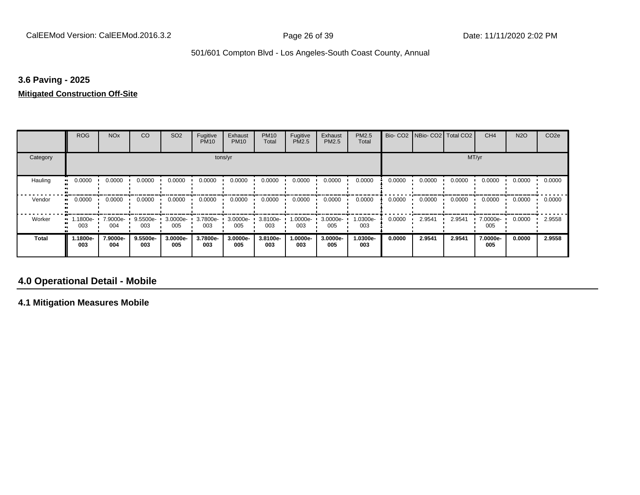#### **3.6 Paving - 2025**

#### **Mitigated Construction Off-Site**

|              | <b>ROG</b>                   | <b>NO<sub>x</sub></b> | CO              | SO <sub>2</sub> | Fugitive<br><b>PM10</b> | Exhaust<br><b>PM10</b> | <b>PM10</b><br>Total | Fugitive<br><b>PM2.5</b> | Exhaust<br>PM2.5 | <b>PM2.5</b><br>Total |        | Bio- CO2   NBio- CO2   Total CO2 |        | CH <sub>4</sub> | <b>N2O</b> | CO <sub>2e</sub> |
|--------------|------------------------------|-----------------------|-----------------|-----------------|-------------------------|------------------------|----------------------|--------------------------|------------------|-----------------------|--------|----------------------------------|--------|-----------------|------------|------------------|
| Category     |                              |                       |                 |                 |                         | tons/yr                |                      |                          |                  |                       |        |                                  | MT/yr  |                 |            |                  |
| Hauling      | 0.0000<br>ш                  | 0.0000                | 0.0000          | 0.0000          | 0.0000                  | 0.0000                 | 0.0000               | 0.0000                   | 0.0000           | 0.0000                | 0.0000 | 0.0000                           | 0.0000 | 0.0000          | 0.0000     | 0.0000           |
| Vendor       | 0.0000<br>$\bullet$          | 0.0000                | 0.0000          | 0.0000          | 0.0000                  | 0.0000                 | 0.0000               | 0.0000                   | 0.0000           | 0.0000                | 0.0000 | 0.0000                           | 0.0000 | 0.0000          | 0.0000     | 0.0000           |
| Worker       | 1.1800e-<br>$\bullet$<br>003 | 7.9000e-<br>004       | 9.5500e-<br>003 | 3.0000e-<br>005 | 3.7800e-<br>003         | 3.0000e-<br>005        | 3.8100e-<br>003      | 1.0000e-<br>003          | 3.0000e-<br>005  | 1.0300e-<br>003       | 0.0000 | 2.9541                           | 2.9541 | 7.0000e-<br>005 | 0.0000     | 2.9558           |
| <b>Total</b> | 1.1800e-<br>003              | 7.9000e-<br>004       | 9.5500e-<br>003 | 3.0000e-<br>005 | 3.7800e-<br>003         | 3.0000e-<br>005        | 3.8100e-<br>003      | 1.0000e-<br>003          | 3.0000e-<br>005  | 1.0300e-<br>003       | 0.0000 | 2.9541                           | 2.9541 | 7.0000e-<br>005 | 0.0000     | 2.9558           |

### **4.0 Operational Detail - Mobile**

**4.1 Mitigation Measures Mobile**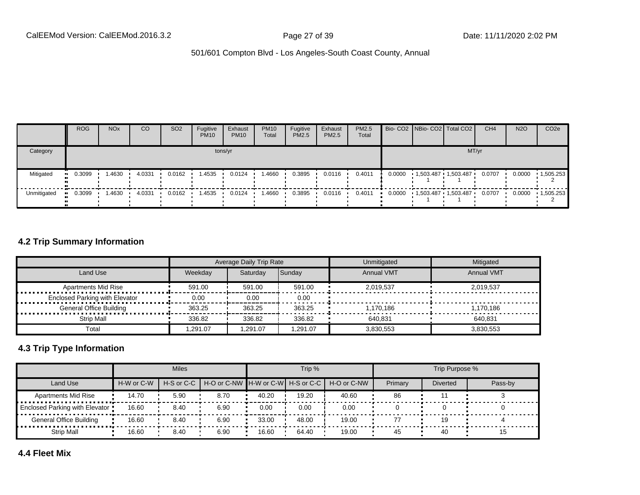|             | <b>ROG</b> | <b>NO<sub>x</sub></b> | CO     | SO <sub>2</sub> | Fugitive<br><b>PM10</b> | Exhaust<br><b>PM10</b> | <b>PM10</b><br>Total | Fugitive<br><b>PM2.5</b> | Exhaust<br>PM2.5 | <b>PM2.5</b><br>Total |  | Bio- CO2 NBio- CO2   Total CO2   | CH <sub>4</sub> | <b>N2O</b> | CO <sub>2e</sub>  |
|-------------|------------|-----------------------|--------|-----------------|-------------------------|------------------------|----------------------|--------------------------|------------------|-----------------------|--|----------------------------------|-----------------|------------|-------------------|
| Category    |            |                       |        |                 |                         | tons/yr                |                      |                          |                  |                       |  | MT/yr                            |                 |            |                   |
| Mitigated   | 0.3099     | .4630                 | 4.0331 | 0.0162          | 1.4535                  | 0.0124                 | <b>.4660</b>         | 0.3895                   | 0.0116           | 0.4011                |  | 0.0000  1.503.487  1.503.487     | 0.0707          | 0.0000     | $-1,505.253$      |
| Unmitigated | 0.3099     | .4630                 | 4.0331 | 0.0162          | 1.4535                  | 0.0124                 | 1.4660               | 0.3895                   | 0.0116           | 0.4011                |  | $0.0000$ $1,503.487$ $1,503.487$ | 0.0707          | 0.0000     | $\cdot$ 1,505.253 |

### **4.2 Trip Summary Information**

|                                       |         | Average Daily Trip Rate |          | Unmitigated       | Mitigated         |
|---------------------------------------|---------|-------------------------|----------|-------------------|-------------------|
| Land Use                              | Weekdav | Saturdav                | Sunday   | <b>Annual VMT</b> | <b>Annual VMT</b> |
| <b>Apartments Mid Rise</b>            | 591.00  | 591.00                  | 591.00   | 2.019.537         | 2.019.537         |
| <b>Enclosed Parking with Elevator</b> | 0.00    | 0.00                    | 0.00     |                   |                   |
| <b>General Office Building</b>        | 363.25  | 363.25                  | 363.25   | 1.170.186         | 1.170.186         |
| Strip Mall                            | 336.82  | 336.82                  | 336.82   | 640.831           | 640.831           |
| Total                                 | .291.07 | 1.291.07                | 1.291.07 | 3,830,553         | 3.830.553         |

#### **4.3 Trip Type Information**

|                                |            | <b>Miles</b> |                                                          |       | Trip % |       |         | Trip Purpose %  |         |
|--------------------------------|------------|--------------|----------------------------------------------------------|-------|--------|-------|---------|-----------------|---------|
| Land Use                       | H-W or C-W |              | H-S or C-C H-O or C-NW H-W or C-W H-S or C-C H-O or C-NW |       |        |       | Primary | <b>Diverted</b> | Pass-by |
| <b>Apartments Mid Rise</b>     | 14.70      | 5.90         | 8.70                                                     | 40.20 | 19.20  | 40.60 | 86      |                 |         |
| Enclosed Parking with Elevator | 16.60      | 8.40         | 6.90                                                     | 0.00  | 0.00   | 0.00  |         |                 |         |
| General Office Building        | 16.60      | 8.40         | 6.90                                                     | 33.00 | 48.00  | 19.00 |         |                 |         |
| <b>Strip Mall</b>              | 16.60      | 8.40         | 6.90                                                     | 16.60 | 64.40  | 19.00 | 45      | 40              | ם ו     |

**4.4 Fleet Mix**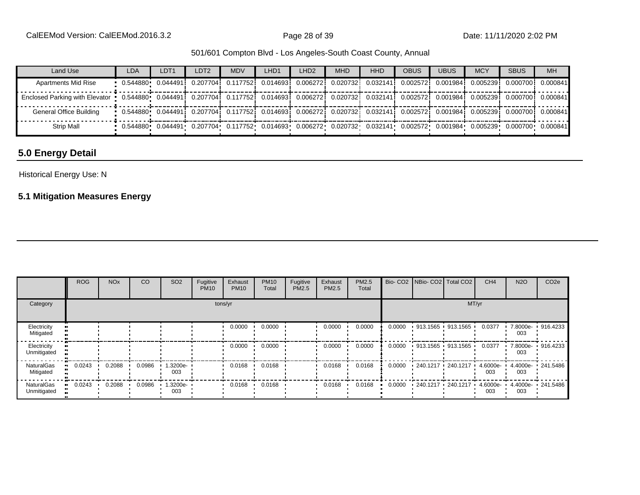| Land Use                                                                                                                                            | LDA | LDT <sub>1</sub> | LDT <sub>2</sub>                                                                                                                               | <b>MDV</b> | LHD1 | LHD <sub>2</sub> | <b>MHD</b> | <b>HHD</b> | <b>OBUS</b> | <b>UBUS</b> | <b>MCY</b> | <b>SBUS</b>                   | <b>MH</b> |
|-----------------------------------------------------------------------------------------------------------------------------------------------------|-----|------------------|------------------------------------------------------------------------------------------------------------------------------------------------|------------|------|------------------|------------|------------|-------------|-------------|------------|-------------------------------|-----------|
| <b>Apartments Mid Rise</b>                                                                                                                          |     |                  | 0.544880   0.044491i   0.207704i   0.117752i   0.014693i   0.006272i   0.020732i   0.032141i   0.002572i                                       |            |      |                  |            |            |             |             |            | 0.0019841 0.0052391 0.0007001 | 0.000841  |
| Enclosed Parking with Elevator 0.544880 0.044491 0.207704 0.117752 0.014693 0.006272 0.020732 0.032141 0.002572 0.001984 0.005239 0.000700 0.000841 |     |                  |                                                                                                                                                |            |      |                  |            |            |             |             |            |                               |           |
| General Office Building                                                                                                                             |     |                  | 0.544880 0.044491 0.207704 0.117752 0.014693 0.006272 0.020732 0.032141 0.002572 0.001984 0.005239 0.000700 0.000841                           |            |      |                  |            |            |             |             |            |                               |           |
| <b>Strip Mall</b>                                                                                                                                   |     |                  | $0.544880$ $0.044491$ $0.207704$ $0.117752$ $0.014693$ $0.006272$ $0.020732$ $0.032141$ $0.002572$ $0.001984$ $0.005239$ $0.000700$ $0.000841$ |            |      |                  |            |            |             |             |            |                               |           |

## **5.0 Energy Detail**

### Historical Energy Use: N

## **5.1 Mitigation Measures Energy**

|                            | <b>ROG</b> | <b>NO<sub>x</sub></b> | CO     | SO <sub>2</sub> | Fugitive<br><b>PM10</b> | Exhaust<br><b>PM10</b> | <b>PM10</b><br>Total | Fugitive<br>PM2.5 | Exhaust<br>PM2.5 | PM2.5<br>Total |        | Bio- CO2   NBio- CO2   Total CO2 |                     | CH <sub>4</sub> | <b>N2O</b> | CO <sub>2e</sub>  |
|----------------------------|------------|-----------------------|--------|-----------------|-------------------------|------------------------|----------------------|-------------------|------------------|----------------|--------|----------------------------------|---------------------|-----------------|------------|-------------------|
| Category                   |            |                       |        |                 |                         | tons/yr                |                      |                   |                  |                |        |                                  | MT/yr               |                 |            |                   |
| Electricity<br>Mitigated   |            |                       |        |                 |                         | 0.0000                 | 0.0000               |                   | 0.0000           | 0.0000         | 0.0000 | 913.1565 913.1565                |                     | 0.0377          | 003        | 7.8000e- 916.4233 |
| Electricity<br>Unmitigated |            |                       |        |                 |                         | 0.0000                 | 0.0000               |                   | 0.0000           | 0.0000         | 0.0000 |                                  | 913.1565 913.1565 ' | 0.0377          | 003        | 7.8000e- 916.4233 |
| NaturalGas<br>Mitigated    | 0.0243     | 0.2088                | 0.0986 | 1.3200e-<br>003 |                         | 0.0168                 | 0.0168               |                   | 0.0168           | 0.0168         | 0.0000 | $240.1217 - 240.1217$            |                     | 4.6000e-<br>003 | 003        | 4.4000e 241.5486  |
| NaturalGas<br>Unmitigated  | 0.0243     | 0.2088                | 0.0986 | 1.3200e-<br>003 |                         | 0.0168                 | 0.0168               |                   | 0.0168           | 0.0168         | 0.0000 | 240.1217 240.1217                |                     | 4.6000e-<br>003 | 003        | 4.4000e- 241.5486 |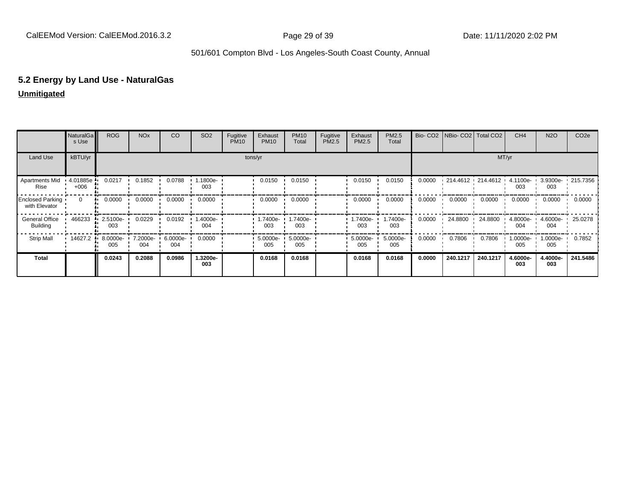# **5.2 Energy by Land Use - NaturalGas**

## **Unmitigated**

|                                   | NaturalGa<br>s Use | <b>ROG</b>      | <b>NO<sub>x</sub></b> | CO              | SO <sub>2</sub> | Fugitive<br><b>PM10</b> | Exhaust<br><b>PM10</b> | <b>PM10</b><br>Total | Fugitive<br>PM2.5 | Exhaust<br>PM2.5 | PM2.5<br>Total  | Bio-CO <sub>2</sub> | NBio- CO2   Total CO2 |                   | CH <sub>4</sub> | <b>N2O</b>      | CO <sub>2e</sub> |
|-----------------------------------|--------------------|-----------------|-----------------------|-----------------|-----------------|-------------------------|------------------------|----------------------|-------------------|------------------|-----------------|---------------------|-----------------------|-------------------|-----------------|-----------------|------------------|
| Land Use                          | kBTU/yr            |                 |                       |                 |                 |                         | tons/yr                |                      |                   |                  |                 |                     |                       | MT/yr             |                 |                 |                  |
| Apartments Mid<br>Rise            | 4.01885e<br>$+006$ | 0.0217          | 0.1852                | 0.0788          | 1.1800e-<br>003 |                         | 0.0150                 | 0.0150               |                   | 0.0150           | 0.0150          | 0.0000              |                       | 214.4612 214.4612 | 4.1100e-<br>003 | 3.9300e-<br>003 | .215.7356        |
| Enclosed Parking<br>with Elevator | $\mathbf{0}$       | 0.0000          | 0.0000                | 0.0000          | 0.0000          |                         | 0.0000                 | 0.0000               |                   | 0.0000           | 0.0000          | 0.0000              | 0.0000                | 0.0000            | 0.0000          | 0.0000          | 0.0000           |
| General Office<br><b>Building</b> | 466233             | 2.5100e-<br>003 | 0.0229                | 0.0192          | 1.4000e-<br>004 |                         | 1.7400e-<br>003        | 1.7400e-<br>003      |                   | 1.7400e-<br>003  | .7400e-<br>003  | 0.0000              | 24.8800               | 24.8800           | 4.8000e-<br>004 | 4.6000e-<br>004 | 25.0278          |
| <b>Strip Mall</b>                 | 14627.2            | 8.0000e-<br>005 | 7.2000e-<br>004       | 6.0000e-<br>004 | 0.0000          |                         | 5.0000e-<br>005        | 5.0000e-<br>005      |                   | 5.0000e-<br>005  | 5.0000e-<br>005 | 0.0000              | 0.7806                | 0.7806            | 1.0000e-<br>005 | 1.0000e-<br>005 | 0.7852           |
| <b>Total</b>                      |                    | 0.0243          | 0.2088                | 0.0986          | 1.3200e-<br>003 |                         | 0.0168                 | 0.0168               |                   | 0.0168           | 0.0168          | 0.0000              | 240.1217              | 240.1217          | 4.6000e-<br>003 | 4.4000e-<br>003 | 241.5486         |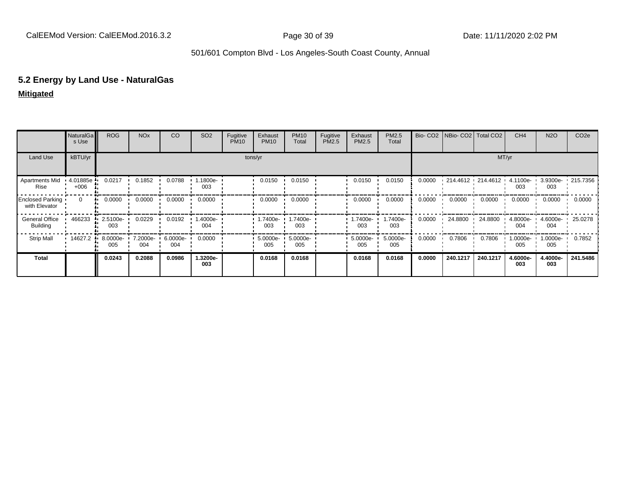# **5.2 Energy by Land Use - NaturalGas**

### **Mitigated**

|                                   | <b>NaturalGa</b><br>s Use | <b>ROG</b>      | <b>NO<sub>x</sub></b> | CO              | SO <sub>2</sub> | Fugitive<br><b>PM10</b> | Exhaust<br><b>PM10</b> | <b>PM10</b><br>Total | Fugitive<br>PM2.5 | Exhaust<br>PM2.5 | PM2.5<br>Total  |        | Bio- CO2   NBio- CO2   Total CO2 |          | CH <sub>4</sub> | <b>N2O</b>         | CO <sub>2e</sub> |
|-----------------------------------|---------------------------|-----------------|-----------------------|-----------------|-----------------|-------------------------|------------------------|----------------------|-------------------|------------------|-----------------|--------|----------------------------------|----------|-----------------|--------------------|------------------|
| Land Use                          | kBTU/yr                   |                 |                       |                 |                 |                         | tons/yr                |                      |                   |                  |                 |        |                                  | MT/yr    |                 |                    |                  |
| Apartments Mid<br>Rise            | 4.01885e<br>$+006$        | 0.0217          | 0.1852                | 0.0788          | 1.1800e-<br>003 |                         | 0.0150                 | 0.0150               |                   | 0.0150           | 0.0150          | 0.0000 | $-214.4612 - 214.4612 -$         |          | 4.1100e-<br>003 | 3.9300e-<br>003    | $\cdot$ 215.7356 |
| Enclosed Parking<br>with Elevator | $\Omega$                  | 0.0000          | 0.0000                | 0.0000          | 0.0000          |                         | 0.0000                 | 0.0000               |                   | 0.0000           | 0.0000          | 0.0000 | 0.0000                           | 0.0000   | 0.0000          | 0.0000             | 0.0000           |
| General Office<br><b>Building</b> | 466233                    | 2.5100e-<br>003 | 0.0229                | 0.0192          | 1.4000e-<br>004 |                         | 1.7400e-<br>003        | 1.7400e-<br>003      |                   | 1.7400e-<br>003  | -.7400e<br>003  | 0.0000 | 24.8800                          | 24.8800  | 4.8000e-<br>004 | $4.6000e -$<br>004 | 25.0278          |
| <b>Strip Mall</b>                 | 14627.2                   | 8.0000e-<br>005 | 7.2000e-<br>004       | 6.0000e-<br>004 | 0.0000          |                         | 5.0000e-<br>005        | 5.0000e-<br>005      |                   | 5.0000e-<br>005  | 5.0000e-<br>005 | 0.0000 | 0.7806                           | 0.7806   | 1.0000e-<br>005 | 1.0000e-<br>005    | 0.7852           |
| <b>Total</b>                      |                           | 0.0243          | 0.2088                | 0.0986          | 1.3200e-<br>003 |                         | 0.0168                 | 0.0168               |                   | 0.0168           | 0.0168          | 0.0000 | 240.1217                         | 240.1217 | 4.6000e-<br>003 | 4.4000e-<br>003    | 241.5486         |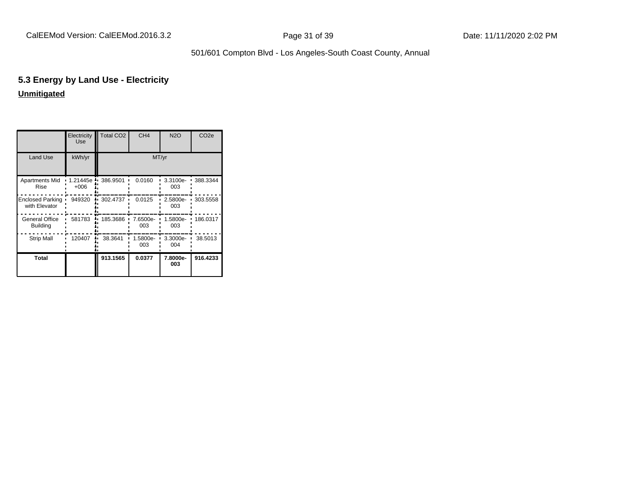# **5.3 Energy by Land Use - Electricity Unmitigated**

|                                   | Electricity<br><b>Use</b> | <b>Total CO2</b> | CH <sub>4</sub> | <b>N2O</b>      | CO <sub>2e</sub> |
|-----------------------------------|---------------------------|------------------|-----------------|-----------------|------------------|
| Land Use                          | kWh/yr                    |                  | MT/yr           |                 |                  |
| Apartments Mid<br>Rise            | 1.21445e<br>$+006$        | 386.9501         | 0.0160          | 3.3100e-<br>003 | 388.3344         |
| Enclosed Parking<br>with Elevator | 949320                    | 302.4737         | 0.0125          | 2.5800e-<br>003 | 303.5558         |
| General Office<br><b>Building</b> | 581783                    | 185.3686         | 7.6500e-<br>003 | 1.5800e-<br>003 | 186.0317         |
| <b>Strip Mall</b>                 | 120407                    | 38.3641          | 1.5800e-<br>003 | 3.3000e-<br>004 | 38.5013          |
| Total                             |                           | 913.1565         | 0.0377          | 7.8000e-<br>003 | 916.4233         |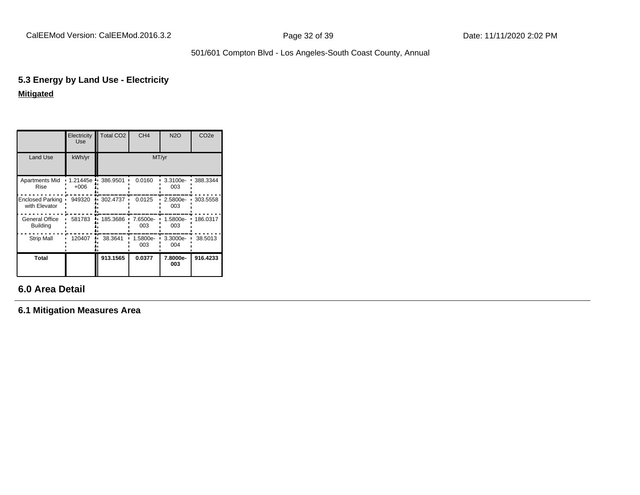# **5.3 Energy by Land Use - Electricity Mitigated**

|                                          | Electricity<br><b>Use</b> | <b>Total CO2</b> | CH <sub>4</sub> | <b>N2O</b>      | CO <sub>2e</sub> |
|------------------------------------------|---------------------------|------------------|-----------------|-----------------|------------------|
| <b>Land Use</b>                          | kWh/yr                    |                  |                 | MT/yr           |                  |
| Apartments Mid<br>Rise                   | 1.21445e<br>$+006$        | 386.9501         | 0.0160          | 3.3100e-<br>003 | 388.3344         |
| <b>Enclosed Parking</b><br>with Elevator | 949320                    | 302.4737         | 0.0125          | 2.5800e-<br>003 | 303.5558         |
| General Office<br><b>Building</b>        | 581783                    | 185.3686         | 7.6500e-<br>003 | 1.5800e-<br>003 | 186.0317         |
| <b>Strip Mall</b>                        | 120407                    | 38.3641          | 1.5800e-<br>003 | 3.3000e-<br>004 | 38.5013          |
| Total                                    |                           | 913.1565         | 0.0377          | 7.8000e-<br>003 | 916.4233         |

# **6.0 Area Detail**

**6.1 Mitigation Measures Area**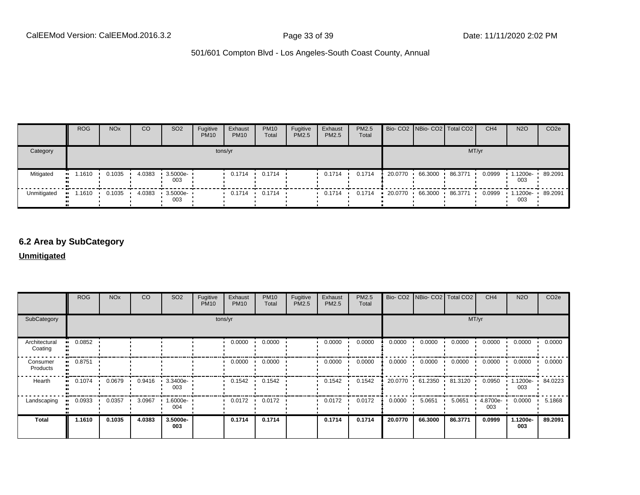|             | <b>ROG</b> | <b>NO<sub>x</sub></b> | CO     | SO <sub>2</sub>     | Fugitive<br><b>PM10</b> | Exhaust<br><b>PM10</b> | <b>PM10</b><br>Total | Fugitive<br>PM2.5 | Exhaust<br>PM2.5 | PM2.5<br>Total |           |                      | Bio- CO2 NBio- CO2   Total CO2 | CH <sub>4</sub> | <b>N2O</b>      | CO <sub>2e</sub> |
|-------------|------------|-----------------------|--------|---------------------|-------------------------|------------------------|----------------------|-------------------|------------------|----------------|-----------|----------------------|--------------------------------|-----------------|-----------------|------------------|
| Category    |            |                       |        |                     |                         | tons/yr                |                      |                   |                  |                |           |                      |                                | MT/yr           |                 |                  |
| Mitigated   | 1.1610     | 0.1035                | 4.0383 | 3.5000e-<br>003     |                         | $0.1714$ $\cdot$       | 0.1714               |                   | 0.1714           | 0.1714         | 20.0770 · | 66.3000              | 86.3771                        | 0.0999          | 1.1200e-<br>003 | 89.2091          |
| Unmitigated | 1.1610     | 0.1035                | 4.0383 | $-3.5000e -$<br>003 |                         |                        | $0.1714$ $0.1714$    |                   | 0.1714           | 0.1714         |           | $-20.0770 - 66.3000$ | 86.3771                        | 0.0999          | 003             | 1.1200e- 89.2091 |

### **6.2 Area by SubCategory**

#### **Unmitigated**

|                          | ROG    | <b>NO<sub>x</sub></b> | CO     | SO <sub>2</sub>    | Fugitive<br><b>PM10</b> | Exhaust<br><b>PM10</b> | <b>PM10</b><br>Total | Fugitive<br>PM2.5 | Exhaust<br>PM2.5 | PM2.5<br>Total |         | Bio- CO2   NBio- CO2   Total CO2 |                         | CH <sub>4</sub> | <b>N2O</b>      | CO <sub>2e</sub> |
|--------------------------|--------|-----------------------|--------|--------------------|-------------------------|------------------------|----------------------|-------------------|------------------|----------------|---------|----------------------------------|-------------------------|-----------------|-----------------|------------------|
| SubCategory              |        |                       |        |                    |                         | tons/yr                |                      |                   |                  |                |         |                                  |                         | MT/yr           |                 |                  |
| Architectural<br>Coating | 0.0852 |                       |        |                    |                         | 0.0000                 | 0.0000               |                   | 0.0000           | 0.0000         | 0.0000  | 0.0000                           | 0.0000                  | 0.0000          | 0.0000          | 0.0000           |
| Consumer<br>Products     | 0.8751 |                       |        |                    |                         | 0.0000                 | 0.0000               |                   | 0.0000           | 0.0000         | 0.0000  | 0.0000                           | 0.0000                  | 0.0000          | 0.0000          | 0.0000           |
| Hearth                   | 0.1074 | 0.0679                | 0.9416 | $3.3400e -$<br>003 |                         | 0.1542                 | 0.1542               |                   | 0.1542           | 0.1542         |         |                                  | 20.0770 61.2350 81.3120 | 0.0950          | .1200e-<br>003  | 84.0223          |
| Landscaping              | 0.0933 | 0.0357                | 3.0967 | 1.6000e-<br>004    |                         | 0.0172                 | 0.0172               |                   | 0.0172           | 0.0172         | 0.0000  | 5.0651                           | 5.0651                  | 4.8700e-<br>003 | 0.0000          | 5.1868           |
| <b>Total</b>             | 1.1610 | 0.1035                | 4.0383 | 3.5000e-<br>003    |                         | 0.1714                 | 0.1714               |                   | 0.1714           | 0.1714         | 20.0770 | 66.3000                          | 86.3771                 | 0.0999          | 1.1200e-<br>003 | 89.2091          |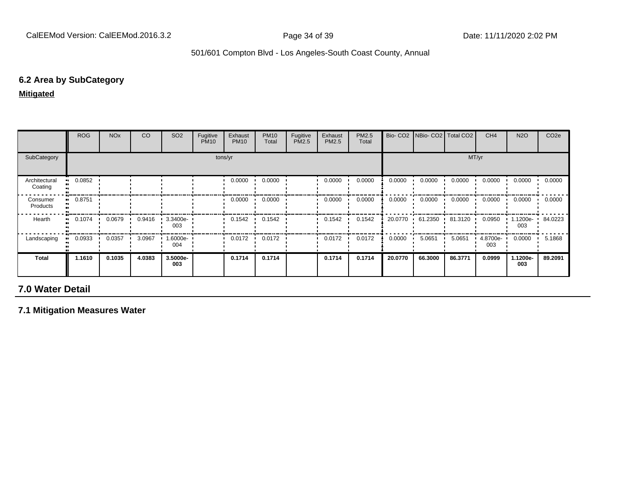#### **6.2 Area by SubCategory**

**Mitigated**

|                          | <b>ROG</b> | <b>NO<sub>x</sub></b> | CO     | SO <sub>2</sub> | Fugitive<br><b>PM10</b> | Exhaust<br><b>PM10</b> | <b>PM10</b><br>Total | Fugitive<br>PM2.5 | Exhaust<br>PM2.5 | PM2.5<br>Total |         | Bio- CO2 NBio- CO2 Total CO2 |         | CH <sub>4</sub> | <b>N2O</b>      | CO <sub>2</sub> e |
|--------------------------|------------|-----------------------|--------|-----------------|-------------------------|------------------------|----------------------|-------------------|------------------|----------------|---------|------------------------------|---------|-----------------|-----------------|-------------------|
| SubCategory              |            |                       |        |                 |                         | tons/yr                |                      |                   |                  |                |         |                              | MT/yr   |                 |                 |                   |
| Architectural<br>Coating | 0.0852     |                       |        |                 |                         | 0.0000                 | 0.0000               |                   | 0.0000           | 0.0000         | 0.0000  | 0.0000                       | 0.0000  | 0.0000          | 0.0000          | 0.0000            |
| Consumer<br>Products     | 0.8751     |                       |        |                 |                         | 0.0000                 | 0.0000               |                   | 0.0000           | 0.0000         | 0.0000  | 0.0000                       | 0.0000  | 0.0000          | 0.0000          | 0.0000            |
| Hearth                   | 0.1074     | 0.0679                | 0.9416 | 3.3400e-<br>003 |                         | 0.1542                 | 0.1542               |                   | 0.1542           | 0.1542         |         | 20.0770 61.2350              | 81.3120 | 0.0950          | .1200e-<br>003  | 84.0223           |
| Landscaping              | 0.0933     | 0.0357                | 3.0967 | .6000e-<br>004  |                         | $0.0172$ $\cdot$       | 0.0172               |                   | 0.0172           | 0.0172         | 0.0000  | 5.0651<br>$\mathbf{r}$       | 5.0651  | 4.8700e-<br>003 | 0.0000          | 5.1868            |
| <b>Total</b>             | 1.1610     | 0.1035                | 4.0383 | 3.5000e-<br>003 |                         | 0.1714                 | 0.1714               |                   | 0.1714           | 0.1714         | 20.0770 | 66.3000                      | 86.3771 | 0.0999          | 1.1200e-<br>003 | 89.2091           |

# **7.0 Water Detail**

**7.1 Mitigation Measures Water**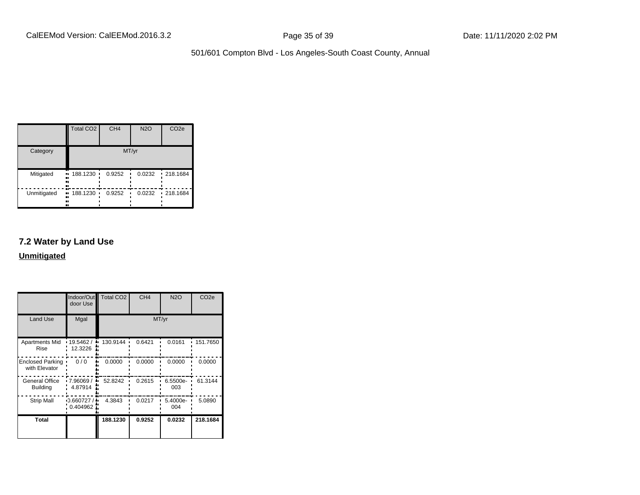|             | <b>Total CO2</b>            | CH <sub>4</sub> | <b>N2O</b> | CO <sub>2e</sub> |
|-------------|-----------------------------|-----------------|------------|------------------|
| Category    |                             |                 | MT/yr      |                  |
| Mitigated   | 188.1230<br>ш.<br><br><br>┅ | 0.9252          | 0.0232     | $-218.1684$      |
| Unmitigated | $-188.1230$<br><br><br>ш    | 0.9252          | 0.0232     | $-218.1684$      |

## **7.2 Water by Land Use**

**Unmitigated**

|                                          | Indoor/Out<br>door Use       | <b>Total CO2</b> | CH <sub>4</sub> | <b>N2O</b>      | CO <sub>2e</sub> |
|------------------------------------------|------------------------------|------------------|-----------------|-----------------|------------------|
| <b>Land Use</b>                          | Mgal                         |                  |                 | MT/yr           |                  |
| Apartments Mid<br>Rise                   | .19.5462/<br>12.3226         | 130.9144         | 0.6421          | 0.0161          | 151.7650         |
| <b>Enclosed Parking</b><br>with Elevator | 0/0                          | 0.0000           | 0.0000          | 0.0000          | 0.0000           |
| General Office<br><b>Building</b>        | 7.96069/<br>4.87914          | 52.8242          | 0.2615          | 6.5500e-<br>003 | 61.3144          |
| <b>Strip Mall</b>                        | $-0.660727/$<br>$0.404962$ . | 4.3843           | 0.0217          | 5.4000e-<br>004 | 5.0890           |
| <b>Total</b>                             |                              | 188.1230         | 0.9252          | 0.0232          | 218.1684         |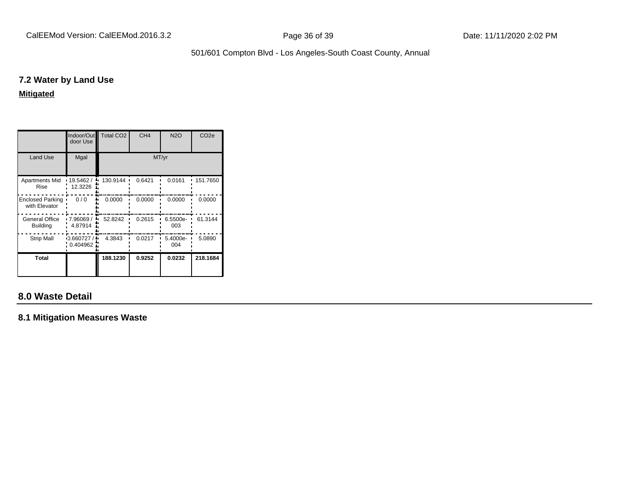#### **7.2 Water by Land Use**

**Mitigated**

|                                          | Indoor/Out<br>door Use | <b>Total CO2</b> | CH <sub>4</sub> | <b>N2O</b>      | CO <sub>2e</sub> |
|------------------------------------------|------------------------|------------------|-----------------|-----------------|------------------|
| <b>Land Use</b>                          | Mgal                   | MT/yr            |                 |                 |                  |
| <b>Apartments Mid</b><br>Rise            | 19.5462 /<br>12.3226   | 130.9144         | 0.6421          | 0.0161          | 151.7650         |
| <b>Enclosed Parking</b><br>with Elevator | 0/0                    | 0.0000           | 0.0000          | 0.0000          | 0.0000           |
| General Office<br><b>Building</b>        | 7.96069/<br>4.87914    | 52.8242          | 0.2615          | 6.5500e-<br>003 | 61.3144          |
| <b>Strip Mall</b>                        | 0.660727/<br>0.404962  | 4.3843           | 0.0217          | 5.4000e-<br>004 | 5.0890           |
| Total                                    |                        | 188.1230         | 0.9252          | 0.0232          | 218.1684         |

## **8.0 Waste Detail**

**8.1 Mitigation Measures Waste**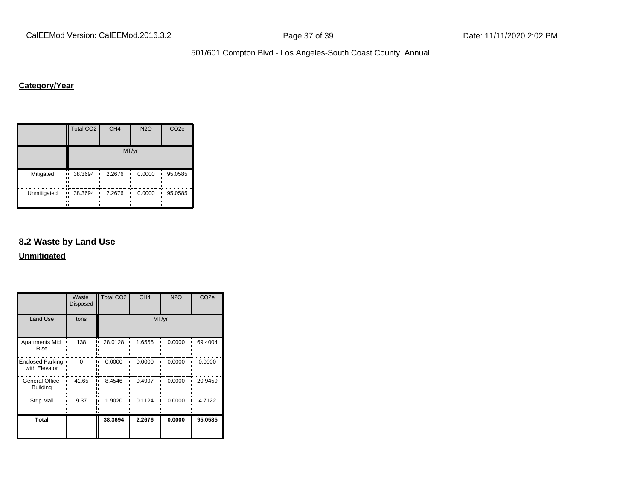CalEEMod Version: CalEEMod.2016.3.2 **Page 37 of 39** Page 37 of 39 Date: 11/11/2020 2:02 PM

501/601 Compton Blvd - Los Angeles-South Coast County, Annual

## **Category/Year**

|             | <b>Total CO2</b>            | CH <sub>4</sub> | <b>N2O</b> | CO <sub>2e</sub> |
|-------------|-----------------------------|-----------------|------------|------------------|
|             |                             |                 | MT/yr      |                  |
| Mitigated   | 38.3694<br>ш.<br><br><br>   | 2.2676          | 0.0000     | 95.0585          |
| Unmitigated | 38.3694<br>ш,<br><br><br>., | 2.2676          | 0.0000     | 95.0585          |

## **8.2 Waste by Land Use**

**Unmitigated**

|                                          | Waste<br><b>Disposed</b> | <b>Total CO2</b> | CH <sub>4</sub> | <b>N2O</b> | CO <sub>2e</sub> |
|------------------------------------------|--------------------------|------------------|-----------------|------------|------------------|
| <b>Land Use</b>                          | tons                     |                  | MT/yr           |            |                  |
| Apartments Mid<br>Rise                   | 138                      | 28.0128          | 1.6555          | 0.0000     | 69.4004          |
| <b>Enclosed Parking</b><br>with Elevator | $\Omega$                 | 0.0000           | 0.0000          | 0.0000     | 0.0000           |
| <b>General Office</b><br><b>Building</b> | 41.65                    | 8.4546           | 0.4997          | 0.0000     | 20.9459          |
| <b>Strip Mall</b>                        | 9.37                     | 1.9020           | 0.1124          | 0.0000     | 4.7122           |
| <b>Total</b>                             |                          | 38.3694          | 2.2676          | 0.0000     | 95.0585          |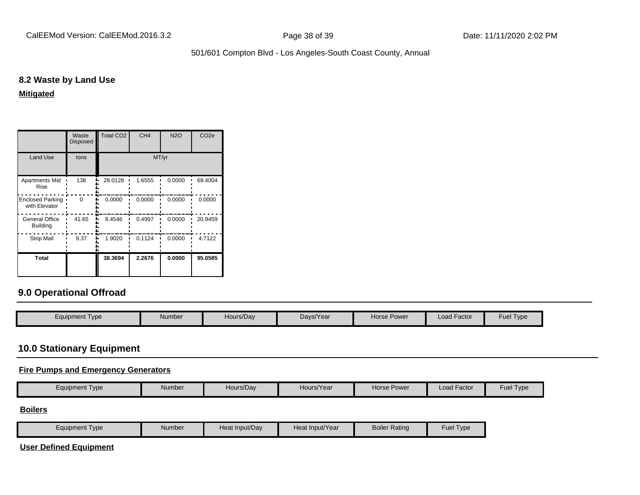#### **8.2 Waste by Land Use**

**Mitigated**

|                                          | Waste<br><b>Disposed</b> | <b>Total CO2</b> | CH <sub>4</sub> | <b>N2O</b> | CO <sub>2e</sub> |
|------------------------------------------|--------------------------|------------------|-----------------|------------|------------------|
| <b>Land Use</b>                          | tons                     |                  | MT/yr           |            |                  |
| <b>Apartments Mid</b><br>Rise            | 138                      | 28.0128          | 1.6555          | 0.0000     | 69.4004          |
| <b>Enclosed Parking</b><br>with Elevator | $\Omega$                 | 0.0000           | 0.0000          | 0.0000     | 0.0000           |
| General Office<br><b>Building</b>        | 41.65                    | 8.4546           | 0.4997          | 0.0000     | 20.9459          |
| <b>Strip Mall</b>                        | 9.37                     | 1.9020           | 0.1124          | 0.0000     | 4.7122           |
| Total                                    |                          | 38.3694          | 2.2676          | 0.0000     | 95.0585          |

## **9.0 Operational Offroad**

| Equipment Type | Number | Hours/Dav | Days/Year | Horse Power | Load Factor | <b>Fuel Type</b> |
|----------------|--------|-----------|-----------|-------------|-------------|------------------|
|                |        |           |           |             |             |                  |

## **10.0 Stationary Equipment**

#### **Fire Pumps and Emergency Generators**

|  | Equipment Type | Number | Hours/Day | Hours/Year | Horse Power | $\cdot$ $-$<br>Load Factor | <b>Fuel Type</b> |
|--|----------------|--------|-----------|------------|-------------|----------------------------|------------------|
|--|----------------|--------|-----------|------------|-------------|----------------------------|------------------|

#### **Boilers**

| Equipment Type | Number | Heat Input/Dav | Heat Input/Year | <b>Boiler Rating</b> | Fuel $\tau$<br>Tvpe |
|----------------|--------|----------------|-----------------|----------------------|---------------------|
|----------------|--------|----------------|-----------------|----------------------|---------------------|

**User Defined Equipment**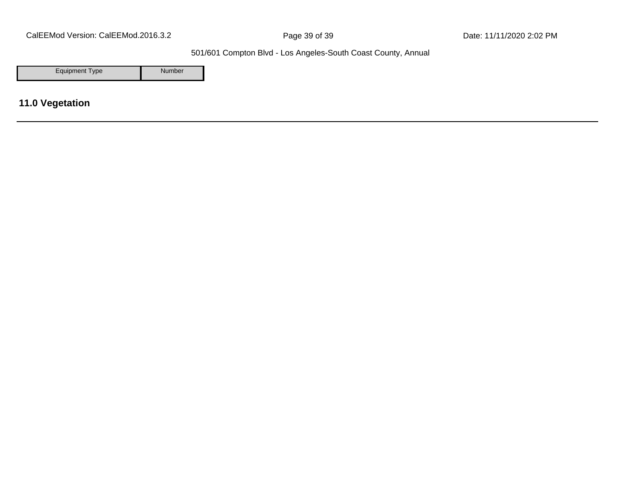CalEEMod Version: CalEEMod.2016.3.2 **Page 39 of 39** Page 39 of 39 Date: 11/11/2020 2:02 PM

501/601 Compton Blvd - Los Angeles-South Coast County, Annual

Equipment Type Number

**11.0 Vegetation**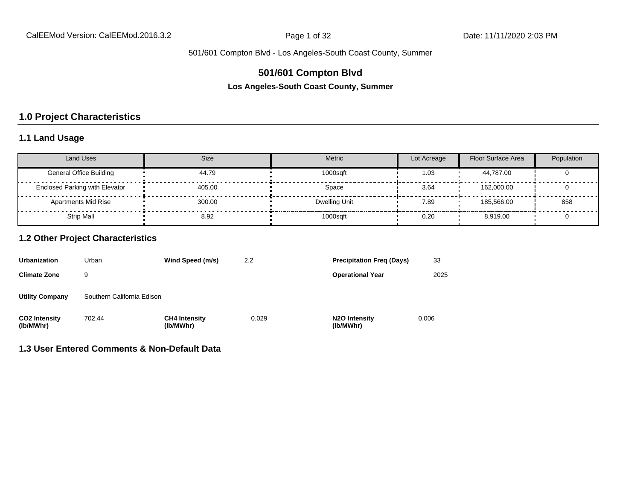## **501/601 Compton Blvd**

**Los Angeles-South Coast County, Summer**

## **1.0 Project Characteristics**

### **1.1 Land Usage**

| Land Uses                             | <b>Size</b> | <b>Metric</b> | Lot Acreage | Floor Surface Area | Population |
|---------------------------------------|-------------|---------------|-------------|--------------------|------------|
| <b>General Office Building</b>        | 44.79       | 1000sqft      | 1.03        | 44.787.00          |            |
| <b>Enclosed Parking with Elevator</b> | 405.00      | Space         | 3.64        | 162.000.00         |            |
| <b>Apartments Mid Rise</b>            | 300.00      | Dwelling Unit | 7.89        | 185.566.00         | 858        |
| <b>Strip Mall</b>                     | 8.92        | 1000sqft      | 0.20        | 8.919.00           |            |

#### **1.2 Other Project Characteristics**

| <b>Urbanization</b><br>Urban      |                            | Wind Speed (m/s)                  | <b>Precipitation Freg (Days)</b><br>2.2 |                                         |       |
|-----------------------------------|----------------------------|-----------------------------------|-----------------------------------------|-----------------------------------------|-------|
| <b>Climate Zone</b>               | 9                          |                                   |                                         | <b>Operational Year</b>                 | 2025  |
| <b>Utility Company</b>            | Southern California Edison |                                   |                                         |                                         |       |
| <b>CO2 Intensity</b><br>(lb/MWhr) | 702.44                     | <b>CH4 Intensity</b><br>(lb/MWhr) | 0.029                                   | N <sub>2</sub> O Intensity<br>(lb/MWhr) | 0.006 |

## **1.3 User Entered Comments & Non-Default Data**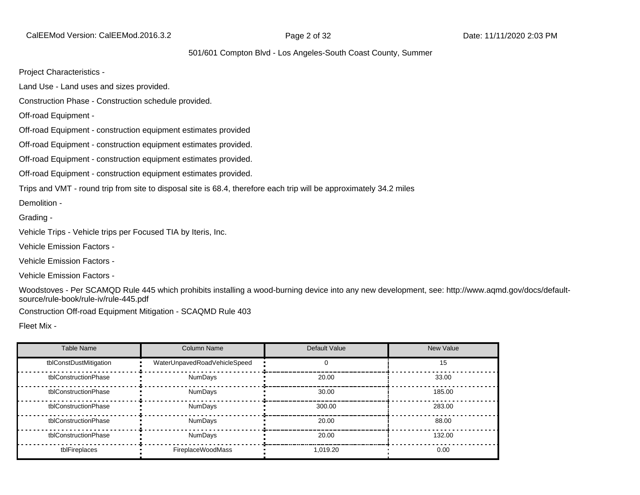CalEEMod Version: CalEEMod.2016.3.2 Page 2 of 32 Date: 11/11/2020 2:03 PM

#### 501/601 Compton Blvd - Los Angeles-South Coast County, Summer

Project Characteristics -

Land Use - Land uses and sizes provided.

Construction Phase - Construction schedule provided.

Off-road Equipment -

Off-road Equipment - construction equipment estimates provided

Off-road Equipment - construction equipment estimates provided.

Off-road Equipment - construction equipment estimates provided.

Off-road Equipment - construction equipment estimates provided.

Trips and VMT - round trip from site to disposal site is 68.4, therefore each trip will be approximately 34.2 miles

Demolition -

Grading -

Vehicle Trips - Vehicle trips per Focused TIA by Iteris, Inc.

Vehicle Emission Factors -

Vehicle Emission Factors -

Vehicle Emission Factors -

Woodstoves - Per SCAMQD Rule 445 which prohibits installing a wood-burning device into any new development, see: http://www.aqmd.gov/docs/defaultsource/rule-book/rule-iv/rule-445.pdf

Construction Off-road Equipment Mitigation - SCAQMD Rule 403

Fleet Mix -

| Table Name             | Column Name                  | Default Value | New Value |
|------------------------|------------------------------|---------------|-----------|
| tblConstDustMitigation | WaterUnpavedRoadVehicleSpeed |               | 15        |
| tblConstructionPhase   | <b>NumDays</b>               | 20.00         | 33.00     |
| tblConstructionPhase   | NumDays                      | 30.00         | 185.00    |
| tblConstructionPhase   | <b>NumDays</b>               | 300.00        | 283.00    |
| tblConstructionPhase   | <b>NumDays</b>               | 20.00         | 88.00     |
| tblConstructionPhase   | <b>NumDays</b>               | 20.00         | 132.00    |
| tblFireplaces          | FireplaceWoodMass            | 1.019.20      | 0.00      |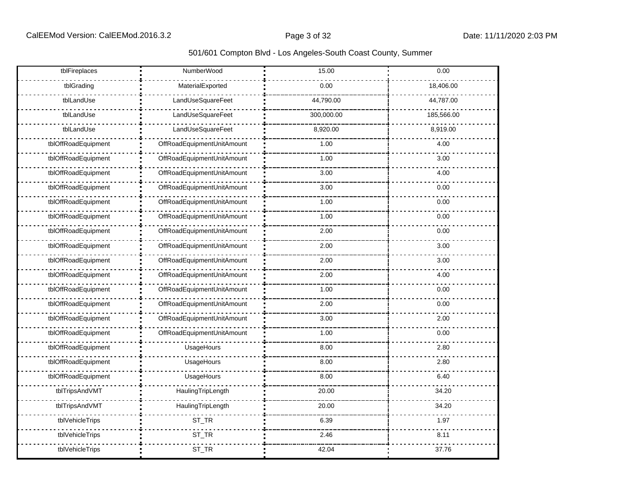| tblFireplaces       | NumberWood                 | 15.00      | 0.00       |
|---------------------|----------------------------|------------|------------|
| tblGrading          | MaterialExported           | 0.00       | 18,406.00  |
| tblLandUse          | LandUseSquareFeet          | 44,790.00  | 44,787.00  |
| tblLandUse          | LandUseSquareFeet          | 300,000.00 | 185,566.00 |
| tblLandUse          | LandUseSquareFeet          | 8,920.00   | 8,919.00   |
| tblOffRoadEquipment | OffRoadEquipmentUnitAmount | 1.00       | 4.00       |
| tblOffRoadEquipment | OffRoadEquipmentUnitAmount | 1.00       | 3.00       |
| tblOffRoadEquipment | OffRoadEquipmentUnitAmount | 3.00       | 4.00       |
| tblOffRoadEquipment | OffRoadEquipmentUnitAmount | 3.00       | 0.00       |
| tblOffRoadEquipment | OffRoadEquipmentUnitAmount | 1.00       | 0.00       |
| tblOffRoadEquipment | OffRoadEquipmentUnitAmount | 1.00       | 0.00       |
| tblOffRoadEquipment | OffRoadEquipmentUnitAmount | 2.00       | 0.00       |
| tblOffRoadEquipment | OffRoadEquipmentUnitAmount | 2.00       | 3.00       |
| tblOffRoadEquipment | OffRoadEquipmentUnitAmount | 2.00       | 3.00       |
| tblOffRoadEquipment | OffRoadEquipmentUnitAmount | 2.00       | 4.00       |
| tblOffRoadEquipment | OffRoadEquipmentUnitAmount | 1.00       | 0.00       |
| tblOffRoadEquipment | OffRoadEquipmentUnitAmount | 2.00       | 0.00       |
| tblOffRoadEquipment | OffRoadEquipmentUnitAmount | 3.00       | 2.00       |
| tblOffRoadEquipment | OffRoadEquipmentUnitAmount | 1.00       | 0.00       |
| tblOffRoadEquipment | UsageHours                 | 8.00       | 2.80       |
| tblOffRoadEquipment | UsageHours                 | 8.00       | 2.80       |
| tblOffRoadEquipment | UsageHours                 | 8.00       | 6.40       |
| tblTripsAndVMT      | HaulingTripLength          | 20.00      | 34.20      |
| tblTripsAndVMT      | HaulingTripLength          | 20.00      | 34.20      |
| tblVehicleTrips     | ST_TR                      | 6.39       | 1.97       |
| tblVehicleTrips     | ST_TR                      | 2.46       | 8.11       |
| tblVehicleTrips     | ST_TR                      | 42.04      | 37.76      |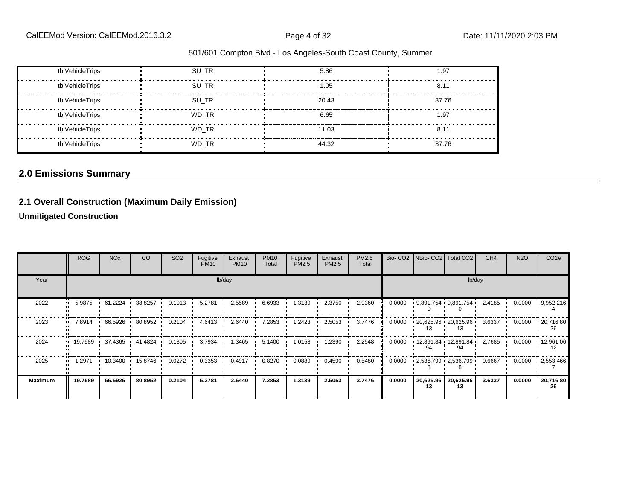| tblVehicleTrips | SU TR | 5.86  | 1.97  |
|-----------------|-------|-------|-------|
| tblVehicleTrips | SU TR | 1.05  | 8.11  |
| tblVehicleTrips | SU TR | 20.43 | 37.76 |
| tblVehicleTrips | WD TR | 6.65  | 1.97  |
| tblVehicleTrips | WD TR | 11.03 | 8.11  |
| tblVehicleTrips | WD TR | 44.32 | 37.76 |

## **2.0 Emissions Summary**

## **2.1 Overall Construction (Maximum Daily Emission)**

**Unmitigated Construction**

|                | <b>ROG</b>          | <b>NO<sub>x</sub></b> | CO      | SO <sub>2</sub> | Fugitive<br><b>PM10</b> | Exhaust<br><b>PM10</b> | <b>PM10</b><br>Total | Fugitive<br>PM2.5 | Exhaust<br>PM2.5 | PM2.5<br>Total |        |                 | Bio- CO2   NBio- CO2   Total CO2 | CH <sub>4</sub> | <b>N2O</b> | CO <sub>2</sub> e       |
|----------------|---------------------|-----------------------|---------|-----------------|-------------------------|------------------------|----------------------|-------------------|------------------|----------------|--------|-----------------|----------------------------------|-----------------|------------|-------------------------|
| Year           |                     |                       |         |                 |                         | lb/day                 |                      |                   |                  |                |        |                 |                                  | lb/day          |            |                         |
| 2022           | 5.9875<br>$\bullet$ | 61.2224               | 38.8257 | 0.1013          | 5.2781                  | 2.5589                 | 6.6933               | 1.3139            | 2.3750           | 2.9360         | 0.0000 |                 | $9,891.754$ $9,891.754$          | 2.4185          | 0.0000     | 9,952.216               |
| 2023           | 7.8914              | 66.5926               | 80.8952 | 0.2104          | 4.6413                  | 2.6440                 | 7.2853               | 1.2423            | 2.5053           | 3.7476         | 0.0000 |                 | $120,625.96$ $120,625.96$<br>13  | 3.6337          | 0.0000     | $\cdot$ 20,716.80<br>26 |
| 2024           |                     | 19.7589 1 37.4365 1   | 41.4824 | 0.1305          | 3.7934                  | 1.3465                 | 5.1400               | 1.0158            | 1.2390           | 2.2548         | 0.0000 | 94              | $12,891.84$ $12,891.84$          | 2.7685          | 0.0000     | $\cdot$ 12,961.06       |
| 2025           | 1.2971              | 10.3400               | 15.8746 | 0.0272          | 0.3353                  | 0.4917                 | 0.8270               | 0.0889            | 0.4590           | 0.5480         | 0.0000 |                 | $-2,536.799 - 2,536.799$         | 0.6667          | 0.0000     | $-2,553.466$            |
| <b>Maximum</b> | 19.7589             | 66.5926               | 80.8952 | 0.2104          | 5.2781                  | 2.6440                 | 7.2853               | 1.3139            | 2.5053           | 3.7476         | 0.0000 | 20,625.96<br>13 | 20,625.96<br>13                  | 3.6337          | 0.0000     | 20,716.80<br>26         |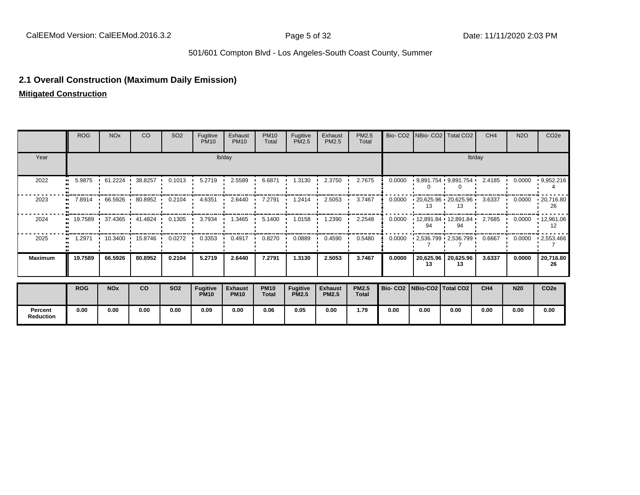#### **2.1 Overall Construction (Maximum Daily Emission)**

**Mitigated Construction**

**Percent Reduction**

|                | <b>ROG</b> | <b>NO<sub>x</sub></b> | CO                      | SO <sub>2</sub> | Fugitive<br><b>PM10</b>        | Exhaust<br><b>PM10</b>        | <b>PM10</b><br>Total        | Fugitive<br>PM2.5               | Exhaust<br>PM2.5               | <b>PM2.5</b><br>Total        |        |                                 | Bio- CO2   NBio- CO2   Total CO2       | CH <sub>4</sub> | <b>N2O</b> | CO <sub>2e</sub>        |
|----------------|------------|-----------------------|-------------------------|-----------------|--------------------------------|-------------------------------|-----------------------------|---------------------------------|--------------------------------|------------------------------|--------|---------------------------------|----------------------------------------|-----------------|------------|-------------------------|
| Year           |            |                       |                         |                 |                                | lb/day                        |                             |                                 |                                |                              |        |                                 |                                        | lb/day          |            |                         |
| 2022           | 5.9875     | 61.2224 ·             | 38.8257                 | 0.1013          | 5.2719                         | 2.5589                        | 6.6871                      | 1.3130                          | 2.3750                         | 2.7675                       | 0.0000 |                                 | $9,891.754$ $9,891.754$                | 2.4185          | 0.0000     | 9,952.216               |
| 2023           | 7.8914     | 66.5926               | 80.8952                 | 0.2104          | 4.6351                         | 2.6440                        | 7.2791                      | 1.2414                          | 2.5053                         | 3.7467                       | 0.0000 |                                 | $120,625.96$ $120,625.96$              | 3.6337          | 0.0000     | $\cdot$ 20,716.80<br>26 |
| 2024           |            |                       | 19.7589 37.4365 41.4824 | 0.1305          | 3.7934                         | 1.3465<br>$\mathbf{r}$        | 5.1400                      | 1.0158                          | 1.2390                         | 2.2548                       | 0.0000 |                                 | $12,891.84$ $12,891.84$ $2.7685$<br>94 |                 | 0.0000     | $\cdot$ 12,961.06<br>12 |
| 2025           | 1.2971     | $10.3400$ 15.8746     |                         | 0.0272          | 0.3353                         | 0.4917<br>$\cdot$             | 0.8270                      | 0.0889                          | 0.4590                         | 0.5480                       | 0.0000 |                                 | $-2,536.799 - 2,536.799 - 0.6667$      |                 | 0.0000     | .2,553.466              |
| <b>Maximum</b> | 19.7589    | 66.5926               | 80.8952                 | 0.2104          | 5.2719                         | 2.6440                        | 7.2791                      | 1.3130                          | 2.5053                         | 3.7467                       | 0.0000 | 20,625.96<br>13                 | 20,625.96<br>13                        | 3.6337          | 0.0000     | 20,716.80<br>26         |
|                | <b>ROG</b> | <b>NOx</b>            | <b>CO</b>               | <b>SO2</b>      | <b>Fugitive</b><br><b>PM10</b> | <b>Exhaust</b><br><b>PM10</b> | <b>PM10</b><br><b>Total</b> | <b>Fugitive</b><br><b>PM2.5</b> | <b>Exhaust</b><br><b>PM2.5</b> | <b>PM2.5</b><br><b>Total</b> |        | Bio- CO2   NBio-CO2   Total CO2 |                                        | CH4             | <b>N20</b> | CO <sub>2e</sub>        |

**0.00 0.00 0.00 0.00 0.09 0.00 0.06 0.05 0.00 1.79 0.00 0.00 0.00 0.00 0.00 0.00**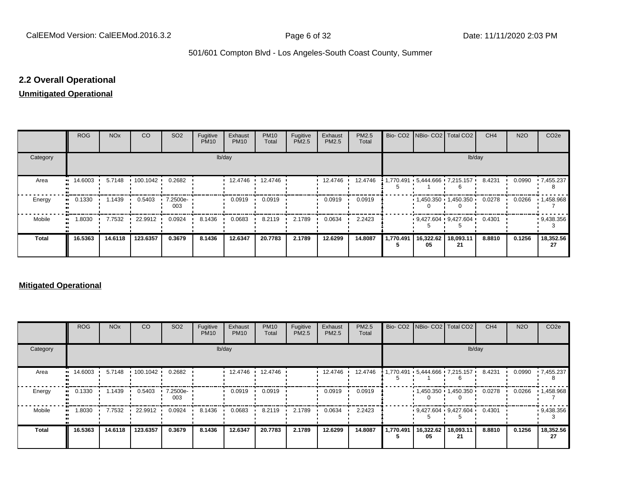### **2.2 Overall Operational**

## **Unmitigated Operational**

|                     | <b>ROG</b>  | <b>NO<sub>x</sub></b> | CO       | SO <sub>2</sub> | Fugitive<br><b>PM10</b> | Exhaust<br><b>PM10</b> | <b>PM10</b><br>Total | Fugitive<br>PM2.5 | Exhaust<br>PM2.5 | PM2.5<br>Total |                             | Bio- CO2   NBio- CO2   Total CO2 | CH <sub>4</sub> | <b>N2O</b> | CO <sub>2e</sub> |
|---------------------|-------------|-----------------------|----------|-----------------|-------------------------|------------------------|----------------------|-------------------|------------------|----------------|-----------------------------|----------------------------------|-----------------|------------|------------------|
| Category            |             |                       |          |                 |                         | lb/day                 |                      |                   |                  |                |                             | lb/day                           |                 |            |                  |
| Area                | 14.6003<br> | 5.7148                | 100.1042 | 0.2682          |                         | 12.4746 ·              | 12.4746              |                   | 12.4746          | 12.4746        |                             |                                  | 8.4231          | 0.0990     | $-7,455.237$     |
| Energy<br>.,        | 0.1330      | 1.1439                | 0.5403   | 7.2500e-<br>003 |                         | 0.0919                 | 0.0919               |                   | 0.0919           | 0.0919         |                             | 1,450.350 1,450.350              | 0.0278          | 0.0266     | 1,458.968        |
| Mobile<br>$\bullet$ | 1.8030      | 7.7532                | 22.9912  | 0.0924          | 8.1436                  | 0.0683                 | 8.2119               | 2.1789            | 0.0634           | 2.2423         |                             | $9,427.604$ $9,427.604$ 0.4301   |                 |            | 9,438.356        |
| <b>Total</b>        | 16.5363     | 14.6118               | 123.6357 | 0.3679          | 8.1436                  | 12.6347                | 20.7783              | 2.1789            | 12.6299          | 14.8087        | 1,770.491   16,322.62<br>05 | 18,093.11<br>21                  | 8.8810          | 0.1256     | 18,352.56<br>27  |

#### **Mitigated Operational**

|              | <b>ROG</b>                            | <b>NO<sub>x</sub></b> | CO <sub>2</sub> | SO <sub>2</sub> | Fugitive<br><b>PM10</b> | Exhaust<br><b>PM10</b> | <b>PM10</b><br>Total | Fugitive<br>PM2.5 | Exhaust<br><b>PM2.5</b> | PM2.5<br>Total |           |                 | Bio- CO2 NBio- CO2 Total CO2   | CH <sub>4</sub> | <b>N2O</b> | CO <sub>2e</sub>  |
|--------------|---------------------------------------|-----------------------|-----------------|-----------------|-------------------------|------------------------|----------------------|-------------------|-------------------------|----------------|-----------|-----------------|--------------------------------|-----------------|------------|-------------------|
| Category     |                                       |                       |                 |                 |                         | lb/day                 |                      |                   |                         |                |           |                 | lb/day                         |                 |            |                   |
| Area         | $\blacksquare$ 14.6003 $\blacksquare$ | 5.7148                | 100.1042        | 0.2682          |                         | 12.4746 ·              | 12.4746              |                   | 12.4746                 | 12.4746        |           |                 | 1,770.491 5,444.666 7,215.157  | 8.4231          | 0.0990     | $-7,455.237$      |
| Energy       | 0.1330                                | 1.1439                | 0.5403          | 7.2500e-<br>003 |                         | 0.0919                 | 0.0919               |                   | 0.0919                  | 0.0919         |           |                 | $1,450.350 + 1,450.350$        | 0.0278          | 0.0266     | $\cdot$ 1,458.968 |
| Mobile       | 1.8030                                | 7.7532                | 22.9912 ·       | 0.0924          | 8.1436                  | 0.0683                 | 8.2119               | 2.1789            | 0.0634                  | 2.2423         |           |                 | $9.427.604$ $9.427.604$ 0.4301 |                 |            | 9,438.356         |
| <b>Total</b> | 16.5363                               | 14.6118               | 123.6357        | 0.3679          | 8.1436                  | 12.6347                | 20.7783              | 2.1789            | 12.6299                 | 14.8087        | 1,770.491 | 16,322.62<br>05 | 18,093.11<br>21                | 8.8810          | 0.1256     | 18,352.56<br>27   |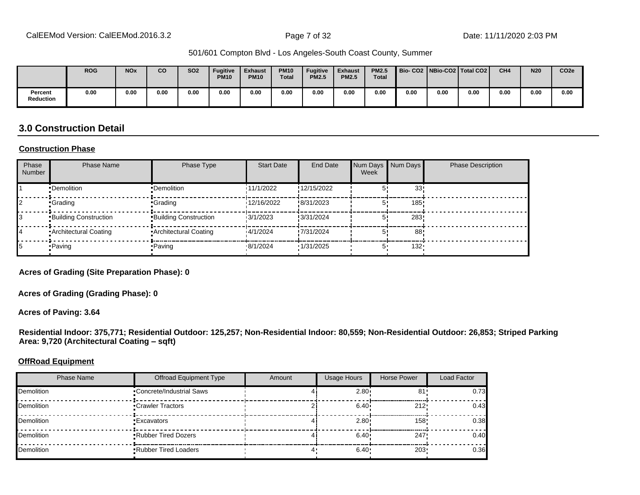|                      | <b>ROG</b> | <b>NO<sub>x</sub></b> | <b>CO</b> | <b>SO2</b> | <b>Fugitive</b><br><b>PM10</b> | <b>Exhaust</b><br><b>PM10</b> | <b>PM10</b><br><b>Total</b> | <b>Fugitive</b><br><b>PM2.5</b> | <b>Exhaust</b><br><b>PM2.5</b> | <b>PM2.5</b><br><b>Total</b> | Bio-CO2   NBio-CO2   Total CO2 |      |      | CH <sub>4</sub> | <b>N20</b> | CO <sub>2e</sub> |
|----------------------|------------|-----------------------|-----------|------------|--------------------------------|-------------------------------|-----------------------------|---------------------------------|--------------------------------|------------------------------|--------------------------------|------|------|-----------------|------------|------------------|
| Percent<br>Reduction | 0.00       | 0.00                  | 0.00      | 0.00       | 0.00                           | 0.00                          | 0.00                        | 0.00                            | 0.00                           | 0.00                         | 0.00                           | 0.00 | 0.00 | 0.00            | 0.00       | 0.00             |

## **3.0 Construction Detail**

#### **Construction Phase**

| Phase<br><b>Number</b> | <b>Phase Name</b>       | Phase Type                   | <b>Start Date</b> | <b>End Date</b> | Num Days<br>Week | Num Days | <b>Phase Description</b> |
|------------------------|-------------------------|------------------------------|-------------------|-----------------|------------------|----------|--------------------------|
|                        | •Demolition             | •Demolition                  | 11/1/2022         | !12/15/2022     |                  | 33!      |                          |
|                        | •Grading                | •Grading                     | 12/16/2022        | !8/31/2023      |                  | 185      |                          |
|                        | Building Construction   | <b>Building Construction</b> | 13/1/2023         | !3/31/2024      |                  | 283      |                          |
|                        | • Architectural Coating | • Architectural Coating      | 14/1/2024         | !7/31/2024      |                  | 88       |                          |
|                        | • Paving                | • Paving                     | .8/1/2024         | 1/31/2025       | 5                | $132 -$  |                          |

**Acres of Grading (Site Preparation Phase): 0**

**Acres of Grading (Grading Phase): 0**

**Acres of Paving: 3.64**

**Residential Indoor: 375,771; Residential Outdoor: 125,257; Non-Residential Indoor: 80,559; Non-Residential Outdoor: 26,853; Striped Parking**  Area: 9,720 (Architectural Coating - sqft)

#### **OffRoad Equipment**

| <b>Phase Name</b> | <b>Offroad Equipment Type</b> | Amount | <b>Usage Hours</b> | Horse Power | Load Factor |
|-------------------|-------------------------------|--------|--------------------|-------------|-------------|
| Demolition        | •Concrete/Industrial Saws     |        | 2.80               | 81'         | 0.73        |
| Demolition        | •Crawler Tractors             |        | $6.40 \cdot$       | 212'        | 0.43        |
| Demolition        | •Excavators                   |        | 2.80               | 158'        | 0.38        |
| Demolition        | .Rubber Tired Dozers          |        | 6.40 <sup>1</sup>  | 247         | 0.40        |
| Demolition        | <b>Rubber Tired Loaders</b>   |        | 6.40               | 203         | 0.36        |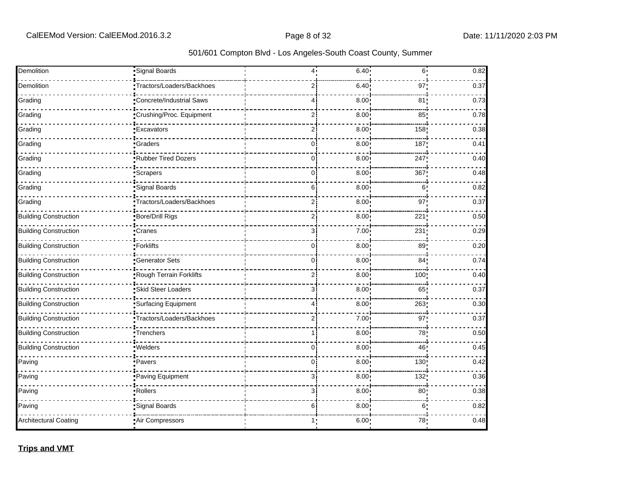| Demolition                   | Signal Boards             | 4              | 6.40              | 6 <sup>1</sup>  | 0.82 |
|------------------------------|---------------------------|----------------|-------------------|-----------------|------|
| Demolition                   | Tractors/Loaders/Backhoes | 2              | 6.40              | 97              | 0.37 |
| Grading                      | Concrete/Industrial Saws  | 4              | 8.00              | 81 <sub>1</sub> | 0.73 |
| Grading                      | Crushing/Proc. Equipment  | $\overline{2}$ | 8.00              | 85 <sub>1</sub> | 0.78 |
| Grading                      | <b>Excavators</b>         | $\overline{2}$ | 8.00              | 158             | 0.38 |
| Grading                      | Graders                   | $\overline{0}$ | 8.00              | 187             | 0.41 |
| Grading                      | Rubber Tired Dozers       | $\overline{0}$ | 8.00              | 247             | 0.40 |
| Grading                      | Scrapers                  | $\overline{0}$ | 8.00              | 367             | 0.48 |
| Grading                      | Signal Boards             | 6              | 8.00              | 6.              | 0.82 |
| Grading                      | Tractors/Loaders/Backhoes | $\overline{2}$ | 8.00              | 97:             | 0.37 |
| <b>Building Construction</b> | Bore/Drill Rigs           | $\overline{2}$ | 8.00              | 221             | 0.50 |
| <b>Building Construction</b> | Cranes                    | 3              | 7.00              | 231             | 0.29 |
| <b>Building Construction</b> | Forklifts                 | $\overline{0}$ | 8.00 <sup>1</sup> | 89 <sub>1</sub> | 0.20 |
| <b>Building Construction</b> | Generator Sets            | $\mathbf 0$    | 8.00 <sup>1</sup> | 84 <sub>1</sub> | 0.74 |
| <b>Building Construction</b> | Rough Terrain Forklifts   | $\overline{c}$ | 8.00              | 100!            | 0.40 |
| <b>Building Construction</b> | Skid Steer Loaders        | 3              | 8.00              | 65              | 0.37 |
| <b>Building Construction</b> | Surfacing Equipment       | 4              | 8.00              | 263             | 0.30 |
| <b>Building Construction</b> | Tractors/Loaders/Backhoes | $\overline{2}$ | 7.00              | 97              | 0.37 |
| <b>Building Construction</b> | Trenchers                 | 1              | 8.00              | 78              | 0.50 |
| <b>Building Construction</b> | Welders                   | $\mathbf 0$    | 8.00              | 46              | 0.45 |
| Paving                       | ·Pavers                   | 0              | 8.00              | 130             | 0.42 |
| Paving                       | Paving Equipment          | 3              | 8.00              | 132             | 0.36 |
| Paving                       | Rollers                   | 3              | 8.00              | 80 <sub>1</sub> | 0.38 |
| Paving                       | Signal Boards             | 6              | 8.00              | 6               | 0.82 |
| <b>Architectural Coating</b> | Air Compressors           | 1              | 6.00              | 78              | 0.48 |

**Trips and VMT**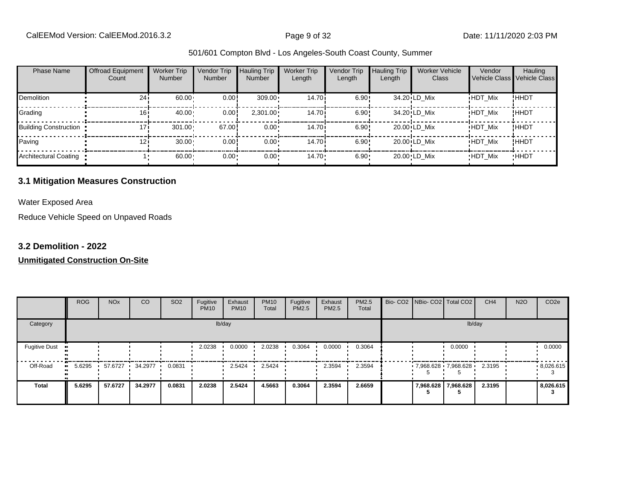| <b>Phase Name</b>            | <b>Offroad Equipment</b><br>Count | <b>Worker Trip</b><br><b>Number</b> | <b>Vendor Trip</b><br><b>Number</b> | <b>Hauling Trip</b><br><b>Number</b> | <b>Worker Trip</b><br>Length | <b>Vendor Trip</b><br>Length | <b>Hauling Trip</b><br>Length | <b>Worker Vehicle</b><br>Class | Vendor         | Hauling<br>Vehicle Class Vehicle Class |
|------------------------------|-----------------------------------|-------------------------------------|-------------------------------------|--------------------------------------|------------------------------|------------------------------|-------------------------------|--------------------------------|----------------|----------------------------------------|
| <b>Demolition</b>            | 24i                               | 60.00                               | 0.00                                | $309.00 \cdot$                       | 14.70i                       | 6.90!                        |                               | 34.20 LD Mix                   | <b>HDT Mix</b> | !HHDT                                  |
| Grading                      | 16i                               | 40.00                               | 0.00                                | $2,301.00 \cdot$                     | 14.70i                       | 6.90!                        |                               | 34.20 LD Mix                   | <b>HDT Mix</b> | !HHDT                                  |
| <b>Building Construction</b> | 17i                               | 301.00                              | 67.00                               | $0.00 \cdot$                         | 14.70 <sup>i</sup>           | 6.90!                        |                               | $20.00$ LD Mix                 | <b>HDT Mix</b> | !HHDT                                  |
| Paving                       | 121                               | 30.00                               | 0.00                                | $0.00 \cdot$                         | 14.70 <sup>i</sup>           | 6.90!                        |                               | $20.00$ LD Mix                 | <b>HDT Mix</b> | !HHDT                                  |
| Architectural Coating        |                                   | 60.00                               | 0.00                                | $0.00 \cdot$                         | $14.70 \cdot$                | $6.90 -$                     |                               | 20.00 LD Mix                   | <b>HDT Mix</b> | <b>HHDT</b>                            |

#### **3.1 Mitigation Measures Construction**

Water Exposed Area

Reduce Vehicle Speed on Unpaved Roads

#### **3.2 Demolition - 2022**

|                      | <b>ROG</b> | <b>NO<sub>x</sub></b> | CO      | SO <sub>2</sub> | Fugitive<br><b>PM10</b> | Exhaust<br><b>PM10</b> | <b>PM10</b><br>Total | Fugitive<br>PM2.5 | Exhaust<br>PM2.5 | PM2.5<br>Total |  | Bio- CO2   NBio- CO2   Total CO2 | CH <sub>4</sub> | <b>N2O</b> | CO <sub>2e</sub> |
|----------------------|------------|-----------------------|---------|-----------------|-------------------------|------------------------|----------------------|-------------------|------------------|----------------|--|----------------------------------|-----------------|------------|------------------|
| Category             |            |                       |         |                 |                         | lb/day                 |                      |                   |                  |                |  | lb/day                           |                 |            |                  |
| <b>Fugitive Dust</b> |            |                       |         |                 | 2.0238                  | 0.0000                 | 2.0238               | 0.3064            | 0.0000           | 0.3064         |  | 0.0000                           |                 |            | 0.0000           |
| Off-Road             | 5.6295     | 57.6727<br>. .        | 34.2977 | 0.0831          |                         | 2.5424                 | 2.5424               |                   | 2.3594           | 2.3594         |  | $7,968.628$ 7,968.628            | 2.3195          |            | .8,026.615       |
| <b>Total</b>         | 5.6295     | 57.6727               | 34.2977 | 0.0831          | 2.0238                  | 2.5424                 | 4.5663               | 0.3064            | 2.3594           | 2.6659         |  | 7,968.628 7,968.628              | 2.3195          |            | 8,026.615        |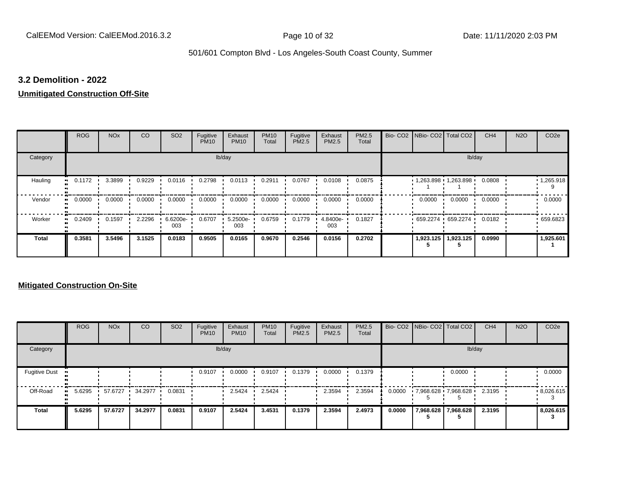#### **3.2 Demolition - 2022**

#### **Unmitigated Construction Off-Site**

|                      | <b>ROG</b> | <b>NO<sub>x</sub></b> | CO     | SO <sub>2</sub> | Fugitive<br><b>PM10</b> | Exhaust<br><b>PM10</b> | <b>PM10</b><br>Total | Fugitive<br>PM2.5 | Exhaust<br>PM2.5 | PM2.5<br>Total | Bio- CO2 NBio- CO2 Total CO2 |           | CH <sub>4</sub> | <b>N2O</b> | CO <sub>2e</sub>  |
|----------------------|------------|-----------------------|--------|-----------------|-------------------------|------------------------|----------------------|-------------------|------------------|----------------|------------------------------|-----------|-----------------|------------|-------------------|
| Category             |            |                       |        |                 |                         | lb/day                 |                      |                   |                  |                |                              | lb/day    |                 |            |                   |
| Hauling<br>$\bullet$ | 0.1172     | 3.3899                | 0.9229 | 0.0116          | 0.2798                  | 0.0113                 | 0.2911               | 0.0767            | 0.0108           | 0.0875         | $1,263.898$ $1,263.898$      |           | 0.0808          |            | $\cdot$ 1,265.918 |
| Vendor<br>$\bullet$  | 0.0000     | 0.0000                | 0.0000 | 0.0000          | 0.0000                  | 0.0000                 | 0.0000               | 0.0000            | 0.0000           | 0.0000         | 0.0000                       | 0.0000    | 0.0000          |            | 0.0000            |
| Worker<br>$\bullet$  | 0.2409     | 0.1597                | 2.2296 | 6.6200e-<br>003 | 0.6707                  | 5.2500e-<br>003        | 0.6759               | 0.1779            | 4.8400e-<br>003  | 0.1827         | $659.2274$ 659.2274          |           | 0.0182          |            | .659.6823         |
| <b>Total</b>         | 0.3581     | 3.5496                | 3.1525 | 0.0183          | 0.9505                  | 0.0165                 | 0.9670               | 0.2546            | 0.0156           | 0.2702         | 1,923.125                    | 1,923.125 | 0.0990          |            | 1,925.601         |

|                      | <b>ROG</b> | <b>NO<sub>x</sub></b> | CO      | SO <sub>2</sub> | Fugitive<br><b>PM10</b> | Exhaust<br><b>PM10</b> | <b>PM10</b><br>Total | Fugitive<br><b>PM2.5</b> | Exhaust<br><b>PM2.5</b> | PM2.5<br>Total |        | Bio- CO2   NBio- CO2   Total CO2 |                     | CH <sub>4</sub> | <b>N2O</b> | CO <sub>2e</sub> |
|----------------------|------------|-----------------------|---------|-----------------|-------------------------|------------------------|----------------------|--------------------------|-------------------------|----------------|--------|----------------------------------|---------------------|-----------------|------------|------------------|
| Category             |            |                       |         |                 |                         | lb/day                 |                      |                          |                         |                |        |                                  | lb/day              |                 |            |                  |
| <b>Fugitive Dust</b> |            |                       |         |                 | 0.9107                  | 0.0000                 | 0.9107               | 0.1379                   | 0.0000                  | 0.1379         |        |                                  | 0.0000              |                 |            | 0.0000           |
| Off-Road             | 5.6295     | 57.6727               | 34.2977 | 0.0831          |                         | 2.5424                 | 2.5424               |                          | 2.3594                  | 2.3594         | 0.0000 | 7,968.628 7,968.628              |                     | 2.3195          |            | .8,026.615       |
| <b>Total</b>         | 5.6295     | 57.6727               | 34.2977 | 0.0831          | 0.9107                  | 2.5424                 | 3.4531               | 0.1379                   | 2.3594                  | 2.4973         | 0.0000 |                                  | 7,968.628 7,968.628 | 2.3195          |            | 8,026.615        |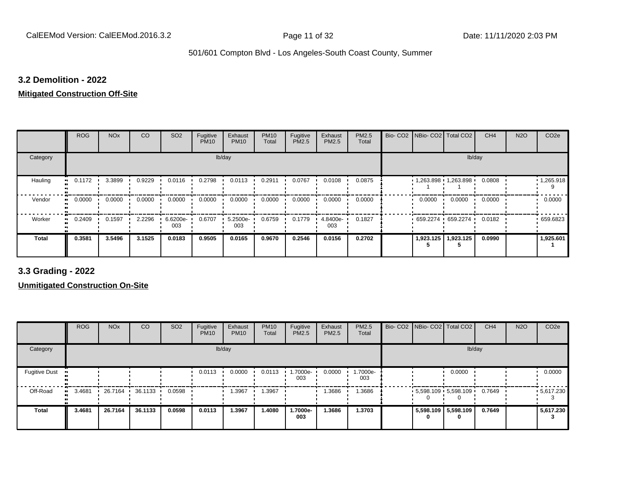#### **3.2 Demolition - 2022**

#### **Mitigated Construction Off-Site**

|                            | <b>ROG</b> | <b>NO<sub>x</sub></b> | CO     | SO <sub>2</sub> | Fugitive<br><b>PM10</b> | Exhaust<br><b>PM10</b> | <b>PM10</b><br>Total | Fugitive<br>PM2.5 | Exhaust<br>PM2.5 | PM2.5<br>Total | Bio- CO2   NBio- CO2   Total CO2 |           | CH <sub>4</sub> | <b>N2O</b> | CO <sub>2e</sub> |
|----------------------------|------------|-----------------------|--------|-----------------|-------------------------|------------------------|----------------------|-------------------|------------------|----------------|----------------------------------|-----------|-----------------|------------|------------------|
| Category                   |            |                       |        |                 |                         | lb/day                 |                      |                   |                  |                |                                  | lb/day    |                 |            |                  |
| Hauling<br>$\bullet$       | 0.1172     | 3.3899                | 0.9229 | 0.0116          | 0.2798                  | 0.0113                 | 0.2911               | 0.0767            | 0.0108           | 0.0875         | $1,263.898$ $1,263.898$          |           | 0.0808          |            | 1,265.918        |
| Vendor<br>$\bullet\bullet$ | 0.0000     | 0.0000                | 0.0000 | 0.0000          | 0.0000                  | 0.0000                 | 0.0000               | 0.0000            | 0.0000           | 0.0000         | 0.0000                           | 0.0000    | 0.0000          |            | 0.0000           |
| Worker<br>$\bullet$        | 0.2409     | 0.1597                | 2.2296 | 6.6200e-<br>003 | 0.6707                  | 5.2500e-<br>003        | 0.6759               | 0.1779            | 4.8400e-<br>003  | 0.1827         | $659.2274$ 659.2274              |           | 0.0182          |            | .659.6823        |
| <b>Total</b>               | 0.3581     | 3.5496                | 3.1525 | 0.0183          | 0.9505                  | 0.0165                 | 0.9670               | 0.2546            | 0.0156           | 0.2702         | 1,923.125                        | 1,923.125 | 0.0990          |            | 1,925.601        |

**3.3 Grading - 2022**

|                      | <b>ROG</b> | <b>NO<sub>x</sub></b> | CO      | SO <sub>2</sub> | Fugitive<br><b>PM10</b> | Exhaust<br><b>PM10</b> | <b>PM10</b><br>Total | Fugitive<br><b>PM2.5</b> | Exhaust<br>PM2.5 | PM2.5<br>Total  | Bio- CO2 NBio- CO2 Total CO2 |                         | CH <sub>4</sub> | <b>N2O</b> | CO <sub>2e</sub> |
|----------------------|------------|-----------------------|---------|-----------------|-------------------------|------------------------|----------------------|--------------------------|------------------|-----------------|------------------------------|-------------------------|-----------------|------------|------------------|
| Category             |            |                       |         |                 |                         | lb/day                 |                      |                          |                  |                 |                              | lb/day                  |                 |            |                  |
| <b>Fugitive Dust</b> |            |                       |         |                 | 0.0113                  | 0.0000                 | 0.0113               | 1.7000e-<br>003          | 0.0000           | 1.7000e-<br>003 |                              | 0.0000                  |                 |            | 0.0000           |
| Off-Road             | 3.4681     | 26.7164               | 36.1133 | 0.0598          |                         | 1.3967                 | 1.3967               |                          | 1.3686           | 1.3686          |                              | $5,598.109$ $5,598.109$ | 0.7649          |            | .5617.230        |
| <b>Total</b>         | 3.4681     | 26.7164               | 36.1133 | 0.0598          | 0.0113                  | 1.3967                 | 1.4080               | 1.7000e-<br>003          | 1.3686           | 1.3703          | 0                            | 5,598.109 5,598.109     | 0.7649          |            | 5,617.230        |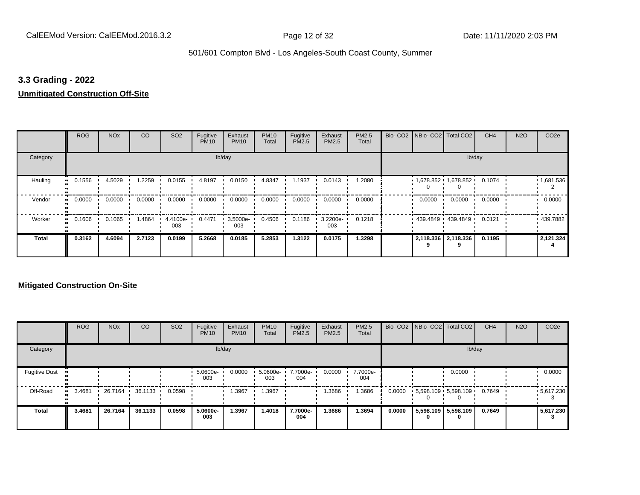#### **3.3 Grading - 2022**

#### **Unmitigated Construction Off-Site**

|                      | <b>ROG</b>                 | <b>NO<sub>x</sub></b> | CO     | SO <sub>2</sub> | Fugitive<br><b>PM10</b> | Exhaust<br><b>PM10</b> | <b>PM10</b><br>Total | Fugitive<br>PM2.5 | Exhaust<br>PM2.5 | PM2.5<br>Total | Bio- CO2   NBio- CO2   Total CO2 |                     | CH <sub>4</sub> | <b>N2O</b> | CO <sub>2e</sub> |
|----------------------|----------------------------|-----------------------|--------|-----------------|-------------------------|------------------------|----------------------|-------------------|------------------|----------------|----------------------------------|---------------------|-----------------|------------|------------------|
| Category             |                            |                       |        |                 |                         | lb/day                 |                      |                   |                  |                |                                  |                     | lb/day          |            |                  |
| Hauling<br>$\bullet$ | 0.1556                     | 4.5029                | 1.2259 | 0.0155          | 4.8197                  | 0.0150                 | 4.8347               | 1.1937            | 0.0143           | 1.2080         | $1,678.852$ $1,678.852$          |                     | 0.1074          |            | 1,681.536        |
| Vendor               | 0.0000<br>$\bullet$        | 0.0000                | 0.0000 | 0.0000          | 0.0000                  | 0.0000                 | 0.0000               | 0.0000            | 0.0000           | 0.0000         | 0.0000                           | 0.0000              | 0.0000          |            | 0.0000           |
| Worker               | 0.1606<br>$\bullet\bullet$ | 0.1065                | 1.4864 | 4.4100e-<br>003 | 0.4471                  | 3.5000e-<br>003        | 0.4506               | 0.1186            | 3.2200e-<br>003  | 0.1218         |                                  | 439.4849 439.4849 ' | 0.0121          |            | 439.7882         |
| <b>Total</b>         | 0.3162                     | 4.6094                | 2.7123 | 0.0199          | 5.2668                  | 0.0185                 | 5.2853               | 1.3122            | 0.0175           | 1.3298         |                                  | 2,118.336 2,118.336 | 0.1195          |            | 2,121.324        |

|                      | <b>ROG</b> | <b>NO<sub>x</sub></b> | <b>CO</b> | SO <sub>2</sub> | Fugitive<br><b>PM10</b> | Exhaust<br><b>PM10</b> | <b>PM10</b><br>Total | Fugitive<br><b>PM2.5</b> | Exhaust<br><b>PM2.5</b> | PM2.5<br>Total  |        |   | Bio- CO2   NBio- CO2   Total CO2 | CH <sub>4</sub> | <b>N2O</b> | CO <sub>2e</sub> |
|----------------------|------------|-----------------------|-----------|-----------------|-------------------------|------------------------|----------------------|--------------------------|-------------------------|-----------------|--------|---|----------------------------------|-----------------|------------|------------------|
| Category             |            |                       |           |                 |                         | lb/day                 |                      |                          |                         |                 |        |   | lb/day                           |                 |            |                  |
| <b>Fugitive Dust</b> |            |                       |           |                 | 5.0600e-<br>003         | 0.0000                 | 5.0600e-<br>003      | 7.7000e-<br>004          | 0.0000                  | 7.7000e-<br>004 |        |   | 0.0000                           |                 |            | 0.0000           |
| Off-Road             | 3.4681<br> | 26.7164               | 36.1133   | 0.0598          |                         | .3967                  | 1.3967               |                          | 1.3686                  | 1.3686          | 0.0000 |   | $5,598.109$ $5,598.109$          | 0.7649          |            | $-5,617.230$     |
| Total                | 3.4681     | 26.7164               | 36.1133   | 0.0598          | 5.0600e-<br>003         | 1.3967                 | 1.4018               | 7.7000e-<br>004          | 1.3686                  | 1.3694          | 0.0000 | 0 | 5,598.109 5,598.109<br>0         | 0.7649          |            | 5,617.230        |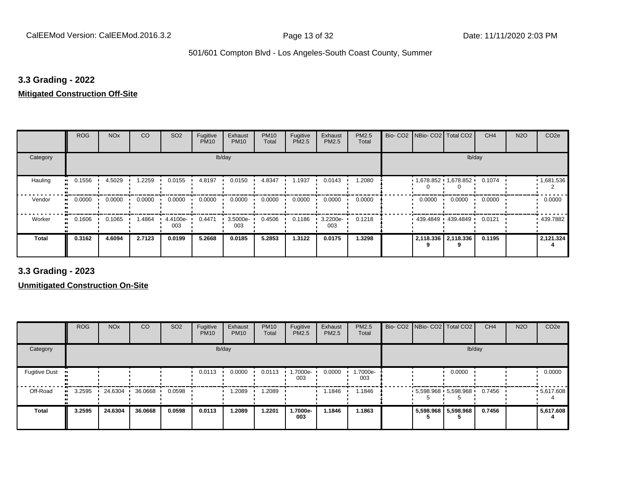#### **3.3 Grading - 2022**

#### **Mitigated Construction Off-Site**

|                     | <b>ROG</b> | <b>NO<sub>x</sub></b> | CO     | SO <sub>2</sub> | Fugitive<br><b>PM10</b> | Exhaust<br><b>PM10</b> | <b>PM10</b><br>Total | Fugitive<br>PM2.5 | Exhaust<br>PM2.5 | PM2.5<br>Total | Bio- CO2   NBio- CO2   Total CO2 |                         | CH <sub>4</sub> | <b>N2O</b> | CO <sub>2e</sub> |
|---------------------|------------|-----------------------|--------|-----------------|-------------------------|------------------------|----------------------|-------------------|------------------|----------------|----------------------------------|-------------------------|-----------------|------------|------------------|
| Category            |            |                       |        |                 | lb/day                  |                        |                      |                   |                  |                |                                  | lb/day                  |                 |            |                  |
| Hauling             | 0.1556     | 4.5029                | 1.2259 | 0.0155          | 4.8197                  | 0.0150                 | 4.8347               | 1.1937            | 0.0143           | 1.2080         |                                  | $1,678.852$ $1,678.852$ | 0.1074          |            | 1,681.536        |
| Vendor<br>$\bullet$ | 0.0000     | 0.0000                | 0.0000 | 0.0000          | 0.0000                  | 0.0000                 | 0.0000               | 0.0000            | 0.0000           | 0.0000         | 0.0000                           | 0.0000                  | 0.0000          |            | 0.0000           |
| Worker<br>$\bullet$ | 0.1606     | 0.1065                | 1.4864 | 4.4100e-<br>003 | 0.4471                  | 3.5000e-<br>003        | 0.4506               | 0.1186            | 3.2200e-<br>003  | 0.1218         |                                  | 439.4849 439.4849 '     | 0.0121          |            | 439.7882         |
| <b>Total</b>        | 0.3162     | 4.6094                | 2.7123 | 0.0199          | 5.2668                  | 0.0185                 | 5.2853               | 1.3122            | 0.0175           | 1.3298         |                                  | 2,118.336 2,118.336     | 0.1195          |            | 2,121.324        |

**3.3 Grading - 2023**

|                      | <b>ROG</b> | <b>NO<sub>x</sub></b> | CO      | SO <sub>2</sub> | Fugitive<br><b>PM10</b> | Exhaust<br><b>PM10</b> | <b>PM10</b><br>Total | Fugitive<br><b>PM2.5</b> | Exhaust<br>PM2.5 | PM2.5<br>Total  | Bio- CO2 NBio- CO2 Total CO2 |                       | CH <sub>4</sub> | <b>N2O</b> | CO <sub>2e</sub>  |
|----------------------|------------|-----------------------|---------|-----------------|-------------------------|------------------------|----------------------|--------------------------|------------------|-----------------|------------------------------|-----------------------|-----------------|------------|-------------------|
| Category             |            |                       |         |                 |                         | lb/day                 |                      |                          |                  |                 |                              | lb/day                |                 |            |                   |
| <b>Fugitive Dust</b> |            |                       |         |                 | 0.0113                  | 0.0000                 | 0.0113               | 1.7000e-<br>003          | 0.0000           | 1.7000e-<br>003 |                              | 0.0000                |                 |            | 0.0000            |
| Off-Road             | 3.2595     | 24.6304               | 36.0668 | 0.0598          |                         | 1.2089                 | 1.2089               |                          | 1.1846           | 1.1846          |                              | $5,598.968$ 5,598.968 | 0.7456          |            | $\cdot$ 5,617.608 |
| <b>Total</b>         | 3.2595     | 24.6304               | 36.0668 | 0.0598          | 0.0113                  | 1.2089                 | 1.2201               | 1.7000e-<br>003          | 1.1846           | 1.1863          |                              | 5,598.968 5,598.968   | 0.7456          |            | 5,617.608         |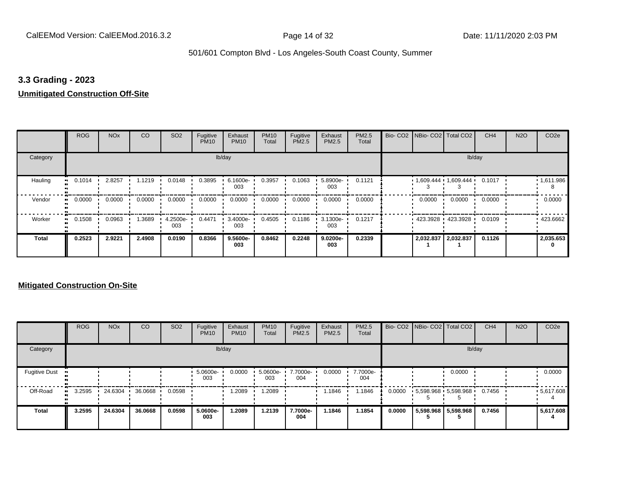#### **3.3 Grading - 2023**

## **Unmitigated Construction Off-Site**

|                      | <b>ROG</b>                 | <b>NO<sub>x</sub></b> | CO     | SO <sub>2</sub> | Fugitive<br><b>PM10</b> | Exhaust<br><b>PM10</b> | <b>PM10</b><br>Total | Fugitive<br>PM2.5 | Exhaust<br>PM2.5 | PM2.5<br>Total | Bio- CO2   NBio- CO2   Total CO2 |                     | CH <sub>4</sub> | <b>N2O</b> | CO <sub>2e</sub> |
|----------------------|----------------------------|-----------------------|--------|-----------------|-------------------------|------------------------|----------------------|-------------------|------------------|----------------|----------------------------------|---------------------|-----------------|------------|------------------|
| Category             |                            |                       |        |                 |                         | lb/day                 |                      |                   |                  |                |                                  |                     | lb/day          |            |                  |
| Hauling<br>$\bullet$ | 0.1014                     | 2.8257                | 1.1219 | 0.0148          | 0.3895                  | 6.1600e-<br>003        | 0.3957               | 0.1063            | 5.8900e-<br>003  | 0.1121         | $1,609.444$ $1,609.444$ $1$      |                     | 0.1017          |            | 1,611.986        |
| Vendor               | 0.0000<br>$\bullet$        | 0.0000                | 0.0000 | 0.0000          | 0.0000                  | 0.0000                 | 0.0000               | 0.0000            | 0.0000           | 0.0000         | 0.0000                           | 0.0000              | 0.0000          |            | 0.0000           |
| Worker               | 0.1508<br>$\bullet\bullet$ | 0.0963                | .3689  | 4.2500e-<br>003 | 0.4471                  | 3.4000e-<br>003        | 0.4505               | 0.1186            | 3.1300e-<br>003  | 0.1217         |                                  | 423.3928 423.3928 ' | 0.0109          |            | 423.6662         |
| <b>Total</b>         | 0.2523                     | 2.9221                | 2.4908 | 0.0190          | 0.8366                  | 9.5600e-<br>003        | 0.8462               | 0.2248            | 9.0200e-<br>003  | 0.2339         |                                  | 2,032.837 2,032.837 | 0.1126          |            | 2,035.653        |

|                      | <b>ROG</b> | <b>NO<sub>x</sub></b> | CO      | SO <sub>2</sub> | Fugitive<br><b>PM10</b> | Exhaust<br><b>PM10</b> | <b>PM10</b><br>Total | Fugitive<br>PM2.5 | Exhaust<br><b>PM2.5</b> | PM2.5<br>Total  |        | Bio- CO2   NBio- CO2   Total CO2 | CH <sub>4</sub> | <b>N2O</b> | CO <sub>2e</sub> |
|----------------------|------------|-----------------------|---------|-----------------|-------------------------|------------------------|----------------------|-------------------|-------------------------|-----------------|--------|----------------------------------|-----------------|------------|------------------|
| Category             |            |                       |         |                 |                         | lb/day                 |                      |                   |                         |                 |        | lb/day                           |                 |            |                  |
| <b>Fugitive Dust</b> |            |                       |         |                 | 5.0600e-<br>003         | 0.0000                 | 5.0600e-<br>003      | 7.7000e-<br>004   | 0.0000                  | 7.7000e-<br>004 |        | 0.0000                           |                 |            | 0.0000           |
| Off-Road             | 3.2595     | 24.6304               | 36.0668 | 0.0598          |                         | 1.2089                 | .2089                |                   | 1.1846                  | .1846           | 0.0000 | 5,598.968 5,598.968              | 0.7456          |            | .5617.608        |
| <b>Total</b>         | 3.2595     | 24.6304               | 36.0668 | 0.0598          | 5.0600e-<br>003         | 1.2089                 | 1.2139               | 7.7000e-<br>004   | 1.1846                  | 1.1854          | 0.0000 | 5,598.968 5,598.968              | 0.7456          |            | 5,617.608        |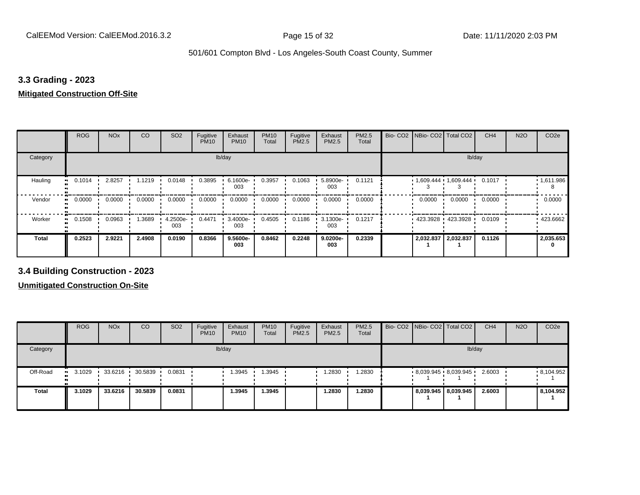#### **3.3 Grading - 2023**

#### **Mitigated Construction Off-Site**

|                     | <b>ROG</b> | <b>NO<sub>x</sub></b> | CO     | SO <sub>2</sub> | Fugitive<br><b>PM10</b> | Exhaust<br><b>PM10</b> | <b>PM10</b><br>Total | Fugitive<br>PM2.5 | Exhaust<br>PM2.5 | PM2.5<br>Total | Bio-CO <sub>2</sub> | NBio- CO2   Total CO2       |                   | CH <sub>4</sub> | <b>N2O</b> | CO <sub>2e</sub> |
|---------------------|------------|-----------------------|--------|-----------------|-------------------------|------------------------|----------------------|-------------------|------------------|----------------|---------------------|-----------------------------|-------------------|-----------------|------------|------------------|
| Category            |            |                       |        |                 |                         | lb/day                 |                      |                   |                  |                |                     |                             | lb/day            |                 |            |                  |
| Hauling             | 0.1014     | 2.8257                | 1.1219 | 0.0148          | 0.3895                  | 6.1600e-<br>003        | 0.3957               | 0.1063            | 5.8900e-<br>003  | 0.1121         |                     | $1,609.444$ $1,609.444$ $1$ |                   | 0.1017          |            | 1,611.986        |
| Vendor<br>$\bullet$ | 0.0000     | 0.0000                | 0.0000 | 0.0000          | 0.0000                  | 0.0000                 | 0.0000               | 0.0000            | 0.0000           | 0.0000         |                     | 0.0000                      | 0.0000            | 0.0000          |            | 0.0000           |
| Worker<br>$\bullet$ | 0.1508     | 0.0963                | 1.3689 | 4.2500e-<br>003 | 0.4471                  | 3.4000e-<br>003        | 0.4505               | 0.1186            | 3.1300e-<br>003  | 0.1217         |                     |                             | 423.3928 423.3928 | 0.0109          |            | 423.6662         |
| Total               | 0.2523     | 2.9221                | 2.4908 | 0.0190          | 0.8366                  | 9.5600e-<br>003        | 0.8462               | 0.2248            | 9.0200e-<br>003  | 0.2339         |                     | 2,032.837 2,032.837         |                   | 0.1126          |            | 2,035.653        |

**3.4 Building Construction - 2023**

|              | <b>ROG</b>             | <b>NO<sub>x</sub></b> | CO                | SO <sub>2</sub> | Fugitive<br><b>PM10</b> | Exhaust<br><b>PM10</b> | <b>PM10</b><br>Total | Fugitive<br><b>PM2.5</b> | Exhaust<br>PM2.5 | <b>PM2.5</b><br>Total |  | Bio- CO2   NBio- CO2   Total CO2 | CH <sub>4</sub> | <b>N2O</b> | CO <sub>2e</sub> |
|--------------|------------------------|-----------------------|-------------------|-----------------|-------------------------|------------------------|----------------------|--------------------------|------------------|-----------------------|--|----------------------------------|-----------------|------------|------------------|
| Category     |                        |                       |                   |                 |                         | lb/day                 |                      |                          |                  |                       |  |                                  | lb/day          |            |                  |
| Off-Road     | 3.1029<br>$\mathbf{H}$ | 33.6216               | $30.5839$ $\cdot$ | 0.0831          |                         | .3945                  | 1.3945               |                          | 1.2830           | 1.2830                |  | $8,039.945$ $8,039.945$          | 2.6003          |            | .8,104.952       |
| <b>Total</b> | 3.1029                 | 33.6216               | 30.5839           | 0.0831          |                         | 1.3945                 | 1.3945               |                          | 1.2830           | 1.2830                |  | 8,039.945   8,039.945            | 2.6003          |            | 8,104.952        |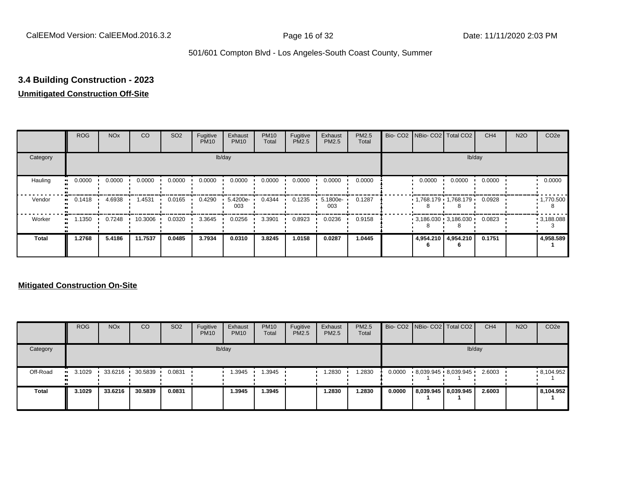## **3.4 Building Construction - 2023**

## **Unmitigated Construction Off-Site**

|                     | <b>ROG</b>          | <b>NO<sub>x</sub></b> | CO      | SO <sub>2</sub> | Fugitive<br><b>PM10</b> | Exhaust<br><b>PM10</b> | <b>PM10</b><br>Total | Fugitive<br><b>PM2.5</b> | Exhaust<br>PM2.5 | PM2.5<br>Total | Bio- CO2   NBio- CO2   Total CO2 |                     | CH <sub>4</sub> | <b>N2O</b> | CO <sub>2e</sub>  |
|---------------------|---------------------|-----------------------|---------|-----------------|-------------------------|------------------------|----------------------|--------------------------|------------------|----------------|----------------------------------|---------------------|-----------------|------------|-------------------|
| Category            |                     |                       |         |                 |                         | lb/day                 |                      |                          |                  |                |                                  |                     | lb/day          |            |                   |
| Hauling<br>œ        | 0.0000              | 0.0000                | 0.0000  | 0.0000          | 0.0000                  | 0.0000                 | 0.0000               | 0.0000                   | 0.0000           | 0.0000         | 0.0000                           | 0.0000              | 0.0000          |            | 0.0000            |
| Vendor              | 0.1418<br>$\bullet$ | 4.6938                | 1.4531  | 0.0165          | 0.4290                  | $5.4200e -$<br>003     | 0.4344               | 0.1235                   | 5.1800e-<br>003  | 0.1287         | $1,768.179$ $1,768.179$          |                     | 0.0928          |            | $\cdot$ 1,770.500 |
| Worker<br>$\bullet$ | 1.1350              | 0.7248                | 10.3006 | 0.0320          | 3.3645                  | 0.0256                 | 3.3901               | 0.8923                   | 0.0236           | 0.9158         | $3,186.030$ $3,186.030$          |                     | 0.0823          |            | .3,188.088        |
| <b>Total</b>        | 1.2768              | 5.4186                | 11.7537 | 0.0485          | 3.7934                  | 0.0310                 | 3.8245               | 1.0158                   | 0.0287           | 1.0445         |                                  | 4,954.210 4,954.210 | 0.1751          |            | 4,958.589         |

|              | <b>ROG</b>     | <b>NO<sub>x</sub></b> | CO      | SO <sub>2</sub> | Fugitive<br><b>PM10</b> | Exhaust<br><b>PM10</b> | <b>PM10</b><br><b>Total</b> | Fugitive<br>PM2.5 | Exhaust<br><b>PM2.5</b> | <b>PM2.5</b><br>Total |        | Bio- CO2   NBio- CO2   Total CO2 | CH <sub>4</sub> | <b>N2O</b> | CO <sub>2e</sub> |
|--------------|----------------|-----------------------|---------|-----------------|-------------------------|------------------------|-----------------------------|-------------------|-------------------------|-----------------------|--------|----------------------------------|-----------------|------------|------------------|
| Category     |                |                       |         |                 |                         | lb/day                 |                             |                   |                         |                       |        | lb/day                           |                 |            |                  |
| Off-Road     | $\cdot$ 3.1029 | 33.6216               | 30.5839 | 0.0831          |                         | 1.3945                 | .3945                       |                   | 1.2830                  | .2830                 | 0.0000 | 8,039.945 8,039.945              | 2.6003          |            | .8,104.952       |
| <b>Total</b> | 3.1029         | 33.6216               | 30.5839 | 0.0831          |                         | 1.3945                 | .3945                       |                   | 1.2830                  | 1.2830                | 0.0000 | 8,039.945   8,039.945            | 2.6003          |            | 8,104.952        |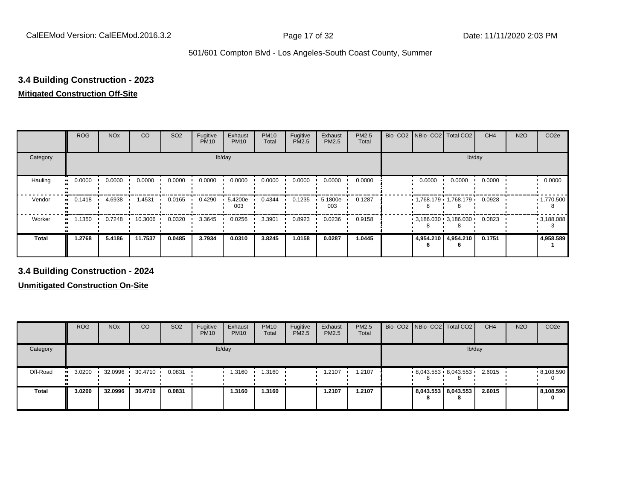## **3.4 Building Construction - 2023**

#### **Mitigated Construction Off-Site**

|                           | <b>ROG</b> | <b>NO<sub>x</sub></b> | <b>CO</b> | SO <sub>2</sub> | Fugitive<br><b>PM10</b> | Exhaust<br><b>PM10</b> | <b>PM10</b><br>Total | Fugitive<br>PM2.5 | Exhaust<br>PM2.5 | PM2.5<br>Total | Bio- CO2   NBio- CO2   Total CO2 |                     | CH <sub>4</sub> | <b>N2O</b> | CO <sub>2e</sub>  |
|---------------------------|------------|-----------------------|-----------|-----------------|-------------------------|------------------------|----------------------|-------------------|------------------|----------------|----------------------------------|---------------------|-----------------|------------|-------------------|
| Category                  |            |                       |           |                 |                         | lb/day                 |                      |                   |                  |                |                                  | lb/day              |                 |            |                   |
| Hauling<br>$\blacksquare$ | 0.0000     | 0.0000                | 0.0000    | 0.0000          | 0.0000                  | 0.0000                 | 0.0000               | 0.0000            | 0.0000           | 0.0000         | 0.0000                           | 0.0000              | 0.0000          |            | 0.0000            |
| Vendor<br>$\bullet$       | 0.1418     | 4.6938                | 1.4531    | 0.0165          | 0.4290                  | 5.4200e-<br>003        | 0.4344               | 0.1235            | 5.1800e-<br>003  | 0.1287         | $1,768.179$ 1,768.179            |                     | 0.0928          |            | $\cdot$ 1,770.500 |
| Worker<br>$\bullet$       | 1.1350     | 0.7248                | 10.3006   | 0.0320          | 3.3645                  | 0.0256                 | 3.3901               | 0.8923            | 0.0236           | 0.9158         | $3,186.030$ $3,186.030$          |                     | 0.0823          |            | .3,188.088        |
| <b>Total</b>              | 1.2768     | 5.4186                | 11.7537   | 0.0485          | 3.7934                  | 0.0310                 | 3.8245               | 1.0158            | 0.0287           | 1.0445         |                                  | 4,954.210 4,954.210 | 0.1751          |            | 4,958.589         |

**3.4 Building Construction - 2024**

|              | <b>ROG</b>             | <b>NO<sub>x</sub></b> | CO      | SO <sub>2</sub> | Fugitive<br><b>PM10</b> | Exhaust<br><b>PM10</b> | <b>PM10</b><br>Total | Fugitive<br><b>PM2.5</b> | Exhaust<br><b>PM2.5</b> | <b>PM2.5</b><br>Total |   | Bio- CO2 NBio- CO2 Total CO2 | CH <sub>4</sub> | <b>N2O</b> | CO <sub>2e</sub> |
|--------------|------------------------|-----------------------|---------|-----------------|-------------------------|------------------------|----------------------|--------------------------|-------------------------|-----------------------|---|------------------------------|-----------------|------------|------------------|
| Category     |                        |                       |         |                 |                         | lb/day                 |                      |                          |                         |                       |   |                              | lb/day          |            |                  |
| Off-Road     | 3.0200<br>$\mathbf{u}$ | 32.0996               | 30.4710 | 0.0831          |                         | i.3160                 | 1.3160               |                          | 1.2107                  | 1.2107                | ŏ | $8,043.553$ $8,043.553$      | 2.6015          |            | .8,108.590       |
| <b>Total</b> | 3.0200                 | 32.0996               | 30.4710 | 0.0831          |                         | 1.3160                 | 1.3160               |                          | 1.2107                  | 1.2107                | 8 | 8,043.553 8,043.553<br>8     | 2.6015          |            | 8,108.590<br>0   |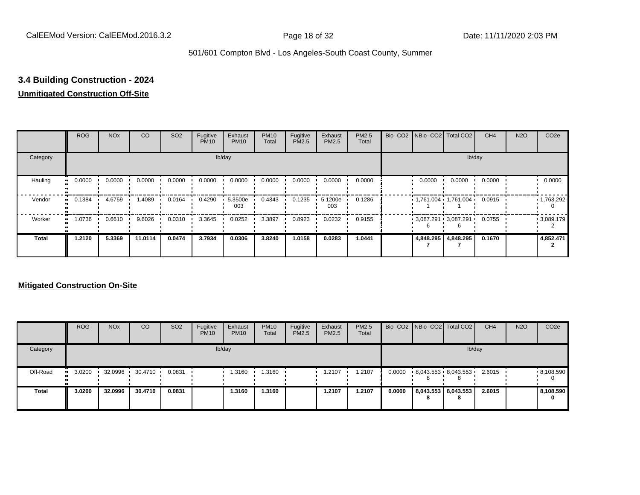## **3.4 Building Construction - 2024**

## **Unmitigated Construction Off-Site**

|                     | <b>ROG</b>          | <b>NO<sub>x</sub></b> | CO      | SO <sub>2</sub> | Fugitive<br><b>PM10</b> | Exhaust<br><b>PM10</b> | <b>PM10</b><br>Total | Fugitive<br><b>PM2.5</b> | Exhaust<br>PM2.5 | PM2.5<br>Total |        | Bio- CO2   NBio- CO2   Total CO2 | CH <sub>4</sub> | <b>N2O</b> | CO <sub>2e</sub> |
|---------------------|---------------------|-----------------------|---------|-----------------|-------------------------|------------------------|----------------------|--------------------------|------------------|----------------|--------|----------------------------------|-----------------|------------|------------------|
| Category            |                     |                       |         |                 |                         | lb/day                 |                      |                          |                  |                |        |                                  | lb/day          |            |                  |
| Hauling<br>œ        | 0.0000              | 0.0000                | 0.0000  | 0.0000          | 0.0000                  | 0.0000                 | 0.0000               | 0.0000                   | 0.0000           | 0.0000         | 0.0000 | 0.0000                           | 0.0000          |            | 0.0000           |
| Vendor              | 0.1384<br>$\bullet$ | 4.6759                | 1.4089  | 0.0164          | 0.4290                  | 5.3500e-<br>003        | 0.4343               | 0.1235                   | 5.1200e-<br>003  | 0.1286         |        | $1,761.004$ 1,761.004            | 0.0915          |            | .1,763.292       |
| Worker<br>$\bullet$ | 1.0736              | 0.6610                | 9.6026  | 0.0310          | 3.3645                  | 0.0252                 | 3.3897               | 0.8923                   | 0.0232           | 0.9155         |        | $3,087.291$ 3,087.291            | 0.0755          |            | .3089.179        |
| <b>Total</b>        | 1.2120              | 5.3369                | 11.0114 | 0.0474          | 3.7934                  | 0.0306                 | 3.8240               | 1.0158                   | 0.0283           | 1.0441         |        | 4,848.295 4,848.295              | 0.1670          |            | 4,852.471        |

|              | <b>ROG</b>           | <b>NO<sub>x</sub></b> | CO      | SO <sub>2</sub> | Fugitive<br><b>PM10</b> | Exhaust<br><b>PM10</b> | <b>PM10</b><br>Total | Fugitive<br><b>PM2.5</b> | Exhaust<br><b>PM2.5</b> | PM2.5<br>Total |        |                          | Bio- CO2   NBio- CO2   Total CO2 | CH <sub>4</sub> | <b>N2O</b> | CO <sub>2</sub> e |
|--------------|----------------------|-----------------------|---------|-----------------|-------------------------|------------------------|----------------------|--------------------------|-------------------------|----------------|--------|--------------------------|----------------------------------|-----------------|------------|-------------------|
| Category     |                      |                       |         |                 |                         | lb/day                 |                      |                          |                         |                |        |                          | lb/day                           |                 |            |                   |
| Off-Road     | 3.0200<br><b>COL</b> | 32.0996               | 30.4710 | 0.0831          |                         | 3160، ،                | 1.3160               |                          | 1.2107                  | .2107          | 0.0000 |                          | $8,043.553 \cdot 8,043.553$<br>o | 2.6015          |            | .8,108.590        |
| <b>Total</b> | 3.0200               | 32.0996               | 30.4710 | 0.0831          |                         | 1.3160                 | 1.3160               |                          | 1.2107                  | 1.2107         | 0.0000 | 8,043.553 8,043.553<br>8 |                                  | 2.6015          |            | 8,108.590<br>0    |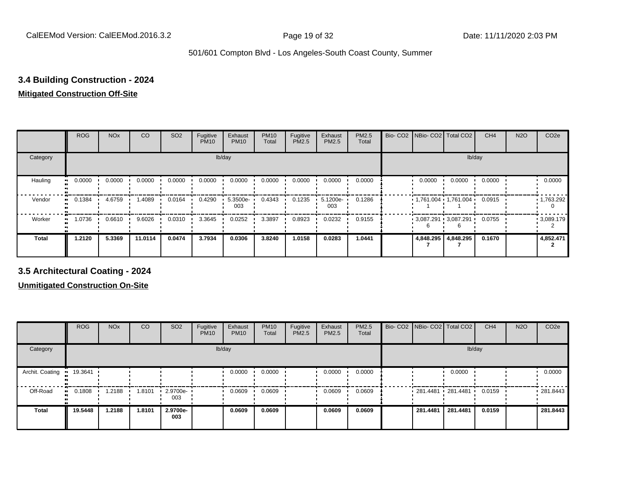## **3.4 Building Construction - 2024**

#### **Mitigated Construction Off-Site**

|                     | <b>ROG</b> | <b>NO<sub>x</sub></b> | CO      | SO <sub>2</sub> | Fugitive<br><b>PM10</b> | Exhaust<br><b>PM10</b> | <b>PM10</b><br>Total | Fugitive<br>PM2.5 | Exhaust<br>PM2.5 | PM2.5<br>Total | Bio-CO <sub>2</sub> | NBio- CO2   Total CO2                |                     | CH <sub>4</sub> | <b>N2O</b> | CO <sub>2e</sub> |
|---------------------|------------|-----------------------|---------|-----------------|-------------------------|------------------------|----------------------|-------------------|------------------|----------------|---------------------|--------------------------------------|---------------------|-----------------|------------|------------------|
| Category            |            |                       |         |                 | lb/day                  |                        |                      |                   |                  |                |                     |                                      | lb/day              |                 |            |                  |
| Hauling             | 0.0000     | 0.0000                | 0.0000  | 0.0000          | 0.0000                  | 0.0000                 | 0.0000               | 0.0000            | 0.0000           | 0.0000         |                     | 0.0000                               | 0.0000              | 0.0000          |            | 0.0000           |
| Vendor<br>$\bullet$ | 0.1384     | 4.6759                | 1.4089  | 0.0164          | 0.4290                  | 5.3500e-<br>003        | 0.4343               | 0.1235            | 5.1200e-<br>003  | 0.1286         |                     | $1,761.004$ 1,761.004 $\blacksquare$ |                     | 0.0915          |            | 1,763.292        |
| Worker              | 1.0736     | 0.6610                | 9.6026  | 0.0310          | 3.3645                  | 0.0252                 | 3.3897               | 0.8923            | 0.0232           | 0.9155         |                     | $3,087.291$ 3,087.291                |                     | 0.0755          |            | .3089.179        |
| <b>Total</b>        | 1.2120     | 5.3369                | 11.0114 | 0.0474          | 3.7934                  | 0.0306                 | 3.8240               | 1.0158            | 0.0283           | 1.0441         |                     |                                      | 4,848.295 4,848.295 | 0.1670          |            | 4,852.471        |

**3.5 Architectural Coating - 2024**

|                       | <b>ROG</b> | <b>NO<sub>x</sub></b> | <b>CO</b> | SO <sub>2</sub>         | Fugitive<br><b>PM10</b> | Exhaust<br><b>PM10</b> | <b>PM10</b><br>Total | Fugitive<br><b>PM2.5</b> | Exhaust<br><b>PM2.5</b> | <b>PM2.5</b><br>Total | Bio- CO2   NBio- CO2   Total CO2 |                     | CH <sub>4</sub> | <b>N2O</b> | CO <sub>2e</sub> |
|-----------------------|------------|-----------------------|-----------|-------------------------|-------------------------|------------------------|----------------------|--------------------------|-------------------------|-----------------------|----------------------------------|---------------------|-----------------|------------|------------------|
| Category              |            |                       |           |                         |                         | lb/day                 |                      |                          |                         |                       |                                  | lb/day              |                 |            |                  |
| Archit. Coating       | 19.3641    |                       |           |                         |                         | 0.0000                 | 0.0000               |                          | 0.0000                  | 0.0000                |                                  | 0.0000              |                 |            | 0.0000           |
| Off-Road<br>$\bullet$ | 0.1808     | 1.2188                | 1.8101    | $\cdot$ 2.9700e-<br>003 |                         | 0.0609                 | 0.0609               |                          | 0.0609                  | 0.0609                |                                  | 281.4481 281.4481 ' | 0.0159          |            | .281.8443        |
| <b>Total</b>          | 19.5448    | 1.2188                | 1.8101    | 2.9700e-<br>003         |                         | 0.0609                 | 0.0609               |                          | 0.0609                  | 0.0609                | 281.4481                         | 281.4481            | 0.0159          |            | 281.8443         |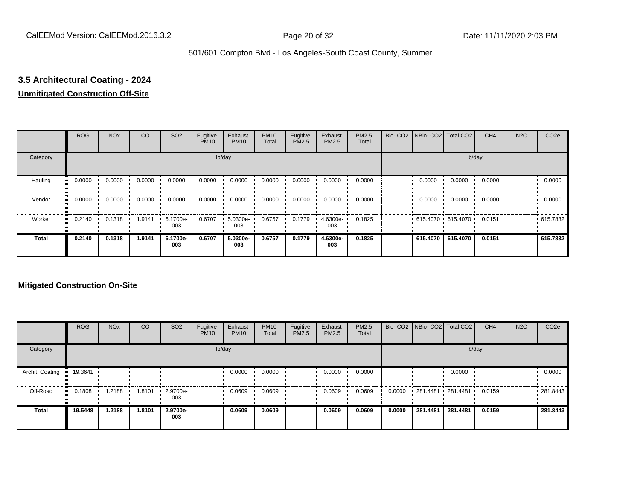# **3.5 Architectural Coating - 2024**

### **Unmitigated Construction Off-Site**

|                        | <b>ROG</b>          | <b>NO<sub>x</sub></b> | CO     | SO <sub>2</sub> | Fugitive<br><b>PM10</b> | Exhaust<br><b>PM10</b> | <b>PM10</b><br>Total | Fugitive<br><b>PM2.5</b> | Exhaust<br>PM2.5 | PM2.5<br>Total | Bio- CO2   NBio- CO2   Total CO2 |          | CH <sub>4</sub> | <b>N2O</b> | CO <sub>2e</sub> |
|------------------------|---------------------|-----------------------|--------|-----------------|-------------------------|------------------------|----------------------|--------------------------|------------------|----------------|----------------------------------|----------|-----------------|------------|------------------|
| Category               |                     |                       |        |                 |                         | lb/day                 |                      |                          |                  |                |                                  |          | lb/day          |            |                  |
| Hauling<br>œ           | 0.0000              | 0.0000                | 0.0000 | 0.0000          | 0.0000                  | 0.0000                 | 0.0000               | 0.0000                   | 0.0000           | 0.0000         | 0.0000                           | 0.0000   | 0.0000          |            | 0.0000           |
| Vendor                 | 0.0000<br>$\bullet$ | 0.0000                | 0.0000 | 0.0000          | 0.0000                  | 0.0000                 | 0.0000               | 0.0000                   | 0.0000           | 0.0000         | 0.0000                           | 0.0000   | 0.0000          |            | 0.0000           |
| Worker<br>$\mathbf{u}$ | 0.2140              | 0.1318                | 1.9141 | 6.1700e-<br>003 | 0.6707                  | 5.0300e-<br>003        | 0.6757               | 0.1779                   | 4.6300e-<br>003  | 0.1825         | 615.4070 615.4070                |          | 0.0151          |            | .615.7832        |
| <b>Total</b>           | 0.2140              | 0.1318                | 1.9141 | 6.1700e-<br>003 | 0.6707                  | 5.0300e-<br>003        | 0.6757               | 0.1779                   | 4.6300e-<br>003  | 0.1825         | 615.4070                         | 615.4070 | 0.0151          |            | 615.7832         |

|                 | <b>ROG</b>          | <b>NO<sub>x</sub></b> | CO     | SO <sub>2</sub> | Fugitive<br><b>PM10</b> | Exhaust<br><b>PM10</b> | <b>PM10</b><br>Total | Fugitive<br><b>PM2.5</b> | Exhaust<br><b>PM2.5</b> | <b>PM2.5</b><br>Total |        |                   | Bio- CO2 NBio- CO2 Total CO2 | CH <sub>4</sub> | <b>N2O</b> | CO <sub>2e</sub> |
|-----------------|---------------------|-----------------------|--------|-----------------|-------------------------|------------------------|----------------------|--------------------------|-------------------------|-----------------------|--------|-------------------|------------------------------|-----------------|------------|------------------|
| Category        |                     |                       |        |                 |                         | lb/day                 |                      |                          |                         |                       |        |                   | lb/day                       |                 |            |                  |
| Archit. Coating | 19.3641             |                       |        |                 |                         | 0.0000                 | 0.0000               |                          | 0.0000                  | 0.0000                |        |                   | 0.0000                       |                 |            | 0.0000           |
| Off-Road        | 0.1808<br>$\bullet$ | 1.2188                | 1.8101 | 2.9700e-<br>003 |                         | 0.0609                 | 0.0609               |                          | 0.0609                  | 0.0609                | 0.0000 | 281.4481 281.4481 |                              | 0.0159          |            | .281.8443        |
| <b>Total</b>    | 19.5448             | 1.2188                | 1.8101 | 2.9700e-<br>003 |                         | 0.0609                 | 0.0609               |                          | 0.0609                  | 0.0609                | 0.0000 | 281.4481          | 281.4481                     | 0.0159          |            | 281.8443         |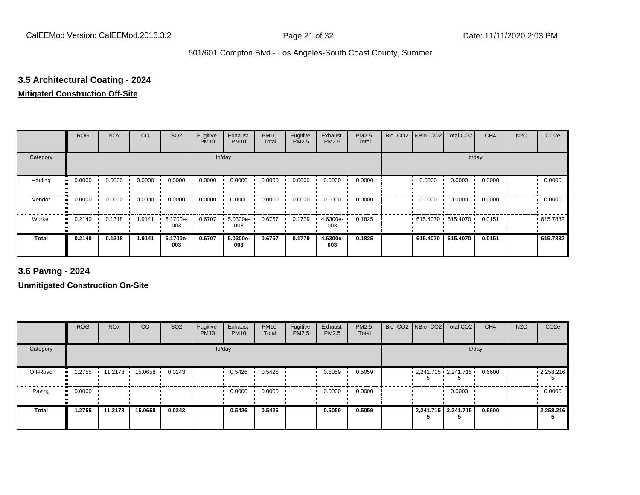# **3.5 Architectural Coating - 2024**

## **Mitigated Construction Off-Site**

|              | <b>ROG</b> | <b>NO<sub>x</sub></b> | CO     | SO <sub>2</sub> | Fugitive<br><b>PM10</b> | Exhaust<br><b>PM10</b> | <b>PM10</b><br>Total | Fugitive<br><b>PM2.5</b> | Exhaust<br>PM2.5 | <b>PM2.5</b><br>Total | Bio- CO2   NBio- CO2   Total CO2 |          | CH <sub>4</sub> | <b>N2O</b> | CO <sub>2e</sub> |
|--------------|------------|-----------------------|--------|-----------------|-------------------------|------------------------|----------------------|--------------------------|------------------|-----------------------|----------------------------------|----------|-----------------|------------|------------------|
| Category     |            |                       |        |                 |                         | lb/day                 |                      |                          |                  |                       |                                  |          | lb/day          |            |                  |
| Hauling      | 0.0000     | 0.0000                | 0.0000 | 0.0000          | 0.0000                  | 0.0000                 | 0.0000               | 0.0000                   | 0.0000           | 0.0000                | 0.0000                           | 0.0000   | 0.0000          |            | 0.0000           |
| Vendor       | 0.0000     | 0.0000                | 0.0000 | 0.0000          | 0.0000                  | 0.0000                 | 0.0000               | 0.0000                   | 0.0000           | 0.0000                | 0.0000                           | 0.0000   | 0.0000          |            | 0.0000           |
| Worker       | 0.2140     | 0.1318                | 1.9141 | 6.1700e-<br>003 | 0.6707                  | 5.0300e-<br>003        | 0.6757               | 0.1779                   | 4.6300e-<br>003  | 0.1825                | 615.4070 615.4070                |          | 0.0151          |            | .615.7832        |
| <b>Total</b> | 0.2140     | 0.1318                | 1.9141 | 6.1700e-<br>003 | 0.6707                  | 5.0300e-<br>003        | 0.6757               | 0.1779                   | 4.6300e-<br>003  | 0.1825                | 615.4070                         | 615.4070 | 0.0151          |            | 615.7832         |

**3.6 Paving - 2024**

|          | <b>ROG</b> | <b>NO<sub>x</sub></b> | CO      | SO <sub>2</sub> | Fugitive<br><b>PM10</b> | Exhaust<br><b>PM10</b> | <b>PM10</b><br>Total | Fugitive<br><b>PM2.5</b> | Exhaust<br>PM2.5 | <b>PM2.5</b><br>Total |  | Bio- CO2 NBio- CO2 Total CO2    | CH <sub>4</sub> | <b>N2O</b> | CO <sub>2e</sub> |
|----------|------------|-----------------------|---------|-----------------|-------------------------|------------------------|----------------------|--------------------------|------------------|-----------------------|--|---------------------------------|-----------------|------------|------------------|
| Category |            |                       |         |                 |                         | lb/day                 |                      |                          |                  |                       |  | lb/day                          |                 |            |                  |
| Off-Road | 1.2755     | 11.2178 •             | 15.0658 | 0.0243          |                         | 0.5426                 | 0.5426               |                          | 0.5059           | 0.5059                |  | $2,241.715$ $2,241.715$ $\cdot$ | 0.6600          |            | .2,258.216       |
| Paving   | 0.0000     |                       |         |                 |                         | 0.0000                 | 0.0000               |                          | 0.0000           | 0.0000                |  | 0.0000                          |                 |            | 0.0000           |
| Total    | 1.2755     | 11.2178               | 15.0658 | 0.0243          |                         | 0.5426                 | 0.5426               |                          | 0.5059           | 0.5059                |  | 2,241.715   2,241.715           | 0.6600          |            | 2,258.216        |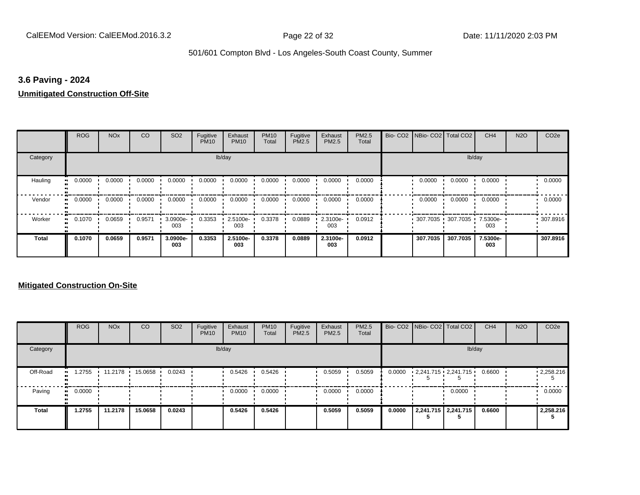#### **3.6 Paving - 2024**

#### **Unmitigated Construction Off-Site**

|                     | <b>ROG</b> | <b>NO<sub>x</sub></b> | <b>CO</b> | SO <sub>2</sub> | Fugitive<br><b>PM10</b> | Exhaust<br><b>PM10</b> | <b>PM10</b><br>Total | Fugitive<br>PM2.5 | Exhaust<br>PM2.5 | PM2.5<br>Total | Bio- CO2   NBio- CO2   Total CO2 |          | CH <sub>4</sub> | <b>N2O</b> | CO <sub>2e</sub> |
|---------------------|------------|-----------------------|-----------|-----------------|-------------------------|------------------------|----------------------|-------------------|------------------|----------------|----------------------------------|----------|-----------------|------------|------------------|
| Category            |            |                       |           |                 |                         | lb/day                 |                      |                   |                  |                |                                  |          | lb/day          |            |                  |
| Hauling             | 0.0000     | 0.0000                | 0.0000    | 0.0000          | 0.0000                  | 0.0000                 | 0.0000               | 0.0000            | 0.0000           | 0.0000         | 0.0000                           | 0.0000   | 0.0000          |            | 0.0000           |
| Vendor              | 0.0000     | 0.0000                | 0.0000    | 0.0000          | 0.0000                  | 0.0000                 | 0.0000               | 0.0000            | 0.0000           | 0.0000         | 0.0000                           | 0.0000   | 0.0000          |            | 0.0000           |
| Worker<br>$\bullet$ | 0.1070     | 0.0659                | 0.9571    | 3.0900e-<br>003 | 0.3353                  | 2.5100e-<br>003        | 0.3378               | 0.0889            | 2.3100e-<br>003  | 0.0912         | 307.7035 307.7035                |          | 7.5300e-<br>003 |            | 307.8916         |
| Total               | 0.1070     | 0.0659                | 0.9571    | 3.0900e-<br>003 | 0.3353                  | 2.5100e-<br>003        | 0.3378               | 0.0889            | 2.3100e-<br>003  | 0.0912         | 307.7035                         | 307.7035 | 7.5300e-<br>003 |            | 307.8916         |

|              | <b>ROG</b>    | <b>NO<sub>x</sub></b> | <b>CO</b> | SO <sub>2</sub> | Fugitive<br><b>PM10</b> | Exhaust<br><b>PM10</b> | <b>PM10</b><br>Total | Fugitive<br><b>PM2.5</b> | Exhaust<br><b>PM2.5</b> | PM2.5<br>Total |        | Bio- CO2 NBio- CO2 Total CO2      | CH <sub>4</sub> | <b>N2O</b> | CO <sub>2e</sub> |
|--------------|---------------|-----------------------|-----------|-----------------|-------------------------|------------------------|----------------------|--------------------------|-------------------------|----------------|--------|-----------------------------------|-----------------|------------|------------------|
| Category     |               |                       |           |                 |                         | lb/day                 |                      |                          |                         |                |        | lb/day                            |                 |            |                  |
| Off-Road     | 1.2755<br>. . | 11.2178 15.0658       |           | 0.0243          |                         | 0.5426                 | 0.5426               |                          | 0.5059                  | 0.5059         | 0.0000 | $2,241.715 \cdot 2,241.715 \cdot$ | 0.6600          |            | 12,258.216       |
| Paving       | 0.0000<br>. . |                       |           |                 |                         | 0.0000                 | 0.0000               |                          | 0.0000                  | 0.0000         |        | 0.0000                            |                 |            | 0.0000           |
| <b>Total</b> | 1.2755        | 11.2178               | 15.0658   | 0.0243          |                         | 0.5426                 | 0.5426               |                          | 0.5059                  | 0.5059         | 0.0000 | 2,241.715   2,241.715             | 0.6600          |            | 2,258.216        |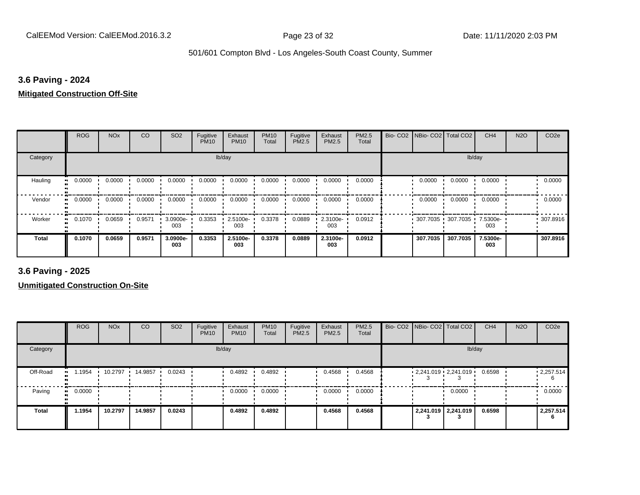#### **3.6 Paving - 2024**

#### **Mitigated Construction Off-Site**

|                          | <b>ROG</b> | <b>NO<sub>x</sub></b> | CO     | SO <sub>2</sub> | Fugitive<br><b>PM10</b> | Exhaust<br><b>PM10</b> | <b>PM10</b><br>Total | Fugitive<br>PM2.5 | Exhaust<br>PM2.5 | PM2.5<br>Total | Bio-CO <sub>2</sub> | NBio- CO2   Total CO2 |          | CH <sub>4</sub> | <b>N2O</b> | CO <sub>2e</sub> |
|--------------------------|------------|-----------------------|--------|-----------------|-------------------------|------------------------|----------------------|-------------------|------------------|----------------|---------------------|-----------------------|----------|-----------------|------------|------------------|
| Category                 |            |                       |        |                 | lb/day                  |                        |                      |                   |                  |                |                     |                       | lb/day   |                 |            |                  |
| Hauling                  | 0.0000     | 0.0000                | 0.0000 | 0.0000          | 0.0000                  | 0.0000                 | 0.0000               | 0.0000            | 0.0000           | 0.0000         |                     | 0.0000                | 0.0000   | 0.0000          |            | 0.0000           |
| Vendor<br>$\blacksquare$ | 0.0000     | 0.0000                | 0.0000 | 0.0000          | 0.0000                  | 0.0000                 | 0.0000               | 0.0000            | 0.0000           | 0.0000         |                     | 0.0000                | 0.0000   | 0.0000          |            | 0.0000           |
| Worker<br>$\bullet$      | 0.1070     | 0.0659                | 0.9571 | 3.0900e-<br>003 | 0.3353                  | 2.5100e-<br>003        | 0.3378               | 0.0889            | 2.3100e-<br>003  | 0.0912         |                     | 307.7035 307.7035     |          | 7.5300e-<br>003 |            | .307.8916        |
| Total                    | 0.1070     | 0.0659                | 0.9571 | 3.0900e-<br>003 | 0.3353                  | 2.5100e-<br>003        | 0.3378               | 0.0889            | 2.3100e-<br>003  | 0.0912         |                     | 307.7035              | 307.7035 | 7.5300e-<br>003 |            | 307.8916         |

**3.6 Paving - 2025**

|              | <b>ROG</b> | <b>NO<sub>x</sub></b> | CO      | SO <sub>2</sub> | Fugitive<br><b>PM10</b> | Exhaust<br><b>PM10</b> | <b>PM10</b><br>Total | Fugitive<br><b>PM2.5</b> | Exhaust<br>PM2.5 | <b>PM2.5</b><br>Total | Bio- CO2 NBio- CO2 Total CO2    |                     | CH <sub>4</sub> | <b>N2O</b> | CO <sub>2e</sub> |
|--------------|------------|-----------------------|---------|-----------------|-------------------------|------------------------|----------------------|--------------------------|------------------|-----------------------|---------------------------------|---------------------|-----------------|------------|------------------|
| Category     |            |                       |         |                 |                         | lb/day                 |                      |                          |                  |                       |                                 | lb/day              |                 |            |                  |
| Off-Road     | 1.1954     | 10.2797               | 14.9857 | 0.0243          |                         | 0.4892                 | 0.4892               |                          | 0.4568           | 0.4568                | $2,241.019$ $2,241.019$ $\cdot$ |                     | 0.6598          |            | 12,257.514       |
| Paving       | 0.0000     |                       |         |                 |                         | 0.0000                 | 0.0000               |                          | 0.0000           | 0.0000                |                                 | 0.0000              |                 |            | 0.0000           |
| <b>Total</b> | 1.1954     | 10.2797               | 14.9857 | 0.0243          |                         | 0.4892                 | 0.4892               |                          | 0.4568           | 0.4568                |                                 | 2,241.019 2,241.019 | 0.6598          |            | 2,257.514        |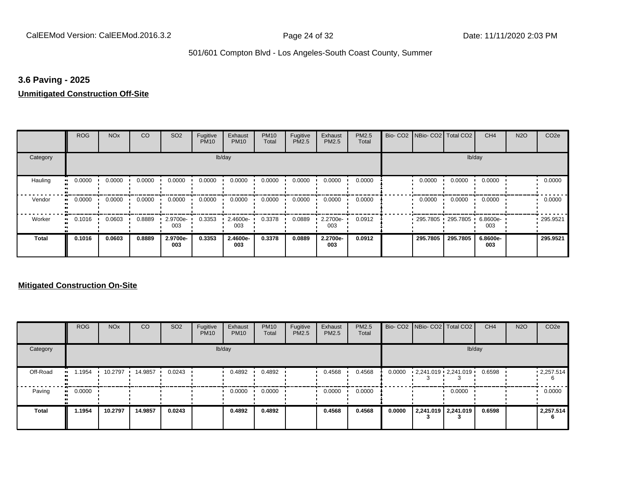#### **3.6 Paving - 2025**

#### **Unmitigated Construction Off-Site**

|                      | <b>ROG</b>          | <b>NO<sub>x</sub></b> | CO     | SO <sub>2</sub> | Fugitive<br><b>PM10</b> | Exhaust<br><b>PM10</b> | <b>PM10</b><br>Total | Fugitive<br>PM2.5 | Exhaust<br>PM2.5 | PM2.5<br>Total | Bio- CO2   NBio- CO2   Total CO2 |          | CH <sub>4</sub> | <b>N2O</b> | CO <sub>2e</sub> |
|----------------------|---------------------|-----------------------|--------|-----------------|-------------------------|------------------------|----------------------|-------------------|------------------|----------------|----------------------------------|----------|-----------------|------------|------------------|
| Category             |                     |                       |        |                 |                         | lb/day                 |                      |                   |                  |                |                                  |          | lb/day          |            |                  |
| Hauling<br>$\bullet$ | 0.0000              | 0.0000                | 0.0000 | 0.0000          | 0.0000                  | 0.0000                 | 0.0000               | 0.0000            | 0.0000           | 0.0000         | 0.0000                           | 0.0000   | 0.0000          |            | 0.0000           |
| Vendor               | 0.0000<br>$\bullet$ | 0.0000                | 0.0000 | 0.0000          | 0.0000                  | 0.0000                 | 0.0000               | 0.0000            | 0.0000           | 0.0000         | 0.0000                           | 0.0000   | 0.0000          |            | 0.0000           |
| Worker               | 0.1016<br>$\bullet$ | 0.0603                | 0.8889 | 2.9700e-<br>003 | 0.3353                  | 2.4600e-<br>003        | 0.3378               | 0.0889            | 2.2700e-<br>003  | 0.0912         | 295.7805 295.7805 '              |          | 6.8600e-<br>003 |            | 295.9521         |
| <b>Total</b>         | 0.1016              | 0.0603                | 0.8889 | 2.9700e-<br>003 | 0.3353                  | 2.4600e-<br>003        | 0.3378               | 0.0889            | 2.2700e-<br>003  | 0.0912         | 295.7805                         | 295.7805 | 6.8600e-<br>003 |            | 295.9521         |

|              | <b>ROG</b> | <b>NO<sub>x</sub></b> | CO      | SO <sub>2</sub> | Fugitive<br><b>PM10</b> | Exhaust<br><b>PM10</b> | <b>PM10</b><br>Total | Fugitive<br><b>PM2.5</b> | Exhaust<br>PM2.5 | <b>PM2.5</b><br>Total |        | Bio- CO2 NBio- CO2 Total CO2 | CH <sub>4</sub> | <b>N2O</b> | CO <sub>2e</sub>       |
|--------------|------------|-----------------------|---------|-----------------|-------------------------|------------------------|----------------------|--------------------------|------------------|-----------------------|--------|------------------------------|-----------------|------------|------------------------|
| Category     |            |                       |         |                 |                         | lb/day                 |                      |                          |                  |                       |        | lb/day                       |                 |            |                        |
| Off-Road     | .1954      | 10.2797               | 14.9857 | 0.0243          |                         | 0.4892                 | 0.4892               |                          | 0.4568           | 0.4568                | 0.0000 | $2,241.019$ $2,241.019$      | 0.6598          |            | $\cdot$ 2,257.514<br>6 |
| Paving       | 0.0000     |                       |         |                 |                         | 0.0000                 | 0.0000               |                          | 0.0000           | 0.0000                |        | 0.0000                       |                 |            | 0.0000                 |
| <b>Total</b> | 1.1954     | 10.2797               | 14.9857 | 0.0243          |                         | 0.4892                 | 0.4892               |                          | 0.4568           | 0.4568                | 0.0000 | 2,241.019 2,241.019          | 0.6598          |            | 2,257.514<br>6         |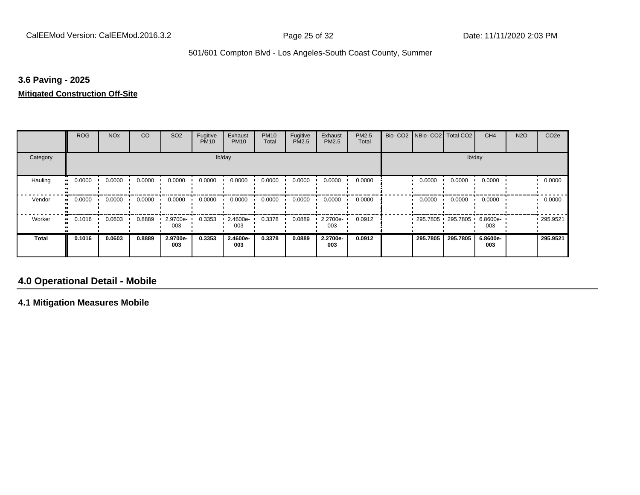## **3.6 Paving - 2025**

#### **Mitigated Construction Off-Site**

|                      | <b>ROG</b>          | <b>NO<sub>x</sub></b> | CO     | SO <sub>2</sub> | Fugitive<br><b>PM10</b> | Exhaust<br><b>PM10</b> | <b>PM10</b><br>Total | Fugitive<br>PM2.5 | Exhaust<br>PM2.5 | PM2.5<br>Total | Bio-CO <sub>2</sub> | NBio- CO2   Total CO2 |          | CH <sub>4</sub> | <b>N2O</b> | CO <sub>2e</sub> |
|----------------------|---------------------|-----------------------|--------|-----------------|-------------------------|------------------------|----------------------|-------------------|------------------|----------------|---------------------|-----------------------|----------|-----------------|------------|------------------|
| Category             |                     |                       |        |                 |                         | lb/day                 |                      |                   |                  |                |                     |                       | lb/day   |                 |            |                  |
| Hauling<br>$\bullet$ | 0.0000              | 0.0000                | 0.0000 | 0.0000          | 0.0000                  | 0.0000                 | 0.0000               | 0.0000            | 0.0000           | 0.0000         |                     | 0.0000                | 0.0000   | 0.0000          |            | 0.0000           |
| Vendor               | 0.0000<br>$\bullet$ | 0.0000                | 0.0000 | 0.0000          | 0.0000                  | 0.0000                 | 0.0000               | 0.0000            | 0.0000           | 0.0000         |                     | 0.0000                | 0.0000   | 0.0000          |            | 0.0000           |
| Worker               | 0.1016<br>$\bullet$ | 0.0603                | 0.8889 | 2.9700e-<br>003 | 0.3353                  | 2.4600e-<br>003        | 0.3378               | 0.0889            | 2.2700e-<br>003  | 0.0912         |                     | 295.7805 295.7805     |          | 6.8600e-<br>003 |            | $-295.9521$      |
| <b>Total</b>         | 0.1016              | 0.0603                | 0.8889 | 2.9700e-<br>003 | 0.3353                  | 2.4600e-<br>003        | 0.3378               | 0.0889            | 2.2700e-<br>003  | 0.0912         |                     | 295.7805              | 295.7805 | 6.8600e-<br>003 |            | 295.9521         |

## **4.0 Operational Detail - Mobile**

**4.1 Mitigation Measures Mobile**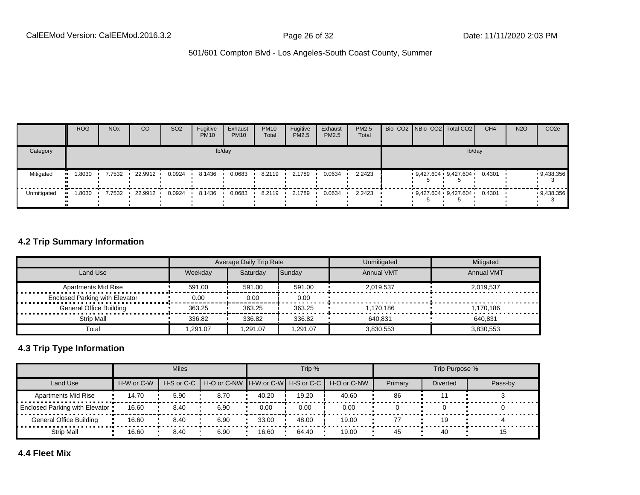|             | <b>ROG</b> | <b>NO<sub>x</sub></b> | CO        | SO <sub>2</sub> | Fugitive<br><b>PM10</b> | Exhaust<br><b>PM10</b> | <b>PM10</b><br>Total | Fugitive<br><b>PM2.5</b> | Exhaust<br>PM2.5 | <b>PM2.5</b><br>Total |  | Bio- CO2 NBio- CO2   Total CO2 | CH <sub>4</sub> | <b>N2O</b> | CO <sub>2e</sub> |
|-------------|------------|-----------------------|-----------|-----------------|-------------------------|------------------------|----------------------|--------------------------|------------------|-----------------------|--|--------------------------------|-----------------|------------|------------------|
| Category    |            |                       |           |                 |                         | lb/day                 |                      |                          |                  |                       |  | lb/day                         |                 |            |                  |
| Mitigated   | 8030، ا    | 7.7532                | 22.9912   | 0.0924          | 8.1436                  | 0.0683                 | 8.2119               | 2.1789                   | 0.0634           | 2.2423                |  | $9,427.604$ $9,427.604$        | 0.4301          |            | 9,438.356        |
| Unmitigated | .8030      | 7.7532                | 22.9912 . | 0.0924          | 8.1436                  | 0.0683                 | 8.2119               | 2.1789                   | 0.0634           | 2.2423                |  | 9,427.604 9,427.604            | 0.4301          |            | 9,438.356        |

## **4.2 Trip Summary Information**

|                                       |         | Average Daily Trip Rate |          | Unmitigated       | Mitigated         |
|---------------------------------------|---------|-------------------------|----------|-------------------|-------------------|
| Land Use                              | Weekdav | Saturdav                | Sunday   | <b>Annual VMT</b> | <b>Annual VMT</b> |
| <b>Apartments Mid Rise</b>            | 591.00  | 591.00                  | 591.00   | 2.019.537         | 2.019.537         |
| <b>Enclosed Parking with Elevator</b> | 0.00    | 0.00                    | 0.00     |                   |                   |
| <b>General Office Building</b>        | 363.25  | 363.25                  | 363.25   | 1.170.186         | 1.170.186         |
| Strip Mall                            | 336.82  | 336.82                  | 336.82   | 640.831           | 640.831           |
| Total                                 | .291.07 | 1.291.07                | 1.291.07 | 3,830,553         | 3.830.553         |

## **4.3 Trip Type Information**

|                                |            | <b>Miles</b> |                                                          |       | Trip % |       |         | Trip Purpose %  |         |
|--------------------------------|------------|--------------|----------------------------------------------------------|-------|--------|-------|---------|-----------------|---------|
| Land Use                       | H-W or C-W |              | H-S or C-C H-O or C-NW H-W or C-W H-S or C-C H-O or C-NW |       |        |       | Primary | <b>Diverted</b> | Pass-by |
| <b>Apartments Mid Rise</b>     | 14.70      | 5.90         | 8.70                                                     | 40.20 | 19.20  | 40.60 | 86      |                 |         |
| Enclosed Parking with Elevator | 16.60      | 8.40         | 6.90                                                     | 0.00  | 0.00   | 0.00  |         |                 |         |
| <b>General Office Building</b> | 16.60      | 8.40         | 6.90                                                     | 33.00 | 48.00  | 19.00 | 77      | 1.C             |         |
| <b>Strip Mall</b>              | 16.60      | 8.40         | 6.90                                                     | 16.60 | 64.40  | 19.00 | 45      | 40              |         |

**4.4 Fleet Mix**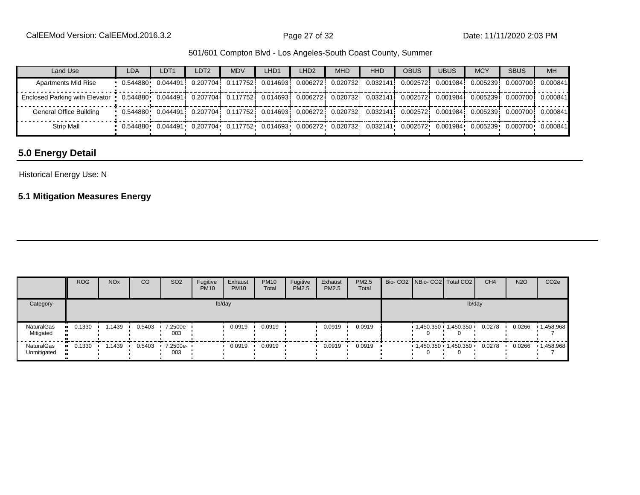| Land Use                                                                                                                                                         | <b>LDA</b>                                                                                                                                                                                      | LDT <sub>1</sub> | LDT <sub>2</sub>                                                                                                                               | <b>MDV</b> | LHD1 | LHD <sub>2</sub> | <b>MHD</b> | <b>HHD</b> | <b>OBUS</b> | <b>UBUS</b> | <b>MCY</b> | <b>SBUS</b>                   | <b>MH</b> |
|------------------------------------------------------------------------------------------------------------------------------------------------------------------|-------------------------------------------------------------------------------------------------------------------------------------------------------------------------------------------------|------------------|------------------------------------------------------------------------------------------------------------------------------------------------|------------|------|------------------|------------|------------|-------------|-------------|------------|-------------------------------|-----------|
| <b>Apartments Mid Rise</b>                                                                                                                                       | 0.544880 0.044491i 0.207704i 0.117752i 0.014693i 0.006272i 0.020732i 0.032141i 0.002572i                                                                                                        |                  |                                                                                                                                                |            |      |                  |            |            |             |             |            | 0.0019841 0.0052391 0.0007001 | 0.000841  |
| Enclosed Parking with Elevator = 0.544880 0.044491  0.207704  0.117752  0.014693  0.006272  0.020732  0.032141  0.002572  0.001984  0.005239  0.000700  0.000841 |                                                                                                                                                                                                 |                  |                                                                                                                                                |            |      |                  |            |            |             |             |            |                               |           |
| General Office Building                                                                                                                                          | $0.0644880 \cdot 0.044491 \cdot 0.207704 \cdot 0.117752 \cdot 0.014693 \cdot 0.006272 \cdot 0.020732 \cdot 0.032141 \cdot 0.002572 \cdot 0.001984 \cdot 0.005239 \cdot 0.000700 \cdot 0.000841$ |                  |                                                                                                                                                |            |      |                  |            |            |             |             |            |                               |           |
| Strip Mall                                                                                                                                                       |                                                                                                                                                                                                 |                  | $0.544880$ $0.044491$ $0.207704$ $0.117752$ $0.014693$ $0.006272$ $0.020732$ $0.032141$ $0.002572$ $0.001984$ $0.005239$ $0.000700$ $0.000841$ |            |      |                  |            |            |             |             |            |                               |           |

## **5.0 Energy Detail**

## Historical Energy Use: N

## **5.1 Mitigation Measures Energy**

|                           | <b>ROG</b> | <b>NO<sub>x</sub></b> | CO     | SO <sub>2</sub>   | Fugitive<br><b>PM10</b> | Exhaust<br><b>PM10</b> | <b>PM10</b><br>Total | Fugitive<br>PM2.5 | Exhaust<br>PM2.5 | <b>PM2.5</b><br>Total |  | Bio- CO2 NBio- CO2 Total CO2 | CH <sub>4</sub> | <b>N2O</b> | CO <sub>2e</sub> |
|---------------------------|------------|-----------------------|--------|-------------------|-------------------------|------------------------|----------------------|-------------------|------------------|-----------------------|--|------------------------------|-----------------|------------|------------------|
| Category                  |            |                       |        |                   |                         | lb/day                 |                      |                   |                  |                       |  | lb/day                       |                 |            |                  |
| NaturalGas<br>Mitigated   | 0.1330     | .1439                 | 0.5403 | 7.2500e-<br>003   |                         | 0.0919                 | 0.0919               |                   | 0.0919           | 0.0919                |  | $1,450.350$ 1,450.350        | 0.0278          | 0.0266     | 1,458.968        |
| NaturalGas<br>Unmitigated | 0.1330     | . 1439                | 0.5403 | 7.2500e- ·<br>003 |                         | 0.0919                 | 0.0919               |                   | 0.0919           | 0.0919                |  | 1,450.350 1,450.350          | 0.0278          | 0.0266     | 1,458.968        |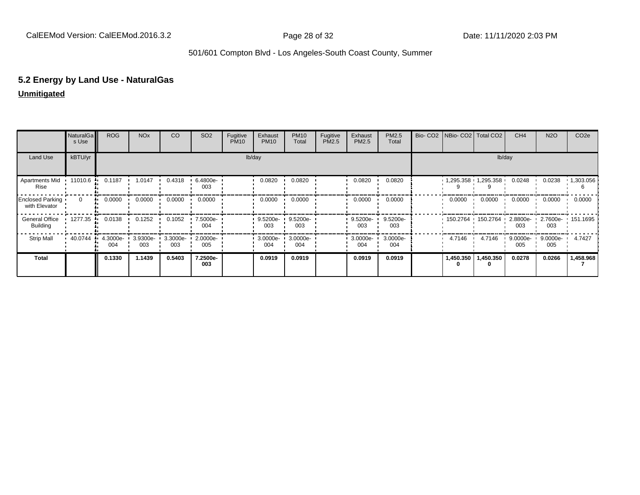# **5.2 Energy by Land Use - NaturalGas**

## **Unmitigated**

|                                   | NaturalGa<br>s Use | <b>ROG</b>      | <b>NO<sub>x</sub></b> | <b>CO</b>       | SO <sub>2</sub> | Fugitive<br><b>PM10</b> | Exhaust<br><b>PM10</b> | <b>PM10</b><br>Total | Fugitive<br>PM2.5 | Exhaust<br>PM2.5 | PM2.5<br>Total  | Bio- CO2   NBio- CO2   Total CO2 |                     | CH <sub>4</sub> | <b>N2O</b>      | CO <sub>2e</sub> |
|-----------------------------------|--------------------|-----------------|-----------------------|-----------------|-----------------|-------------------------|------------------------|----------------------|-------------------|------------------|-----------------|----------------------------------|---------------------|-----------------|-----------------|------------------|
| Land Use                          | kBTU/yr            |                 |                       |                 |                 |                         | lb/day                 |                      |                   |                  |                 |                                  | lb/day              |                 |                 |                  |
| Apartments Mid<br>Rise            | 11010.6            | 0.1187          | 1.0147                | 0.4318          | 6.4800e-<br>003 |                         | 0.0820                 | 0.0820               |                   | 0.0820           | 0.0820          |                                  | 1,295.358 1,295.358 | 0.0248          | 0.0238          | 1,303.056        |
| Enclosed Parking<br>with Elevator | $\Omega$           | 0.0000          | 0.0000                | 0.0000          | 0.0000          |                         | 0.0000                 | 0.0000               |                   | 0.0000           | 0.0000          | 0.0000                           | 0.0000              | 0.0000          | 0.0000          | 0.0000           |
| General Office<br><b>Building</b> | 1277.35 ·          | 0.0138          | 0.1252                | 0.1052          | 7.5000e-<br>004 |                         | 9.5200e-<br>003        | 9.5200e-<br>003      |                   | 9.5200e-<br>003  | 9.5200e-<br>003 | 150.2764 150.2764                |                     | 2.8800e-<br>003 | 2.7600e-<br>003 | $\cdot$ 151.1695 |
| <b>Strip Mall</b>                 | 40.0744            | 4.3000e-<br>004 | 3.9300e-<br>003       | 3.3000e-<br>003 | 2.0000e-<br>005 |                         | 3.0000e-<br>004        | 3.0000e-<br>004      |                   | 3.0000e-<br>004  | 3.0000e-<br>004 | 4.7146                           | 4.7146              | 9.0000e-<br>005 | 9.0000e-<br>005 | 4.7427           |
| <b>Total</b>                      |                    | 0.1330          | 1.1439                | 0.5403          | 7.2500e-<br>003 |                         | 0.0919                 | 0.0919               |                   | 0.0919           | 0.0919          | 1,450.350<br>0                   | 1,450.350<br>0      | 0.0278          | 0.0266          | 1,458.968        |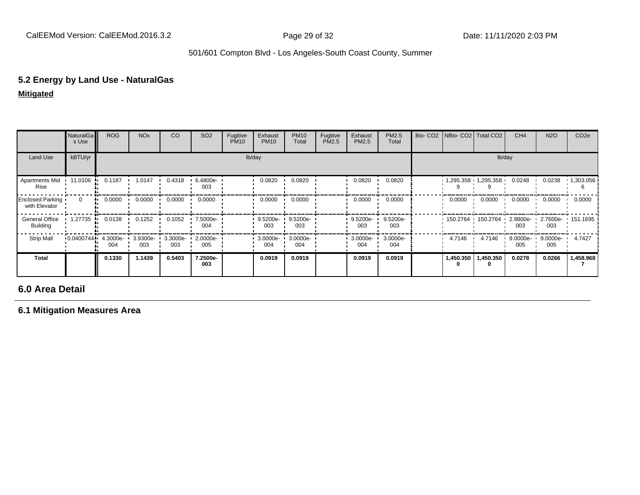# **5.2 Energy by Land Use - NaturalGas**

**Mitigated**

|                                   | NaturalGa<br>s Use | <b>ROG</b>      | <b>NO<sub>x</sub></b> | CO              | SO <sub>2</sub> | Fugitive<br><b>PM10</b> | Exhaust<br><b>PM10</b> | <b>PM10</b><br>Total | Fugitive<br>PM2.5 | Exhaust<br>PM2.5 | PM2.5<br>Total  | Bio- CO2 NBio- CO2 Total CO2 |                             | CH <sub>4</sub>    | <b>N2O</b>         | CO <sub>2e</sub>  |
|-----------------------------------|--------------------|-----------------|-----------------------|-----------------|-----------------|-------------------------|------------------------|----------------------|-------------------|------------------|-----------------|------------------------------|-----------------------------|--------------------|--------------------|-------------------|
| Land Use                          | kBTU/yr            |                 |                       |                 |                 |                         | lb/day                 |                      |                   |                  |                 |                              | lb/day                      |                    |                    |                   |
| <b>Apartments Mid</b><br>Rise     | 11.0106<br>.       | 0.1187          | 1.0147                | 0.4318          | 6.4800e-<br>003 |                         | 0.0820                 | 0.0820               |                   | 0.0820           | 0.0820          |                              | $1,295.358$ $1,295.358$ $1$ | 0.0248             | 0.0238             | $\cdot$ 1,303.056 |
| Enclosed Parking<br>with Elevator | $\Omega$           | 0.0000<br>      | 0.0000                | 0.0000          | 0.0000          |                         | 0.0000                 | 0.0000               |                   | 0.0000           | 0.0000          | 0.0000                       | 0.0000                      | 0.0000             | 0.0000             | 0.0000            |
| General Office<br><b>Building</b> | 1.27735<br>.       | 0.0138          | 0.1252                | 0.1052          | 7.5000e-<br>004 |                         | $9.5200e-$<br>003      | 9.5200e-<br>003      |                   | 9.5200e-<br>003  | 9.5200e-<br>003 | 150.2764 150.2764            |                             | $2.8800e-$<br>003  | 003                | 2.7600e- 151.1695 |
| <b>Strip Mall</b>                 | 0.0400744          | 4.3000e-<br>004 | 3.9300e-<br>003       | 3.3000e-<br>003 | 2.0000e-<br>005 |                         | 3.0000e-<br>004        | 3.0000e-<br>004      |                   | 3.0000e-<br>004  | 3.0000e-<br>004 | 4.7146                       | 4.7146                      | $9.0000e -$<br>005 | $9.0000e -$<br>005 | 4.7427            |
| Total                             |                    | 0.1330          | 1.1439                | 0.5403          | 7.2500e-<br>003 |                         | 0.0919                 | 0.0919               |                   | 0.0919           | 0.0919          |                              | 1,450.350   1,450.350       | 0.0278             | 0.0266             | 1,458.968         |

**6.0 Area Detail**

**6.1 Mitigation Measures Area**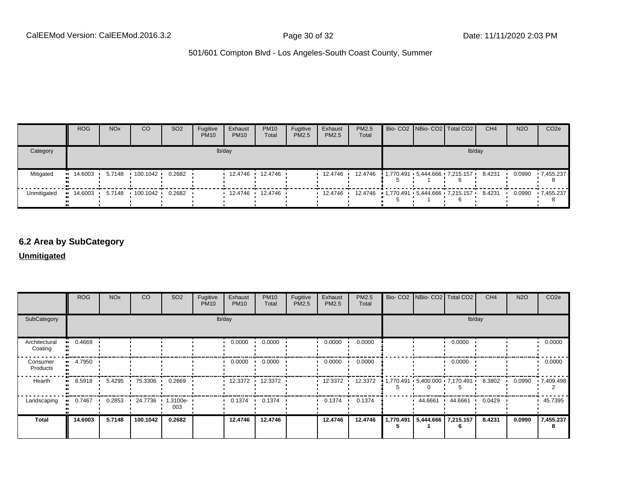|             | <b>ROG</b>  | <b>NO<sub>x</sub></b> | <sub>CO</sub>            | SO <sub>2</sub> | Fugitive<br><b>PM10</b> | Exhaust<br><b>PM10</b> | <b>PM10</b><br>Total | Fugitive<br>PM2.5 | Exhaust<br><b>PM2.5</b> | <b>PM2.5</b><br>Total                                   |  | Bio- CO2 NBio- CO2   Total CO2        | CH <sub>4</sub> | <b>N2O</b> | CO <sub>2e</sub> |
|-------------|-------------|-----------------------|--------------------------|-----------------|-------------------------|------------------------|----------------------|-------------------|-------------------------|---------------------------------------------------------|--|---------------------------------------|-----------------|------------|------------------|
| Category    |             |                       |                          |                 |                         | lb/day                 |                      |                   |                         |                                                         |  | lb/day                                |                 |            |                  |
| Mitigated   | י 14.6003 י |                       | 5.7148  100.1042  0.2682 |                 |                         |                        | 12.4746 12.4746      |                   | 12.4746                 |                                                         |  | 12.4746 1.770.491 5.444.666 7.215.157 | 8.4231          | 0.0990     | .7.455.237       |
| Unmitigated |             |                       |                          |                 |                         |                        | 12.4746 12.4746      |                   |                         | $12.4746$ $12.4746$ $1,770.491$ $5,444.666$ $7,215.157$ |  |                                       | 8.4231          |            | 0.0990 7.455.237 |

## **6.2 Area by SubCategory**

#### **Unmitigated**

|                          | <b>ROG</b>           | <b>NO<sub>x</sub></b> | CO             | SO <sub>2</sub>    | Fugitive<br><b>PM10</b> | Exhaust<br><b>PM10</b> | <b>PM10</b><br>Total | Fugitive<br>PM2.5 | Exhaust<br>PM2.5 | <b>PM2.5</b><br>Total | Bio- CO2   NBio- CO2   Total CO2                         |         | CH <sub>4</sub> | <b>N2O</b> | CO <sub>2e</sub> |
|--------------------------|----------------------|-----------------------|----------------|--------------------|-------------------------|------------------------|----------------------|-------------------|------------------|-----------------------|----------------------------------------------------------|---------|-----------------|------------|------------------|
| SubCategory              | lb/day               |                       |                |                    |                         |                        |                      |                   |                  | lb/day                |                                                          |         |                 |            |                  |
| Architectural<br>Coating | 0.4669               |                       |                |                    |                         | 0.0000                 | 0.0000               |                   | 0.0000           | 0.0000                |                                                          | 0.0000  |                 |            | 0.0000           |
| Consumer<br>Products     | 4.7950<br><b>ALC</b> |                       |                |                    |                         | 0.0000                 | 0.0000               |                   | 0.0000           | 0.0000                |                                                          | 0.0000  |                 |            | 0.0000           |
| Hearth                   | 8.5918               |                       | 5.4295 75.3306 | 0.2669             |                         |                        | 12.3372 12.3372      |                   | 12.3372 ·        | 12.3372               | $1,770.491 \cdot 5,400.000 \cdot 7,170.491 \cdot 8.3802$ |         |                 | 0.0990     | 17,409.498       |
| Landscaping              | 0.7467               | 0.2853                | 24.7736<br>-   | $1.3100e -$<br>003 |                         | 0.1374<br>. .          | 0.1374               |                   | 0.1374           | 0.1374                | 44.6661 ·                                                | 44.6661 | 0.0429          |            | 45.7395          |
| <b>Total</b>             | 14.6003              | 5.7148                | 100.1042       | 0.2682             |                         | 12.4746                | 12.4746              |                   | 12.4746          | 12.4746               | 1,770.491 5,444.666 7,215.157                            |         | 8.4231          | 0.0990     | 7,455.237<br>8   |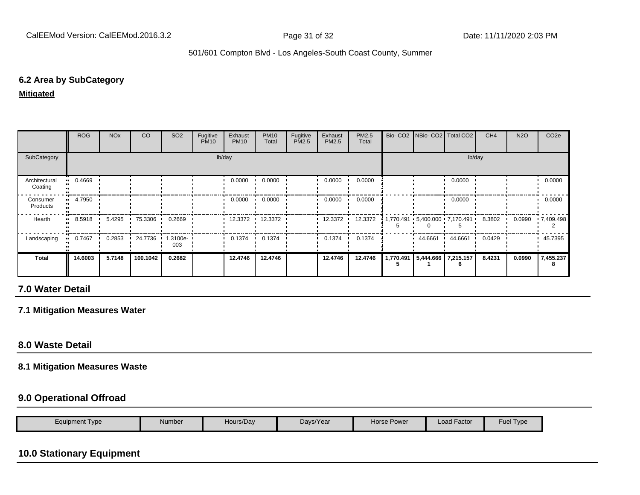## **6.2 Area by SubCategory**

#### **Mitigated**

|                          | <b>ROG</b> | <b>NO<sub>x</sub></b> | CO       | SO <sub>2</sub>    | Fugitive<br><b>PM10</b> | Exhaust<br><b>PM10</b> | <b>PM10</b><br>Total | Fugitive<br>PM2.5 | Exhaust<br>PM2.5 | PM2.5<br>Total | Bio- CO2   NBio- CO2   Total CO2  |         | CH <sub>4</sub> | <b>N2O</b> | CO <sub>2e</sub> |
|--------------------------|------------|-----------------------|----------|--------------------|-------------------------|------------------------|----------------------|-------------------|------------------|----------------|-----------------------------------|---------|-----------------|------------|------------------|
| SubCategory              | lb/day     |                       |          |                    |                         |                        |                      |                   | lb/day           |                |                                   |         |                 |            |                  |
| Architectural<br>Coating | 0.4669<br> |                       |          |                    |                         | 0.0000                 | 0.0000               |                   | 0.0000           | 0.0000         |                                   | 0.0000  |                 |            | 0.0000           |
| Consumer<br>Products     | 4.7950     |                       |          |                    |                         | 0.0000                 | 0.0000               |                   | 0.0000           | 0.0000         |                                   | 0.0000  |                 |            | 0.0000           |
| Hearth                   | 8.5918     | 5.4295                | 75.3306  | 0.2669             |                         | 12.3372 ·              | 12.3372              |                   | 12.3372          | 12.3372        |                                   |         | 8.3802 ·        | 0.0990     | .7,409.498       |
| Landscaping              | 0.7467     | 0.2853                | 24.7736  | $1.3100e -$<br>003 |                         | 0.1374                 | 0.1374               |                   | 0.1374           | 0.1374         | 44.6661                           | 44.6661 | 0.0429          |            | 45.7395          |
| Total                    | 14.6003    | 5.7148                | 100.1042 | 0.2682             |                         | 12.4746                | 12.4746              |                   | 12.4746          | 12.4746        | 1,770.491   5,444.666   7,215.157 |         | 8.4231          | 0.0990     | 7,455.237        |

## **7.0 Water Detail**

#### **7.1 Mitigation Measures Water**

## **8.0 Waste Detail**

## **8.1 Mitigation Measures Waste**

#### **9.0 Operational Offroad**

| Number<br>Equipment Type<br>Hours/Day | Days/Year | <b>Horse Power</b> | Load Factor | <b>Fuel Type</b> |
|---------------------------------------|-----------|--------------------|-------------|------------------|
|---------------------------------------|-----------|--------------------|-------------|------------------|

# **10.0 Stationary Equipment**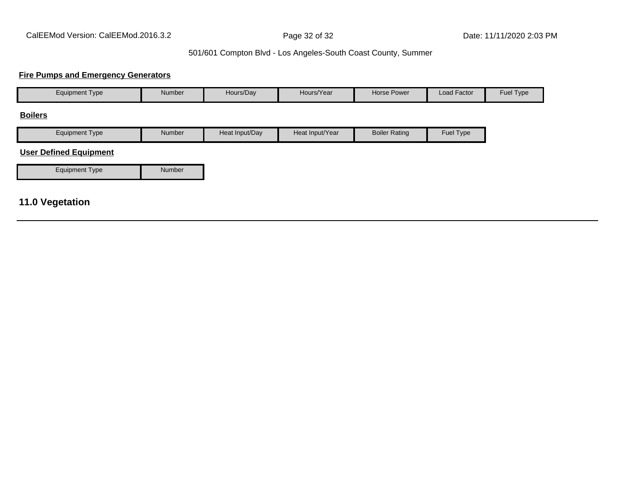#### **Fire Pumps and Emergency Generators**

| <b>Equipment Type</b>         | Number | Hours/Day      | Hours/Year      | <b>Horse Power</b>   | Load Factor | Fuel Type |
|-------------------------------|--------|----------------|-----------------|----------------------|-------------|-----------|
| <b>Boilers</b>                |        |                |                 |                      |             |           |
| <b>Equipment Type</b>         | Number | Heat Input/Day | Heat Input/Year | <b>Boiler Rating</b> | Fuel Type   |           |
| <b>User Defined Equipment</b> |        |                |                 |                      |             |           |
| <b>Equipment Type</b>         | Number |                |                 |                      |             |           |
|                               |        |                |                 |                      |             |           |
| <b>11.0 Vegetation</b>        |        |                |                 |                      |             |           |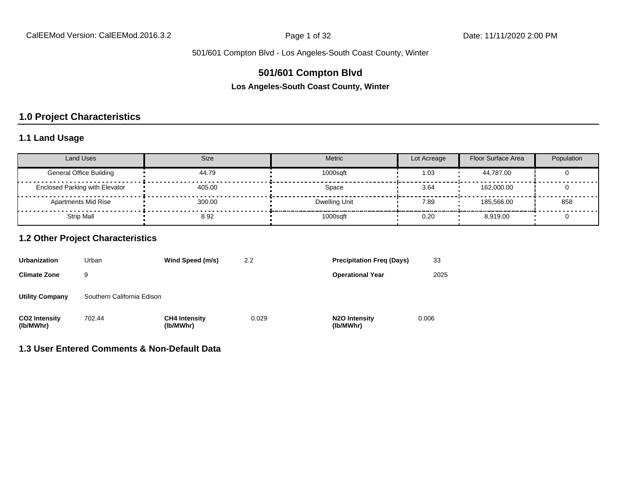## **501/601 Compton Blvd**

**Los Angeles-South Coast County, Winter**

## **1.0 Project Characteristics**

## **1.1 Land Usage**

| <b>Land Uses</b>                      | Size   | Metric        | Lot Acreage | Floor Surface Area | Population |
|---------------------------------------|--------|---------------|-------------|--------------------|------------|
| <b>General Office Building</b>        | 44.79  | 1000sqft      | 1.03        | 44.787.00          |            |
| <b>Enclosed Parking with Elevator</b> | 405.00 | Space         | 3.64        | 162.000.00         |            |
| <b>Apartments Mid Rise</b>            | 300.00 | Dwelling Unit | 7.89        | 185.566.00         | 858        |
| Strip Mall                            | 8.92   | 1000sqft      | 0.20        | 8.919.00           |            |

#### **1.2 Other Project Characteristics**

| <b>Urbanization</b>               | Urban                      | Wind Speed (m/s)                  | 2.2   | <b>Precipitation Freg (Days)</b>        | 33    |
|-----------------------------------|----------------------------|-----------------------------------|-------|-----------------------------------------|-------|
| <b>Climate Zone</b>               | 9                          |                                   |       | <b>Operational Year</b>                 | 2025  |
| <b>Utility Company</b>            | Southern California Edison |                                   |       |                                         |       |
| <b>CO2 Intensity</b><br>(lb/MWhr) | 702.44                     | <b>CH4 Intensity</b><br>(lb/MWhr) | 0.029 | N <sub>2</sub> O Intensity<br>(lb/MWhr) | 0.006 |

## **1.3 User Entered Comments & Non-Default Data**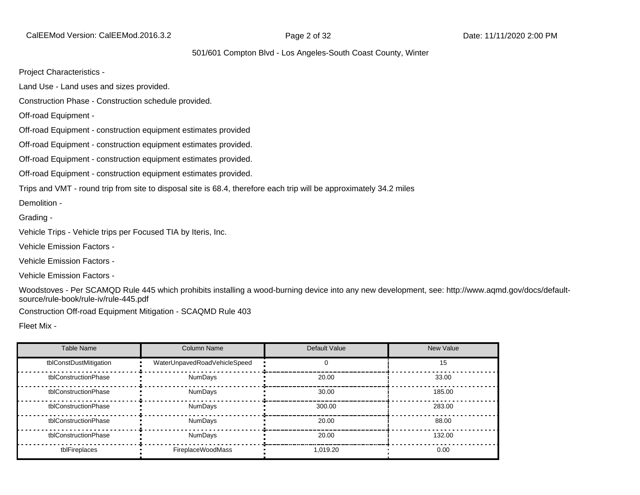CalEEMod Version: CalEEMod.2016.3.2 **Page 2 of 32** Page 2 of 32 Date: 11/11/2020 2:00 PM

#### 501/601 Compton Blvd - Los Angeles-South Coast County, Winter

Project Characteristics -

Land Use - Land uses and sizes provided.

Construction Phase - Construction schedule provided.

Off-road Equipment -

Off-road Equipment - construction equipment estimates provided

Off-road Equipment - construction equipment estimates provided.

Off-road Equipment - construction equipment estimates provided.

Off-road Equipment - construction equipment estimates provided.

Trips and VMT - round trip from site to disposal site is 68.4, therefore each trip will be approximately 34.2 miles

Demolition -

Grading -

Vehicle Trips - Vehicle trips per Focused TIA by Iteris, Inc.

Vehicle Emission Factors -

Vehicle Emission Factors -

Vehicle Emission Factors -

Woodstoves - Per SCAMQD Rule 445 which prohibits installing a wood-burning device into any new development, see: http://www.aqmd.gov/docs/defaultsource/rule-book/rule-iv/rule-445.pdf

Construction Off-road Equipment Mitigation - SCAQMD Rule 403

Fleet Mix -

| Table Name             | <b>Column Name</b>           | Default Value | <b>New Value</b> |
|------------------------|------------------------------|---------------|------------------|
| tblConstDustMitigation | WaterUnpavedRoadVehicleSpeed |               | 15               |
| tblConstructionPhase   | NumDays                      | 20.00         | 33.00            |
| tblConstructionPhase   | NumDays                      | 30.00         | 185.00           |
| tblConstructionPhase   | <b>NumDays</b>               | 300.00        | 283.00           |
| tblConstructionPhase   | <b>NumDays</b>               | 20.00         | 88.00            |
| tblConstructionPhase   | <b>NumDays</b>               | 20.00         | 132.00           |
| tblFireplaces          | FireplaceWoodMass            | 1.019.20      | 0.00             |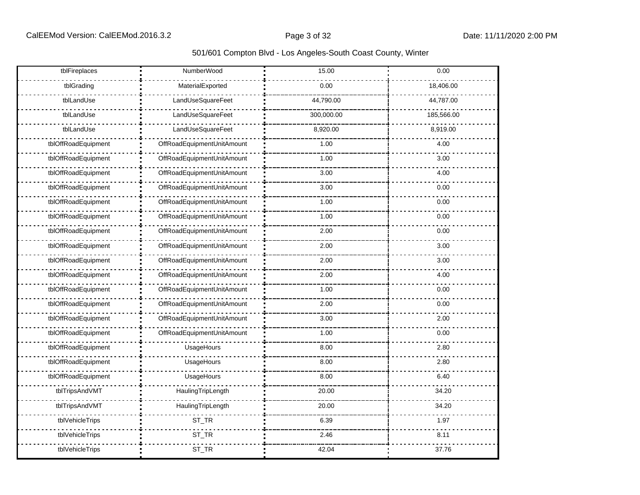| tblFireplaces       | NumberWood                 | 15.00      | 0.00       |
|---------------------|----------------------------|------------|------------|
| tblGrading          | MaterialExported           | 0.00       | 18,406.00  |
| tblLandUse          | LandUseSquareFeet          | 44,790.00  | 44,787.00  |
| tblLandUse          | LandUseSquareFeet          | 300,000.00 | 185,566.00 |
| tblLandUse          | LandUseSquareFeet          | 8,920.00   | 8,919.00   |
| tblOffRoadEquipment | OffRoadEquipmentUnitAmount | 1.00       | 4.00       |
| tblOffRoadEquipment | OffRoadEquipmentUnitAmount | 1.00       | 3.00       |
| tblOffRoadEquipment | OffRoadEquipmentUnitAmount | 3.00       | 4.00       |
| tblOffRoadEquipment | OffRoadEquipmentUnitAmount | 3.00       | 0.00       |
| tblOffRoadEquipment | OffRoadEquipmentUnitAmount | 1.00       | 0.00       |
| tblOffRoadEquipment | OffRoadEquipmentUnitAmount | 1.00       | 0.00       |
| tblOffRoadEquipment | OffRoadEquipmentUnitAmount | 2.00       | 0.00       |
| tblOffRoadEquipment | OffRoadEquipmentUnitAmount | 2.00       | 3.00       |
| tblOffRoadEquipment | OffRoadEquipmentUnitAmount | 2.00       | 3.00       |
| tblOffRoadEquipment | OffRoadEquipmentUnitAmount | 2.00       | 4.00       |
| tblOffRoadEquipment | OffRoadEquipmentUnitAmount | 1.00       | 0.00       |
| tblOffRoadEquipment | OffRoadEquipmentUnitAmount | 2.00       | 0.00       |
| tblOffRoadEquipment | OffRoadEquipmentUnitAmount | 3.00       | 2.00       |
| tblOffRoadEquipment | OffRoadEquipmentUnitAmount | 1.00       | 0.00       |
| tblOffRoadEquipment | UsageHours                 | 8.00       | 2.80       |
| tblOffRoadEquipment | UsageHours                 | 8.00       | 2.80       |
| tblOffRoadEquipment | UsageHours                 | 8.00       | 6.40       |
| tblTripsAndVMT      | HaulingTripLength          | 20.00      | 34.20      |
| tblTripsAndVMT      | HaulingTripLength          | 20.00      | 34.20      |
| tblVehicleTrips     | ST_TR                      | 6.39       | 1.97       |
| tblVehicleTrips     | ST_TR                      | 2.46       | 8.11       |
| tblVehicleTrips     | ST_TR                      | 42.04      | 37.76      |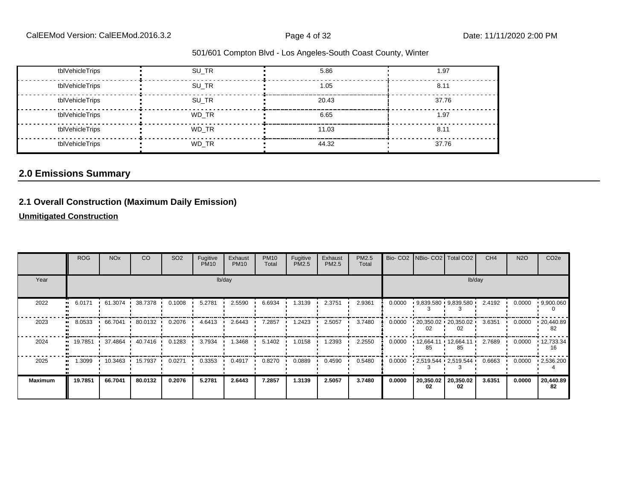| tblVehicleTrips | SU TR | 5.86  | 1.97  |
|-----------------|-------|-------|-------|
| tblVehicleTrips | SU TR | 1.05  | 8.11  |
| tblVehicleTrips | SU TR | 20.43 | 37.76 |
| tblVehicleTrips | WD TR | 6.65  | 1.97  |
| tblVehicleTrips | WD TR | 11.03 | 8.11  |
| tblVehicleTrips | WD TR | 44.32 | 37.76 |

#### **2.0 Emissions Summary**

#### **2.1 Overall Construction (Maximum Daily Emission)**

**Unmitigated Construction**

|                | <b>ROG</b>          | <b>NO<sub>x</sub></b> | <b>CO</b> | SO <sub>2</sub> | Fugitive<br><b>PM10</b> | Exhaust<br><b>PM10</b> | <b>PM10</b><br>Total | Fugitive<br>PM2.5 | Exhaust<br>PM2.5 | PM2.5<br>Total |        |                 | Bio- CO2   NBio- CO2   Total CO2                  | CH <sub>4</sub> | <b>N2O</b> | CO <sub>2</sub> e |
|----------------|---------------------|-----------------------|-----------|-----------------|-------------------------|------------------------|----------------------|-------------------|------------------|----------------|--------|-----------------|---------------------------------------------------|-----------------|------------|-------------------|
| Year           |                     |                       |           |                 |                         | lb/day                 |                      |                   |                  |                |        |                 |                                                   | lb/day          |            |                   |
| 2022           | 6.0171<br>$\bullet$ | 61.3074 ·             | 38.7378   | 0.1008          | 5.2781                  | 2.5590                 | 6.6934               | 1.3139            | 2.3751           | 2.9361         | 0.0000 |                 | $9,839.580 + 9,839.580$                           | 2.4192          | 0.0000     | 9,900.060         |
| 2023           | 8.0533              | 66.7041               | 80.0132   | 0.2076          | 4.6413                  | 2.6443                 | 7.2857               | 1.2423            | 2.5057           | 3.7480         | 0.0000 | 02              | $\cdot$ 20,350.02 $\cdot$ 20,350.02 $\cdot$<br>02 | 3.6351          | 0.0000     | .20,440.89<br>82  |
| 2024           |                     | 19.7851 1 37.4864 1   | 40.7416   | 0.1283          | 3.7934                  | 1.3468                 | 5.1402               | 1.0158            | 1.2393           | 2.2550         | 0.0000 | 85              | $12,664.11 \cdot 12,664.11$<br>85                 | 2.7689          | 0.0000     | 12,733.34<br>16   |
| 2025           | 1.3099              | 10.3463               | 15.7937   | 0.0271          | 0.3353                  | 0.4917                 | 0.8270               | 0.0889            | 0.4590           | 0.5480         | 0.0000 |                 | $\cdot$ 2,519.544 $\cdot$ 2,519.544 $\cdot$       | 0.6663          | 0.0000     | .2,536.200        |
| <b>Maximum</b> | 19.7851             | 66.7041               | 80.0132   | 0.2076          | 5.2781                  | 2.6443                 | 7.2857               | 1.3139            | 2.5057           | 3.7480         | 0.0000 | 20,350.02<br>02 | 20,350.02<br>02                                   | 3.6351          | 0.0000     | 20,440.89<br>82   |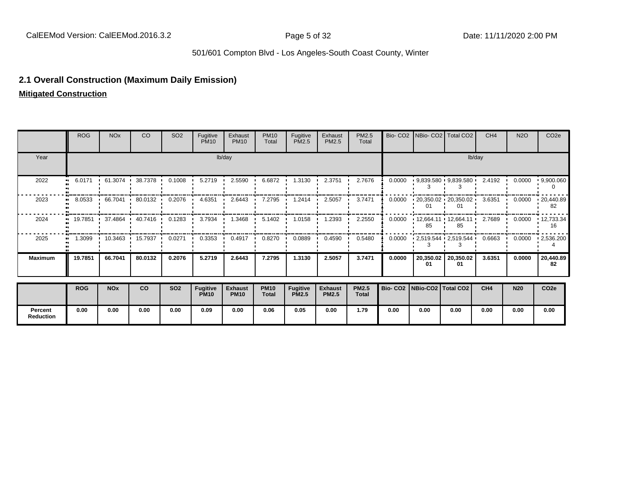#### **2.1 Overall Construction (Maximum Daily Emission)**

**Mitigated Construction**

**Percent Reduction**

|                | <b>ROG</b>          | <b>NO<sub>x</sub></b> | CO      | SO <sub>2</sub> | Fugitive<br><b>PM10</b>        | Exhaust<br><b>PM10</b>        | <b>PM10</b><br>Total | Fugitive<br>PM2.5               | Exhaust<br>PM2.5               | <b>PM2.5</b><br>Total        |                                 |                 | Bio- CO2   NBio- CO2   Total CO2            | CH <sub>4</sub> | <b>N2O</b> | CO <sub>2e</sub>        |
|----------------|---------------------|-----------------------|---------|-----------------|--------------------------------|-------------------------------|----------------------|---------------------------------|--------------------------------|------------------------------|---------------------------------|-----------------|---------------------------------------------|-----------------|------------|-------------------------|
| Year           |                     |                       |         |                 |                                | lb/day                        |                      |                                 |                                |                              |                                 |                 |                                             | lb/day          |            |                         |
| 2022           | 6.0171<br>$\bullet$ | 61.3074               | 38.7378 | 0.1008          | 5.2719                         | 2.5590                        | 6.6872               | 1.3130                          | 2.3751                         | 2.7676                       | 0.0000                          |                 | $9,839.580$ $9,839.580$                     | 2.4192          | 0.0000     | .9,900.060              |
| 2023           | 8.0533              | 66.7041               | 80.0132 | 0.2076          | 4.6351                         | 2.6443                        | 7.2795               | 1.2414                          | 2.5057                         | 3.7471                       | 0.0000                          |                 | $120,350.02$ $120,350.02$                   | 3.6351          | 0.0000     | .20,440.89<br>82        |
| 2024           |                     | 19.7851 1 37.4864     | 40.7416 | 0.1283          | 3.7934                         | 1.3468                        | 5.1402               | 1.0158                          | 1.2393                         | 2.2550                       | 0.0000                          |                 | $12,664.11 \cdot 12,664.11$<br>85           | 2.7689          | 0.0000     | $\cdot$ 12,733.34<br>16 |
| 2025           | 1.3099              | 10.3463               | 15.7937 | 0.0271          | 0.3353                         | 0.4917                        | 0.8270               | 0.0889                          | 0.4590                         | 0.5480                       | 0.0000                          |                 | $\cdot$ 2,519.544 $\cdot$ 2,519.544 $\cdot$ | 0.6663          | 0.0000     | $\cdot$ 2,536.200       |
| <b>Maximum</b> | 19.7851             | 66.7041               | 80.0132 | 0.2076          | 5.2719                         | 2.6443                        | 7.2795               | 1.3130                          | 2.5057                         | 3.7471                       | 0.0000                          | 20,350.02<br>01 | 20,350.02<br>01                             | 3.6351          | 0.0000     | 20,440.89<br>82         |
|                | <b>ROG</b>          | <b>NOx</b>            | co      | <b>SO2</b>      | <b>Fugitive</b><br><b>PM10</b> | <b>Exhaust</b><br><b>PM10</b> | <b>PM10</b><br>Total | <b>Fugitive</b><br><b>PM2.5</b> | <b>Exhaust</b><br><b>PM2.5</b> | <b>PM2.5</b><br><b>Total</b> | Bio- CO2   NBio-CO2   Total CO2 |                 |                                             | CH <sub>4</sub> | <b>N20</b> | CO <sub>2e</sub>        |

**0.00 0.00 0.00 0.00 0.09 0.00 0.06 0.05 0.00 1.79 0.00 0.00 0.00 0.00 0.00 0.00**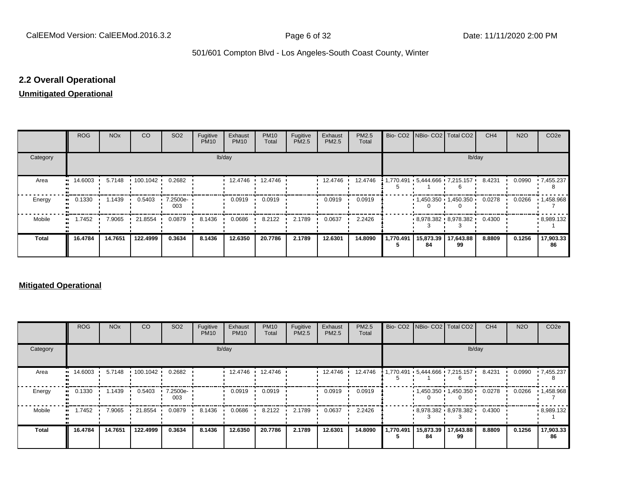#### **2.2 Overall Operational**

#### **Unmitigated Operational**

|                     | <b>ROG</b>  | <b>NO<sub>x</sub></b> | CO       | SO <sub>2</sub> | Fugitive<br><b>PM10</b> | Exhaust<br><b>PM10</b> | <b>PM10</b><br>Total | Fugitive<br><b>PM2.5</b> | Exhaust<br>PM2.5 | PM2.5<br>Total |                             | Bio- CO2 NBio- CO2   Total CO2    | CH <sub>4</sub> | <b>N2O</b> | CO <sub>2e</sub>  |
|---------------------|-------------|-----------------------|----------|-----------------|-------------------------|------------------------|----------------------|--------------------------|------------------|----------------|-----------------------------|-----------------------------------|-----------------|------------|-------------------|
| Category            |             |                       |          |                 |                         | lb/day                 |                      |                          |                  |                |                             | lb/day                            |                 |            |                   |
| Area                | 14.6003<br> | 5.7148                | 100.1042 | 0.2682          |                         | 12.4746 ·              | 12.4746              |                          | 12.4746          | 12.4746        |                             | 1,770.491   5,444.666   7,215.157 | 8.4231          | 0.0990     | $-7,455.237$      |
| Energy<br>.,        | 0.1330      | 1.1439                | 0.5403   | 7.2500e-<br>003 |                         | 0.0919                 | 0.0919               |                          | 0.0919           | 0.0919         |                             | 1,450.350 1,450.350               | 0.0278          | 0.0266     | $\cdot$ 1,458.968 |
| Mobile<br>$\bullet$ | 1.7452      | 7.9065                | 21.8554  | 0.0879          | 8.1436                  | 0.0686                 | 8.2122               | 2.1789                   | 0.0637           | 2.2426         |                             | $-8.978.382 - 8.978.382 - 0.4300$ |                 |            | .8,989.132        |
| <b>Total</b>        | 16.4784     | 14.7651               | 122.4999 | 0.3634          | 8.1436                  | 12.6350                | 20.7786              | 2.1789                   | 12.6301          | 14.8090        | 1,770.491   15,873.39<br>84 | 17,643.88<br>99                   | 8.8809          | 0.1256     | 17,903.33<br>86   |

#### **Mitigated Operational**

|              | ROG       | <b>NO<sub>x</sub></b> | CO              | SO <sub>2</sub> | Fugitive<br><b>PM10</b> | Exhaust<br><b>PM10</b> | <b>PM10</b><br>Total | Fugitive<br>PM2.5 | Exhaust<br>PM2.5 | PM2.5<br>Total |           |                 | Bio- CO2 NBio- CO2 Total CO2        | CH <sub>4</sub> | <b>N2O</b> | CO <sub>2e</sub> |
|--------------|-----------|-----------------------|-----------------|-----------------|-------------------------|------------------------|----------------------|-------------------|------------------|----------------|-----------|-----------------|-------------------------------------|-----------------|------------|------------------|
| Category     |           |                       |                 |                 |                         | lb/day                 |                      |                   |                  |                |           |                 |                                     | lb/day          |            |                  |
| Area         | 14.6003 · |                       | 5.7148 100.1042 | 0.2682          |                         | 12.4746 ·              | 12.4746              |                   | 12.4746          | 12.4746        |           |                 | 1,770.491 • 5,444.666 • 7,215.157 • | 8.4231          | 0.0990     | .7,455.237       |
| Energy       | 0.1330    | .1439                 | 0.5403          | 7.2500e-<br>003 |                         | 0.0919                 | 0.0919               |                   | 0.0919           | 0.0919         |           |                 | $1,450.350$ $1,450.350$             | 0.0278          | 0.0266     | 1,458.968        |
| Mobile       | 1.7452    | 7.9065                | 21.8554         | 0.0879          | 8.1436                  | 0.0686                 | 8.2122               | 2.1789            | 0.0637           | 2.2426         |           |                 | $-8.978.382 - 8.978.382 - 0.4300$   |                 |            | .8,989.132       |
| <b>Total</b> | 16.4784   | 14.7651               | 122.4999        | 0.3634          | 8.1436                  | 12.6350                | 20.7786              | 2.1789            | 12.6301          | 14.8090        | 1,770.491 | 15,873.39<br>84 | 17,643.88<br>99                     | 8.8809          | 0.1256     | 17,903.33<br>86  |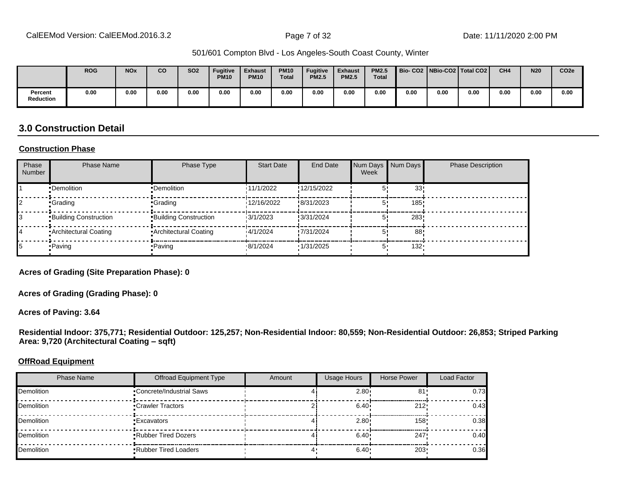|                             | <b>ROG</b> | <b>NO<sub>x</sub></b> | CO   | <b>SO2</b> | <b>Fugitive</b><br><b>PM10</b> | <b>Exhaust</b><br><b>PM10</b> | <b>PM10</b><br><b>Total</b> | <b>Fugitive</b><br><b>PM2.5</b> | <b>Exhaust</b><br><b>PM2.5</b> | <b>PM2.5</b><br><b>Total</b> | Bio- CO2   NBio-CO2   Total CO2 |      |      | CH <sub>4</sub> | <b>N20</b> | CO <sub>2e</sub> |
|-----------------------------|------------|-----------------------|------|------------|--------------------------------|-------------------------------|-----------------------------|---------------------------------|--------------------------------|------------------------------|---------------------------------|------|------|-----------------|------------|------------------|
| Percent<br><b>Reduction</b> | 0.00       | 0.00                  | 0.00 | 0.00       | 0.00                           | 0.00                          | 0.00                        | 0.00                            | 0.00                           | 0.00                         | 0.00                            | 0.00 | 0.00 | 0.00            | 0.00       | 0.00             |

#### **3.0 Construction Detail**

#### **Construction Phase**

| Phase<br><b>Number</b> | <b>Phase Name</b>       | Phase Type                   | <b>Start Date</b> | <b>End Date</b> | Num Days<br>Week | Num Days | <b>Phase Description</b> |
|------------------------|-------------------------|------------------------------|-------------------|-----------------|------------------|----------|--------------------------|
|                        | •Demolition             | •Demolition                  | 11/1/2022         | !12/15/2022     |                  | 33!      |                          |
|                        | •Grading                | •Grading                     | 12/16/2022        | !8/31/2023      |                  | 185      |                          |
|                        | Building Construction   | <b>Building Construction</b> | 13/1/2023         | !3/31/2024      |                  | 283      |                          |
|                        | • Architectural Coating | • Architectural Coating      | 14/1/2024         | !7/31/2024      |                  | 88       |                          |
|                        | • Paving                | • Paving                     | .8/1/2024         | 1/31/2025       | 5                | $132 -$  |                          |

**Acres of Grading (Site Preparation Phase): 0**

**Acres of Grading (Grading Phase): 0**

**Acres of Paving: 3.64**

**Residential Indoor: 375,771; Residential Outdoor: 125,257; Non-Residential Indoor: 80,559; Non-Residential Outdoor: 26,853; Striped Parking**  Area: 9,720 (Architectural Coating - sqft)

#### **OffRoad Equipment**

| <b>Phase Name</b> | <b>Offroad Equipment Type</b> | Amount | <b>Usage Hours</b> | Horse Power | Load Factor |
|-------------------|-------------------------------|--------|--------------------|-------------|-------------|
| <b>Demolition</b> | •Concrete/Industrial Saws     |        | 2.80 <sub>1</sub>  | 81'         | 0.73        |
| Demolition        | •Crawler Tractors             |        | 6.40               | 212'        | 0.43        |
| Demolition        | •Excavators                   |        | 2.80 <sup>1</sup>  | 158'        | 0.38        |
| <b>Demolition</b> | <b>Rubber Tired Dozers</b>    |        | $6.40 \cdot$       | 247         | 0.40        |
| Demolition        | <b>Rubber Tired Loaders</b>   |        | 6.40               | $203 -$     | 0.36        |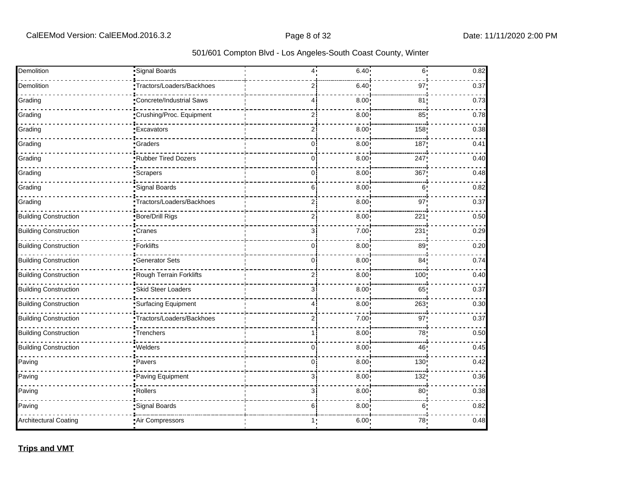| 501/601 Compton Blvd - Los Angeles-South Coast County, Winter |  |
|---------------------------------------------------------------|--|
|---------------------------------------------------------------|--|

| Demolition                   | Signal Boards             | 4              | 6.40              | $6^{\circ}$     | 0.82 |
|------------------------------|---------------------------|----------------|-------------------|-----------------|------|
| Demolition                   | Tractors/Loaders/Backhoes | ا 2            | 6.40              | 97:             | 0.37 |
| Grading                      | Concrete/Industrial Saws  | 41             | 8.00              | 81:             | 0.73 |
| Grading                      | Crushing/Proc. Equipment  | $\overline{2}$ | 8.00              | 85              | 0.78 |
| Grading                      | <b>Excavators</b>         | $\overline{2}$ | 8.00 <sub>1</sub> | 158             | 0.38 |
| Grading                      | <b>Graders</b>            | 0              | 8.00 <sub>1</sub> | 187             | 0.41 |
| Grading                      | Rubber Tired Dozers       | 0.             | 8.00 <sub>1</sub> | 247             | 0.40 |
| Grading                      | <i><u>Scrapers</u></i>    | 0              | 8.00 <sub>1</sub> | 367             | 0.48 |
| Grading                      | Signal Boards             | 6              | 8.00              | 6               | 0.82 |
| Grading                      | Tractors/Loaders/Backhoes | 21             | 8.00              | 97 <sub>2</sub> | 0.37 |
| <b>Building Construction</b> | Bore/Drill Rigs           | ا 2            | 8.00              | 221             | 0.50 |
| <b>Building Construction</b> | •Cranes                   | 3              | 7.00 <sub>1</sub> | 231             | 0.29 |
| <b>Building Construction</b> | Forklifts                 | 0              | $8.00$ !          | 89:             | 0.20 |
| <b>Building Construction</b> | <b>Generator Sets</b>     | 0              | 8.00              | 84 <sub>1</sub> | 0.74 |
| <b>Building Construction</b> | Rough Terrain Forklifts   | ا 2            | 8.00              | 100             | 0.40 |
| <b>Building Construction</b> | Skid Steer Loaders        | з¦             | $8.00 -$          | 65!             | 0.37 |
| <b>Building Construction</b> | Surfacing Equipment       | 4 :            | 8.00              | 263             | 0.30 |
| <b>Building Construction</b> | Tractors/Loaders/Backhoes | 2 <sup>1</sup> | 7.00              | 97:             | 0.37 |
| <b>Building Construction</b> | Trenchers                 | 1 i            | 8.00 <sup>1</sup> | 78              | 0.50 |
| <b>Building Construction</b> | ·Welders                  | οi             | 8.00              | 46!             | 0.45 |
| Paving                       | •Pavers                   | $\mathbf{0}$   | 8.00 <sup>1</sup> | 130             | 0.42 |
| Paving                       | Paving Equipment          | 3 <sup>1</sup> | 8.00              | 132!            | 0.36 |
| Paving                       | Rollers                   | зi             | 8.00 <sup>1</sup> | 80 <sub>1</sub> | 0.38 |
| Paving                       | Signal Boards             | 61             | 8.00 <sub>1</sub> | 6 <sup>1</sup>  | 0.82 |
| <b>Architectural Coating</b> | Air Compressors           | 1,             | 6.00.             | 78              | 0.48 |

**Trips and VMT**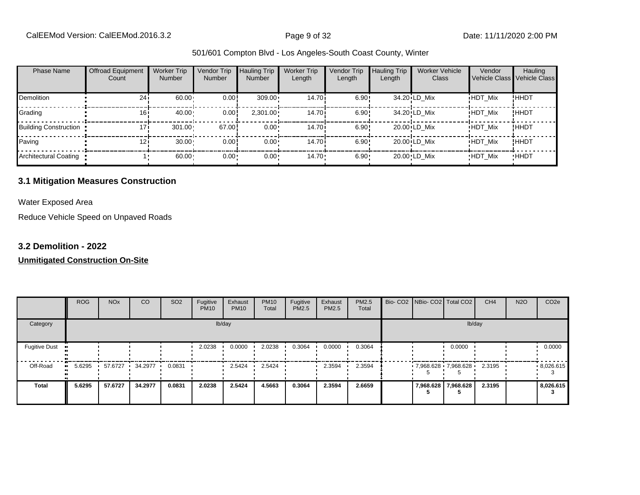| <b>Phase Name</b>            | <b>Offroad Equipment</b><br>Count | <b>Worker Trip</b><br><b>Number</b> | Vendor Trip<br><b>Number</b> | <b>Hauling Trip</b><br><b>Number</b> | <b>Worker Trip</b><br>Length | Vendor Trip<br>Length | <b>Hauling Trip</b><br>Length | <b>Worker Vehicle</b><br>Class | Vendor         | Hauling<br>Vehicle Class Vehicle Class |
|------------------------------|-----------------------------------|-------------------------------------|------------------------------|--------------------------------------|------------------------------|-----------------------|-------------------------------|--------------------------------|----------------|----------------------------------------|
| Demolition                   | 24i                               | 60.00                               | 0.00                         | $309.00 \cdot$                       | 14.70i                       | 6.90!                 |                               | 34.20 LD Mix                   | <b>HDT Mix</b> | !ННDТ                                  |
| Grading                      | 16i                               | 40.00                               | 0.00                         | $2,301.00 \cdot$                     | 14.70 <sup>i</sup>           | 6.90!                 |                               | 34.20 LD Mix                   | <b>HDT Mix</b> | ! ННDТ                                 |
| <b>Building Construction</b> | 171                               | 301.00                              | 67.00                        | $0.00 \cdot$                         | 14.70 <sup>i</sup>           | 6.90!                 |                               | 20.00 LD Mix                   | <b>HDT_Mix</b> | ! ННDТ                                 |
| Paving                       | 121                               | 30.00                               | 0.00                         | $0.00 \cdot$                         | 14.70 <sup>i</sup>           | 6.90!                 |                               | 20.00 LD Mix                   | <b>HDT Mix</b> | !HHDT                                  |
| Architectural Coating        |                                   | 60.00                               | $0.00 -$                     | $0.00 \cdot$                         | $14.70 \cdot$                | 6.90                  |                               | 20.00 LD Mix                   | <b>HDT Mix</b> | <b>HHDT</b>                            |

#### **3.1 Mitigation Measures Construction**

Water Exposed Area

Reduce Vehicle Speed on Unpaved Roads

#### **3.2 Demolition - 2022**

|                      | <b>ROG</b> | <b>NO<sub>x</sub></b> | CO      | SO <sub>2</sub> | Fugitive<br><b>PM10</b> | Exhaust<br><b>PM10</b> | <b>PM10</b><br>Total | Fugitive<br>PM2.5 | Exhaust<br>PM2.5 | PM2.5<br>Total |  | Bio- CO2   NBio- CO2   Total CO2 | CH <sub>4</sub> | <b>N2O</b> | CO <sub>2e</sub> |
|----------------------|------------|-----------------------|---------|-----------------|-------------------------|------------------------|----------------------|-------------------|------------------|----------------|--|----------------------------------|-----------------|------------|------------------|
| Category             |            |                       |         |                 |                         | lb/day                 |                      |                   |                  |                |  | lb/day                           |                 |            |                  |
| <b>Fugitive Dust</b> |            |                       |         |                 | 2.0238                  | 0.0000                 | 2.0238               | 0.3064            | 0.0000           | 0.3064         |  | 0.0000                           |                 |            | 0.0000           |
| Off-Road             | 5.6295     | 57.6727<br>. .        | 34.2977 | 0.0831          |                         | 2.5424                 | 2.5424               |                   | 2.3594           | 2.3594         |  | $7,968.628$ 7,968.628            | 2.3195          |            | .8,026.615       |
| <b>Total</b>         | 5.6295     | 57.6727               | 34.2977 | 0.0831          | 2.0238                  | 2.5424                 | 4.5663               | 0.3064            | 2.3594           | 2.6659         |  | 7,968.628 7,968.628              | 2.3195          |            | 8,026.615        |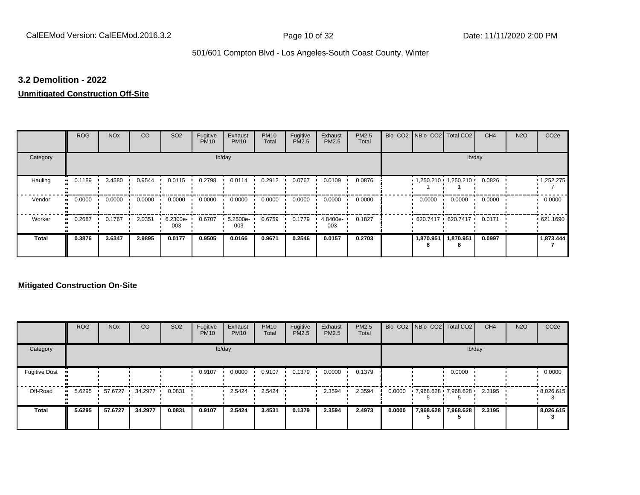#### **3.2 Demolition - 2022**

#### **Unmitigated Construction Off-Site**

|                      | <b>ROG</b>                 | <b>NO<sub>x</sub></b> | CO     | SO <sub>2</sub> | Fugitive<br><b>PM10</b> | Exhaust<br><b>PM10</b> | <b>PM10</b><br>Total | Fugitive<br>PM2.5 | Exhaust<br>PM2.5 | PM2.5<br>Total | Bio- CO2   NBio- CO2   Total CO2 |           | CH <sub>4</sub> | <b>N2O</b> | CO <sub>2e</sub>  |
|----------------------|----------------------------|-----------------------|--------|-----------------|-------------------------|------------------------|----------------------|-------------------|------------------|----------------|----------------------------------|-----------|-----------------|------------|-------------------|
| Category             |                            |                       |        |                 |                         | lb/day                 |                      |                   |                  |                |                                  |           | lb/day          |            |                   |
| Hauling<br>$\bullet$ | 0.1189                     | 3.4580                | 0.9544 | 0.0115          | 0.2798                  | 0.0114                 | 0.2912               | 0.0767            | 0.0109           | 0.0876         | $1,250.210$ $1,250.210$ $1$      |           | 0.0826          |            | $\cdot$ 1,252.275 |
| Vendor               | 0.0000<br>$\bullet\bullet$ | 0.0000                | 0.0000 | 0.0000          | 0.0000                  | 0.0000                 | 0.0000               | 0.0000            | 0.0000           | 0.0000         | 0.0000                           | 0.0000    | 0.0000          |            | 0.0000            |
| Worker<br>$\bullet$  | 0.2687                     | 0.1767                | 2.0351 | 6.2300e-<br>003 | 0.6707                  | 5.2500e-<br>003        | 0.6759               | 0.1779            | 4.8400e-<br>003  | 0.1827         | $620.7417 \cdot 620.7417$        |           | 0.0171          |            | .621.1690         |
| <b>Total</b>         | 0.3876                     | 3.6347                | 2.9895 | 0.0177          | 0.9505                  | 0.0166                 | 0.9671               | 0.2546            | 0.0157           | 0.2703         | 1,870.951                        | 1,870.951 | 0.0997          |            | 1,873.444         |

|                      | <b>ROG</b> | <b>NO<sub>x</sub></b> | CO      | SO <sub>2</sub> | Fugitive<br><b>PM10</b> | Exhaust<br><b>PM10</b> | <b>PM10</b><br>Total | Fugitive<br><b>PM2.5</b> | Exhaust<br><b>PM2.5</b> | PM2.5<br>Total |        |           | Bio- CO2 NBio- CO2 Total CO2 | CH <sub>4</sub> | <b>N2O</b> | CO <sub>2e</sub> |
|----------------------|------------|-----------------------|---------|-----------------|-------------------------|------------------------|----------------------|--------------------------|-------------------------|----------------|--------|-----------|------------------------------|-----------------|------------|------------------|
| Category             |            |                       |         |                 |                         | lb/day                 |                      |                          |                         |                |        |           | lb/day                       |                 |            |                  |
| <b>Fugitive Dust</b> |            |                       |         |                 | 0.9107                  | 0.0000                 | 0.9107               | 0.1379                   | 0.0000                  | 0.1379         |        |           | 0.0000                       |                 |            | 0.0000           |
| Off-Road             | 5.6295     | 57.6727               | 34.2977 | 0.0831          |                         | 2.5424                 | 2.5424               |                          | 2.3594                  | 2.3594         | 0.0000 |           | 7,968.628 7,968.628          | 2.3195          |            | .8,026.615       |
| <b>Total</b>         | 5.6295     | 57.6727               | 34.2977 | 0.0831          | 0.9107                  | 2.5424                 | 3.4531               | 0.1379                   | 2.3594                  | 2.4973         | 0.0000 | 7,968.628 | 7,968.628                    | 2.3195          |            | 8,026.615        |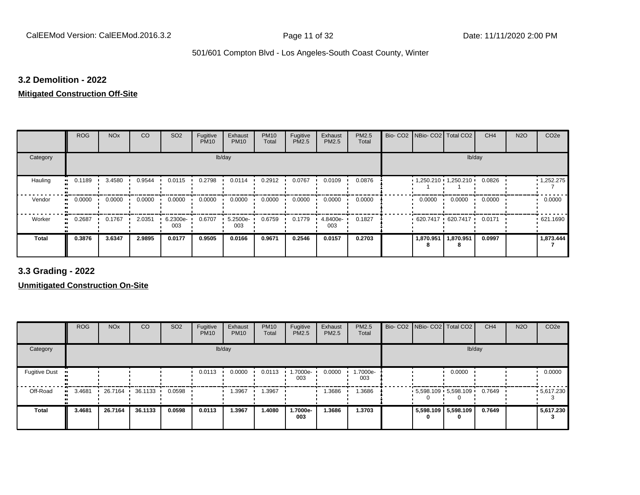#### **3.2 Demolition - 2022**

#### **Mitigated Construction Off-Site**

|                      | <b>ROG</b>                 | <b>NO<sub>x</sub></b> | CO     | SO <sub>2</sub> | Fugitive<br><b>PM10</b> | Exhaust<br><b>PM10</b> | <b>PM10</b><br>Total | Fugitive<br>PM2.5 | Exhaust<br>PM2.5 | PM2.5<br>Total | Bio- CO2   NBio- CO2   Total CO2 |           | CH <sub>4</sub> | <b>N2O</b> | CO <sub>2e</sub>  |
|----------------------|----------------------------|-----------------------|--------|-----------------|-------------------------|------------------------|----------------------|-------------------|------------------|----------------|----------------------------------|-----------|-----------------|------------|-------------------|
| Category             |                            |                       |        |                 |                         | lb/day                 |                      |                   |                  |                |                                  |           | lb/day          |            |                   |
| Hauling<br>$\bullet$ | 0.1189                     | 3.4580                | 0.9544 | 0.0115          | 0.2798                  | 0.0114                 | 0.2912               | 0.0767            | 0.0109           | 0.0876         | $1,250.210$ $1,250.210$          |           | 0.0826          |            | $\cdot$ 1,252.275 |
| Vendor               | 0.0000<br>$\bullet\bullet$ | 0.0000                | 0.0000 | 0.0000          | 0.0000                  | 0.0000                 | 0.0000               | 0.0000            | 0.0000           | 0.0000         | 0.0000                           | 0.0000    | 0.0000          |            | 0.0000            |
| Worker<br>$\bullet$  | 0.2687                     | 0.1767                | 2.0351 | 6.2300e-<br>003 | 0.6707                  | 5.2500e-<br>003        | 0.6759               | 0.1779            | 4.8400e-<br>003  | 0.1827         | $620.7417 \cdot 620.7417$        |           | 0.0171          |            | .621.1690         |
| <b>Total</b>         | 0.3876                     | 3.6347                | 2.9895 | 0.0177          | 0.9505                  | 0.0166                 | 0.9671               | 0.2546            | 0.0157           | 0.2703         | 1,870.951                        | 1,870.951 | 0.0997          |            | 1,873.444         |

**3.3 Grading - 2022**

|                      | <b>ROG</b> | <b>NO<sub>x</sub></b> | CO      | SO <sub>2</sub> | Fugitive<br><b>PM10</b> | Exhaust<br><b>PM10</b> | <b>PM10</b><br>Total | Fugitive<br><b>PM2.5</b> | Exhaust<br>PM2.5 | <b>PM2.5</b><br>Total | Bio- CO2 NBio- CO2 Total CO2 |                         | CH <sub>4</sub> | <b>N2O</b> | CO <sub>2e</sub> |
|----------------------|------------|-----------------------|---------|-----------------|-------------------------|------------------------|----------------------|--------------------------|------------------|-----------------------|------------------------------|-------------------------|-----------------|------------|------------------|
| Category             |            |                       |         |                 |                         | lb/day                 |                      |                          |                  |                       |                              | lb/day                  |                 |            |                  |
| <b>Fugitive Dust</b> |            |                       |         |                 | 0.0113                  | 0.0000                 | 0.0113               | 1.7000e-<br>003          | 0.0000           | 1.7000e-<br>003       |                              | 0.0000                  |                 |            | 0.0000           |
| Off-Road             | 3.4681     | 26.7164               | 36.1133 | 0.0598          |                         | 1.3967                 | 1.3967               |                          | 1.3686           | 1.3686                |                              | $5,598.109$ $5,598.109$ | 0.7649          |            | .5617.230        |
| Total                | 3.4681     | 26.7164               | 36.1133 | 0.0598          | 0.0113                  | 1.3967                 | 1.4080               | 1.7000e-<br>003          | 1.3686           | 1.3703                | 0                            | 5,598.109 5,598.109     | 0.7649          |            | 5,617.230        |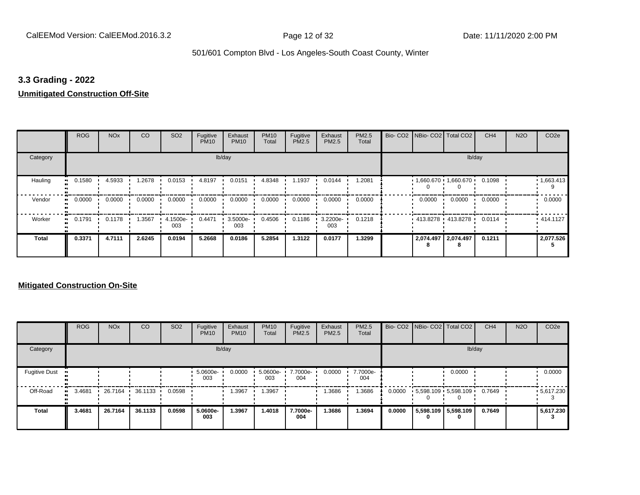#### **3.3 Grading - 2022**

#### **Unmitigated Construction Off-Site**

|                           | <b>ROG</b> | <b>NO<sub>x</sub></b> | <b>CO</b> | SO <sub>2</sub> | Fugitive<br><b>PM10</b> | Exhaust<br><b>PM10</b> | <b>PM10</b><br>Total | Fugitive<br>PM2.5 | Exhaust<br>PM2.5 | PM2.5<br>Total | Bio- CO2   NBio- CO2   Total CO2 |        | CH <sub>4</sub> | <b>N2O</b> | CO <sub>2e</sub> |
|---------------------------|------------|-----------------------|-----------|-----------------|-------------------------|------------------------|----------------------|-------------------|------------------|----------------|----------------------------------|--------|-----------------|------------|------------------|
| Category                  |            |                       |           |                 |                         | lb/day                 |                      |                   |                  |                |                                  |        | lb/day          |            |                  |
| Hauling<br>$\blacksquare$ | 0.1580     | 4.5933                | 1.2678    | 0.0153          | 4.8197                  | 0.0151                 | 4.8348               | 1.1937            | 0.0144           | 1.2081         | $1,660.670$ 1,660.670            |        | 0.1098          |            | 1,663.413        |
| Vendor<br>$\bullet$       | 0.0000     | 0.0000                | 0.0000    | 0.0000          | 0.0000                  | 0.0000                 | 0.0000               | 0.0000            | 0.0000           | 0.0000         | 0.0000                           | 0.0000 | 0.0000          |            | 0.0000           |
| Worker<br>$\bullet$       | 0.1791     | 0.1178                | 1.3567    | 4.1500e-<br>003 | 0.4471                  | 3.5000e-<br>003        | 0.4506               | 0.1186            | 3.2200e-<br>003  | 0.1218         | 413.8278 413.8278                |        | 0.0114          |            | .414.1127        |
| <b>Total</b>              | 0.3371     | 4.7111                | 2.6245    | 0.0194          | 5.2668                  | 0.0186                 | 5.2854               | 1.3122            | 0.0177           | 1.3299         | 2,074.497 2,074.497              |        | 0.1211          |            | 2,077.526        |

|                      | <b>ROG</b> | <b>NO<sub>x</sub></b> | CO      | SO <sub>2</sub> | Fugitive<br><b>PM10</b> | Exhaust<br><b>PM10</b> | <b>PM10</b><br>Total | Fugitive<br>PM2.5 | Exhaust<br><b>PM2.5</b> | PM2.5<br>Total  |        |   | Bio- CO2   NBio- CO2   Total CO2 | CH <sub>4</sub> | <b>N2O</b> | CO <sub>2e</sub> |
|----------------------|------------|-----------------------|---------|-----------------|-------------------------|------------------------|----------------------|-------------------|-------------------------|-----------------|--------|---|----------------------------------|-----------------|------------|------------------|
| Category             |            |                       |         |                 |                         | lb/day                 |                      |                   |                         |                 |        |   | lb/day                           |                 |            |                  |
| <b>Fugitive Dust</b> |            |                       |         |                 | 5.0600e-<br>003         | 0.0000                 | 5.0600e-<br>003      | 7.7000e-<br>004   | 0.0000                  | 7.7000e-<br>004 |        |   | 0.0000                           |                 |            | 0.0000           |
| Off-Road             | 3.4681     | 26.7164               | 36.1133 | 0.0598          |                         | 1.3967                 | .3967                |                   | 1.3686                  | .3686           | 0.0000 |   | $5,598.109$ 5,598.109            | 0.7649          |            | $-5,617.230$     |
| <b>Total</b>         | 3.4681     | 26.7164               | 36.1133 | 0.0598          | 5.0600e-<br>003         | 1.3967                 | 1.4018               | 7.7000e-<br>004   | 1.3686                  | 1.3694          | 0.0000 | 0 | 5,598.109 5,598.109<br>0         | 0.7649          |            | 5,617.230        |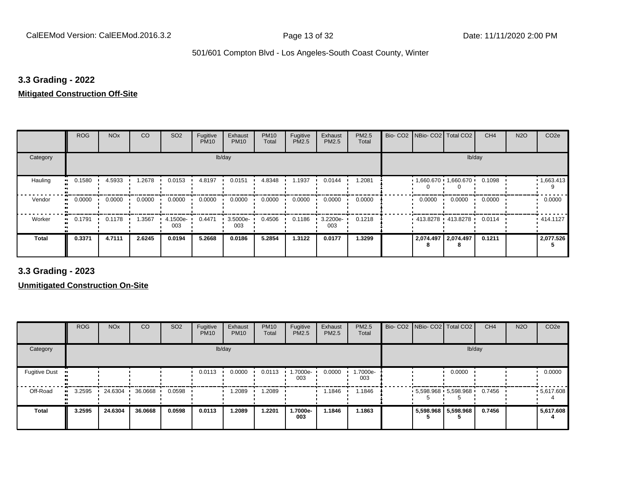#### **3.3 Grading - 2022**

#### **Mitigated Construction Off-Site**

|                     | <b>ROG</b> | <b>NO<sub>x</sub></b> | <b>CO</b> | SO <sub>2</sub> | Fugitive<br><b>PM10</b> | Exhaust<br><b>PM10</b> | <b>PM10</b><br>Total | Fugitive<br>PM2.5 | Exhaust<br>PM2.5 | PM2.5<br>Total | Bio- CO2   NBio- CO2   Total CO2 |        | CH <sub>4</sub> | <b>N2O</b> | CO <sub>2e</sub> |
|---------------------|------------|-----------------------|-----------|-----------------|-------------------------|------------------------|----------------------|-------------------|------------------|----------------|----------------------------------|--------|-----------------|------------|------------------|
| Category            |            |                       |           |                 | lb/day                  |                        |                      |                   |                  |                |                                  | lb/day |                 |            |                  |
| Hauling             | 0.1580     | 4.5933                | 1.2678    | 0.0153          | 4.8197                  | 0.0151                 | 4.8348               | 1.1937            | 0.0144           | 1.2081         | $1,660.670$ $1,660.670$          |        | 0.1098          |            | 1,663.413        |
| Vendor<br>$\bullet$ | 0.0000     | 0.0000                | 0.0000    | 0.0000          | 0.0000                  | 0.0000                 | 0.0000               | 0.0000            | 0.0000           | 0.0000         | 0.0000                           | 0.0000 | 0.0000          |            | 0.0000           |
| Worker<br>$\bullet$ | 0.1791     | 0.1178                | 1.3567    | 4.1500e-<br>003 | 0.4471                  | 3.5000e-<br>003        | 0.4506               | 0.1186            | 3.2200e-<br>003  | 0.1218         | 413.8278 413.8278                |        | 0.0114          |            | .414.1127        |
| Total               | 0.3371     | 4.7111                | 2.6245    | 0.0194          | 5.2668                  | 0.0186                 | 5.2854               | 1.3122            | 0.0177           | 1.3299         | 2,074.497 2,074.497              |        | 0.1211          |            | 2,077.526        |

**3.3 Grading - 2023**

|                      | <b>ROG</b> | <b>NO<sub>x</sub></b> | CO      | SO <sub>2</sub> | Fugitive<br><b>PM10</b> | Exhaust<br><b>PM10</b> | <b>PM10</b><br>Total | Fugitive<br><b>PM2.5</b> | Exhaust<br>PM2.5 | <b>PM2.5</b><br>Total | Bio- CO2 NBio- CO2 Total CO2 |                       | CH <sub>4</sub> | <b>N2O</b> | CO <sub>2e</sub>  |
|----------------------|------------|-----------------------|---------|-----------------|-------------------------|------------------------|----------------------|--------------------------|------------------|-----------------------|------------------------------|-----------------------|-----------------|------------|-------------------|
| Category             |            |                       |         |                 |                         | lb/day                 |                      |                          |                  |                       |                              | lb/day                |                 |            |                   |
| <b>Fugitive Dust</b> |            |                       |         |                 | 0.0113                  | 0.0000                 | 0.0113               | 1.7000e-<br>003          | 0.0000           | 1.7000e-<br>003       |                              | 0.0000                |                 |            | 0.0000            |
| Off-Road             | 3.2595     | 24.6304               | 36.0668 | 0.0598          |                         | 1.2089                 | 1.2089               |                          | 1.1846           | 1.1846                |                              | $5,598.968$ 5,598.968 | 0.7456          |            | $\cdot$ 5,617.608 |
| <b>Total</b>         | 3.2595     | 24.6304               | 36.0668 | 0.0598          | 0.0113                  | 1.2089                 | 1.2201               | 1.7000e-<br>003          | 1.1846           | 1.1863                |                              | 5,598.968 5,598.968   | 0.7456          |            | 5,617.608         |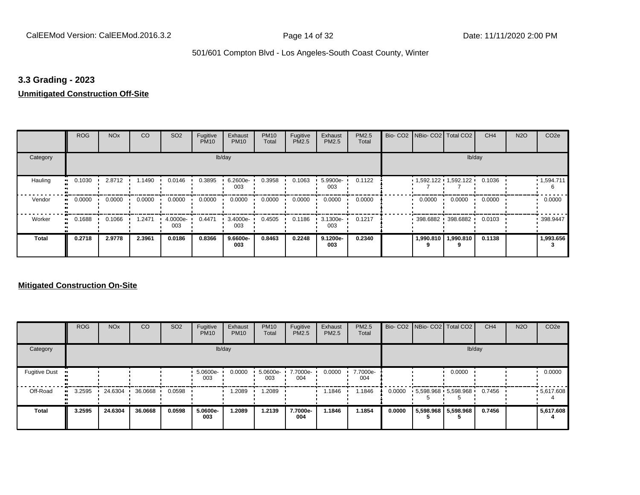#### **3.3 Grading - 2023**

#### **Unmitigated Construction Off-Site**

|                      | <b>ROG</b>                 | <b>NO<sub>x</sub></b> | CO     | SO <sub>2</sub> | Fugitive<br><b>PM10</b> | Exhaust<br><b>PM10</b> | <b>PM10</b><br>Total | Fugitive<br>PM2.5 | Exhaust<br>PM2.5 | PM2.5<br>Total | Bio- CO2   NBio- CO2   Total CO2 |                       | CH <sub>4</sub> | <b>N2O</b> | CO <sub>2e</sub> |
|----------------------|----------------------------|-----------------------|--------|-----------------|-------------------------|------------------------|----------------------|-------------------|------------------|----------------|----------------------------------|-----------------------|-----------------|------------|------------------|
| Category             |                            |                       |        |                 |                         | lb/day                 |                      |                   |                  |                |                                  |                       | lb/day          |            |                  |
| Hauling<br>$\bullet$ | 0.1030                     | 2.8712                | 1.1490 | 0.0146          | 0.3895                  | 6.2600e-<br>003        | 0.3958               | 0.1063            | 5.9900e-<br>003  | 0.1122         | $1,592.122$ $1,592.122$          |                       | 0.1036          |            | 1,594.711<br>6   |
| Vendor               | 0.0000<br>$\bullet\bullet$ | 0.0000                | 0.0000 | 0.0000          | 0.0000                  | 0.0000                 | 0.0000               | 0.0000            | 0.0000           | 0.0000         | 0.0000                           | 0.0000                | 0.0000          |            | 0.0000           |
| Worker<br>$\bullet$  | 0.1688                     | 0.1066                | 1.2471 | 4.0000e-<br>003 | 0.4471                  | 3.4000e-<br>003        | 0.4505               | 0.1186            | 3.1300e-<br>003  | 0.1217         |                                  | 398.6882 398.6882     | 0.0103          |            | 398.9447         |
| <b>Total</b>         | 0.2718                     | 2.9778                | 2.3961 | 0.0186          | 0.8366                  | $9.6600e-$<br>003      | 0.8463               | 0.2248            | 9.1200e-<br>003  | 0.2340         |                                  | 1,990.810   1,990.810 | 0.1138          |            | 1,993.656        |

|                      | <b>ROG</b> | <b>NO<sub>x</sub></b> | CO      | SO <sub>2</sub> | Fugitive<br><b>PM10</b> | Exhaust<br><b>PM10</b> | <b>PM10</b><br>Total | Fugitive<br>PM2.5 | Exhaust<br><b>PM2.5</b> | PM2.5<br>Total  |        | Bio- CO2   NBio- CO2   Total CO2 | CH <sub>4</sub> | <b>N2O</b> | CO <sub>2e</sub> |
|----------------------|------------|-----------------------|---------|-----------------|-------------------------|------------------------|----------------------|-------------------|-------------------------|-----------------|--------|----------------------------------|-----------------|------------|------------------|
| Category             |            |                       |         |                 |                         | lb/day                 |                      |                   |                         |                 |        | lb/day                           |                 |            |                  |
| <b>Fugitive Dust</b> |            |                       |         |                 | 5.0600e-<br>003         | 0.0000                 | 5.0600e-<br>003      | 7.7000e-<br>004   | 0.0000                  | 7.7000e-<br>004 |        | 0.0000                           |                 |            | 0.0000           |
| Off-Road             | 3.2595     | 24.6304               | 36.0668 | 0.0598          |                         | 1.2089                 | .2089                |                   | 1.1846                  | .1846           | 0.0000 | 5,598.968 5,598.968              | 0.7456          |            | .5617.608        |
| <b>Total</b>         | 3.2595     | 24.6304               | 36.0668 | 0.0598          | 5.0600e-<br>003         | 1.2089                 | 1.2139               | 7.7000e-<br>004   | 1.1846                  | 1.1854          | 0.0000 | 5,598.968 5,598.968              | 0.7456          |            | 5,617.608        |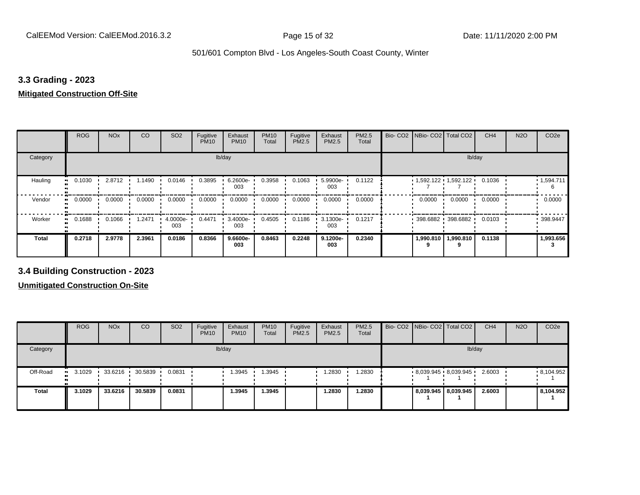#### **3.3 Grading - 2023**

#### **Mitigated Construction Off-Site**

|                     | <b>ROG</b> | <b>NO<sub>x</sub></b> | <b>CO</b> | SO <sub>2</sub> | Fugitive<br><b>PM10</b> | Exhaust<br><b>PM10</b> | <b>PM10</b><br>Total | Fugitive<br>PM2.5 | Exhaust<br>PM2.5 | PM2.5<br>Total | Bio-CO <sub>2</sub> | NBio- CO2   Total CO2   |                   | CH <sub>4</sub> | <b>N2O</b> | CO <sub>2e</sub> |
|---------------------|------------|-----------------------|-----------|-----------------|-------------------------|------------------------|----------------------|-------------------|------------------|----------------|---------------------|-------------------------|-------------------|-----------------|------------|------------------|
| Category            |            |                       |           |                 | lb/day                  |                        |                      |                   |                  |                |                     |                         | lb/day            |                 |            |                  |
| Hauling             | 0.1030     | 2.8712                | 1.1490    | 0.0146          | 0.3895                  | 6.2600e-<br>003        | 0.3958               | 0.1063            | 5.9900e-<br>003  | 0.1122         |                     | $1,592.122$ $1,592.122$ |                   | 0.1036          |            | .1,594.711<br>6  |
| Vendor<br>$\bullet$ | 0.0000     | 0.0000                | 0.0000    | 0.0000          | 0.0000                  | 0.0000                 | 0.0000               | 0.0000            | 0.0000           | 0.0000         |                     | 0.0000                  | 0.0000            | 0.0000          |            | 0.0000           |
| Worker<br>$\bullet$ | 0.1688     | 0.1066                | 1.2471    | 4.0000e-<br>003 | 0.4471                  | 3.4000e-<br>003        | 0.4505               | 0.1186            | 3.1300e-<br>003  | 0.1217         |                     |                         | 398.6882 398.6882 | 0.0103          |            | 398.9447         |
| Total               | 0.2718     | 2.9778                | 2.3961    | 0.0186          | 0.8366                  | 9.6600e-<br>003        | 0.8463               | 0.2248            | 9.1200e-<br>003  | 0.2340         |                     | 1,990.810               | 1,990.810         | 0.1138          |            | 1,993.656        |

**3.4 Building Construction - 2023**

|              | <b>ROG</b>     | <b>NO<sub>x</sub></b> | CO      | SO <sub>2</sub> | Fugitive<br><b>PM10</b> | Exhaust<br><b>PM10</b> | <b>PM10</b><br>Total | Fugitive<br><b>PM2.5</b> | Exhaust<br><b>PM2.5</b> | <b>PM2.5</b><br>Total |  | Bio- CO2 NBio- CO2 Total CO2 | CH <sub>4</sub> | <b>N2O</b> | CO <sub>2e</sub> |
|--------------|----------------|-----------------------|---------|-----------------|-------------------------|------------------------|----------------------|--------------------------|-------------------------|-----------------------|--|------------------------------|-----------------|------------|------------------|
| Category     |                |                       |         |                 |                         | lb/day                 |                      |                          |                         |                       |  |                              | lb/day          |            |                  |
| Off-Road     | $\cdot$ 3.1029 | 33.6216               | 30.5839 | 0.0831          |                         | .3945                  | .3945                |                          | 1.2830                  | .2830                 |  | $8,039.945$ $8,039.945$      | 2.6003          |            | .8,104.952       |
| <b>Total</b> | 3.1029         | 33.6216               | 30.5839 | 0.0831          |                         | .3945                  | 1.3945               |                          | 1.2830                  | 1.2830                |  | 8,039.945   8,039.945        | 2.6003          |            | 8,104.952        |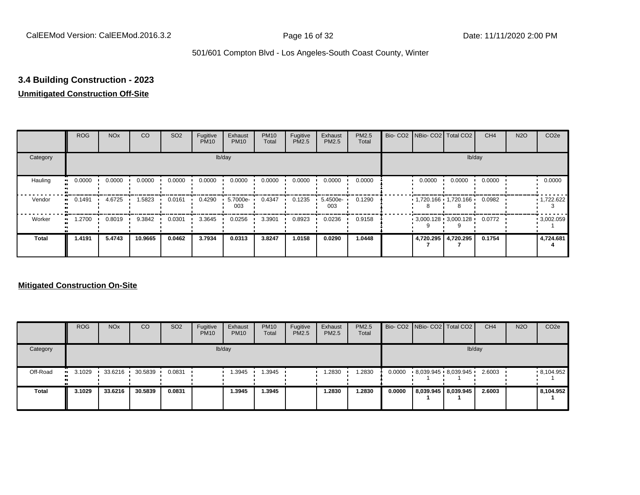## **3.4 Building Construction - 2023**

#### **Unmitigated Construction Off-Site**

|                      | <b>ROG</b>                 | <b>NO<sub>x</sub></b> | CO      | SO <sub>2</sub> | Fugitive<br><b>PM10</b> | Exhaust<br><b>PM10</b> | <b>PM10</b><br>Total | Fugitive<br>PM2.5 | Exhaust<br>PM2.5 | PM2.5<br>Total |        | Bio- CO2   NBio- CO2   Total CO2 | CH <sub>4</sub> | <b>N2O</b> | CO <sub>2e</sub>  |
|----------------------|----------------------------|-----------------------|---------|-----------------|-------------------------|------------------------|----------------------|-------------------|------------------|----------------|--------|----------------------------------|-----------------|------------|-------------------|
| Category             |                            |                       |         |                 |                         | lb/day                 |                      |                   |                  |                |        | lb/day                           |                 |            |                   |
| Hauling<br>$\bullet$ | 0.0000                     | 0.0000                | 0.0000  | 0.0000          | 0.0000                  | 0.0000                 | 0.0000               | 0.0000            | 0.0000           | 0.0000         | 0.0000 | 0.0000                           | 0.0000          |            | 0.0000            |
| Vendor               | 0.1491<br>$\bullet\bullet$ | 4.6725                | 1.5823  | 0.0161          | 0.4290                  | 5.7000e-<br>003        | 0.4347               | 0.1235            | 5.4500e-<br>003  | 0.1290         |        | $1,720.166$ $1,720.166$          | 0.0982          |            | $\cdot$ 1,722.622 |
| Worker               | 1.2700<br>$\bullet$        | 0.8019                | 9.3842  | 0.0301          | 3.3645                  | 0.0256                 | 3.3901               | 0.8923            | 0.0236           | 0.9158         |        | $3,000.128$ 3,000.128            | 0.0772          |            | $\cdot$ 3,002.059 |
| <b>Total</b>         | 1.4191                     | 5.4743                | 10.9665 | 0.0462          | 3.7934                  | 0.0313                 | 3.8247               | 1.0158            | 0.0290           | 1.0448         |        | 4,720.295 4,720.295              | 0.1754          |            | 4,724.681         |

|              | <b>ROG</b>     | <b>NO<sub>x</sub></b> | CO      | SO <sub>2</sub> | Fugitive<br><b>PM10</b> | Exhaust<br><b>PM10</b> | <b>PM10</b><br><b>Total</b> | Fugitive<br>PM2.5 | Exhaust<br><b>PM2.5</b> | <b>PM2.5</b><br>Total |        | Bio- CO2   NBio- CO2   Total CO2 | CH <sub>4</sub> | <b>N2O</b> | CO <sub>2e</sub> |
|--------------|----------------|-----------------------|---------|-----------------|-------------------------|------------------------|-----------------------------|-------------------|-------------------------|-----------------------|--------|----------------------------------|-----------------|------------|------------------|
| Category     |                |                       |         |                 |                         | lb/day                 |                             |                   |                         |                       |        | lb/day                           |                 |            |                  |
| Off-Road     | $\cdot$ 3.1029 | 33.6216               | 30.5839 | 0.0831          |                         | 1.3945                 | .3945                       |                   | 1.2830                  | .2830                 | 0.0000 | 8,039.945 8,039.945              | 2.6003          |            | .8,104.952       |
| <b>Total</b> | 3.1029         | 33.6216               | 30.5839 | 0.0831          |                         | 1.3945                 | .3945                       |                   | 1.2830                  | 1.2830                | 0.0000 | 8,039.945   8,039.945            | 2.6003          |            | 8,104.952        |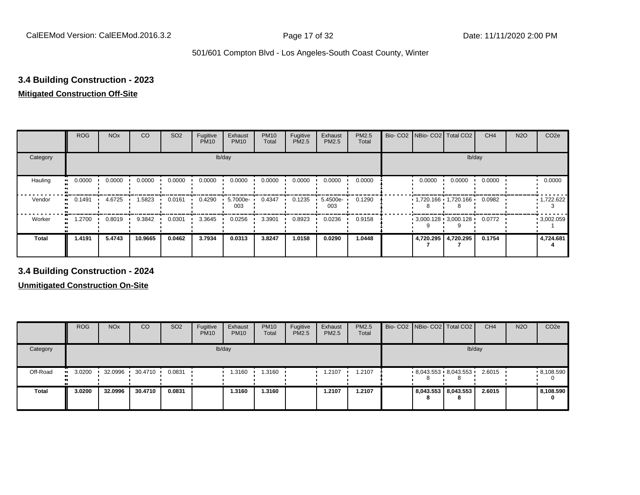#### **3.4 Building Construction - 2023**

#### **Mitigated Construction Off-Site**

|                     | <b>ROG</b> | <b>NO<sub>x</sub></b> | CO      | SO <sub>2</sub> | Fugitive<br><b>PM10</b> | Exhaust<br><b>PM10</b> | <b>PM10</b><br>Total | Fugitive<br>PM2.5 | Exhaust<br>PM2.5 | PM2.5<br>Total | Bio- CO2   NBio- CO2   Total CO2 |                     | CH <sub>4</sub> | <b>N2O</b> | CO <sub>2e</sub>  |
|---------------------|------------|-----------------------|---------|-----------------|-------------------------|------------------------|----------------------|-------------------|------------------|----------------|----------------------------------|---------------------|-----------------|------------|-------------------|
| Category            |            |                       |         |                 |                         | lb/day                 |                      |                   |                  |                |                                  | lb/day              |                 |            |                   |
| Hauling             | 0.0000     | 0.0000                | 0.0000  | 0.0000          | 0.0000                  | 0.0000                 | 0.0000               | 0.0000            | 0.0000           | 0.0000         | 0.0000                           | 0.0000              | 0.0000          |            | 0.0000            |
| Vendor<br>$\bullet$ | 0.1491     | 4.6725                | 1.5823  | 0.0161          | 0.4290                  | 5.7000e-<br>003        | 0.4347               | 0.1235            | 5.4500e-<br>003  | 0.1290         | $1,720.166$ $1,720.166$ $\cdot$  |                     | 0.0982          |            | $\cdot$ 1,722.622 |
| Worker<br>$\bullet$ | 1.2700     | 0.8019                | 9.3842  | 0.0301          | 3.3645                  | 0.0256                 | 3.3901               | 0.8923            | 0.0236           | 0.9158         | $3,000.128$ 3,000.128            |                     | 0.0772          |            | .3002.059         |
| Total               | 1.4191     | 5.4743                | 10.9665 | 0.0462          | 3.7934                  | 0.0313                 | 3.8247               | 1.0158            | 0.0290           | 1.0448         |                                  | 4,720.295 4,720.295 | 0.1754          |            | 4,724.681         |

**3.4 Building Construction - 2024**

|              | <b>ROG</b>             | <b>NO<sub>x</sub></b> | CO      | SO <sub>2</sub> | Fugitive<br><b>PM10</b> | Exhaust<br><b>PM10</b> | <b>PM10</b><br>Total | Fugitive<br><b>PM2.5</b> | Exhaust<br><b>PM2.5</b> | <b>PM2.5</b><br>Total |   | Bio- CO2 NBio- CO2 Total CO2 | CH <sub>4</sub> | <b>N2O</b> | CO <sub>2e</sub> |
|--------------|------------------------|-----------------------|---------|-----------------|-------------------------|------------------------|----------------------|--------------------------|-------------------------|-----------------------|---|------------------------------|-----------------|------------|------------------|
| Category     |                        |                       |         |                 |                         | lb/day                 |                      |                          |                         |                       |   |                              | lb/day          |            |                  |
| Off-Road     | 3.0200<br>$\mathbf{u}$ | 32.0996               | 30.4710 | 0.0831          |                         | i.3160                 | 1.3160               |                          | 1.2107                  | 1.2107                | ŏ | $8,043.553$ $8,043.553$      | 2.6015          |            | .8,108.590       |
| <b>Total</b> | 3.0200                 | 32.0996               | 30.4710 | 0.0831          |                         | 1.3160                 | 1.3160               |                          | 1.2107                  | 1.2107                | 8 | 8,043.553 8,043.553<br>8     | 2.6015          |            | 8,108.590<br>0   |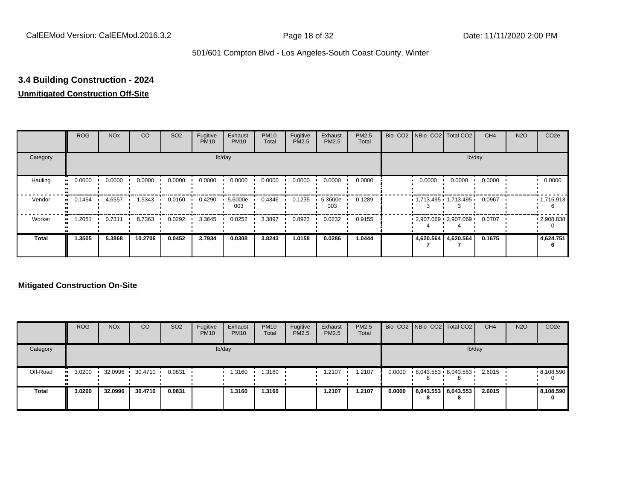### **3.4 Building Construction - 2024**

#### **Unmitigated Construction Off-Site**

|                     | <b>ROG</b>          | <b>NO<sub>x</sub></b> | CO      | SO <sub>2</sub> | Fugitive<br><b>PM10</b> | Exhaust<br><b>PM10</b> | <b>PM10</b><br>Total | Fugitive<br><b>PM2.5</b> | Exhaust<br>PM2.5 | PM2.5<br>Total |        | Bio- CO2   NBio- CO2   Total CO2       | CH <sub>4</sub> | <b>N2O</b> | CO <sub>2e</sub> |
|---------------------|---------------------|-----------------------|---------|-----------------|-------------------------|------------------------|----------------------|--------------------------|------------------|----------------|--------|----------------------------------------|-----------------|------------|------------------|
| Category            |                     |                       |         |                 |                         | lb/day                 |                      |                          |                  |                |        |                                        | lb/day          |            |                  |
| Hauling<br>œ        | 0.0000              | 0.0000                | 0.0000  | 0.0000          | 0.0000                  | 0.0000                 | 0.0000               | 0.0000                   | 0.0000           | 0.0000         | 0.0000 | 0.0000                                 | 0.0000          |            | 0.0000           |
| Vendor              | 0.1454<br>$\bullet$ | 4.6557                | 1.5343  | 0.0160          | 0.4290                  | $5.6000e -$<br>003     | 0.4346               | 0.1235                   | 5.3600e-<br>003  | 0.1289         |        | $1,713.495$ $1,713.495$ $\blacksquare$ | 0.0967          |            | 1,715.913        |
| Worker<br>$\bullet$ | 1.2051              | 0.7311                | 8.7363  | 0.0292          | 3.3645                  | 0.0252                 | 3.3897               | 0.8923                   | 0.0232           | 0.9155         |        | $2,907.069$ 2,907.069                  | 0.0707          |            | .2908.838        |
| <b>Total</b>        | 1.3505              | 5.3868                | 10.2706 | 0.0452          | 3.7934                  | 0.0308                 | 3.8243               | 1.0158                   | 0.0286           | 1.0444         |        | 4,620.564 4,620.564                    | 0.1675          |            | 4,624.751        |

|              | <b>ROG</b>           | <b>NO<sub>x</sub></b> | CO      | SO <sub>2</sub> | Fugitive<br><b>PM10</b> | Exhaust<br><b>PM10</b> | <b>PM10</b><br><b>Total</b> | Fugitive<br>PM2.5 | Exhaust<br><b>PM2.5</b> | <b>PM2.5</b><br>Total |        |   | Bio- CO2   NBio- CO2   Total CO2 | CH <sub>4</sub> | <b>N2O</b> | CO <sub>2e</sub> |
|--------------|----------------------|-----------------------|---------|-----------------|-------------------------|------------------------|-----------------------------|-------------------|-------------------------|-----------------------|--------|---|----------------------------------|-----------------|------------|------------------|
| Category     |                      |                       |         |                 |                         | lb/day                 |                             |                   |                         |                       |        |   |                                  | lb/day          |            |                  |
| Off-Road     | 3.0200<br><b>ALC</b> | 32.0996               | 30.4710 | 0.0831          |                         | 1.3160                 | .3160                       |                   | 1.2107                  | .2107                 | 0.0000 |   | $8,043.553$ $8,043.553$          | 2.6015          |            | .8,108.590       |
| <b>Total</b> | 3.0200               | 32.0996               | 30.4710 | 0.0831          |                         | 1.3160                 | 1.3160                      |                   | 1.2107                  | 1.2107                | 0.0000 | 8 | 8,043.553 8,043.553<br>8         | 2.6015          |            | 8,108.590<br>0   |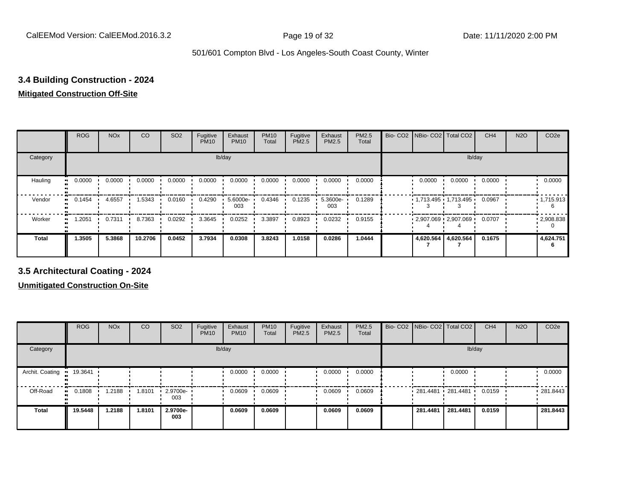#### **3.4 Building Construction - 2024**

#### **Mitigated Construction Off-Site**

|          | <b>ROG</b> | <b>NO<sub>x</sub></b> | CO      | SO <sub>2</sub> | Fugitive<br><b>PM10</b> | Exhaust<br><b>PM10</b> | <b>PM10</b><br>Total | Fugitive<br>PM2.5 | Exhaust<br>PM2.5 | PM2.5<br>Total | Bio- CO2   NBio- CO2   Total CO2 |           | CH <sub>4</sub> | <b>N2O</b> | CO <sub>2e</sub>  |
|----------|------------|-----------------------|---------|-----------------|-------------------------|------------------------|----------------------|-------------------|------------------|----------------|----------------------------------|-----------|-----------------|------------|-------------------|
| Category |            |                       |         |                 |                         | lb/day                 |                      |                   |                  |                |                                  | lb/day    |                 |            |                   |
| Hauling  | 0.0000     | 0.0000                | 0.0000  | 0.0000          | 0.0000                  | 0.0000                 | 0.0000               | 0.0000            | 0.0000           | 0.0000         | 0.0000                           | 0.0000    | 0.0000          |            | 0.0000            |
| Vendor   | 0.1454     | 4.6557                | 1.5343  | 0.0160          | 0.4290                  | 5.6000e-<br>003        | 0.4346               | 0.1235            | 5.3600e-<br>003  | 0.1289         | $1,713.495$ $1,713.495$ $1$      |           | 0.0967          |            | $\cdot$ 1,715.913 |
| Worker   | 1.2051     | 0.7311                | 8.7363  | 0.0292          | 3.3645                  | 0.0252                 | 3.3897               | 0.8923            | 0.0232           | 0.9155         | $2,907.069$ 2,907.069            |           | 0.0707          |            | $\cdot$ 2,908.838 |
| Total    | 1.3505     | 5.3868                | 10.2706 | 0.0452          | 3.7934                  | 0.0308                 | 3.8243               | 1.0158            | 0.0286           | 1.0444         | 4,620.564                        | 4,620.564 | 0.1675          |            | 4,624.751         |

**3.5 Architectural Coating - 2024**

|                                   | <b>ROG</b> | <b>NO<sub>x</sub></b> | CO     | SO <sub>2</sub>     | Fugitive<br><b>PM10</b> | Exhaust<br><b>PM10</b> | <b>PM10</b><br>Total | Fugitive<br><b>PM2.5</b> | Exhaust<br><b>PM2.5</b> | PM2.5<br><b>Total</b> | Bio- CO2   NBio- CO2   Total CO2 |          | CH <sub>4</sub> | <b>N2O</b> | CO <sub>2e</sub> |
|-----------------------------------|------------|-----------------------|--------|---------------------|-------------------------|------------------------|----------------------|--------------------------|-------------------------|-----------------------|----------------------------------|----------|-----------------|------------|------------------|
| Category                          |            |                       |        |                     |                         | lb/day                 |                      |                          |                         |                       |                                  | lb/day   |                 |            |                  |
| Archit. Coating<br>$\blacksquare$ | 19.3641    |                       |        |                     |                         | 0.0000                 | 0.0000               |                          | 0.0000                  | 0.0000                |                                  | 0.0000   |                 |            | 0.0000           |
| Off-Road<br>$\bullet$             | 0.1808     | 1.2188                | 1.8101 | $-2.9700e -$<br>003 |                         | 0.0609                 | 0.0609               |                          | 0.0609                  | 0.0609                | $281.4481$ 281.4481 ·            |          | 0.0159          |            | .281.8443        |
| <b>Total</b>                      | 19.5448    | 1.2188                | 1.8101 | 2.9700e-<br>003     |                         | 0.0609                 | 0.0609               |                          | 0.0609                  | 0.0609                | 281.4481                         | 281.4481 | 0.0159          |            | 281.8443         |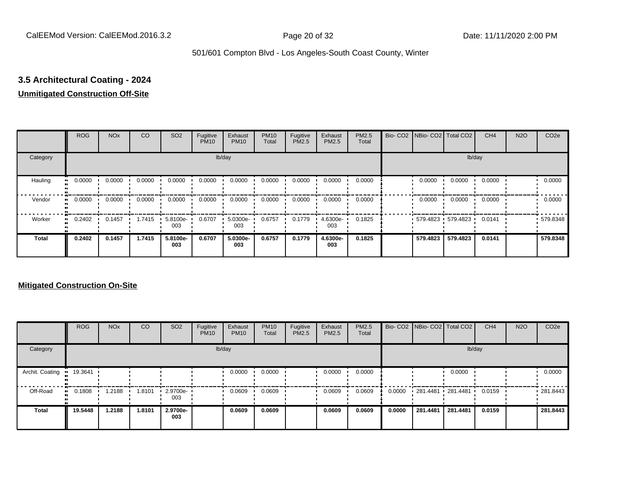## **3.5 Architectural Coating - 2024**

#### **Unmitigated Construction Off-Site**

|                        | <b>ROG</b> | <b>NO<sub>x</sub></b> | CO     | SO <sub>2</sub> | Fugitive<br><b>PM10</b> | Exhaust<br><b>PM10</b> | <b>PM10</b><br>Total | Fugitive<br><b>PM2.5</b> | Exhaust<br>PM2.5 | <b>PM2.5</b><br>Total | Bio- CO2   NBio- CO2   Total CO2 |                   | CH <sub>4</sub> | <b>N2O</b> | CO <sub>2e</sub> |
|------------------------|------------|-----------------------|--------|-----------------|-------------------------|------------------------|----------------------|--------------------------|------------------|-----------------------|----------------------------------|-------------------|-----------------|------------|------------------|
| Category               |            |                       |        |                 |                         | lb/day                 |                      |                          |                  |                       |                                  |                   | lb/day          |            |                  |
| Hauling<br>œ           | 0.0000     | 0.0000                | 0.0000 | 0.0000          | 0.0000                  | 0.0000                 | 0.0000               | 0.0000                   | 0.0000           | 0.0000                | 0.0000                           | 0.0000            | 0.0000          |            | 0.0000           |
| Vendor                 | 0.0000     | 0.0000                | 0.0000 | 0.0000          | 0.0000                  | 0.0000                 | 0.0000               | 0.0000                   | 0.0000           | 0.0000                | 0.0000                           | 0.0000            | 0.0000          |            | 0.0000           |
| Worker<br>$\mathbf{u}$ | 0.2402     | 0.1457                | 1.7415 | 5.8100e-<br>003 | 0.6707                  | 5.0300e-<br>003        | 0.6757               | 0.1779                   | 4.6300e-<br>003  | 0.1825                |                                  | 579.4823 579.4823 | 0.0141          |            | 579.8348         |
| <b>Total</b>           | 0.2402     | 0.1457                | 1.7415 | 5.8100e-<br>003 | 0.6707                  | 5.0300e-<br>003        | 0.6757               | 0.1779                   | 4.6300e-<br>003  | 0.1825                | 579.4823                         | 579.4823          | 0.0141          |            | 579.8348         |

|                 | <b>ROG</b>          | <b>NO<sub>x</sub></b> | CO     | SO <sub>2</sub> | Fugitive<br><b>PM10</b> | Exhaust<br><b>PM10</b> | <b>PM10</b><br>Total | Fugitive<br><b>PM2.5</b> | Exhaust<br><b>PM2.5</b> | <b>PM2.5</b><br>Total |        |                   | Bio- CO2 NBio- CO2 Total CO2 | CH <sub>4</sub> | <b>N2O</b> | CO <sub>2e</sub> |
|-----------------|---------------------|-----------------------|--------|-----------------|-------------------------|------------------------|----------------------|--------------------------|-------------------------|-----------------------|--------|-------------------|------------------------------|-----------------|------------|------------------|
| Category        |                     |                       |        |                 |                         | lb/day                 |                      |                          |                         |                       |        |                   | lb/day                       |                 |            |                  |
| Archit. Coating | 19.3641             |                       |        |                 |                         | 0.0000                 | 0.0000               |                          | 0.0000                  | 0.0000                |        |                   | 0.0000                       |                 |            | 0.0000           |
| Off-Road        | 0.1808<br>$\bullet$ | 1.2188                | 1.8101 | 2.9700e-<br>003 |                         | 0.0609                 | 0.0609               |                          | 0.0609                  | 0.0609                | 0.0000 | 281.4481 281.4481 |                              | 0.0159          |            | .281.8443        |
| <b>Total</b>    | 19.5448             | 1.2188                | 1.8101 | 2.9700e-<br>003 |                         | 0.0609                 | 0.0609               |                          | 0.0609                  | 0.0609                | 0.0000 | 281.4481          | 281.4481                     | 0.0159          |            | 281.8443         |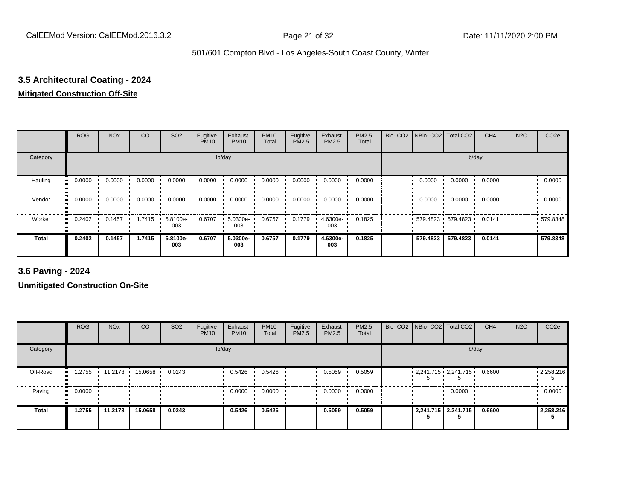## **3.5 Architectural Coating - 2024**

#### **Mitigated Construction Off-Site**

|                           | <b>ROG</b> | <b>NO<sub>x</sub></b> | CO     | SO <sub>2</sub> | Fugitive<br><b>PM10</b> | Exhaust<br><b>PM10</b> | <b>PM10</b><br>Total | Fugitive<br>PM2.5 | Exhaust<br>PM2.5 | <b>PM2.5</b><br>Total | Bio- CO2 NBio- CO2 Total CO2 |                   | CH <sub>4</sub> | <b>N2O</b> | CO <sub>2e</sub> |
|---------------------------|------------|-----------------------|--------|-----------------|-------------------------|------------------------|----------------------|-------------------|------------------|-----------------------|------------------------------|-------------------|-----------------|------------|------------------|
| Category                  |            |                       |        |                 |                         | lb/day                 |                      |                   |                  |                       |                              | lb/day            |                 |            |                  |
| Hauling<br>$\blacksquare$ | 0.0000     | 0.0000                | 0.0000 | 0.0000          | 0.0000                  | 0.0000                 | 0.0000               | 0.0000            | 0.0000           | 0.0000                | 0.0000                       | 0.0000            | 0.0000          |            | 0.0000           |
| Vendor<br>$\bullet$       | 0.0000     | 0.0000                | 0.0000 | 0.0000          | 0.0000                  | 0.0000                 | 0.0000               | 0.0000            | 0.0000           | 0.0000                | 0.0000                       | 0.0000            | 0.0000          |            | 0.0000           |
| Worker<br>$\bullet$       | 0.2402     | 0.1457                | 1.7415 | 5.8100e-<br>003 | 0.6707                  | 5.0300e-<br>003        | 0.6757               | 0.1779            | 4.6300e-<br>003  | 0.1825                |                              | 579.4823 579.4823 | 0.0141          |            | 579.8348         |
| <b>Total</b>              | 0.2402     | 0.1457                | 1.7415 | 5.8100e-<br>003 | 0.6707                  | 5.0300e-<br>003        | 0.6757               | 0.1779            | 4.6300e-<br>003  | 0.1825                | 579.4823                     | 579.4823          | 0.0141          |            | 579.8348         |

**3.6 Paving - 2024**

|              | <b>ROG</b>          | <b>NO<sub>x</sub></b> | CO      | SO <sub>2</sub> | Fugitive<br><b>PM10</b> | Exhaust<br><b>PM10</b> | <b>PM10</b><br>Total | Fugitive<br><b>PM2.5</b> | Exhaust<br>PM2.5 | <b>PM2.5</b><br>Total |  | Bio- CO2   NBio- CO2   Total CO2 | CH <sub>4</sub> | <b>N2O</b> | CO <sub>2e</sub> |
|--------------|---------------------|-----------------------|---------|-----------------|-------------------------|------------------------|----------------------|--------------------------|------------------|-----------------------|--|----------------------------------|-----------------|------------|------------------|
| Category     |                     |                       |         |                 |                         | lb/day                 |                      |                          |                  |                       |  | lb/day                           |                 |            |                  |
| Off-Road     | 1.2755<br>          | 11.2178               | 15.0658 | 0.0243          |                         | 0.5426                 | 0.5426               |                          | 0.5059           | 0.5059                |  | $2,241.715$ $2,241.715$          | 0.6600          |            | .2,258.216       |
| Paving       | 0.0000<br>$\bullet$ |                       |         |                 |                         | 0.0000                 | 0.0000               |                          | 0.0000           | 0.0000                |  | 0.0000                           |                 |            | 0.0000           |
| <b>Total</b> | 1.2755              | 11.2178               | 15.0658 | 0.0243          |                         | 0.5426                 | 0.5426               |                          | 0.5059           | 0.5059                |  | 2,241.715   2,241.715            | 0.6600          |            | 2,258.216        |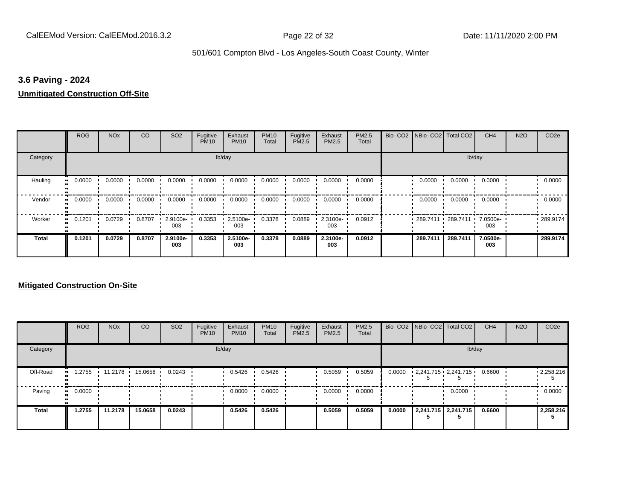#### **3.6 Paving - 2024**

#### **Unmitigated Construction Off-Site**

|                      | <b>ROG</b>                 | <b>NO<sub>x</sub></b> | CO     | SO <sub>2</sub> | Fugitive<br><b>PM10</b> | Exhaust<br><b>PM10</b> | <b>PM10</b><br>Total | Fugitive<br>PM2.5 | Exhaust<br>PM2.5 | PM2.5<br>Total | Bio- CO2   NBio- CO2   Total CO2 |          | CH <sub>4</sub> | <b>N2O</b> | CO <sub>2e</sub> |
|----------------------|----------------------------|-----------------------|--------|-----------------|-------------------------|------------------------|----------------------|-------------------|------------------|----------------|----------------------------------|----------|-----------------|------------|------------------|
| Category             |                            |                       |        |                 |                         | lb/day                 |                      |                   |                  |                |                                  |          | lb/day          |            |                  |
| Hauling<br>$\bullet$ | 0.0000                     | 0.0000                | 0.0000 | 0.0000          | 0.0000                  | 0.0000                 | 0.0000               | 0.0000            | 0.0000           | 0.0000         | 0.0000                           | 0.0000   | 0.0000          |            | 0.0000           |
| Vendor               | 0.0000<br>$\bullet\bullet$ | 0.0000                | 0.0000 | 0.0000          | 0.0000                  | 0.0000                 | 0.0000               | 0.0000            | 0.0000           | 0.0000         | 0.0000                           | 0.0000   | 0.0000          |            | 0.0000           |
| Worker               | 0.1201<br>$\bullet$        | 0.0729                | 0.8707 | 2.9100e-<br>003 | 0.3353                  | 2.5100e-<br>003        | 0.3378               | 0.0889            | 2.3100e-<br>003  | 0.0912         | 289.7411                         | 289.7411 | 7.0500e-<br>003 |            | .289.9174        |
| <b>Total</b>         | 0.1201                     | 0.0729                | 0.8707 | 2.9100e-<br>003 | 0.3353                  | 2.5100e-<br>003        | 0.3378               | 0.0889            | 2.3100e-<br>003  | 0.0912         | 289.7411                         | 289.7411 | 7.0500e-<br>003 |            | 289.9174         |

|          | <b>ROG</b>   | <b>NO<sub>x</sub></b> | CO      | SO <sub>2</sub> | Fugitive<br><b>PM10</b> | Exhaust<br><b>PM10</b> | <b>PM10</b><br>Total | Fugitive<br><b>PM2.5</b> | Exhaust<br><b>PM2.5</b> | <b>PM2.5</b><br>Total |        | Bio- CO2   NBio- CO2   Total CO2 | CH <sub>4</sub> | <b>N2O</b> | CO <sub>2e</sub>  |
|----------|--------------|-----------------------|---------|-----------------|-------------------------|------------------------|----------------------|--------------------------|-------------------------|-----------------------|--------|----------------------------------|-----------------|------------|-------------------|
| Category |              |                       |         |                 |                         | lb/day                 |                      |                          |                         |                       |        |                                  | lb/day          |            |                   |
| Off-Road | .2755        | 11.2178               | 15.0658 | 0.0243          |                         | 0.5426                 | 0.5426               |                          | 0.5059                  | 0.5059                | 0.0000 | $2,241.715 \cdot 2,241.715$      | 0.6600          |            | $\cdot$ 2,258.216 |
| Paving   | 0.0000<br>ш. |                       |         |                 |                         | 0.0000                 | 0.0000               |                          | 0.0000                  | 0.0000                |        | 0.0000                           |                 |            | 0.0000            |
| Total    | 1.2755       | 11.2178               | 15.0658 | 0.0243          |                         | 0.5426                 | 0.5426               |                          | 0.5059                  | 0.5059                | 0.0000 | 2,241.715 2,241.715              | 0.6600          |            | 2,258.216         |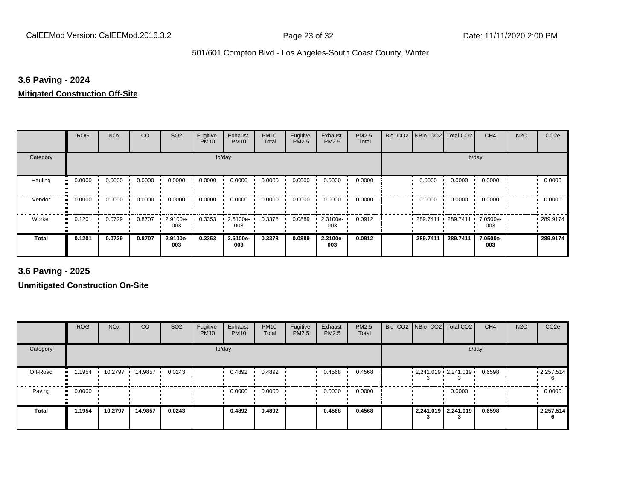#### **3.6 Paving - 2024**

#### **Mitigated Construction Off-Site**

|                            | <b>ROG</b> | <b>NO<sub>x</sub></b> | CO     | SO <sub>2</sub> | Fugitive<br><b>PM10</b> | Exhaust<br><b>PM10</b> | <b>PM10</b><br>Total | Fugitive<br>PM2.5 | Exhaust<br>PM2.5 | PM2.5<br>Total | Bio- CO2 NBio- CO2 Total CO2 |                   | CH <sub>4</sub> | <b>N2O</b> | CO <sub>2e</sub> |
|----------------------------|------------|-----------------------|--------|-----------------|-------------------------|------------------------|----------------------|-------------------|------------------|----------------|------------------------------|-------------------|-----------------|------------|------------------|
| Category                   |            |                       |        |                 |                         | lb/day                 |                      |                   |                  |                |                              |                   | lb/day          |            |                  |
| Hauling<br>$\bullet$       | 0.0000     | 0.0000                | 0.0000 | 0.0000          | 0.0000                  | 0.0000                 | 0.0000               | 0.0000            | 0.0000           | 0.0000         | 0.0000                       | 0.0000            | 0.0000          |            | 0.0000           |
| Vendor<br>$\bullet\bullet$ | 0.0000     | 0.0000                | 0.0000 | 0.0000          | 0.0000                  | 0.0000                 | 0.0000               | 0.0000            | 0.0000           | 0.0000         | 0.0000                       | 0.0000            | 0.0000          |            | 0.0000           |
| Worker<br>$\bullet$        | 0.1201     | 0.0729                | 0.8707 | 2.9100e-<br>003 | 0.3353                  | 2.5100e-<br>003        | 0.3378               | 0.0889            | 2.3100e-<br>003  | 0.0912         | 289.7411                     | $\sqrt{289.7411}$ | 7.0500e-<br>003 |            | .289.9174        |
| <b>Total</b>               | 0.1201     | 0.0729                | 0.8707 | 2.9100e-<br>003 | 0.3353                  | 2.5100e-<br>003        | 0.3378               | 0.0889            | 2.3100e-<br>003  | 0.0912         | 289.7411                     | 289.7411          | 7.0500e-<br>003 |            | 289.9174         |

**3.6 Paving - 2025**

|              | <b>ROG</b> | <b>NO<sub>x</sub></b> | CO      | SO <sub>2</sub> | Fugitive<br><b>PM10</b> | Exhaust<br><b>PM10</b> | <b>PM10</b><br>Total | Fugitive<br><b>PM2.5</b> | Exhaust<br>PM2.5 | <b>PM2.5</b><br>Total |  | Bio- CO2   NBio- CO2   Total CO2 | CH <sub>4</sub> | <b>N2O</b> | CO <sub>2e</sub> |
|--------------|------------|-----------------------|---------|-----------------|-------------------------|------------------------|----------------------|--------------------------|------------------|-----------------------|--|----------------------------------|-----------------|------------|------------------|
| Category     |            |                       |         |                 |                         | lb/day                 |                      |                          |                  |                       |  | lb/day                           |                 |            |                  |
| Off-Road     | .1954      | 10.2797               | 14.9857 | 0.0243          |                         | 0.4892                 | 0.4892               |                          | 0.4568           | 0.4568                |  | $2,241.019$ $2,241.019$          | 0.6598          |            | .2,257.514<br>6  |
| Paving       | 0.0000     |                       |         |                 |                         | 0.0000                 | 0.0000               |                          | 0.0000           | 0.0000                |  | 0.0000                           |                 |            | 0.0000           |
| <b>Total</b> | 1.1954     | 10.2797               | 14.9857 | 0.0243          |                         | 0.4892                 | 0.4892               |                          | 0.4568           | 0.4568                |  | 2,241.019 2,241.019              | 0.6598          |            | 2,257.514        |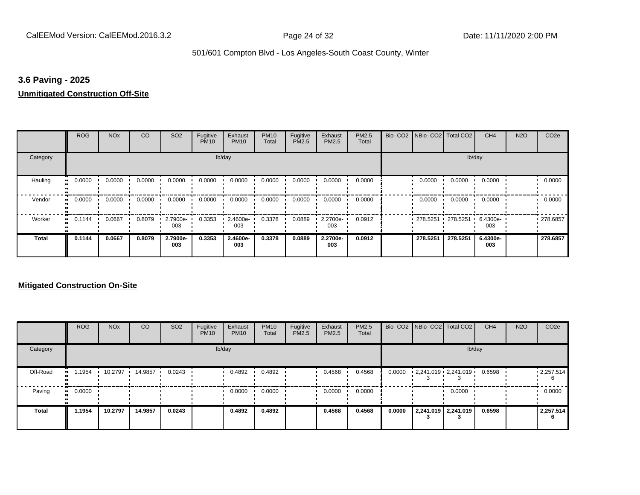#### **3.6 Paving - 2025**

#### **Unmitigated Construction Off-Site**

|                      | <b>ROG</b>                 | <b>NO<sub>x</sub></b> | CO     | SO <sub>2</sub> | Fugitive<br><b>PM10</b> | Exhaust<br><b>PM10</b> | <b>PM10</b><br>Total | Fugitive<br>PM2.5 | Exhaust<br>PM2.5 | PM2.5<br>Total | Bio- CO2   NBio- CO2   Total CO2 |          | CH <sub>4</sub> | <b>N2O</b> | CO <sub>2e</sub> |
|----------------------|----------------------------|-----------------------|--------|-----------------|-------------------------|------------------------|----------------------|-------------------|------------------|----------------|----------------------------------|----------|-----------------|------------|------------------|
| Category             |                            |                       |        |                 |                         | lb/day                 |                      |                   |                  |                |                                  |          | lb/day          |            |                  |
| Hauling<br>$\bullet$ | 0.0000                     | 0.0000                | 0.0000 | 0.0000          | 0.0000                  | 0.0000                 | 0.0000               | 0.0000            | 0.0000           | 0.0000         | 0.0000                           | 0.0000   | 0.0000          |            | 0.0000           |
| Vendor               | 0.0000<br>$\bullet\bullet$ | 0.0000                | 0.0000 | 0.0000          | 0.0000                  | 0.0000                 | 0.0000               | 0.0000            | 0.0000           | 0.0000         | 0.0000                           | 0.0000   | 0.0000          |            | 0.0000           |
| Worker               | 0.1144<br>$\bullet$        | 0.0667                | 0.8079 | 2.7900e-<br>003 | 0.3353                  | 2.4600e-<br>003        | 0.3378               | 0.0889            | 2.2700e-<br>003  | 0.0912         | 278.5251                         | 278.5251 | 6.4300e-<br>003 |            | .278.6857        |
| <b>Total</b>         | 0.1144                     | 0.0667                | 0.8079 | 2.7900e-<br>003 | 0.3353                  | 2.4600e-<br>003        | 0.3378               | 0.0889            | 2.2700e-<br>003  | 0.0912         | 278,5251                         | 278.5251 | 6.4300e-<br>003 |            | 278.6857         |

|              | <b>ROG</b> | <b>NO<sub>x</sub></b> | CO      | SO <sub>2</sub> | Fugitive<br><b>PM10</b> | Exhaust<br><b>PM10</b> | <b>PM10</b><br>Total | Fugitive<br><b>PM2.5</b> | Exhaust<br>PM2.5 | <b>PM2.5</b><br>Total |        | Bio- CO2 NBio- CO2 Total CO2 | CH <sub>4</sub> | <b>N2O</b> | CO <sub>2e</sub>       |
|--------------|------------|-----------------------|---------|-----------------|-------------------------|------------------------|----------------------|--------------------------|------------------|-----------------------|--------|------------------------------|-----------------|------------|------------------------|
| Category     |            |                       |         |                 |                         | lb/day                 |                      |                          |                  |                       |        | lb/day                       |                 |            |                        |
| Off-Road     | .1954      | 10.2797               | 14.9857 | 0.0243          |                         | 0.4892                 | 0.4892               |                          | 0.4568           | 0.4568                | 0.0000 | $2,241.019$ $2,241.019$      | 0.6598          |            | $\cdot$ 2,257.514<br>6 |
| Paving       | 0.0000     |                       |         |                 |                         | 0.0000                 | 0.0000               |                          | 0.0000           | 0.0000                |        | 0.0000                       |                 |            | 0.0000                 |
| <b>Total</b> | 1.1954     | 10.2797               | 14.9857 | 0.0243          |                         | 0.4892                 | 0.4892               |                          | 0.4568           | 0.4568                | 0.0000 | 2,241.019 2,241.019          | 0.6598          |            | 2,257.514<br>6         |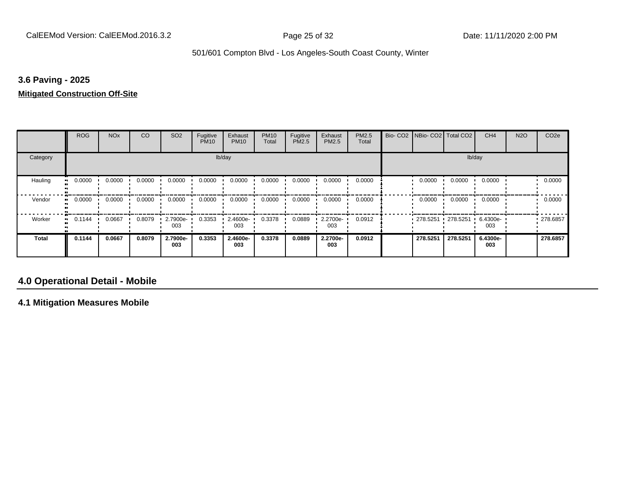#### **3.6 Paving - 2025**

#### **Mitigated Construction Off-Site**

|                           | <b>ROG</b>                 | <b>NO<sub>x</sub></b> | CO     | SO <sub>2</sub> | Fugitive<br><b>PM10</b> | Exhaust<br><b>PM10</b> | <b>PM10</b><br>Total | Fugitive<br><b>PM2.5</b> | Exhaust<br>PM2.5 | PM2.5<br>Total | Bio- CO2   NBio- CO2   Total CO2 |             | CH <sub>4</sub>   | <b>N2O</b> | CO <sub>2e</sub> |
|---------------------------|----------------------------|-----------------------|--------|-----------------|-------------------------|------------------------|----------------------|--------------------------|------------------|----------------|----------------------------------|-------------|-------------------|------------|------------------|
| Category                  |                            |                       |        |                 |                         | lb/day                 |                      |                          |                  |                |                                  |             | lb/day            |            |                  |
| Hauling<br>$\blacksquare$ | 0.0000                     | 0.0000                | 0.0000 | 0.0000          | 0.0000                  | 0.0000                 | 0.0000               | 0.0000                   | 0.0000           | 0.0000         | 0.0000                           | 0.0000      | 0.0000            |            | 0.0000           |
| Vendor                    | 0.0000<br>$\bullet$        | 0.0000                | 0.0000 | 0.0000          | 0.0000                  | 0.0000                 | 0.0000               | 0.0000                   | 0.0000           | 0.0000         | 0.0000                           | 0.0000      | 0.0000            |            | 0.0000           |
| Worker                    | 0.1144<br>$\bullet\bullet$ | 0.0667                | 0.8079 | 2.7900e-<br>003 | 0.3353                  | 2.4600e-<br>003        | 0.3378               | 0.0889                   | 2.2700e-<br>003  | 0.0912         | 278.5251                         | $-278.5251$ | $.64300e-$<br>003 |            | .278.6857        |
| <b>Total</b>              | 0.1144                     | 0.0667                | 0.8079 | 2.7900e-<br>003 | 0.3353                  | 2.4600e-<br>003        | 0.3378               | 0.0889                   | 2.2700e-<br>003  | 0.0912         | 278,5251                         | 278.5251    | 6.4300e-<br>003   |            | 278.6857         |

#### **4.0 Operational Detail - Mobile**

**4.1 Mitigation Measures Mobile**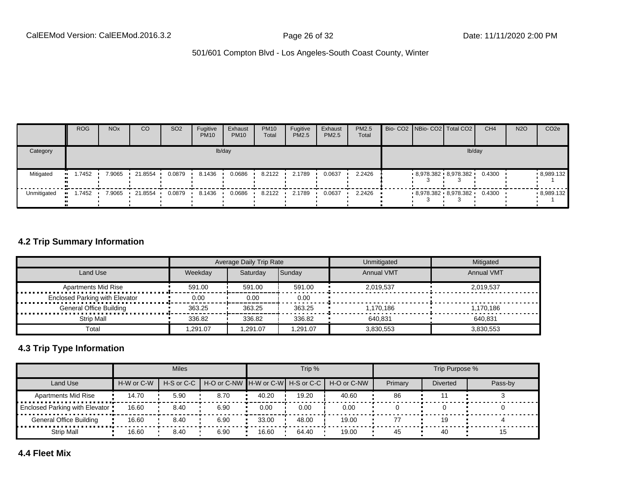|             | <b>ROG</b> | <b>NO<sub>x</sub></b> | CO      | SO <sub>2</sub> | Fugitive<br><b>PM10</b> | Exhaust<br><b>PM10</b> | <b>PM10</b><br>Total | Fugitive<br><b>PM2.5</b> | Exhaust<br>PM2.5 | <b>PM2.5</b><br>Total |  | Bio- CO2 NBio- CO2   Total CO2    | CH <sub>4</sub> | <b>N2O</b> | CO <sub>2e</sub> |
|-------------|------------|-----------------------|---------|-----------------|-------------------------|------------------------|----------------------|--------------------------|------------------|-----------------------|--|-----------------------------------|-----------------|------------|------------------|
| Category    |            |                       |         |                 |                         | lb/day                 |                      |                          |                  |                       |  | lb/day                            |                 |            |                  |
| Mitigated   | 1.7452     | 7.9065                | 21.8554 | 0.0879          | 8.1436                  | 0.0686                 | 8.2122               | 2.1789                   | 0.0637           | 2.2426                |  | 8,978.382 8,978.382               | 0.4300          |            | 8,989.132        |
| Unmitigated | 1.7452     | 7.9065                | 21.8554 | 0.0879          | 8.1436                  | 0.0686                 | 8.2122               | 2.1789                   | 0.0637           | 2.2426                |  | $-8.978.382 - 8.978.382 - 0.4300$ |                 |            | 8,989.132        |

#### **4.2 Trip Summary Information**

|                                            |          | Average Daily Trip Rate |         | Unmitigated       | Mitigated         |
|--------------------------------------------|----------|-------------------------|---------|-------------------|-------------------|
| Land Use                                   | Weekdav  | Saturdav                | Sunday  | <b>Annual VMT</b> | <b>Annual VMT</b> |
| <b>Apartments Mid Rise</b><br>.            | 591.00   | 591.00                  | 591.00  | 2.019.537         | 2.019.537         |
| <b>Enclosed Parking with Elevator</b><br>. | 0.00     | 0.00                    | 0.00    |                   |                   |
| <b>General Office Building</b>             | 363.25   | 363.25                  | 363.25  | 1.170.186         | 1.170.186         |
| Strip Mall                                 | 336.82   | 336.82                  | 336.82  | 640.831           | 640.831           |
| Total                                      | .291.07. | .291.07                 | .291.07 | 3.830.553         | 3.830.553         |

#### **4.3 Trip Type Information**

|                                |            | <b>Miles</b> |                                                          |       | Trip % |       |         | Trip Purpose %  |         |
|--------------------------------|------------|--------------|----------------------------------------------------------|-------|--------|-------|---------|-----------------|---------|
| Land Use                       | H-W or C-W |              | H-S or C-C H-O or C-NW H-W or C-W H-S or C-C H-O or C-NW |       |        |       | Primary | <b>Diverted</b> | Pass-by |
| <b>Apartments Mid Rise</b>     | 14.70      | 5.90         | 8.70                                                     | 40.20 | 19.20  | 40.60 | 86      |                 |         |
| Enclosed Parking with Elevator | 16.60      | 8.40         | 6.90                                                     | 0.00  | 0.00   | 0.00  |         |                 |         |
| General Office Building        | 16.60      | 8.40         | 6.90                                                     | 33.00 | 48.00  | 19.00 |         |                 |         |
| <b>Strip Mall</b>              | 16.60      | 8.40         | 6.90                                                     | 16.60 | 64.40  | 19.00 | 45      | 40              | ם ו     |

**4.4 Fleet Mix**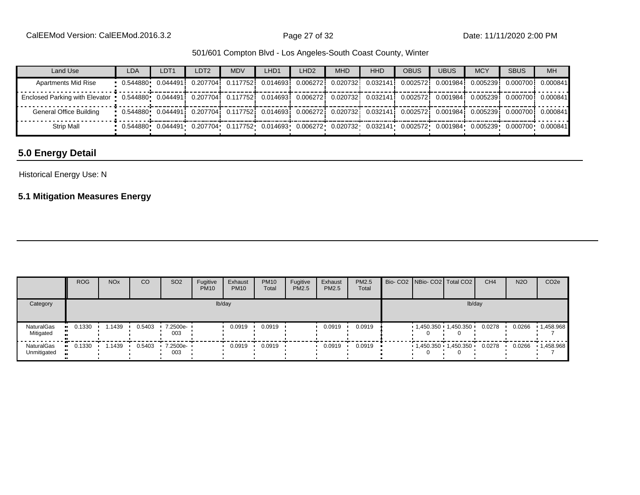| Land Use                                                                                                                                            | <b>LDA</b>                                                                                                                   | LDT1 | LDT2                                                                                                                                           | <b>MDV</b>                                                                   | LHD <sub>1</sub> | LHD <sub>2</sub> | <b>MHD</b> | <b>HHD</b> | <b>OBUS</b> | <b>UBUS</b> | <b>MCY</b> | <b>SBUS</b>                   | <b>MH</b> |
|-----------------------------------------------------------------------------------------------------------------------------------------------------|------------------------------------------------------------------------------------------------------------------------------|------|------------------------------------------------------------------------------------------------------------------------------------------------|------------------------------------------------------------------------------|------------------|------------------|------------|------------|-------------|-------------|------------|-------------------------------|-----------|
| <b>Apartments Mid Rise</b>                                                                                                                          |                                                                                                                              |      |                                                                                                                                                | $0.207704$ $0.117752$ $0.014693$ $0.006272$ $0.020732$ $0.032141$ $0.002572$ |                  |                  |            |            |             |             |            | 0.0019841 0.0052391 0.0007001 | 0.000841  |
| Enclosed Parking with Elevator 0.544880 0.044491 0.207704 0.117752 0.014693 0.006272 0.020732 0.032141 0.002572 0.001984 0.005239 0.000700 0.000841 |                                                                                                                              |      |                                                                                                                                                |                                                                              |                  |                  |            |            |             |             |            |                               |           |
| General Office Building                                                                                                                             | $\cdot$ 0.544880 0.044491 0.207704 0.117752 0.014693 0.006272 0.020732 0.032141 0.002572 0.001984 0.005239 0.000700 0.000841 |      |                                                                                                                                                |                                                                              |                  |                  |            |            |             |             |            |                               |           |
| <b>Strip Mall</b>                                                                                                                                   |                                                                                                                              |      | $0.544880$ $0.044491$ $0.207704$ $0.117752$ $0.014693$ $0.006272$ $0.020732$ $0.032141$ $0.002572$ $0.001984$ $0.005239$ $0.000700$ $0.000841$ |                                                                              |                  |                  |            |            |             |             |            |                               |           |

### **5.0 Energy Detail**

#### Historical Energy Use: N

### **5.1 Mitigation Measures Energy**

|                           | <b>ROG</b> | <b>NO<sub>x</sub></b> | CO     | SO <sub>2</sub>   | Fugitive<br><b>PM10</b> | Exhaust<br><b>PM10</b> | <b>PM10</b><br>Total | Fugitive<br>PM2.5 | Exhaust<br>PM2.5 | <b>PM2.5</b><br>Total |        | Bio- CO2 NBio- CO2 Total CO2 | CH <sub>4</sub> | <b>N2O</b> | CO <sub>2e</sub> |
|---------------------------|------------|-----------------------|--------|-------------------|-------------------------|------------------------|----------------------|-------------------|------------------|-----------------------|--------|------------------------------|-----------------|------------|------------------|
| Category                  | lb/day     |                       |        |                   |                         |                        |                      |                   |                  |                       | lb/day |                              |                 |            |                  |
| NaturalGas<br>Mitigated   | 0.1330     | .1439                 | 0.5403 | 7.2500e-<br>003   |                         | 0.0919                 | 0.0919               |                   | 0.0919           | 0.0919                |        | $1,450.350$ 1,450.350        | 0.0278          | 0.0266     | 1,458.968        |
| NaturalGas<br>Unmitigated | 0.1330     | . 1439                | 0.5403 | 7.2500e- ·<br>003 |                         | 0.0919                 | 0.0919               |                   | 0.0919           | 0.0919                |        | 1,450.350 1,450.350          | 0.0278          | 0.0266     | 1,458.968        |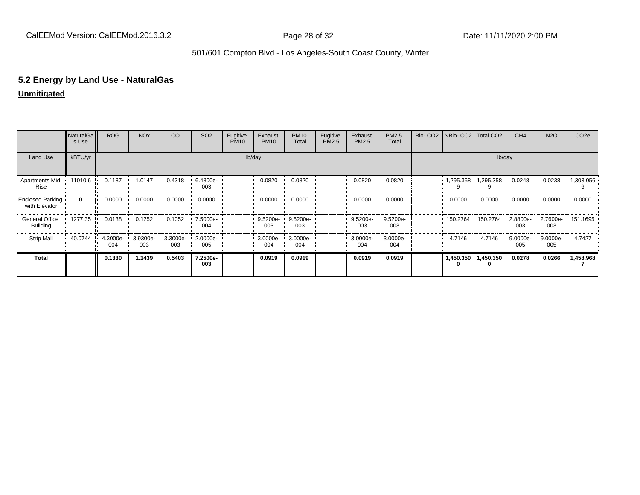## **5.2 Energy by Land Use - NaturalGas**

#### **Unmitigated**

|                                   | NaturalGa<br>s Use | <b>ROG</b>      | <b>NO<sub>x</sub></b> | <b>CO</b>       | SO <sub>2</sub> | Fugitive<br><b>PM10</b> | Exhaust<br><b>PM10</b> | <b>PM10</b><br>Total | Fugitive<br>PM2.5 | Exhaust<br>PM2.5 | PM2.5<br>Total  | Bio- CO2   NBio- CO2   Total CO2 |                     | CH <sub>4</sub> | <b>N2O</b>      | CO <sub>2e</sub> |
|-----------------------------------|--------------------|-----------------|-----------------------|-----------------|-----------------|-------------------------|------------------------|----------------------|-------------------|------------------|-----------------|----------------------------------|---------------------|-----------------|-----------------|------------------|
| Land Use                          | kBTU/yr            |                 |                       |                 |                 |                         | lb/day                 |                      |                   |                  |                 |                                  | lb/day              |                 |                 |                  |
| Apartments Mid<br>Rise            | 11010.6            | 0.1187          | 1.0147                | 0.4318          | 6.4800e-<br>003 |                         | 0.0820                 | 0.0820               |                   | 0.0820           | 0.0820          |                                  | 1,295.358 1,295.358 | 0.0248          | 0.0238          | 1,303.056        |
| Enclosed Parking<br>with Elevator | $\Omega$           | 0.0000          | 0.0000                | 0.0000          | 0.0000          |                         | 0.0000                 | 0.0000               |                   | 0.0000           | 0.0000          | 0.0000                           | 0.0000              | 0.0000          | 0.0000          | 0.0000           |
| General Office<br><b>Building</b> | 1277.35 ·          | 0.0138          | 0.1252                | 0.1052          | 7.5000e-<br>004 |                         | 9.5200e-<br>003        | 9.5200e-<br>003      |                   | 9.5200e-<br>003  | 9.5200e-<br>003 | 150.2764 150.2764                |                     | 2.8800e-<br>003 | 2.7600e-<br>003 | $\cdot$ 151.1695 |
| <b>Strip Mall</b>                 | 40.0744            | 4.3000e-<br>004 | 3.9300e-<br>003       | 3.3000e-<br>003 | 2.0000e-<br>005 |                         | 3.0000e-<br>004        | 3.0000e-<br>004      |                   | 3.0000e-<br>004  | 3.0000e-<br>004 | 4.7146                           | 4.7146              | 9.0000e-<br>005 | 9.0000e-<br>005 | 4.7427           |
| <b>Total</b>                      |                    | 0.1330          | 1.1439                | 0.5403          | 7.2500e-<br>003 |                         | 0.0919                 | 0.0919               |                   | 0.0919           | 0.0919          | 1,450.350<br>0                   | 1,450.350<br>0      | 0.0278          | 0.0266          | 1,458.968        |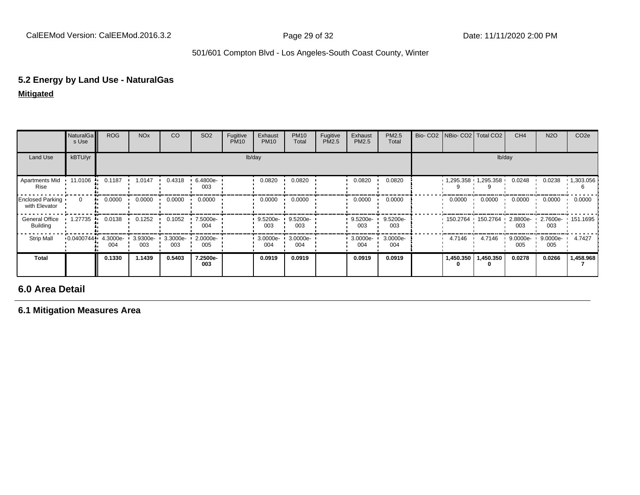## **5.2 Energy by Land Use - NaturalGas**

#### **Mitigated**

|                                   | <b>NaturalGa</b><br>s Use | <b>ROG</b>      | <b>NO<sub>x</sub></b> | CO              | SO <sub>2</sub> | Fugitive<br><b>PM10</b> | Exhaust<br><b>PM10</b> | <b>PM10</b><br>Total | Fugitive<br>PM2.5 | Exhaust<br>PM2.5 | PM2.5<br>Total    |           | Bio- CO2 NBio- CO2   Total CO2 | CH <sub>4</sub>    | <b>N2O</b>      | CO <sub>2e</sub>  |
|-----------------------------------|---------------------------|-----------------|-----------------------|-----------------|-----------------|-------------------------|------------------------|----------------------|-------------------|------------------|-------------------|-----------|--------------------------------|--------------------|-----------------|-------------------|
| Land Use                          | kBTU/yr                   |                 |                       |                 |                 |                         | lb/day                 |                      |                   |                  |                   |           | lb/day                         |                    |                 |                   |
| <b>Apartments Mid</b><br>Rise     | $11.0106$ $\blacksquare$  | 0.1187          | 1.0147                | 0.4318          | 6.4800e-<br>003 |                         | 0.0820                 | 0.0820               |                   | 0.0820           | 0.0820            |           | $1,295.358$ $1,295.358$        | 0.0248             | 0.0238          | 1,303.056         |
| Enclosed Parking<br>with Elevator | $\Omega$                  | 0.0000<br>٠.    | 0.0000                | 0.0000          | 0.0000          |                         | 0.0000                 | 0.0000               |                   | 0.0000           | 0.0000            | 0.0000    | 0.0000                         | 0.0000             | 0.0000          | 0.0000            |
| General Office<br><b>Building</b> | 1.27735                   | 0.0138          | 0.1252                | 0.1052          | 7.5000e-<br>004 |                         | $9.5200e -$<br>003     | 9.5200e-<br>003      |                   | 9.5200e-<br>003  | $9.5200e-$<br>003 |           | 150.2764 150.2764              | $2.8800e-$<br>003  | 003             | 2.7600e- 151.1695 |
| <b>Strip Mall</b>                 | 0.0400744                 | 4.3000e-<br>004 | 3.9300e-<br>003       | 3.3000e-<br>003 | 2.0000e-<br>005 |                         | 3.0000e-<br>004        | 3.0000e-<br>004      |                   | 3.0000e-<br>004  | 3.0000e-<br>004   | 4.7146    | 4.7146                         | $9.0000e -$<br>005 | 9.0000e-<br>005 | 4.7427            |
| Total                             |                           | 0.1330          | 1.1439                | 0.5403          | 7.2500e-<br>003 |                         | 0.0919                 | 0.0919               |                   | 0.0919           | 0.0919            | 1,450.350 | 1,450.350                      | 0.0278             | 0.0266          | 1,458.968         |

### **6.0 Area Detail**

**6.1 Mitigation Measures Area**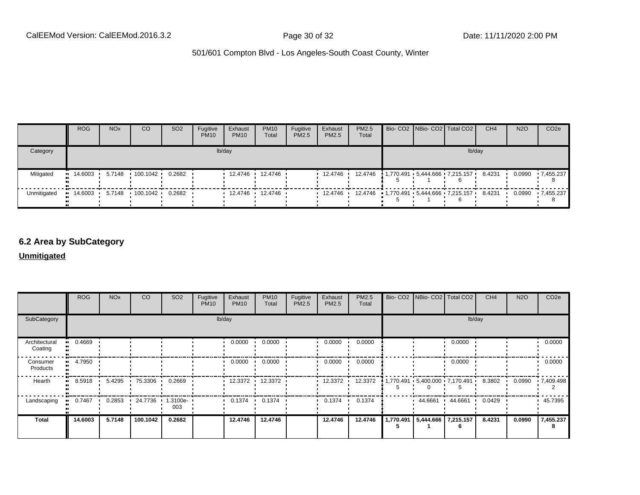|             | <b>ROG</b>                            | NO <sub>x</sub> | CO | SO <sub>2</sub> | Fugitive<br><b>PM10</b> | Exhaust<br><b>PM10</b> | <b>PM10</b><br>Total | Fugitive<br>PM2.5 | Exhaust<br>PM2.5 | <b>PM2.5</b><br>Total                                    |  | Bio- CO2 NBio- CO2 Total CO2          | CH <sub>4</sub> | <b>N2O</b> | CO <sub>2</sub> e |
|-------------|---------------------------------------|-----------------|----|-----------------|-------------------------|------------------------|----------------------|-------------------|------------------|----------------------------------------------------------|--|---------------------------------------|-----------------|------------|-------------------|
| Category    |                                       |                 |    |                 |                         | lb/day                 |                      |                   |                  |                                                          |  | lb/dav                                |                 |            |                   |
| Mitigated   | $\blacksquare$ 14.6003 $\blacksquare$ |                 |    | 0.2682          |                         |                        | 12.4746 12.4746      |                   | 12.4746          |                                                          |  | 12.4746 1.770.491 5.444.666 7.215.157 | 8.4231          | 0.0990     | .7.455.237        |
| Unmitigated | $14.6003$ 5.7148 100.1042 0.2682      |                 |    |                 |                         | $12.4746$ 12.4746      |                      |                   |                  | $12.4746$ 12.4746 $1.770.491$ 5.444.666 7.215.157 8.4231 |  |                                       |                 |            | 0.0990 7.455.237  |

#### **6.2 Area by SubCategory**

#### **Unmitigated**

|                          | <b>ROG</b>           | <b>NO<sub>x</sub></b> | CO             | SO <sub>2</sub>    | Fugitive<br><b>PM10</b> | Exhaust<br><b>PM10</b> | <b>PM10</b><br>Total | Fugitive<br>PM2.5 | Exhaust<br>PM2.5 | <b>PM2.5</b><br>Total | Bio- CO2   NBio- CO2   Total CO2                         |         | CH <sub>4</sub> | <b>N2O</b> | CO <sub>2e</sub> |
|--------------------------|----------------------|-----------------------|----------------|--------------------|-------------------------|------------------------|----------------------|-------------------|------------------|-----------------------|----------------------------------------------------------|---------|-----------------|------------|------------------|
| SubCategory              |                      |                       |                |                    |                         | lb/day                 |                      |                   |                  |                       |                                                          |         | lb/day          |            |                  |
| Architectural<br>Coating | 0.4669               |                       |                |                    |                         | 0.0000                 | 0.0000               |                   | 0.0000           | 0.0000                |                                                          | 0.0000  |                 |            | 0.0000           |
| Consumer<br>Products     | 4.7950<br><b>ALC</b> |                       |                |                    |                         | 0.0000                 | 0.0000               |                   | 0.0000           | 0.0000                |                                                          | 0.0000  |                 |            | 0.0000           |
| Hearth                   | 8.5918               |                       | 5.4295 75.3306 | 0.2669             |                         |                        | 12.3372 12.3372      |                   | 12.3372 ·        | 12.3372               | $1,770.491 \cdot 5,400.000 \cdot 7,170.491 \cdot 8.3802$ |         |                 | 0.0990     | 17,409.498       |
| Landscaping              | 0.7467               | 0.2853                | 24.7736<br>-   | $1.3100e -$<br>003 |                         | 0.1374<br>. .          | 0.1374               |                   | 0.1374           | 0.1374                | 44.6661 ·                                                | 44.6661 | 0.0429          |            | 45.7395          |
| <b>Total</b>             | 14.6003              | 5.7148                | 100.1042       | 0.2682             |                         | 12.4746                | 12.4746              |                   | 12.4746          | 12.4746               | 1,770.491 5,444.666 7,215.157                            |         | 8.4231          | 0.0990     | 7,455.237<br>8   |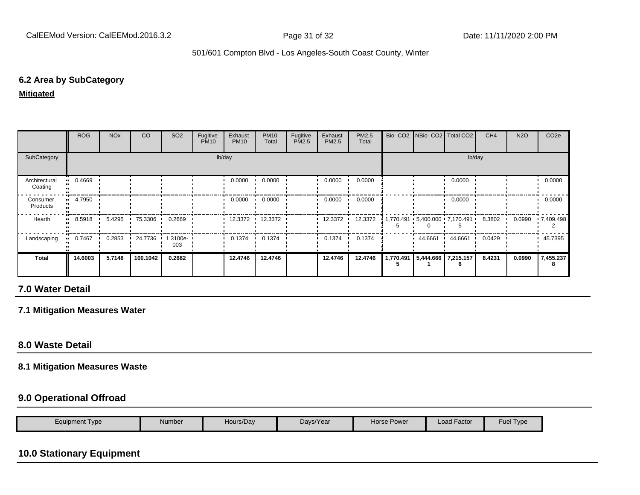#### **6.2 Area by SubCategory**

#### **Mitigated**

|                          | <b>ROG</b> | <b>NO<sub>x</sub></b> | CO       | SO <sub>2</sub>    | Fugitive<br><b>PM10</b> | Exhaust<br><b>PM10</b> | <b>PM10</b><br>Total | Fugitive<br>PM2.5 | Exhaust<br>PM2.5 | PM2.5<br>Total | Bio- CO2   NBio- CO2   Total CO2  |         | CH <sub>4</sub> | <b>N2O</b> | CO <sub>2e</sub> |
|--------------------------|------------|-----------------------|----------|--------------------|-------------------------|------------------------|----------------------|-------------------|------------------|----------------|-----------------------------------|---------|-----------------|------------|------------------|
| SubCategory              |            |                       |          |                    |                         | lb/day                 |                      |                   |                  |                |                                   | lb/day  |                 |            |                  |
| Architectural<br>Coating | 0.4669<br> |                       |          |                    |                         | 0.0000                 | 0.0000               |                   | 0.0000           | 0.0000         |                                   | 0.0000  |                 |            | 0.0000           |
| Consumer<br>Products     | 4.7950     |                       |          |                    |                         | 0.0000                 | 0.0000               |                   | 0.0000           | 0.0000         |                                   | 0.0000  |                 |            | 0.0000           |
| Hearth                   | 8.5918     | 5.4295                | 75.3306  | 0.2669             |                         | 12.3372 ·              | 12.3372              |                   | 12.3372          | 12.3372        |                                   |         | 8.3802 ·        | 0.0990     | .7,409.498       |
| Landscaping              | 0.7467     | 0.2853                | 24.7736  | $1.3100e -$<br>003 |                         | 0.1374                 | 0.1374               |                   | 0.1374           | 0.1374         | 44.6661                           | 44.6661 | 0.0429          |            | 45.7395          |
| Total                    | 14.6003    | 5.7148                | 100.1042 | 0.2682             |                         | 12.4746                | 12.4746              |                   | 12.4746          | 12.4746        | 1,770.491   5,444.666   7,215.157 |         | 8.4231          | 0.0990     | 7,455.237        |

### **7.0 Water Detail**

#### **7.1 Mitigation Measures Water**

#### **8.0 Waste Detail**

#### **8.1 Mitigation Measures Waste**

#### **9.0 Operational Offroad**

| Number<br>Hours/Day<br>Equipment Type | Days/Year | <b>Horse Power</b> | Load Factor | <b>Fuel Type</b> |
|---------------------------------------|-----------|--------------------|-------------|------------------|
|---------------------------------------|-----------|--------------------|-------------|------------------|

## **10.0 Stationary Equipment**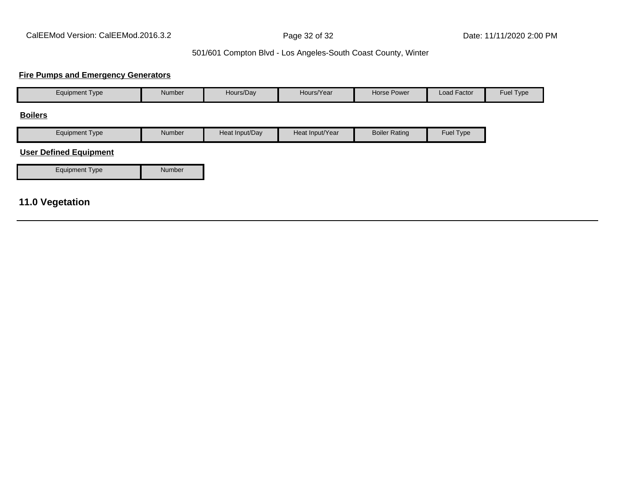#### **Fire Pumps and Emergency Generators**

| <b>Equipment Type</b>                                                                                                                                                                                                                                                                                                                                                                | Number | Hours/Day      | Hours/Year      | Horse Power          | Load Factor | Fuel Type |
|--------------------------------------------------------------------------------------------------------------------------------------------------------------------------------------------------------------------------------------------------------------------------------------------------------------------------------------------------------------------------------------|--------|----------------|-----------------|----------------------|-------------|-----------|
| <b>Boilers</b>                                                                                                                                                                                                                                                                                                                                                                       |        |                |                 |                      |             |           |
| <b>Equipment Type</b>                                                                                                                                                                                                                                                                                                                                                                | Number | Heat Input/Day | Heat Input/Year | <b>Boiler Rating</b> | Fuel Type   |           |
| <b>User Defined Equipment</b>                                                                                                                                                                                                                                                                                                                                                        |        |                |                 |                      |             |           |
| <b>Equipment Type</b>                                                                                                                                                                                                                                                                                                                                                                | Number |                |                 |                      |             |           |
| $\overline{A}$ $\overline{A}$ $\overline{A}$ $\overline{A}$ $\overline{A}$ $\overline{A}$ $\overline{A}$ $\overline{A}$ $\overline{A}$ $\overline{A}$ $\overline{A}$ $\overline{A}$ $\overline{A}$ $\overline{A}$ $\overline{A}$ $\overline{A}$ $\overline{A}$ $\overline{A}$ $\overline{A}$ $\overline{A}$ $\overline{A}$ $\overline{A}$ $\overline{A}$ $\overline{A}$ $\overline{$ |        |                |                 |                      |             |           |

#### **11.0 Vegetation**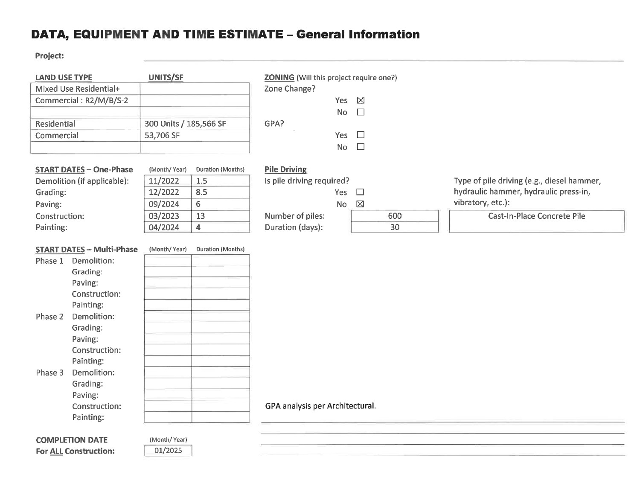## DATA, EQUIPMENT AND TIME ESTIMATE - General Information

Project:

| <b>LAND USE TYPE</b>             | <b>UNITS/SF</b>        |                   | <b>ZONING</b> (Will this project require one?) |                          |     |                                            |
|----------------------------------|------------------------|-------------------|------------------------------------------------|--------------------------|-----|--------------------------------------------|
| Mixed Use Residential+           |                        |                   | Zone Change?                                   |                          |     |                                            |
| Commercial: R2/M/B/S-2           |                        |                   |                                                | Yes<br>$\boxtimes$       |     |                                            |
|                                  |                        |                   |                                                | <b>No</b><br>$\Box$      |     |                                            |
| Residential                      | 300 Units / 185,566 SF |                   | GPA?                                           |                          |     |                                            |
| Commercial                       | 53,706 SF              |                   | Yes                                            | $\Box$                   |     |                                            |
|                                  |                        |                   |                                                | $\Box$<br><b>No</b>      |     |                                            |
|                                  |                        |                   |                                                |                          |     |                                            |
| <b>START DATES - One-Phase</b>   | (Month/Year)           | Duration (Months) | <b>Pile Driving</b>                            |                          |     |                                            |
| Demolition (if applicable):      | 11/2022                | 1.5               | Is pile driving required?                      |                          |     | Type of pile driving (e.g., diesel hammer, |
| Grading:                         | 12/2022                | 8.5               | Yes                                            | $\Box$                   |     | hydraulic hammer, hydraulic press-in,      |
| Paving:                          | 09/2024                | 6                 |                                                | $\boxtimes$<br><b>No</b> |     | vibratory, etc.):                          |
| Construction:                    | 03/2023                | 13                | Number of piles:                               |                          | 600 | <b>Cast-In-Place Concrete Pile</b>         |
| Painting:                        | 04/2024                | $\overline{4}$    | Duration (days):                               |                          | 30  |                                            |
|                                  |                        |                   |                                                |                          |     |                                            |
| <b>START DATES - Multi-Phase</b> | (Month/Year)           | Duration (Months) |                                                |                          |     |                                            |
| Phase 1 Demolition:              |                        |                   |                                                |                          |     |                                            |
| Grading:                         |                        |                   |                                                |                          |     |                                            |
| Paving:                          |                        |                   |                                                |                          |     |                                            |
| Construction:                    |                        |                   |                                                |                          |     |                                            |
| Painting:                        |                        |                   |                                                |                          |     |                                            |
| Demolition:<br>Phase 2           |                        |                   |                                                |                          |     |                                            |
| Grading:                         |                        |                   |                                                |                          |     |                                            |
| Paving:                          |                        |                   |                                                |                          |     |                                            |
| Construction:                    |                        |                   |                                                |                          |     |                                            |
| Painting:                        |                        |                   |                                                |                          |     |                                            |
| Demolition:<br>Phase 3           |                        |                   |                                                |                          |     |                                            |
| Grading:                         |                        |                   |                                                |                          |     |                                            |
| Paving:                          |                        |                   |                                                |                          |     |                                            |
| Construction:                    |                        |                   | GPA analysis per Architectural.                |                          |     |                                            |
| Painting:                        |                        |                   |                                                |                          |     |                                            |
|                                  |                        |                   |                                                |                          |     |                                            |
| <b>COMPLETION DATE</b>           | (Month/Year)           |                   |                                                |                          |     |                                            |
| <b>For ALL Construction:</b>     | 01/2025                |                   |                                                |                          |     |                                            |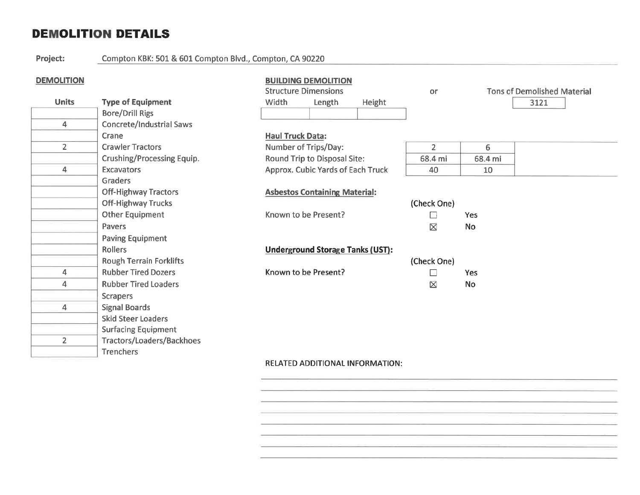## **DEMOLITION DETAILS**

Project:

Compton KBK: 501 & 601 Compton Blvd., Compton, CA 90220

#### **DEMOLITION**

 $\overline{2}$ 

Tractors/Loaders/Backhoes

Trenchers

| <b>DEMOLITION</b> |                                   |                             | <b>BUILDING DEMOLITION</b>               |        |                |                  |                                    |
|-------------------|-----------------------------------|-----------------------------|------------------------------------------|--------|----------------|------------------|------------------------------------|
|                   |                                   | <b>Structure Dimensions</b> |                                          |        | <b>or</b>      |                  | <b>Tons of Demolished Material</b> |
| <b>Units</b>      | <b>Type of Equipment</b>          | <b>Width</b>                | Length                                   | Height |                |                  | 3121                               |
|                   | <b>Bore/Drill Rigs</b>            |                             |                                          |        |                |                  |                                    |
| 4                 | <b>Concrete/Industrial Saws</b>   |                             |                                          |        |                |                  |                                    |
|                   | Crane                             | <b>Haul Truck Data:</b>     |                                          |        |                |                  |                                    |
| $\overline{2}$    | <b>Crawler Tractors</b>           | Number of Trips/Day:        |                                          |        | $\overline{2}$ | $6 \overline{6}$ |                                    |
|                   | <b>Crushing/Processing Equip.</b> |                             | <b>Round Trip to Disposal Site:</b>      |        | 68.4 mi        | 68.4 mi          |                                    |
| 4                 | <b>Excavators</b>                 |                             | <b>Approx. Cubic Yards of Each Truck</b> |        | 40             | 10               |                                    |
|                   | <b>Graders</b>                    |                             |                                          |        |                |                  |                                    |
|                   | <b>Off-Highway Tractors</b>       |                             | <b>Asbestos Containing Material:</b>     |        |                |                  |                                    |
|                   | <b>Off-Highway Trucks</b>         |                             |                                          |        | (Check One)    |                  |                                    |
|                   | <b>Other Equipment</b>            | Known to be Present?        |                                          |        |                | Yes              |                                    |
|                   | Pavers                            |                             |                                          |        | ⊠              | <b>No</b>        |                                    |
|                   | <b>Paving Equipment</b>           |                             |                                          |        |                |                  |                                    |
|                   | <b>Rollers</b>                    |                             | <b>Underground Storage Tanks (UST):</b>  |        |                |                  |                                    |
|                   | <b>Rough Terrain Forklifts</b>    |                             |                                          |        | (Check One)    |                  |                                    |
| 4                 | <b>Rubber Tired Dozers</b>        | Known to be Present?        |                                          |        | $\mathsf{L}$   | Yes              |                                    |
| 4                 | <b>Rubber Tired Loaders</b>       |                             |                                          |        | 区              | <b>No</b>        |                                    |
|                   | <b>Scrapers</b>                   |                             |                                          |        |                |                  |                                    |
| 4                 | <b>Signal Boards</b>              |                             |                                          |        |                |                  |                                    |
|                   | <b>Skid Steer Loaders</b>         |                             |                                          |        |                |                  |                                    |
|                   | <b>Surfacing Equipment</b>        |                             |                                          |        |                |                  |                                    |

**RELATED ADDITIONAL INFORMATION:**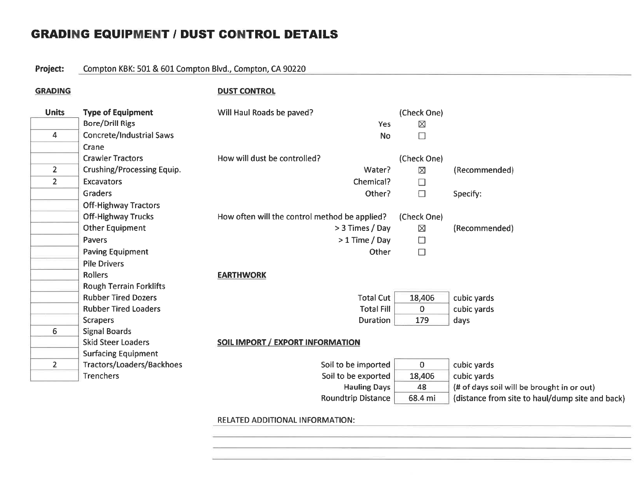## **GRADING EQUIPMENT / DUST CONTROL DETAILS**

#### Project: Compton KBK: 501 & 601 Compton Blvd., Compton, CA 90220

**GRADING** 

**DUST CONTROL** 

| <b>Units</b>   | <b>Type of Equipment</b>          | Will Haul Roads be paved?                     | (Check One)    |                                                 |
|----------------|-----------------------------------|-----------------------------------------------|----------------|-------------------------------------------------|
|                | <b>Bore/Drill Rigs</b>            | Yes                                           | $\boxtimes$    |                                                 |
| 4              | <b>Concrete/Industrial Saws</b>   | <b>No</b>                                     | $\Box$         |                                                 |
|                | Crane                             |                                               |                |                                                 |
|                | <b>Crawler Tractors</b>           | How will dust be controlled?                  | (Check One)    |                                                 |
| $\overline{2}$ | <b>Crushing/Processing Equip.</b> | Water?                                        | ⊠              | (Recommended)                                   |
| $\overline{2}$ | <b>Excavators</b>                 | Chemical?                                     | $\Box$         |                                                 |
|                | <b>Graders</b>                    | Other?                                        | $\Box$         | Specify:                                        |
|                | <b>Off-Highway Tractors</b>       |                                               |                |                                                 |
|                | <b>Off-Highway Trucks</b>         | How often will the control method be applied? | (Check One)    |                                                 |
|                | <b>Other Equipment</b>            | > 3 Times / Day                               | ⊠              | (Recommended)                                   |
|                | Pavers                            | $>1$ Time / Day                               | $\Box$         |                                                 |
|                | <b>Paving Equipment</b>           | Other                                         | $\Box$         |                                                 |
|                | <b>Pile Drivers</b>               |                                               |                |                                                 |
|                | <b>Rollers</b>                    | <b>EARTHWORK</b>                              |                |                                                 |
|                | <b>Rough Terrain Forklifts</b>    |                                               |                |                                                 |
|                | <b>Rubber Tired Dozers</b>        | <b>Total Cut</b>                              | 18,406         | cubic yards                                     |
|                | <b>Rubber Tired Loaders</b>       | <b>Total Fill</b>                             | 0              | cubic yards                                     |
|                | <b>Scrapers</b>                   | <b>Duration</b>                               | 179            | days                                            |
| 6              | <b>Signal Boards</b>              |                                               |                |                                                 |
|                | <b>Skid Steer Loaders</b>         | <b>SOIL IMPORT / EXPORT INFORMATION</b>       |                |                                                 |
|                | <b>Surfacing Equipment</b>        |                                               |                |                                                 |
| $\overline{2}$ | Tractors/Loaders/Backhoes         | Soil to be imported                           | $\overline{0}$ | cubic yards                                     |
|                | Trenchers                         | Soil to be exported                           | 18,406         | cubic yards                                     |
|                |                                   | <b>Hauling Days</b>                           | 48             | (# of days soil will be brought in or out)      |
|                |                                   | Roundtrip Distance                            | 68.4 mi        | (distance from site to haul/dump site and back) |

#### **RELATED ADDITIONAL INFORMATION:**